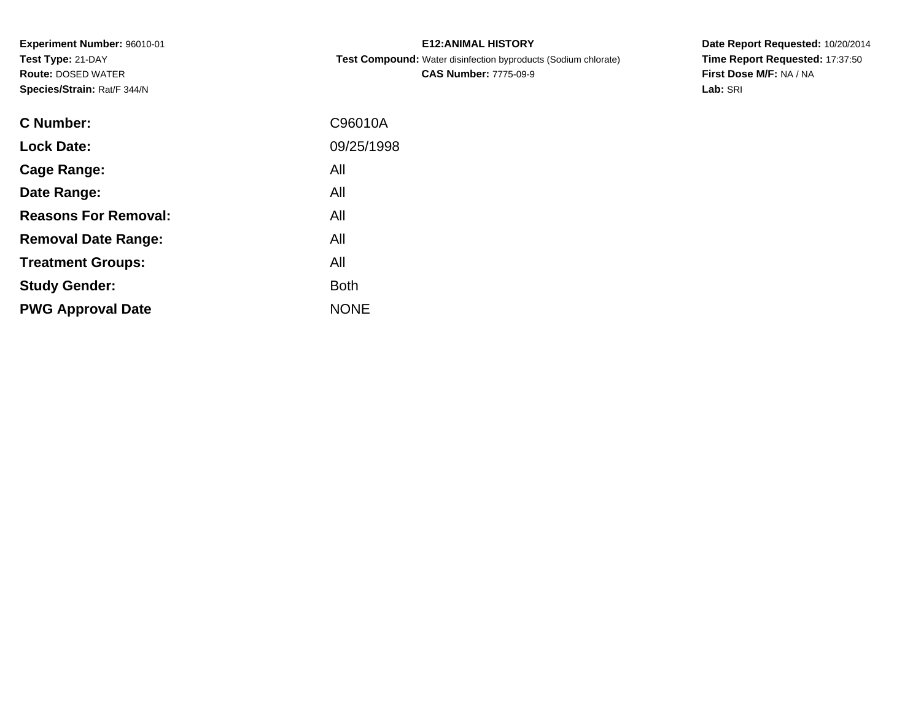**Experiment Number:** 96010-01**Test Type:** 21-DAY **Route:** DOSED WATER**Species/Strain:** Rat/F 344/N

| <b>E12: ANIMAL HISTORY</b>                                            |
|-----------------------------------------------------------------------|
| <b>Test Compound:</b> Water disinfection byproducts (Sodium chlorate) |
| <b>CAS Number: 7775-09-9</b>                                          |

**Date Report Requested:** 10/20/2014 **Time Report Requested:** 17:37:50**First Dose M/F:** NA / NA**Lab:** SRI

| <b>C</b> Number:            | C96010A     |
|-----------------------------|-------------|
| <b>Lock Date:</b>           | 09/25/1998  |
| Cage Range:                 | All         |
| Date Range:                 | All         |
| <b>Reasons For Removal:</b> | All         |
| <b>Removal Date Range:</b>  | All         |
| <b>Treatment Groups:</b>    | All         |
| <b>Study Gender:</b>        | <b>Both</b> |
| <b>PWG Approval Date</b>    | <b>NONE</b> |
|                             |             |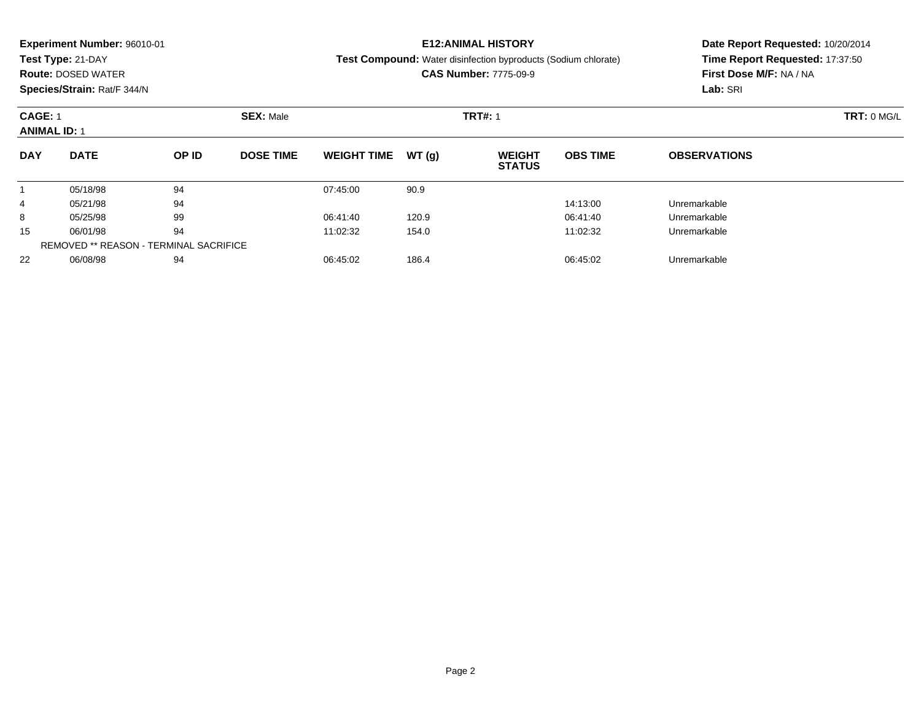### **Experiment Number:** 96010-01**Test Type:** 21-DAY **Route:** DOSED WATER **Species/Strain:** Rat/F 344/N**E12:ANIMAL HISTORY Test Compound:** Water disinfection byproducts (Sodium chlorate)**CAS Number:** 7775-09-9

# **Date Report Requested:** 10/20/2014 **Time Report Requested:** 17:37:50**First Dose M/F:** NA / NA**Lab:** SRI

| <b>CAGE: 1</b><br><b>ANIMAL ID: 1</b> |             |                                               |                  |                    | <b>TRT#: 1</b> |                                | TRT: 0 MG/L     |                     |  |
|---------------------------------------|-------------|-----------------------------------------------|------------------|--------------------|----------------|--------------------------------|-----------------|---------------------|--|
| <b>DAY</b>                            | <b>DATE</b> | OP ID                                         | <b>DOSE TIME</b> | <b>WEIGHT TIME</b> | WT(g)          | <b>WEIGHT</b><br><b>STATUS</b> | <b>OBS TIME</b> | <b>OBSERVATIONS</b> |  |
|                                       | 05/18/98    | 94                                            |                  | 07:45:00           | 90.9           |                                |                 |                     |  |
| 4                                     | 05/21/98    | 94                                            |                  |                    |                |                                | 14:13:00        | Unremarkable        |  |
| 8                                     | 05/25/98    | 99                                            |                  | 06:41:40           | 120.9          |                                | 06:41:40        | Unremarkable        |  |
| 15                                    | 06/01/98    | 94                                            |                  | 11:02:32           | 154.0          |                                | 11:02:32        | Unremarkable        |  |
|                                       |             | <b>REMOVED ** REASON - TERMINAL SACRIFICE</b> |                  |                    |                |                                |                 |                     |  |
| 22                                    | 06/08/98    | 94                                            |                  | 06:45:02           | 186.4          |                                | 06:45:02        | Unremarkable        |  |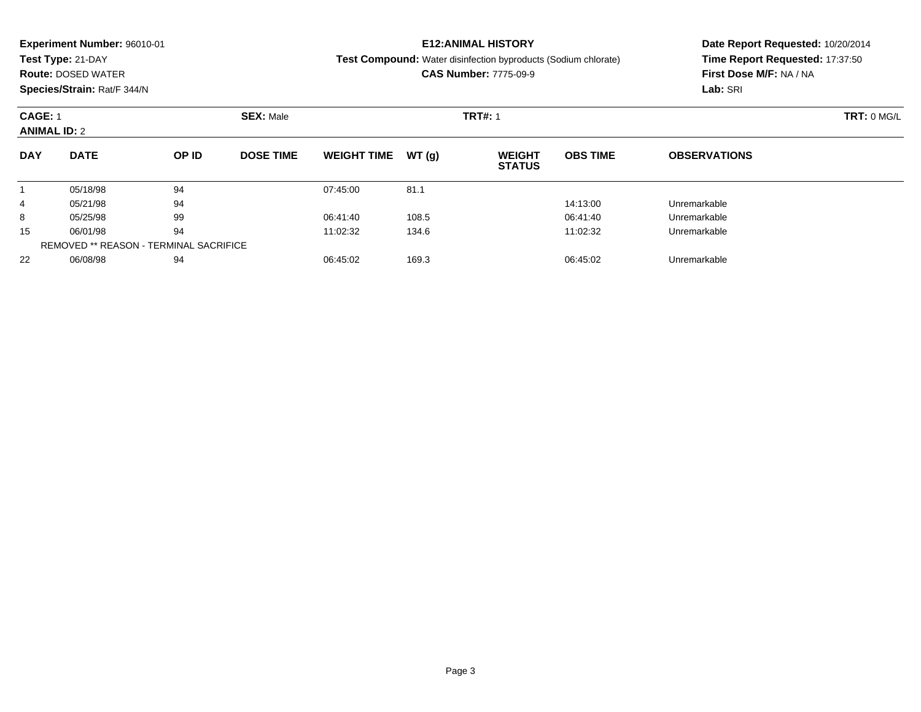| <b>Experiment Number: 96010-01</b><br>Test Type: 21-DAY<br><b>Route: DOSED WATER</b><br>Species/Strain: Rat/F 344/N |             |       |                  |                    |        | <b>E12:ANIMAL HISTORY</b><br><b>Test Compound:</b> Water disinfection byproducts (Sodium chlorate)<br><b>CAS Number: 7775-09-9</b> | Date Report Requested: 10/20/2014<br>Time Report Requested: 17:37:50<br>First Dose M/F: NA / NA<br>Lab: SRI |                     |  |
|---------------------------------------------------------------------------------------------------------------------|-------------|-------|------------------|--------------------|--------|------------------------------------------------------------------------------------------------------------------------------------|-------------------------------------------------------------------------------------------------------------|---------------------|--|
| <b>CAGE: 1</b><br><b>ANIMAL ID: 2</b>                                                                               |             |       | <b>SEX: Male</b> |                    |        | <b>TRT#: 1</b>                                                                                                                     | TRT: 0 MG/L                                                                                                 |                     |  |
| <b>DAY</b>                                                                                                          | <b>DATE</b> | OP ID | <b>DOSE TIME</b> | <b>WEIGHT TIME</b> | WT (q) | <b>WEIGHT</b><br><b>STATUS</b>                                                                                                     | <b>OBS TIME</b>                                                                                             | <b>OBSERVATIONS</b> |  |
|                                                                                                                     | 05/18/98    | 94    |                  | 07:45:00           | 81.1   |                                                                                                                                    |                                                                                                             |                     |  |
| $\overline{4}$                                                                                                      | 05/21/98    | 94    |                  |                    |        |                                                                                                                                    | 14:13:00                                                                                                    | Unremarkable        |  |
| 8                                                                                                                   | 05/25/98    | 99    |                  | 06:41:40           | 108.5  |                                                                                                                                    | 06:41:40                                                                                                    | Unremarkable        |  |

 $\overline{\phantom{0}}$ 

8 05/25/98 99 05:41:40 108.5 06:41:40 06:41:40 06:41:40

06/01/98 <sup>94</sup> 11:02:32 134.6 11:02:32 Unremarkable

06/08/98 <sup>94</sup> 06:45:02 169.3 06:45:02 Unremarkable

15

22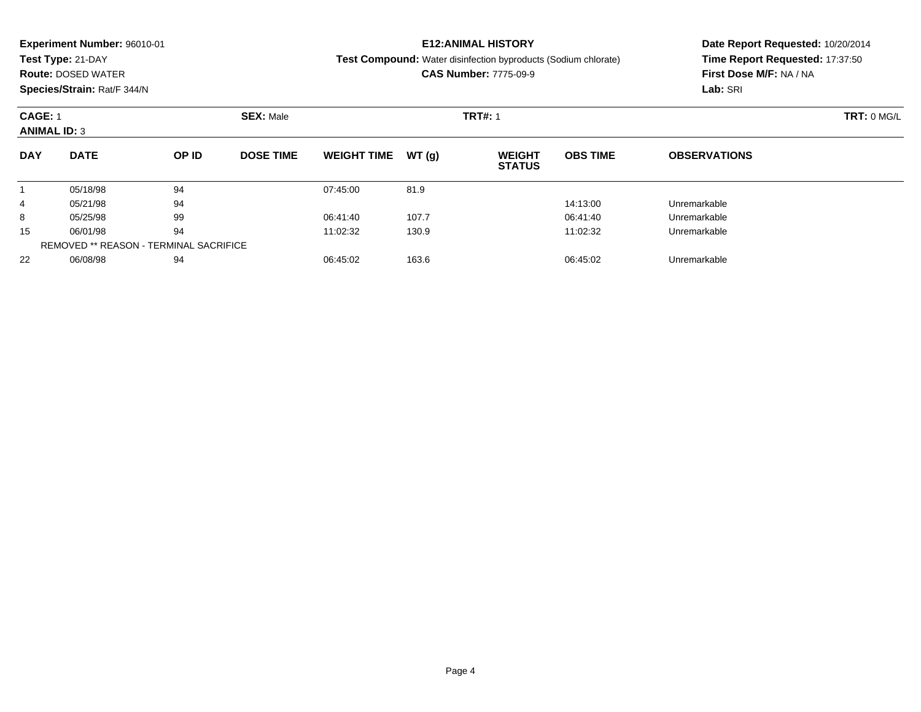#### **Experiment Number:** 96010-01**Test Type:** 21-DAY **Route:** DOSED WATER **Species/Strain:** Rat/F 344/N**E12:ANIMAL HISTORY Test Compound:** Water disinfection byproducts (Sodium chlorate)**CAS Number:** 7775-09-9**Date Report Requested:** 10/20/2014**Time Report Requested:** 17:37:50**First Dose M/F:** NA / NA**Lab:** SRI**CAGE:** 1 **SEX:** Male **TRT#:** <sup>1</sup> **TRT:** 0 MG/L **ANIMAL ID:** 3**DAY DATE OP IDDOSE TIME WEIGHT TIME WT** (g) **STATUSOBS TIME OBSERVATIONS** 1 05/18/98 <sup>94</sup> 07:45:00 81.9 4

05/21/98 <sup>94</sup> 14:13:00 Unremarkable

8 05/25/98 99 9 06:41:40 107.7 06:41:40 06:41:40 06:41:40 Dhremarkable

06/01/98 <sup>94</sup> 11:02:32 130.9 11:02:32 Unremarkable

06/08/98 <sup>94</sup> 06:45:02 163.6 06:45:02 Unremarkable

8

15

22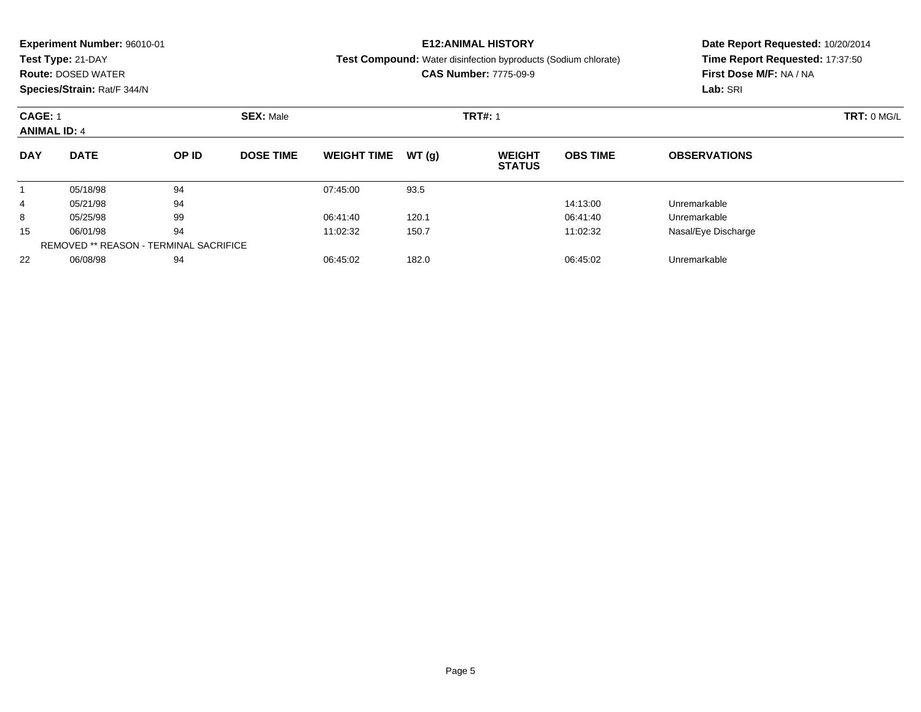### **Experiment Number:** 96010-01

**Test Type:** 21-DAY

**Route:** DOSED WATER

**Species/Strain:** Rat/F 344/N

## **E12:ANIMAL HISTORY**

**Test Compound:** Water disinfection byproducts (Sodium chlorate)

**CAS Number:** 7775-09-9

**Date Report Requested:** 10/20/2014 **Time Report Requested:** 17:37:50**First Dose M/F:** NA / NA**Lab:** SRI

| <b>CAGE: 1</b><br><b>ANIMAL ID: 4</b> |                                               |       | <b>SEX: Male</b> | <b>TRT#: 1</b>     |       |                                |                 |                     |  |
|---------------------------------------|-----------------------------------------------|-------|------------------|--------------------|-------|--------------------------------|-----------------|---------------------|--|
| <b>DAY</b>                            | <b>DATE</b>                                   | OP ID | <b>DOSE TIME</b> | <b>WEIGHT TIME</b> | WT(g) | <b>WEIGHT</b><br><b>STATUS</b> | <b>OBS TIME</b> | <b>OBSERVATIONS</b> |  |
|                                       | 05/18/98                                      | 94    |                  | 07:45:00           | 93.5  |                                |                 |                     |  |
| 4                                     | 05/21/98                                      | 94    |                  |                    |       |                                | 14:13:00        | Unremarkable        |  |
| 8                                     | 05/25/98                                      | 99    |                  | 06:41:40           | 120.1 |                                | 06:41:40        | Unremarkable        |  |
| 15                                    | 06/01/98                                      | 94    |                  | 11:02:32           | 150.7 |                                | 11:02:32        | Nasal/Eye Discharge |  |
|                                       | <b>REMOVED ** REASON - TERMINAL SACRIFICE</b> |       |                  |                    |       |                                |                 |                     |  |
| 22                                    | 06/08/98                                      | 94    |                  | 06:45:02           | 182.0 |                                | 06:45:02        | Unremarkable        |  |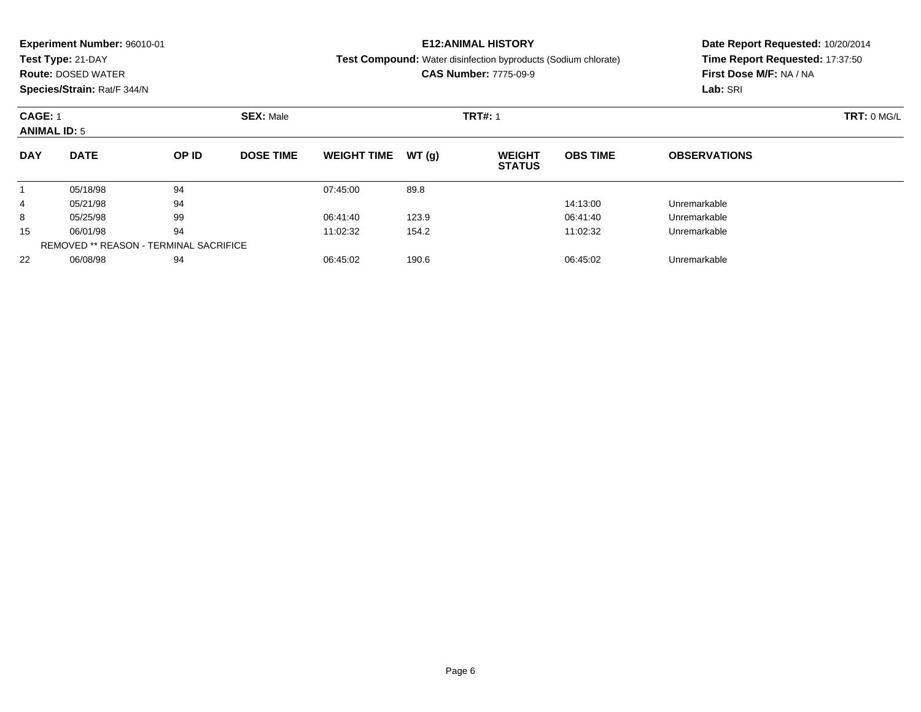#### **Experiment Number:** 96010-01**Test Type:** 21-DAY **Route:** DOSED WATER **Species/Strain:** Rat/F 344/N**E12:ANIMAL HISTORY Test Compound:** Water disinfection byproducts (Sodium chlorate)**CAS Number:** 7775-09-9**Date Report Requested:** 10/20/2014**Time Report Requested:** 17:37:50**First Dose M/F:** NA / NA**Lab:** SRI**CAGE:** 1 **SEX:** Male **TRT#:** <sup>1</sup> **TRT:** 0 MG/L **ANIMAL ID:** 5**DAY DATE OP IDDOSE TIME WEIGHT TIME WT** (g) **STATUSOBS TIME OBSERVATIONS** 105/18/98 <sup>94</sup> 07:45:00 89.8

05/21/98 <sup>94</sup> 14:13:00 Unremarkable

8 05/25/98 99 9 06:41:40 123.9 06:41:40 06:41:40 06:41:40

06/01/98 <sup>94</sup> 11:02:32 154.2 11:02:32 Unremarkable

06/08/98 <sup>94</sup> 06:45:02 190.6 06:45:02 Unremarkable

4

8

15

22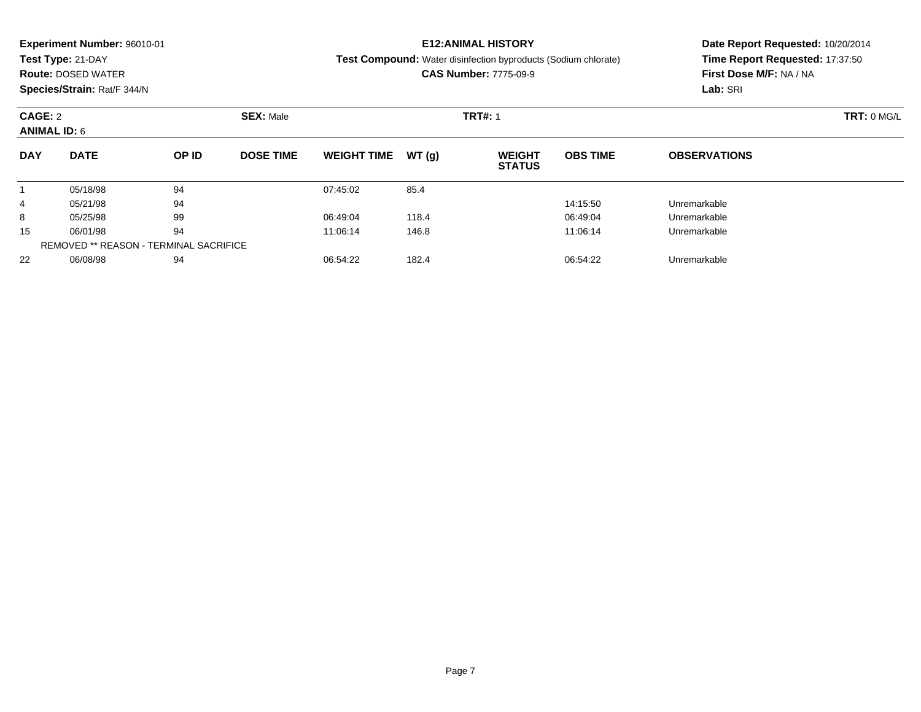|                             | <b>Experiment Number: 96010-01</b> |       |                  | <b>E12:ANIMAL HISTORY</b>     | Date Report Requested: 10/20/2014 |                                                                       |                                 |                         |  |  |
|-----------------------------|------------------------------------|-------|------------------|-------------------------------|-----------------------------------|-----------------------------------------------------------------------|---------------------------------|-------------------------|--|--|
|                             | Test Type: 21-DAY                  |       |                  |                               |                                   | <b>Test Compound:</b> Water disinfection byproducts (Sodium chlorate) | Time Report Requested: 17:37:50 |                         |  |  |
|                             | <b>Route: DOSED WATER</b>          |       |                  |                               |                                   | <b>CAS Number: 7775-09-9</b>                                          |                                 | First Dose M/F: NA / NA |  |  |
| Species/Strain: Rat/F 344/N |                                    |       |                  |                               |                                   |                                                                       |                                 | Lab: SRI                |  |  |
|                             | <b>SEX: Male</b><br>CAGE: 2        |       |                  |                               |                                   | <b>TRT#: 1</b>                                                        | <b>TRT: 0 MG/L</b>              |                         |  |  |
| <b>ANIMAL ID: 6</b>         |                                    |       |                  |                               |                                   |                                                                       |                                 |                         |  |  |
| <b>DAY</b>                  | <b>DATE</b>                        | OP ID | <b>DOSE TIME</b> | <b>WEIGHT TIME</b>            | WT(q)                             | <b>WEIGHT</b><br><b>STATUS</b>                                        | <b>OBS TIME</b>                 | <b>OBSERVATIONS</b>     |  |  |
|                             | 05/18/98                           | 94    |                  | 07:45:02                      | 85.4                              |                                                                       |                                 |                         |  |  |
| 4                           | 05/21/98                           | 94    |                  |                               |                                   |                                                                       | 14:15:50                        | Unremarkable            |  |  |
| 8                           | 05/25/98                           | 99    |                  | 06:49:04                      | 118.4                             |                                                                       | 06:49:04                        | Unremarkable            |  |  |
| 15                          | 06/01/98                           | 94    |                  | 11:06:14<br>146.8<br>11:06:14 |                                   |                                                                       |                                 | Unremarkable            |  |  |
|                             |                                    |       |                  |                               |                                   |                                                                       |                                 |                         |  |  |

06/08/98 <sup>94</sup> 06:54:22 182.4 06:54:22 Unremarkable

REMOVED \*\* REASON - TERMINAL SACRIFICE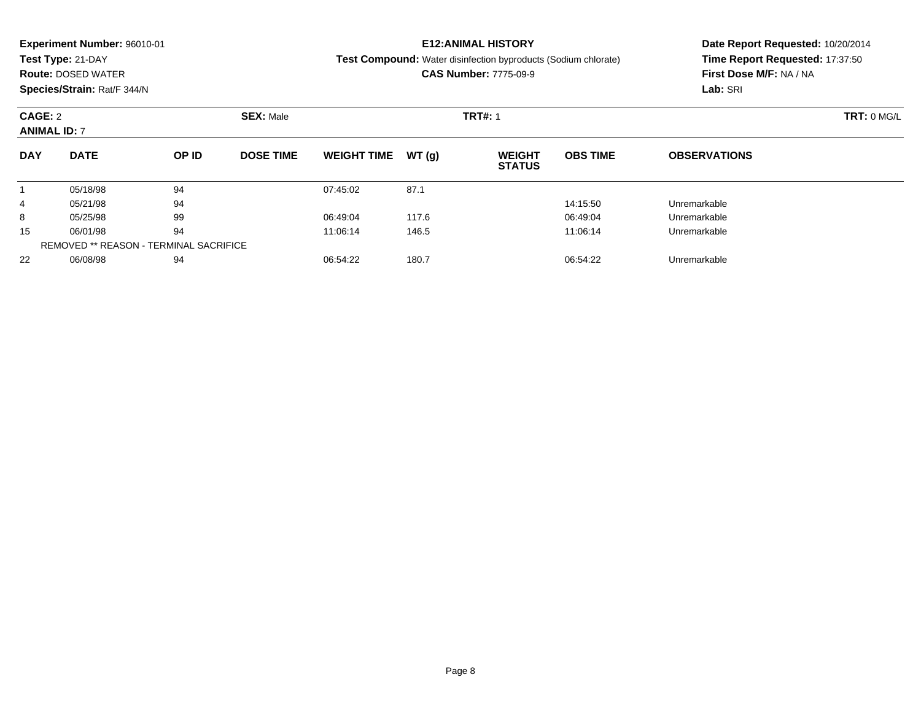| <b>Experiment Number: 96010-01</b> |                           |                  |                  |                    |                | <b>E12:ANIMAL HISTORY</b>                                             | Date Report Requested: 10/20/2014 |                                 |  |  |
|------------------------------------|---------------------------|------------------|------------------|--------------------|----------------|-----------------------------------------------------------------------|-----------------------------------|---------------------------------|--|--|
|                                    | Test Type: 21-DAY         |                  |                  |                    |                | <b>Test Compound:</b> Water disinfection byproducts (Sodium chlorate) |                                   | Time Report Requested: 17:37:50 |  |  |
|                                    | <b>Route: DOSED WATER</b> |                  |                  |                    |                | <b>CAS Number: 7775-09-9</b>                                          |                                   | First Dose M/F: NA / NA         |  |  |
| Species/Strain: Rat/F 344/N        |                           |                  |                  |                    |                |                                                                       |                                   | Lab: SRI                        |  |  |
| CAGE: 2                            |                           | <b>SEX: Male</b> |                  |                    | <b>TRT#: 1</b> | TRT: 0 MGL                                                            |                                   |                                 |  |  |
| <b>ANIMAL ID: 7</b>                |                           |                  |                  |                    |                |                                                                       |                                   |                                 |  |  |
| <b>DAY</b>                         | <b>DATE</b>               | OP ID            | <b>DOSE TIME</b> | <b>WEIGHT TIME</b> | WT(q)          | <b>WEIGHT</b><br><b>STATUS</b>                                        | <b>OBS TIME</b>                   | <b>OBSERVATIONS</b>             |  |  |
|                                    | 05/18/98                  | 94               |                  | 07:45:02           | 87.1           |                                                                       |                                   |                                 |  |  |
| 4                                  | 05/21/98                  | 94               |                  |                    |                |                                                                       | 14:15:50                          | Unremarkable                    |  |  |
| 8                                  | 05/25/98                  | 99               |                  | 06:49:04           | 117.6          |                                                                       | 06:49:04                          | Unremarkable                    |  |  |
| 15                                 | 06/01/98                  | 94               |                  | 11:06:14           | 146.5          |                                                                       | 11:06:14                          | Unremarkable                    |  |  |

06/08/98 <sup>94</sup> 06:54:22 180.7 06:54:22 Unremarkable

REMOVED \*\* REASON - TERMINAL SACRIFICE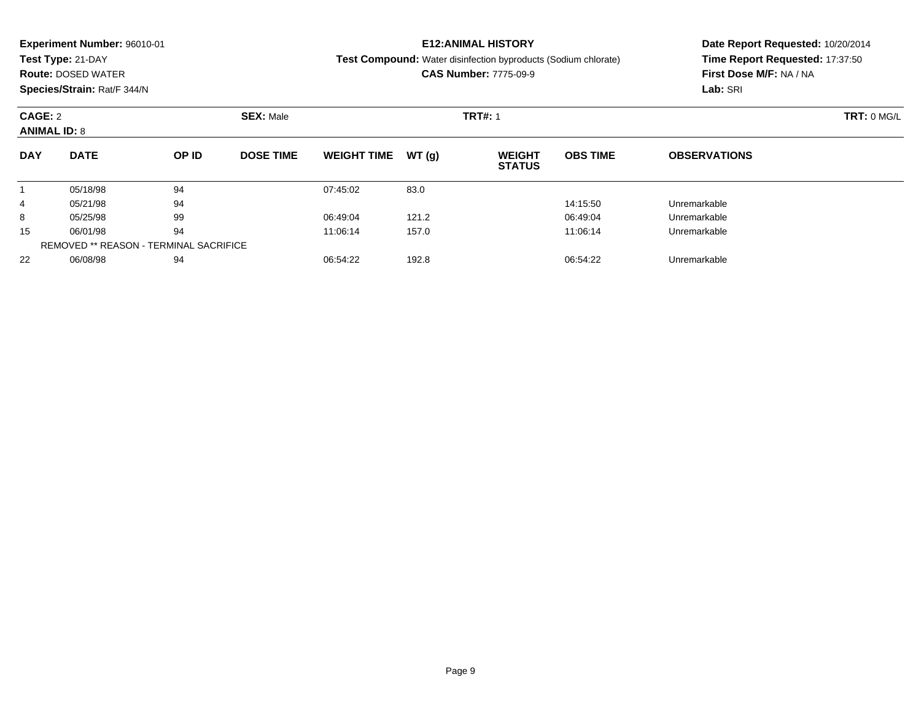|                     | <b>Experiment Number: 96010-01</b> |       |                  |                    |       | <b>E12:ANIMAL HISTORY</b>                                             | Date Report Requested: 10/20/2014<br>Time Report Requested: 17:37:50 |                         |  |
|---------------------|------------------------------------|-------|------------------|--------------------|-------|-----------------------------------------------------------------------|----------------------------------------------------------------------|-------------------------|--|
|                     | Test Type: 21-DAY                  |       |                  |                    |       | <b>Test Compound:</b> Water disinfection byproducts (Sodium chlorate) |                                                                      |                         |  |
|                     | <b>Route: DOSED WATER</b>          |       |                  |                    |       | <b>CAS Number: 7775-09-9</b>                                          |                                                                      | First Dose M/F: NA / NA |  |
|                     | Species/Strain: Rat/F 344/N        |       |                  |                    |       |                                                                       |                                                                      | Lab: SRI                |  |
| CAGE: 2             |                                    |       | <b>SEX: Male</b> |                    |       | <b>TRT#: 1</b>                                                        |                                                                      | TRT: 0 MG/L             |  |
| <b>ANIMAL ID: 8</b> |                                    |       |                  |                    |       |                                                                       |                                                                      |                         |  |
| <b>DAY</b>          | <b>DATE</b>                        | OP ID | <b>DOSE TIME</b> | <b>WEIGHT TIME</b> | WT(q) | <b>WEIGHT</b><br><b>STATUS</b>                                        | <b>OBS TIME</b>                                                      | <b>OBSERVATIONS</b>     |  |
|                     | 05/18/98                           | 94    |                  | 07:45:02           | 83.0  |                                                                       |                                                                      |                         |  |
| 4                   | 05/21/98                           | 94    |                  |                    |       |                                                                       | 14:15:50                                                             | Unremarkable            |  |
| 8                   | 05/25/98                           | 99    |                  | 06:49:04           | 121.2 |                                                                       | 06:49:04                                                             | Unremarkable            |  |
| 15                  | 06/01/98                           | 94    |                  | 11:06:14           | 157.0 |                                                                       | 11:06:14                                                             | Unremarkable            |  |
|                     |                                    |       |                  |                    |       |                                                                       |                                                                      |                         |  |

 $\overline{\phantom{0}}$ 

06/08/98 <sup>94</sup> 06:54:22 192.8 06:54:22 Unremarkable

REMOVED \*\* REASON - TERMINAL SACRIFICE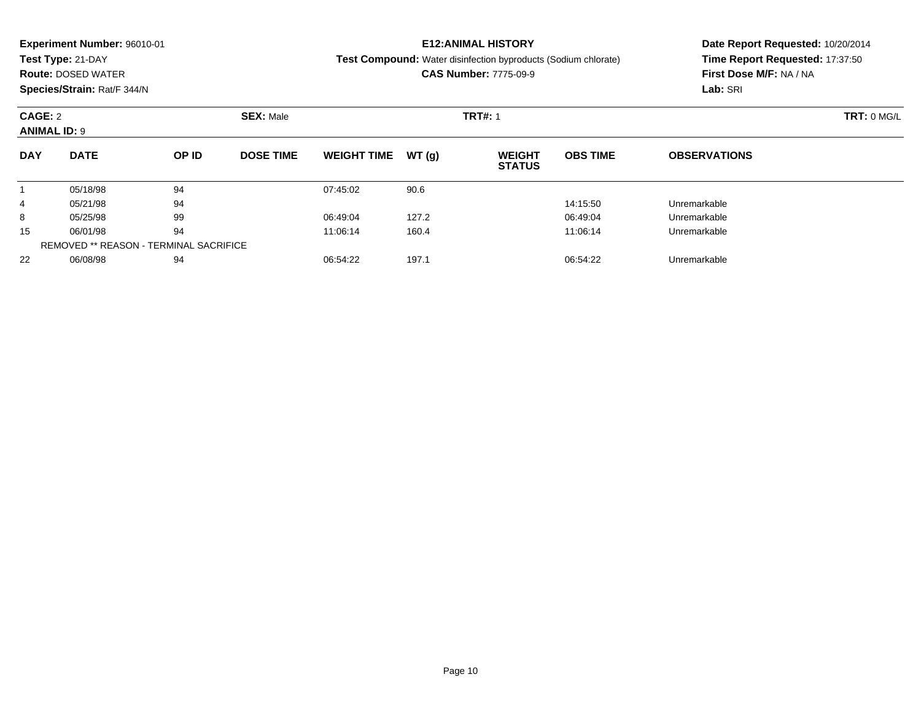| <b>Experiment Number: 96010-01</b> |                           |       |                  |                    |       | <b>E12:ANIMAL HISTORY</b>                                             | Date Report Requested: 10/20/2014 |                     |  |
|------------------------------------|---------------------------|-------|------------------|--------------------|-------|-----------------------------------------------------------------------|-----------------------------------|---------------------|--|
|                                    | Test Type: 21-DAY         |       |                  |                    |       | <b>Test Compound:</b> Water disinfection byproducts (Sodium chlorate) | Time Report Requested: 17:37:50   |                     |  |
|                                    | <b>Route: DOSED WATER</b> |       |                  |                    |       | <b>CAS Number: 7775-09-9</b>                                          | First Dose M/F: NA / NA           |                     |  |
| Species/Strain: Rat/F 344/N        |                           |       |                  |                    |       |                                                                       | Lab: SRI                          |                     |  |
| CAGE: 2                            |                           |       | <b>SEX: Male</b> |                    |       | <b>TRT#: 1</b>                                                        | TRT: 0 MG/L                       |                     |  |
| <b>ANIMAL ID: 9</b>                |                           |       |                  |                    |       |                                                                       |                                   |                     |  |
| <b>DAY</b>                         | <b>DATE</b>               | OP ID | <b>DOSE TIME</b> | <b>WEIGHT TIME</b> | WT(q) | <b>WEIGHT</b><br><b>STATUS</b>                                        | <b>OBS TIME</b>                   | <b>OBSERVATIONS</b> |  |
|                                    | 05/18/98                  | 94    |                  | 07:45:02           | 90.6  |                                                                       |                                   |                     |  |
| 4                                  | 05/21/98                  | 94    |                  |                    |       |                                                                       | 14:15:50                          | Unremarkable        |  |
| 8                                  | 05/25/98                  | 99    |                  | 06:49:04           | 127.2 |                                                                       | 06:49:04                          | Unremarkable        |  |
| 15                                 | 06/01/98                  | 94    |                  | 11:06:14           | 160.4 |                                                                       | 11:06:14                          | Unremarkable        |  |

06/08/98 <sup>94</sup> 06:54:22 197.1 06:54:22 Unremarkable

REMOVED \*\* REASON - TERMINAL SACRIFICE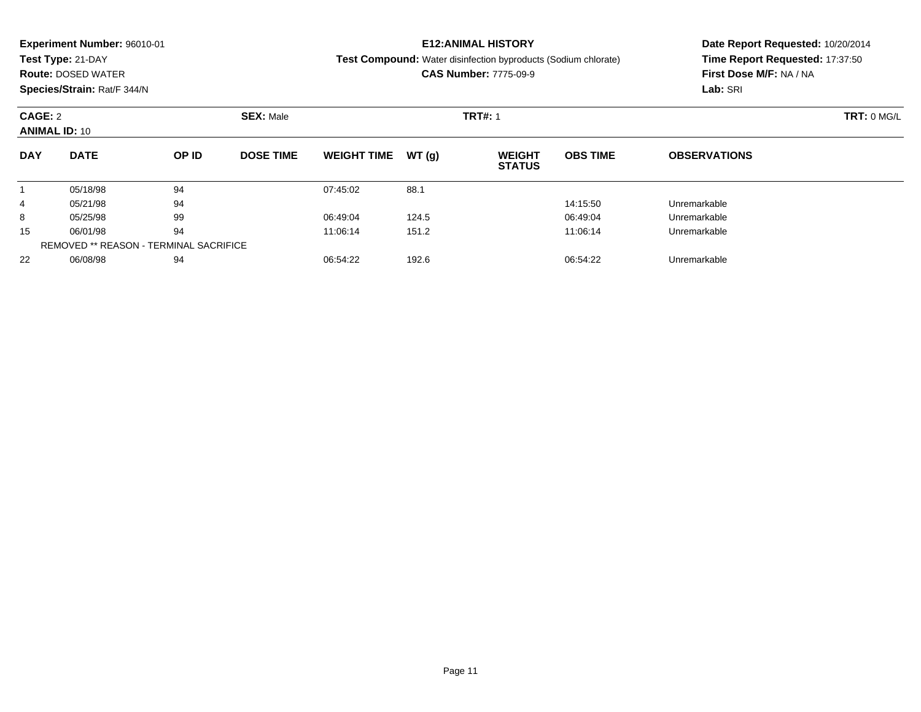| Test Type: 21-DAY<br><b>Test Compound:</b> Water disinfection byproducts (Sodium chlorate)<br><b>CAS Number: 7775-09-9</b><br><b>Route: DOSED WATER</b> | Time Report Requested: 17:37:50<br>First Dose M/F: NA / NA |
|---------------------------------------------------------------------------------------------------------------------------------------------------------|------------------------------------------------------------|
|                                                                                                                                                         |                                                            |
|                                                                                                                                                         |                                                            |
| Species/Strain: Rat/F 344/N                                                                                                                             | Lab: SRI                                                   |
| CAGE: 2<br><b>SEX: Male</b><br><b>TRT#: 1</b>                                                                                                           | TRT: 0 MGL                                                 |
| <b>ANIMAL ID: 10</b>                                                                                                                                    |                                                            |
| <b>DATE</b><br><b>DAY</b><br>OP ID<br><b>DOSE TIME</b><br><b>OBS TIME</b><br><b>WEIGHT TIME</b><br>WT(q)<br><b>WEIGHT</b><br><b>STATUS</b>              | <b>OBSERVATIONS</b>                                        |
| 94<br>88.1<br>05/18/98<br>07:45:02                                                                                                                      |                                                            |
| 94<br>05/21/98<br>14:15:50<br>4                                                                                                                         | Unremarkable                                               |
| 99<br>124.5<br>05/25/98<br>06:49:04<br>06:49:04<br>8                                                                                                    | Unremarkable                                               |
| 94<br>15<br>06/01/98<br>11:06:14<br>151.2<br>11:06:14                                                                                                   | Unremarkable                                               |

06/08/98 <sup>94</sup> 06:54:22 192.6 06:54:22 Unremarkable

REMOVED \*\* REASON - TERMINAL SACRIFICE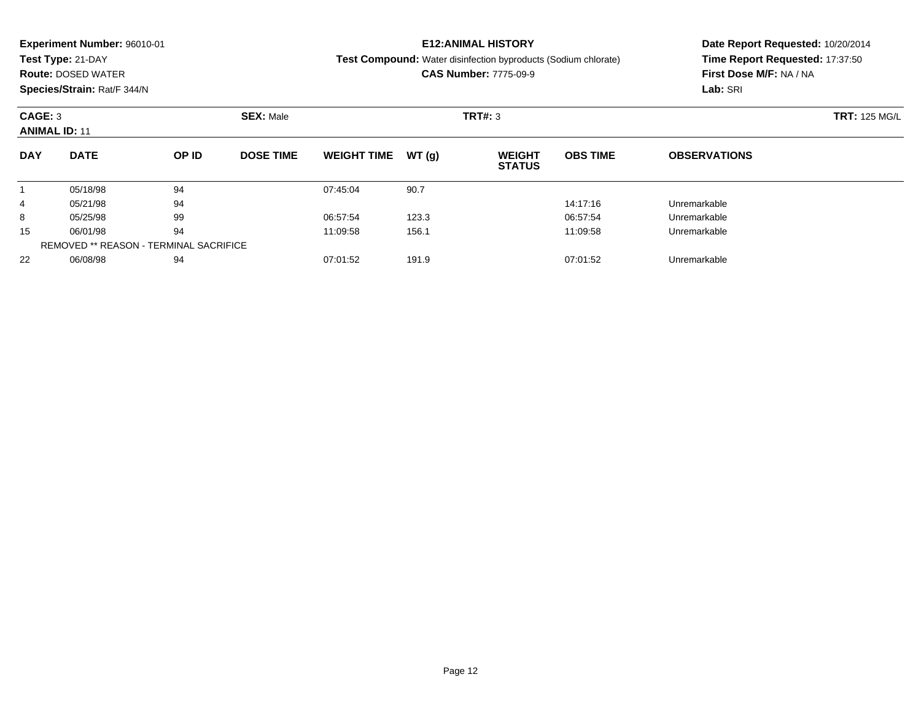| <b>Experiment Number: 96010-01</b> |                                               |                  |                  |                    |         | <b>E12:ANIMAL HISTORY</b>                                             |                 | Date Report Requested: 10/20/2014                          |  |  |
|------------------------------------|-----------------------------------------------|------------------|------------------|--------------------|---------|-----------------------------------------------------------------------|-----------------|------------------------------------------------------------|--|--|
|                                    | Test Type: 21-DAY                             |                  |                  |                    |         | <b>Test Compound:</b> Water disinfection byproducts (Sodium chlorate) |                 | Time Report Requested: 17:37:50<br>First Dose M/F: NA / NA |  |  |
|                                    | <b>Route: DOSED WATER</b>                     |                  |                  |                    |         | <b>CAS Number: 7775-09-9</b>                                          |                 |                                                            |  |  |
| Species/Strain: Rat/F 344/N        |                                               |                  |                  |                    |         |                                                                       | Lab: SRI        |                                                            |  |  |
| CAGE: 3<br><b>ANIMAL ID: 11</b>    |                                               | <b>SEX: Male</b> |                  |                    | TRT#: 3 | <b>TRT: 125 MG/L</b>                                                  |                 |                                                            |  |  |
| <b>DAY</b>                         | <b>DATE</b>                                   | OP ID            | <b>DOSE TIME</b> | <b>WEIGHT TIME</b> | WT(q)   | <b>WEIGHT</b><br><b>STATUS</b>                                        | <b>OBS TIME</b> | <b>OBSERVATIONS</b>                                        |  |  |
|                                    | 05/18/98                                      | 94               |                  | 07:45:04           | 90.7    |                                                                       |                 |                                                            |  |  |
| 4                                  | 05/21/98                                      | 94               |                  |                    |         |                                                                       | 14:17:16        | Unremarkable                                               |  |  |
| 8                                  | 05/25/98                                      | 99               |                  | 06:57:54           | 123.3   |                                                                       | 06:57:54        | Unremarkable                                               |  |  |
| 15                                 | 06/01/98                                      | 94               |                  | 11:09:58           | 156.1   |                                                                       | 11:09:58        | Unremarkable                                               |  |  |
|                                    | <b>REMOVED ** REASON - TERMINAL SACRIFICE</b> |                  |                  |                    |         |                                                                       |                 |                                                            |  |  |

06/08/98 <sup>94</sup> 07:01:52 191.9 07:01:52 Unremarkable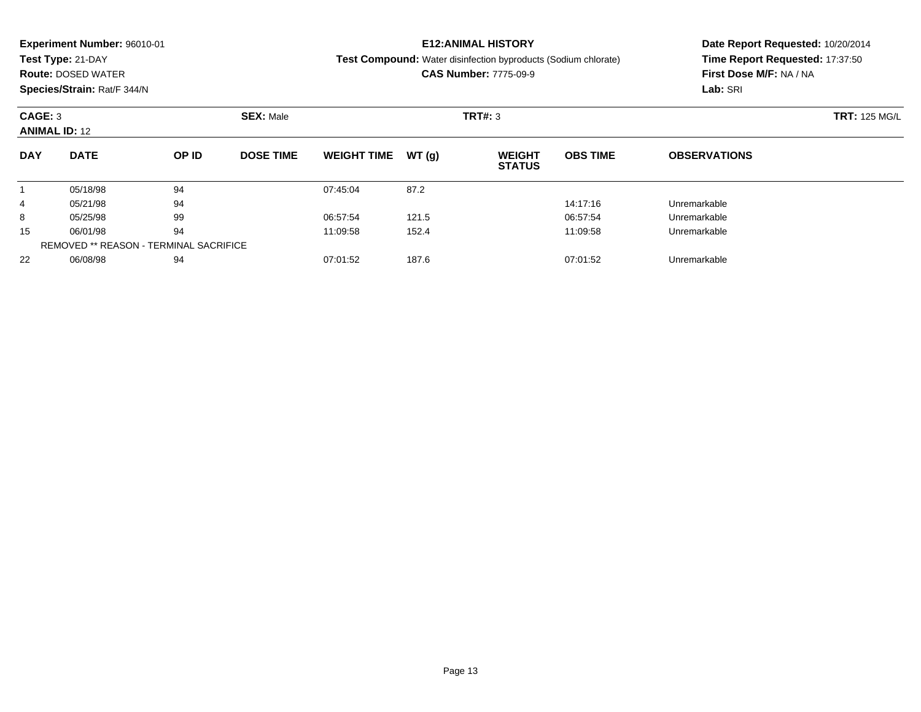| <b>Experiment Number: 96010-01</b> |                           |       |                  |                    |        | <b>E12:ANIMAL HISTORY</b>                                             | Date Report Requested: 10/20/2014 |                                                            |  |  |
|------------------------------------|---------------------------|-------|------------------|--------------------|--------|-----------------------------------------------------------------------|-----------------------------------|------------------------------------------------------------|--|--|
|                                    | Test Type: 21-DAY         |       |                  |                    |        | <b>Test Compound:</b> Water disinfection byproducts (Sodium chlorate) |                                   | Time Report Requested: 17:37:50<br>First Dose M/F: NA / NA |  |  |
|                                    | <b>Route: DOSED WATER</b> |       |                  |                    |        | <b>CAS Number: 7775-09-9</b>                                          |                                   |                                                            |  |  |
| Species/Strain: Rat/F 344/N        |                           |       |                  |                    |        |                                                                       | Lab: SRI                          |                                                            |  |  |
| CAGE: 3<br><b>ANIMAL ID: 12</b>    |                           |       | <b>SEX: Male</b> |                    |        | TRT#: 3                                                               | <b>TRT: 125 MG/L</b>              |                                                            |  |  |
|                                    |                           |       |                  |                    |        |                                                                       |                                   |                                                            |  |  |
| <b>DAY</b>                         | <b>DATE</b>               | OP ID | <b>DOSE TIME</b> | <b>WEIGHT TIME</b> | WT (q) | <b>WEIGHT</b><br><b>STATUS</b>                                        | <b>OBS TIME</b>                   | <b>OBSERVATIONS</b>                                        |  |  |
|                                    | 05/18/98                  | 94    |                  | 07:45:04           | 87.2   |                                                                       |                                   |                                                            |  |  |
| 4                                  | 05/21/98                  | 94    |                  |                    |        |                                                                       | 14:17:16                          | Unremarkable                                               |  |  |
| 8                                  | 05/25/98                  | 99    |                  | 06:57:54           | 121.5  |                                                                       | 06:57:54                          | Unremarkable                                               |  |  |
| 15                                 | 06/01/98                  | 94    |                  | 11:09:58           | 152.4  |                                                                       | 11:09:58                          | Unremarkable                                               |  |  |

06/08/98 <sup>94</sup> 07:01:52 187.6 07:01:52 Unremarkable

REMOVED \*\* REASON - TERMINAL SACRIFICE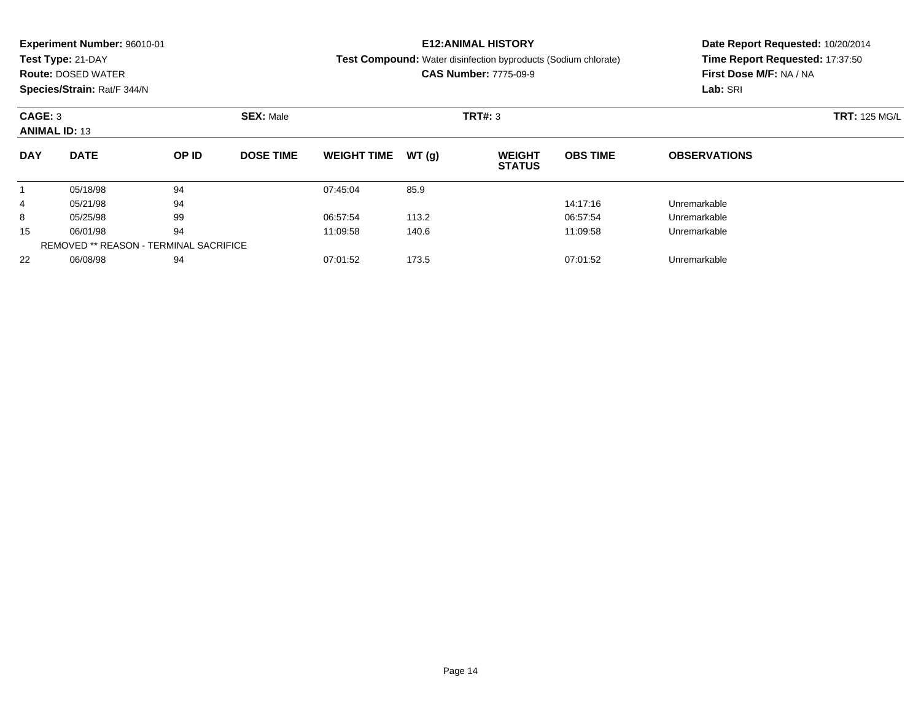|            | <b>Experiment Number: 96010-01</b>            |       |                  |                    | <b>E12:ANIMAL HISTORY</b> | Date Report Requested: 10/20/2014                                     |                         |                                 |  |  |
|------------|-----------------------------------------------|-------|------------------|--------------------|---------------------------|-----------------------------------------------------------------------|-------------------------|---------------------------------|--|--|
|            | Test Type: 21-DAY                             |       |                  |                    |                           | <b>Test Compound:</b> Water disinfection byproducts (Sodium chlorate) |                         | Time Report Requested: 17:37:50 |  |  |
|            | <b>Route: DOSED WATER</b>                     |       |                  |                    |                           | <b>CAS Number: 7775-09-9</b>                                          | First Dose M/F: NA / NA |                                 |  |  |
|            | Species/Strain: Rat/F 344/N                   |       |                  |                    |                           |                                                                       |                         | Lab: SRI                        |  |  |
| CAGE: 3    |                                               |       | <b>SEX: Male</b> |                    |                           | <b>TRT#: 3</b>                                                        |                         | <b>TRT: 125 MG/L</b>            |  |  |
|            | <b>ANIMAL ID: 13</b>                          |       |                  |                    |                           |                                                                       |                         |                                 |  |  |
| <b>DAY</b> | <b>DATE</b>                                   | OP ID | <b>DOSE TIME</b> | <b>WEIGHT TIME</b> | WT(q)                     | <b>WEIGHT</b><br><b>STATUS</b>                                        | <b>OBS TIME</b>         | <b>OBSERVATIONS</b>             |  |  |
|            | 05/18/98                                      | 94    |                  | 07:45:04           | 85.9                      |                                                                       |                         |                                 |  |  |
| 4          | 05/21/98                                      | 94    |                  |                    |                           |                                                                       | 14:17:16                | Unremarkable                    |  |  |
| 8          | 05/25/98                                      | 99    |                  | 06:57:54           | 113.2                     |                                                                       | 06:57:54                | Unremarkable                    |  |  |
| 15         | 06/01/98                                      | 94    |                  | 11:09:58           | 140.6                     |                                                                       | 11:09:58                | Unremarkable                    |  |  |
|            | <b>REMOVED ** REASON - TERMINAL SACRIFICE</b> |       |                  |                    |                           |                                                                       |                         |                                 |  |  |

06/08/98 <sup>94</sup> 07:01:52 173.5 07:01:52 Unremarkable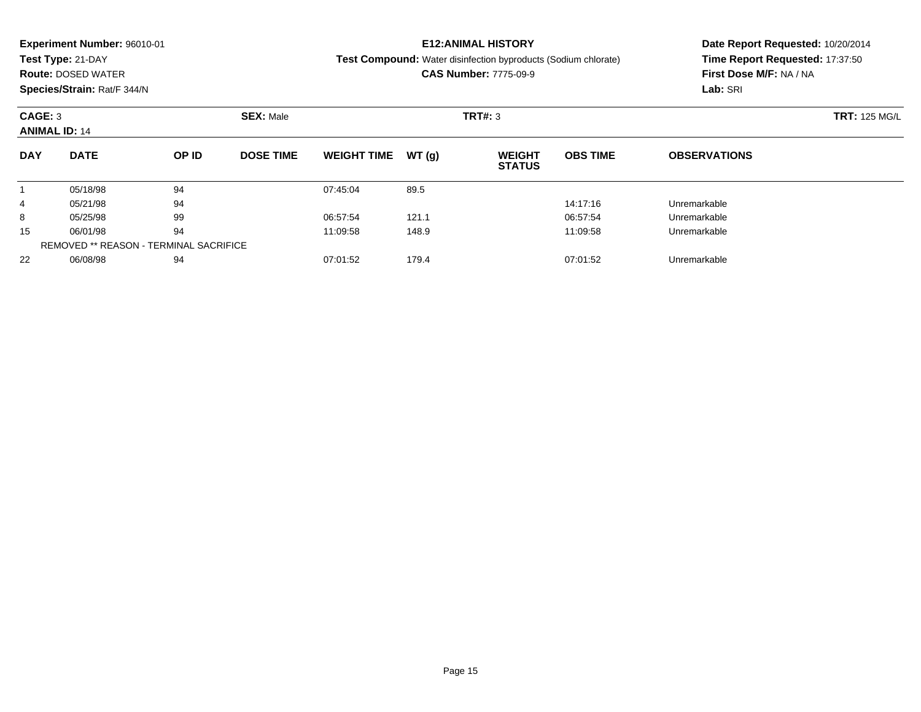|                      | <b>Experiment Number: 96010-01</b>            |       |                  |                    | <b>E12:ANIMAL HISTORY</b> | Date Report Requested: 10/20/2014                                     |                         |                                 |  |  |
|----------------------|-----------------------------------------------|-------|------------------|--------------------|---------------------------|-----------------------------------------------------------------------|-------------------------|---------------------------------|--|--|
|                      | Test Type: 21-DAY                             |       |                  |                    |                           | <b>Test Compound:</b> Water disinfection byproducts (Sodium chlorate) |                         | Time Report Requested: 17:37:50 |  |  |
|                      | <b>Route: DOSED WATER</b>                     |       |                  |                    |                           | <b>CAS Number: 7775-09-9</b>                                          | First Dose M/F: NA / NA |                                 |  |  |
|                      | Species/Strain: Rat/F 344/N                   |       |                  |                    |                           |                                                                       |                         | Lab: SRI                        |  |  |
| CAGE: 3              |                                               |       | <b>SEX: Male</b> |                    |                           | <b>TRT#: 3</b>                                                        |                         | <b>TRT: 125 MG/L</b>            |  |  |
| <b>ANIMAL ID: 14</b> |                                               |       |                  |                    |                           |                                                                       |                         |                                 |  |  |
| <b>DAY</b>           | <b>DATE</b>                                   | OP ID | <b>DOSE TIME</b> | <b>WEIGHT TIME</b> | WT(q)                     | <b>WEIGHT</b><br><b>STATUS</b>                                        | <b>OBS TIME</b>         | <b>OBSERVATIONS</b>             |  |  |
|                      | 05/18/98                                      | 94    |                  | 07:45:04           | 89.5                      |                                                                       |                         |                                 |  |  |
| 4                    | 05/21/98                                      | 94    |                  |                    |                           |                                                                       | 14:17:16                | Unremarkable                    |  |  |
| 8                    | 05/25/98                                      | 99    |                  | 06:57:54           | 121.1                     |                                                                       | 06:57:54                | Unremarkable                    |  |  |
| 15                   | 06/01/98                                      | 94    |                  | 11:09:58           | 148.9                     |                                                                       | 11:09:58                | Unremarkable                    |  |  |
|                      | <b>REMOVED ** REASON - TERMINAL SACRIFICE</b> |       |                  |                    |                           |                                                                       |                         |                                 |  |  |

06/08/98 <sup>94</sup> 07:01:52 179.4 07:01:52 Unremarkable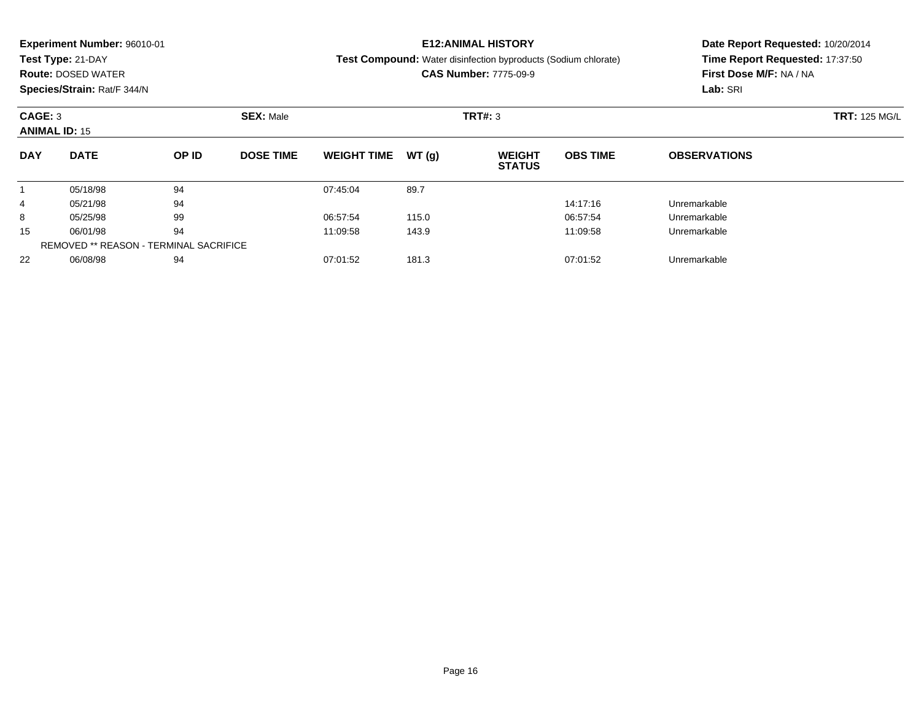|                                                     | <b>Experiment Number: 96010-01</b>     |       |                  |                    |                | <b>E12:ANIMAL HISTORY</b>                                             | Date Report Requested: 10/20/2014 |                                 |  |  |
|-----------------------------------------------------|----------------------------------------|-------|------------------|--------------------|----------------|-----------------------------------------------------------------------|-----------------------------------|---------------------------------|--|--|
|                                                     | Test Type: 21-DAY                      |       |                  |                    |                | <b>Test Compound:</b> Water disinfection byproducts (Sodium chlorate) |                                   | Time Report Requested: 17:37:50 |  |  |
|                                                     | <b>Route: DOSED WATER</b>              |       |                  |                    |                | <b>CAS Number: 7775-09-9</b>                                          | First Dose M/F: NA / NA           |                                 |  |  |
|                                                     | Species/Strain: Rat/F 344/N            |       |                  |                    |                |                                                                       |                                   | Lab: SRI                        |  |  |
| CAGE: 3<br><b>SEX: Male</b><br><b>ANIMAL ID: 15</b> |                                        |       |                  |                    | <b>TRT#: 3</b> | <b>TRT: 125 MG/L</b>                                                  |                                   |                                 |  |  |
| <b>DAY</b>                                          | <b>DATE</b>                            | OP ID | <b>DOSE TIME</b> | <b>WEIGHT TIME</b> | WT(q)          | <b>WEIGHT</b><br><b>STATUS</b>                                        | <b>OBS TIME</b>                   | <b>OBSERVATIONS</b>             |  |  |
|                                                     | 05/18/98                               | 94    |                  | 07:45:04           | 89.7           |                                                                       |                                   |                                 |  |  |
| 4                                                   | 05/21/98                               | 94    |                  |                    |                |                                                                       | 14:17:16                          | Unremarkable                    |  |  |
| 8                                                   | 05/25/98                               | 99    |                  | 06:57:54           | 115.0          |                                                                       | 06:57:54                          | Unremarkable                    |  |  |
| 15                                                  | 06/01/98                               | 94    |                  | 11:09:58           | 143.9          |                                                                       | 11:09:58                          | Unremarkable                    |  |  |
|                                                     | REMOVED ** REASON - TERMINAL SACRIFICE |       |                  |                    |                |                                                                       |                                   |                                 |  |  |

06/08/98 <sup>94</sup> 07:01:52 181.3 07:01:52 Unremarkable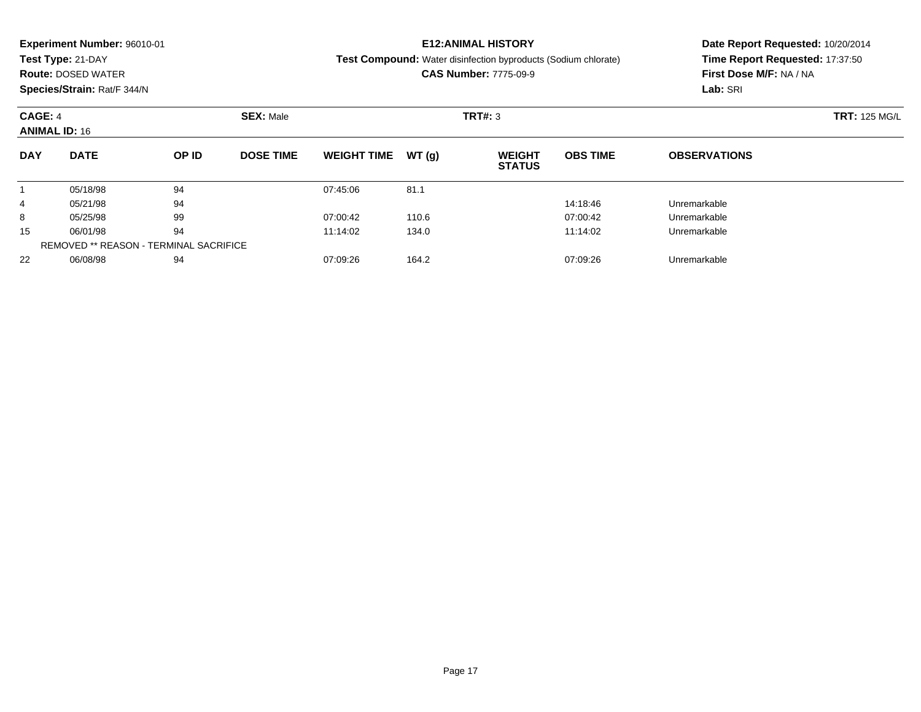|                             | <b>Experiment Number: 96010-01</b> |                               |                  |                    |              | <b>E12:ANIMAL HISTORY</b>                                             | Date Report Requested: 10/20/2014 |                                 |  |  |
|-----------------------------|------------------------------------|-------------------------------|------------------|--------------------|--------------|-----------------------------------------------------------------------|-----------------------------------|---------------------------------|--|--|
|                             | Test Type: 21-DAY                  |                               |                  |                    |              | <b>Test Compound:</b> Water disinfection byproducts (Sodium chlorate) |                                   | Time Report Requested: 17:37:50 |  |  |
|                             | <b>Route: DOSED WATER</b>          |                               |                  |                    |              | <b>CAS Number: 7775-09-9</b>                                          | First Dose M/F: NA / NA           |                                 |  |  |
|                             | Species/Strain: Rat/F 344/N        |                               |                  |                    |              | Lab: SRI                                                              |                                   |                                 |  |  |
| <b>SEX: Male</b><br>CAGE: 4 |                                    |                               |                  |                    |              | TRT#: 3                                                               | <b>TRT: 125 MG/L</b>              |                                 |  |  |
| <b>ANIMAL ID: 16</b>        |                                    |                               |                  |                    |              |                                                                       |                                   |                                 |  |  |
| <b>DAY</b>                  | <b>DATE</b>                        | OP ID                         | <b>DOSE TIME</b> | <b>WEIGHT TIME</b> | WT (q)       | <b>WEIGHT</b><br><b>STATUS</b>                                        | <b>OBS TIME</b>                   | <b>OBSERVATIONS</b>             |  |  |
|                             | 05/18/98                           | 94                            |                  | 07:45:06           | 81.1         |                                                                       |                                   |                                 |  |  |
| 4                           | 05/21/98                           | 94                            |                  |                    |              |                                                                       | 14:18:46                          | Unremarkable                    |  |  |
| 8                           | 05/25/98                           | 99                            |                  | 07:00:42           | 110.6        |                                                                       | 07:00:42                          | Unremarkable                    |  |  |
| 94<br>06/01/98<br>15        |                                    | 11:14:02<br>134.0<br>11:14:02 |                  |                    | Unremarkable |                                                                       |                                   |                                 |  |  |

06/08/98 <sup>94</sup> 07:09:26 164.2 07:09:26 Unremarkable

REMOVED \*\* REASON - TERMINAL SACRIFICE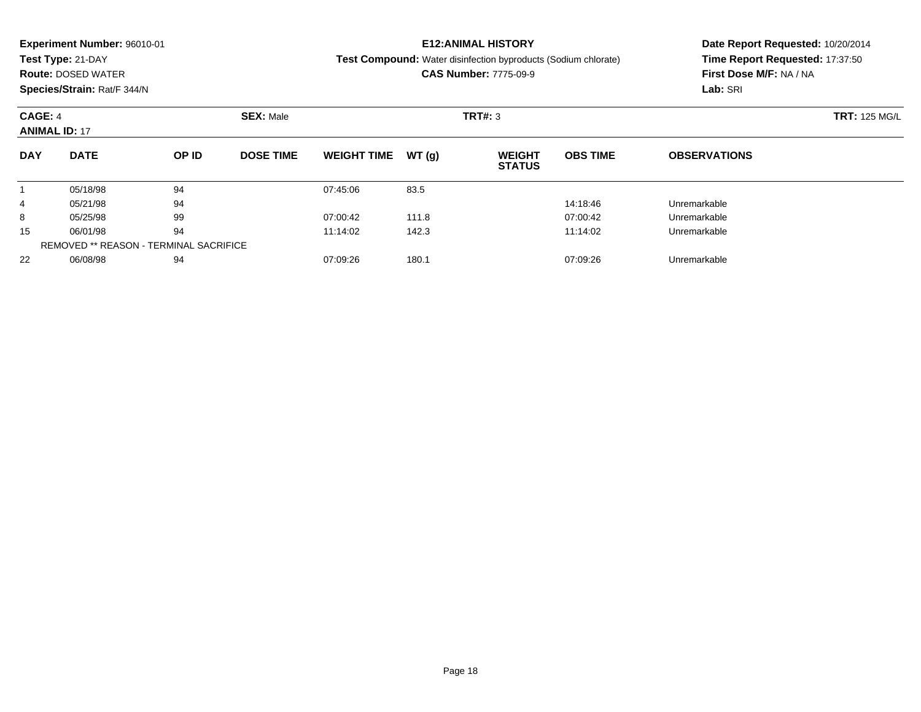|                             | <b>Experiment Number: 96010-01</b> |       |                               |                    |       | <b>E12:ANIMAL HISTORY</b>                                             | Date Report Requested: 10/20/2014 |                                 |  |  |
|-----------------------------|------------------------------------|-------|-------------------------------|--------------------|-------|-----------------------------------------------------------------------|-----------------------------------|---------------------------------|--|--|
|                             | Test Type: 21-DAY                  |       |                               |                    |       | <b>Test Compound:</b> Water disinfection byproducts (Sodium chlorate) |                                   | Time Report Requested: 17:37:50 |  |  |
|                             | <b>Route: DOSED WATER</b>          |       |                               |                    |       | <b>CAS Number: 7775-09-9</b>                                          | First Dose M/F: NA / NA           |                                 |  |  |
|                             | Species/Strain: Rat/F 344/N        |       |                               |                    |       | Lab: SRI                                                              |                                   |                                 |  |  |
| <b>SEX: Male</b><br>CAGE: 4 |                                    |       |                               |                    |       | <b>TRT#: 3</b>                                                        | <b>TRT: 125 MG/L</b>              |                                 |  |  |
|                             | <b>ANIMAL ID: 17</b>               |       |                               |                    |       |                                                                       |                                   |                                 |  |  |
| <b>DAY</b>                  | <b>DATE</b>                        | OP ID | <b>DOSE TIME</b>              | <b>WEIGHT TIME</b> | WT(q) | <b>WEIGHT</b><br><b>STATUS</b>                                        | <b>OBS TIME</b>                   | <b>OBSERVATIONS</b>             |  |  |
|                             | 05/18/98                           | 94    |                               | 07:45:06           | 83.5  |                                                                       |                                   |                                 |  |  |
| 4                           | 05/21/98                           | 94    |                               |                    |       |                                                                       | 14:18:46                          | Unremarkable                    |  |  |
| 8                           | 05/25/98                           | 99    |                               | 07:00:42           | 111.8 |                                                                       | 07:00:42                          | Unremarkable                    |  |  |
| 94<br>06/01/98<br>15        |                                    |       | 142.3<br>11:14:02<br>11:14:02 |                    |       |                                                                       | Unremarkable                      |                                 |  |  |
|                             |                                    |       |                               |                    |       |                                                                       |                                   |                                 |  |  |

06/08/98 <sup>94</sup> 07:09:26 180.1 07:09:26 Unremarkable

REMOVED \*\* REASON - TERMINAL SACRIFICE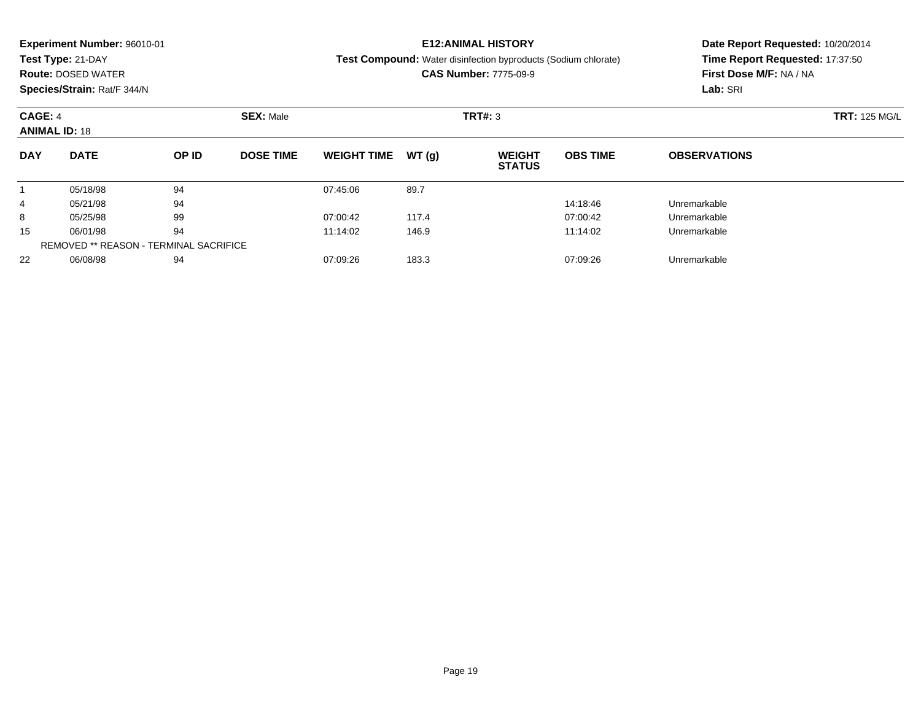|                | <b>Experiment Number: 96010-01</b>            |                           |                  | <b>E12:ANIMAL HISTORY</b> | Date Report Requested: 10/20/2014                          |                                                                       |                         |                                 |  |  |
|----------------|-----------------------------------------------|---------------------------|------------------|---------------------------|------------------------------------------------------------|-----------------------------------------------------------------------|-------------------------|---------------------------------|--|--|
|                | Test Type: 21-DAY                             |                           |                  |                           |                                                            | <b>Test Compound:</b> Water disinfection byproducts (Sodium chlorate) |                         | Time Report Requested: 17:37:50 |  |  |
|                | <b>Route: DOSED WATER</b>                     |                           |                  |                           |                                                            | <b>CAS Number: 7775-09-9</b>                                          | First Dose M/F: NA / NA |                                 |  |  |
|                | Species/Strain: Rat/F 344/N                   |                           |                  |                           |                                                            |                                                                       |                         | Lab: SRI                        |  |  |
| <b>CAGE: 4</b> |                                               |                           | <b>SEX: Male</b> |                           |                                                            | <b>TRT#: 3</b>                                                        |                         | <b>TRT: 125 MG/L</b>            |  |  |
|                | <b>ANIMAL ID: 18</b>                          |                           |                  |                           |                                                            |                                                                       |                         |                                 |  |  |
| <b>DAY</b>     | <b>DATE</b>                                   | OP ID<br><b>DOSE TIME</b> |                  | <b>WEIGHT TIME</b>        | WT(q)<br><b>OBS TIME</b><br><b>WEIGHT</b><br><b>STATUS</b> |                                                                       |                         | <b>OBSERVATIONS</b>             |  |  |
|                | 05/18/98                                      | 94                        |                  | 07:45:06                  | 89.7                                                       |                                                                       |                         |                                 |  |  |
| 4              | 05/21/98                                      | 94                        |                  |                           |                                                            |                                                                       | 14:18:46                | Unremarkable                    |  |  |
| 8              | 05/25/98                                      | 99                        |                  | 07:00:42                  | 117.4                                                      |                                                                       | 07:00:42                | Unremarkable                    |  |  |
| 15             | 06/01/98                                      | 94                        |                  | 11:14:02                  | 146.9                                                      |                                                                       | 11:14:02                | Unremarkable                    |  |  |
|                | <b>REMOVED ** REASON - TERMINAL SACRIFICE</b> |                           |                  |                           |                                                            |                                                                       |                         |                                 |  |  |

06/08/98 <sup>94</sup> 07:09:26 183.3 07:09:26 Unremarkable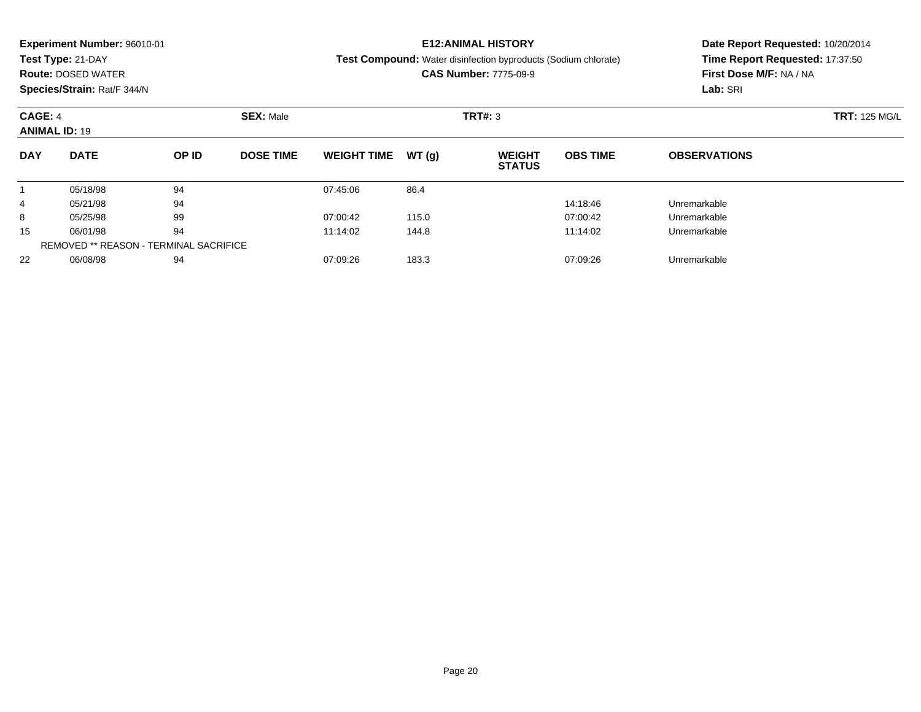|                             | <b>Experiment Number: 96010-01</b> |                               |                  |                    |              | <b>E12:ANIMAL HISTORY</b>                                             | Date Report Requested: 10/20/2014 |                                 |  |  |
|-----------------------------|------------------------------------|-------------------------------|------------------|--------------------|--------------|-----------------------------------------------------------------------|-----------------------------------|---------------------------------|--|--|
|                             | Test Type: 21-DAY                  |                               |                  |                    |              | <b>Test Compound:</b> Water disinfection byproducts (Sodium chlorate) |                                   | Time Report Requested: 17:37:50 |  |  |
|                             | <b>Route: DOSED WATER</b>          |                               |                  |                    |              | <b>CAS Number: 7775-09-9</b>                                          | First Dose M/F: NA / NA           |                                 |  |  |
|                             | Species/Strain: Rat/F 344/N        |                               |                  |                    |              | Lab: SRI                                                              |                                   |                                 |  |  |
| <b>SEX: Male</b><br>CAGE: 4 |                                    |                               |                  |                    |              | TRT#: 3                                                               | <b>TRT: 125 MG/L</b>              |                                 |  |  |
| <b>ANIMAL ID: 19</b>        |                                    |                               |                  |                    |              |                                                                       |                                   |                                 |  |  |
| <b>DAY</b>                  | <b>DATE</b>                        | OP ID                         | <b>DOSE TIME</b> | <b>WEIGHT TIME</b> | WT(q)        | <b>WEIGHT</b><br><b>STATUS</b>                                        | <b>OBS TIME</b>                   | <b>OBSERVATIONS</b>             |  |  |
|                             | 05/18/98                           | 94                            |                  | 07:45:06           | 86.4         |                                                                       |                                   |                                 |  |  |
| 4                           | 05/21/98                           | 94                            |                  |                    |              |                                                                       | 14:18:46                          | Unremarkable                    |  |  |
| 8                           | 05/25/98                           | 99                            |                  | 07:00:42           | 115.0        |                                                                       | 07:00:42                          | Unremarkable                    |  |  |
| 94<br>06/01/98<br>15        |                                    | 11:14:02<br>144.8<br>11:14:02 |                  |                    | Unremarkable |                                                                       |                                   |                                 |  |  |

06/08/98 <sup>94</sup> 07:09:26 183.3 07:09:26 Unremarkable

REMOVED \*\* REASON - TERMINAL SACRIFICE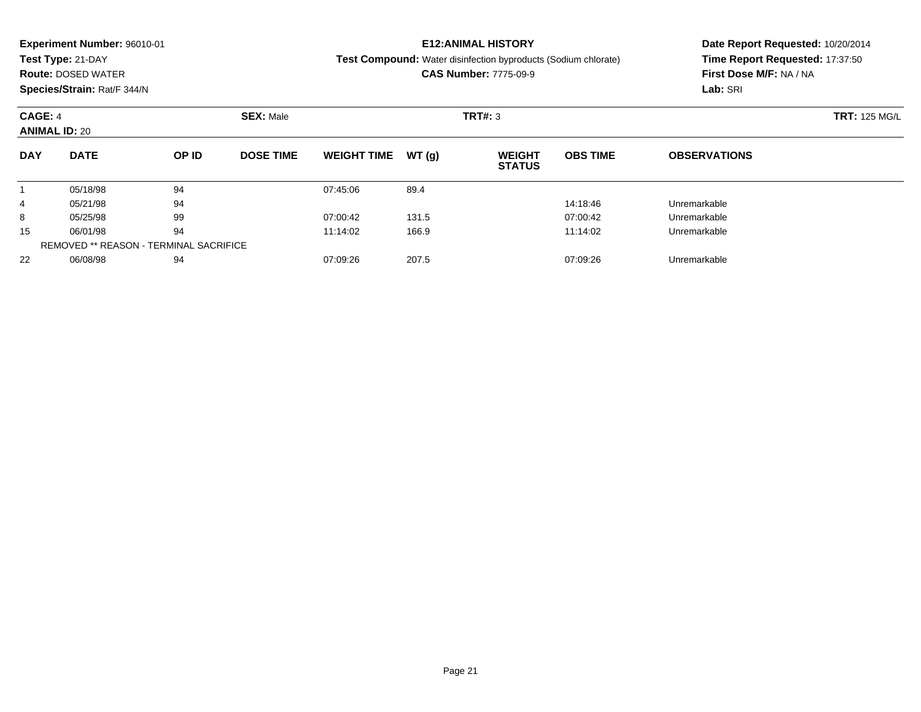|                             | <b>Experiment Number: 96010-01</b> |                               |                  |                    |              | <b>E12:ANIMAL HISTORY</b>                                             | Date Report Requested: 10/20/2014 |                                 |  |  |
|-----------------------------|------------------------------------|-------------------------------|------------------|--------------------|--------------|-----------------------------------------------------------------------|-----------------------------------|---------------------------------|--|--|
|                             | Test Type: 21-DAY                  |                               |                  |                    |              | <b>Test Compound:</b> Water disinfection byproducts (Sodium chlorate) |                                   | Time Report Requested: 17:37:50 |  |  |
|                             | <b>Route: DOSED WATER</b>          |                               |                  |                    |              | <b>CAS Number: 7775-09-9</b>                                          | First Dose M/F: NA / NA           |                                 |  |  |
|                             | Species/Strain: Rat/F 344/N        |                               |                  |                    |              | Lab: SRI                                                              |                                   |                                 |  |  |
| <b>SEX: Male</b><br>CAGE: 4 |                                    |                               |                  |                    |              | TRT#: 3                                                               | <b>TRT: 125 MG/L</b>              |                                 |  |  |
| <b>ANIMAL ID: 20</b>        |                                    |                               |                  |                    |              |                                                                       |                                   |                                 |  |  |
| <b>DAY</b>                  | <b>DATE</b>                        | OP ID                         | <b>DOSE TIME</b> | <b>WEIGHT TIME</b> | WT(q)        | <b>WEIGHT</b><br><b>STATUS</b>                                        | <b>OBS TIME</b>                   | <b>OBSERVATIONS</b>             |  |  |
|                             | 05/18/98                           | 94                            |                  | 07:45:06           | 89.4         |                                                                       |                                   |                                 |  |  |
| 4                           | 05/21/98                           | 94                            |                  |                    |              |                                                                       | 14:18:46                          | Unremarkable                    |  |  |
| 8                           | 05/25/98                           | 99                            |                  | 07:00:42           | 131.5        |                                                                       | 07:00:42                          | Unremarkable                    |  |  |
| 94<br>06/01/98<br>15        |                                    | 11:14:02<br>166.9<br>11:14:02 |                  |                    | Unremarkable |                                                                       |                                   |                                 |  |  |

06/08/98 <sup>94</sup> 07:09:26 207.5 07:09:26 Unremarkable

REMOVED \*\* REASON - TERMINAL SACRIFICE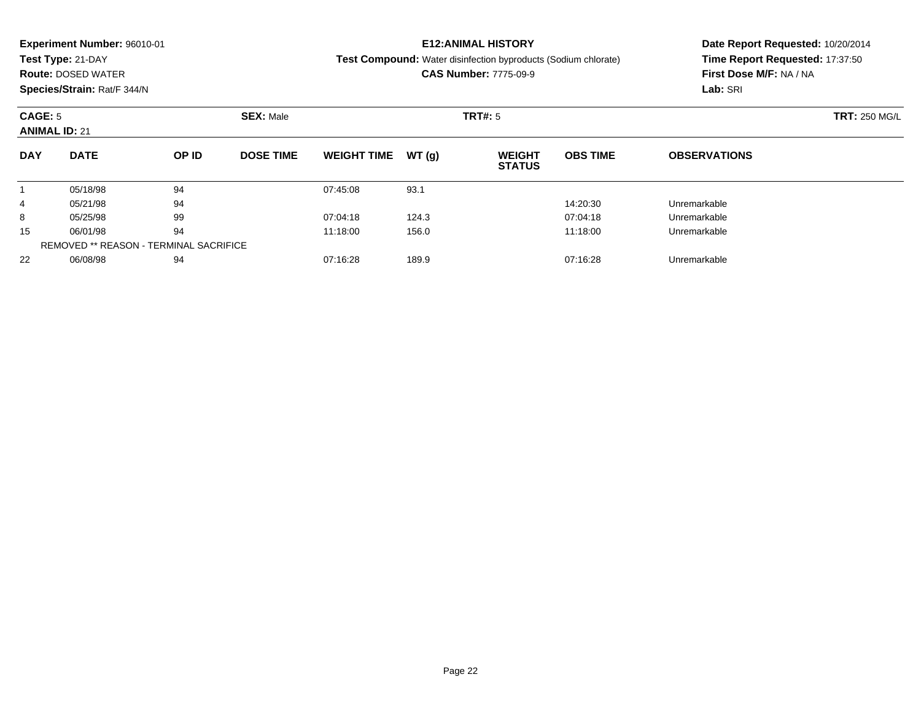|                      | <b>Experiment Number: 96010-01</b> |                               |                  |                    |              | <b>E12:ANIMAL HISTORY</b>                                             | Date Report Requested: 10/20/2014 |                                 |  |  |
|----------------------|------------------------------------|-------------------------------|------------------|--------------------|--------------|-----------------------------------------------------------------------|-----------------------------------|---------------------------------|--|--|
|                      | Test Type: 21-DAY                  |                               |                  |                    |              | <b>Test Compound:</b> Water disinfection byproducts (Sodium chlorate) |                                   | Time Report Requested: 17:37:50 |  |  |
|                      | <b>Route: DOSED WATER</b>          |                               |                  |                    |              | <b>CAS Number: 7775-09-9</b>                                          | First Dose M/F: NA / NA           |                                 |  |  |
|                      | Species/Strain: Rat/F 344/N        |                               |                  |                    |              | Lab: SRI                                                              |                                   |                                 |  |  |
| CAGE: 5              |                                    |                               | <b>SEX: Male</b> |                    |              | <b>TRT#: 5</b>                                                        | <b>TRT: 250 MG/L</b>              |                                 |  |  |
| <b>ANIMAL ID: 21</b> |                                    |                               |                  |                    |              |                                                                       |                                   |                                 |  |  |
| <b>DAY</b>           | <b>DATE</b>                        | OP ID                         | <b>DOSE TIME</b> | <b>WEIGHT TIME</b> | WT(q)        | <b>WEIGHT</b><br><b>STATUS</b>                                        | <b>OBS TIME</b>                   | <b>OBSERVATIONS</b>             |  |  |
|                      | 05/18/98                           | 94                            |                  | 07:45:08           | 93.1         |                                                                       |                                   |                                 |  |  |
| 4                    | 05/21/98                           | 94                            |                  |                    |              |                                                                       | 14:20:30                          | Unremarkable                    |  |  |
| 8                    | 05/25/98                           | 99                            |                  | 07:04:18           | 124.3        |                                                                       | 07:04:18                          | Unremarkable                    |  |  |
| 94<br>06/01/98<br>15 |                                    | 11:18:00<br>156.0<br>11:18:00 |                  |                    | Unremarkable |                                                                       |                                   |                                 |  |  |

06/08/98 <sup>94</sup> 07:16:28 189.9 07:16:28 Unremarkable

REMOVED \*\* REASON - TERMINAL SACRIFICE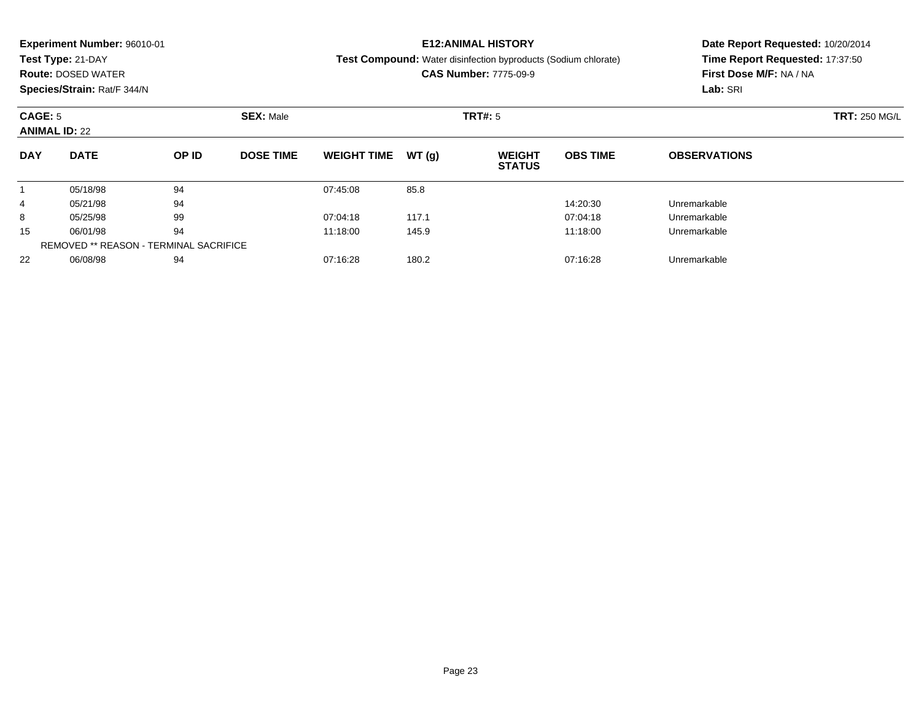| <b>Experiment Number: 96010-01</b>                                 | Date Report Requested: 10/20/2014<br>Time Report Requested: 17:37:50<br>First Dose M/F: NA / NA |  |  |
|--------------------------------------------------------------------|-------------------------------------------------------------------------------------------------|--|--|
| Test Type: 21-DAY                                                  |                                                                                                 |  |  |
| <b>Route: DOSED WATER</b>                                          |                                                                                                 |  |  |
| Species/Strain: Rat/F 344/N                                        |                                                                                                 |  |  |
| <b>SEX: Male</b><br>CAGE: 5                                        |                                                                                                 |  |  |
| <b>ANIMAL ID: 22</b>                                               |                                                                                                 |  |  |
| <b>DAY</b>                                                         |                                                                                                 |  |  |
|                                                                    |                                                                                                 |  |  |
|                                                                    |                                                                                                 |  |  |
|                                                                    |                                                                                                 |  |  |
| 94<br>06/01/98                                                     |                                                                                                 |  |  |
| 94<br>05/18/98<br>94<br>05/21/98<br>4<br>99<br>8<br>05/25/98<br>15 |                                                                                                 |  |  |

06/08/98 <sup>94</sup> 07:16:28 180.2 07:16:28 Unremarkable

REMOVED \*\* REASON - TERMINAL SACRIFICE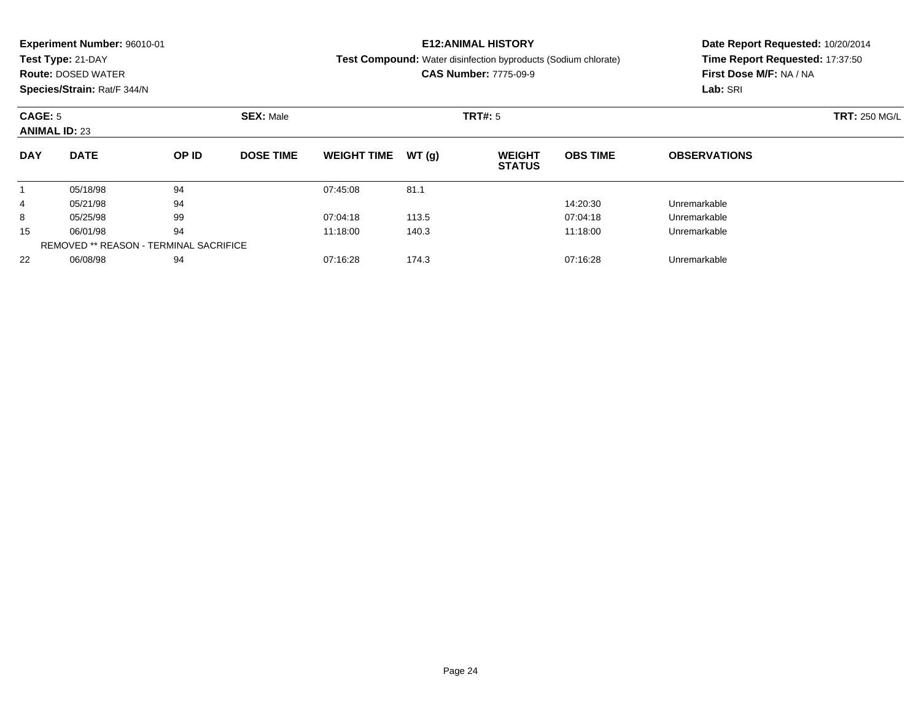|                                                     | <b>Experiment Number: 96010-01</b> |       |                  |                               | <b>E12:ANIMAL HISTORY</b> | Date Report Requested: 10/20/2014                                     |                         |                                 |  |  |
|-----------------------------------------------------|------------------------------------|-------|------------------|-------------------------------|---------------------------|-----------------------------------------------------------------------|-------------------------|---------------------------------|--|--|
|                                                     | Test Type: 21-DAY                  |       |                  |                               |                           | <b>Test Compound:</b> Water disinfection byproducts (Sodium chlorate) |                         | Time Report Requested: 17:37:50 |  |  |
|                                                     | <b>Route: DOSED WATER</b>          |       |                  |                               |                           | <b>CAS Number: 7775-09-9</b>                                          | First Dose M/F: NA / NA |                                 |  |  |
|                                                     | Species/Strain: Rat/F 344/N        |       |                  |                               |                           | Lab: SRI                                                              |                         |                                 |  |  |
| <b>SEX: Male</b><br>CAGE: 5<br><b>ANIMAL ID: 23</b> |                                    |       |                  |                               | <b>TRT#:</b> 5            | <b>TRT: 250 MG/L</b>                                                  |                         |                                 |  |  |
|                                                     |                                    |       |                  |                               |                           |                                                                       |                         |                                 |  |  |
| <b>DAY</b>                                          | <b>DATE</b>                        | OP ID | <b>DOSE TIME</b> | <b>WEIGHT TIME</b>            | WT(q)                     | <b>WEIGHT</b><br><b>STATUS</b>                                        | <b>OBS TIME</b>         | <b>OBSERVATIONS</b>             |  |  |
|                                                     | 05/18/98                           | 94    |                  | 07:45:08                      | 81.1                      |                                                                       |                         |                                 |  |  |
| 4                                                   | 05/21/98                           | 94    |                  |                               |                           |                                                                       | 14:20:30                | Unremarkable                    |  |  |
| 8                                                   | 05/25/98                           | 99    |                  | 07:04:18                      | 113.5                     |                                                                       | 07:04:18                | Unremarkable                    |  |  |
| 15                                                  | 94<br>06/01/98                     |       |                  | 11:18:00<br>140.3<br>11:18:00 |                           |                                                                       |                         | Unremarkable                    |  |  |

06/01/98 <sup>94</sup> 11:18:00 140.3 11:18:00 Unremarkable

06/08/98 <sup>94</sup> 07:16:28 174.3 07:16:28 Unremarkable

REMOVED \*\* REASON - TERMINAL SACRIFICE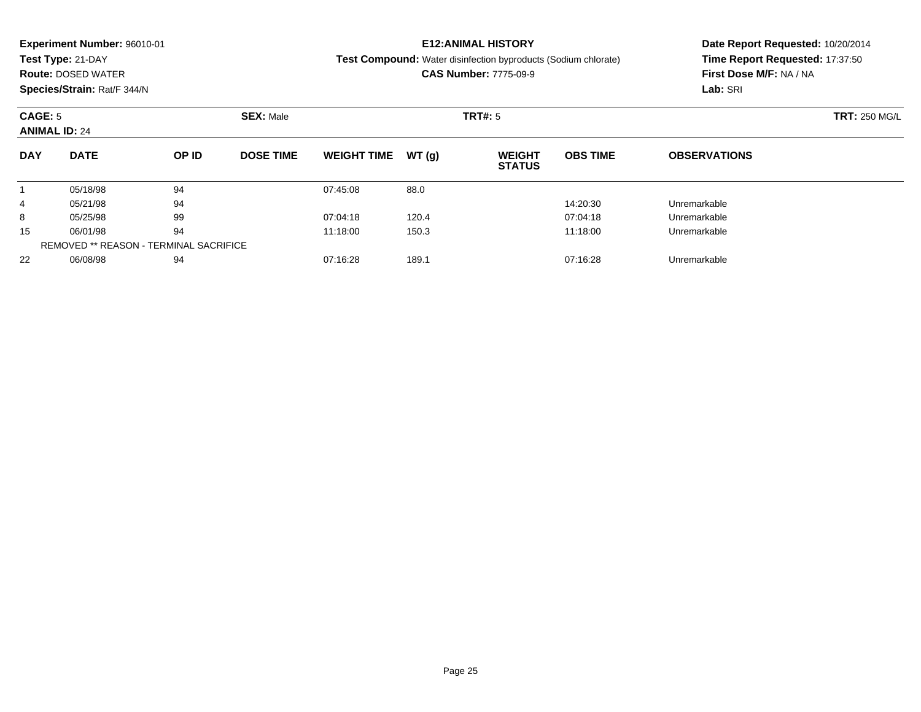|            | <b>Experiment Number: 96010-01</b><br>Test Type: 21-DAY<br><b>Route: DOSED WATER</b><br>Species/Strain: Rat/F 344/N |          |                  | <b>E12:ANIMAL HISTORY</b><br><b>Test Compound:</b> Water disinfection byproducts (Sodium chlorate)<br><b>CAS Number: 7775-09-9</b> | Date Report Requested: 10/20/2014<br>Time Report Requested: 17:37:50<br>First Dose M/F: NA / NA<br>Lab: SRI |                                |                 |                      |  |
|------------|---------------------------------------------------------------------------------------------------------------------|----------|------------------|------------------------------------------------------------------------------------------------------------------------------------|-------------------------------------------------------------------------------------------------------------|--------------------------------|-----------------|----------------------|--|
| CAGE: 5    | <b>ANIMAL ID: 24</b>                                                                                                |          | <b>SEX: Male</b> |                                                                                                                                    |                                                                                                             | <b>TRT#: 5</b>                 |                 | <b>TRT: 250 MG/L</b> |  |
| <b>DAY</b> | <b>DATE</b>                                                                                                         | OP ID    | <b>DOSE TIME</b> | WEIGHT TIME $WT(q)$                                                                                                                |                                                                                                             | <b>WEIGHT</b><br><b>STATUS</b> | <b>OBS TIME</b> | <b>OBSERVATIONS</b>  |  |
| 4          | 05/18/98<br>05/21/98                                                                                                | 94<br>94 |                  | 07:45:08                                                                                                                           | 88.0                                                                                                        |                                | 14:20:30        | Unremarkable         |  |

 $\overline{\phantom{0}}$ 

8 05/25/98 99 05:04:18 120.4 120.4 07:04:18 07:04:18 Dhremarkable

06/01/98 <sup>94</sup> 11:18:00 150.3 11:18:00 Unremarkable

06/08/98 <sup>94</sup> 07:16:28 189.1 07:16:28 Unremarkable

8

15

22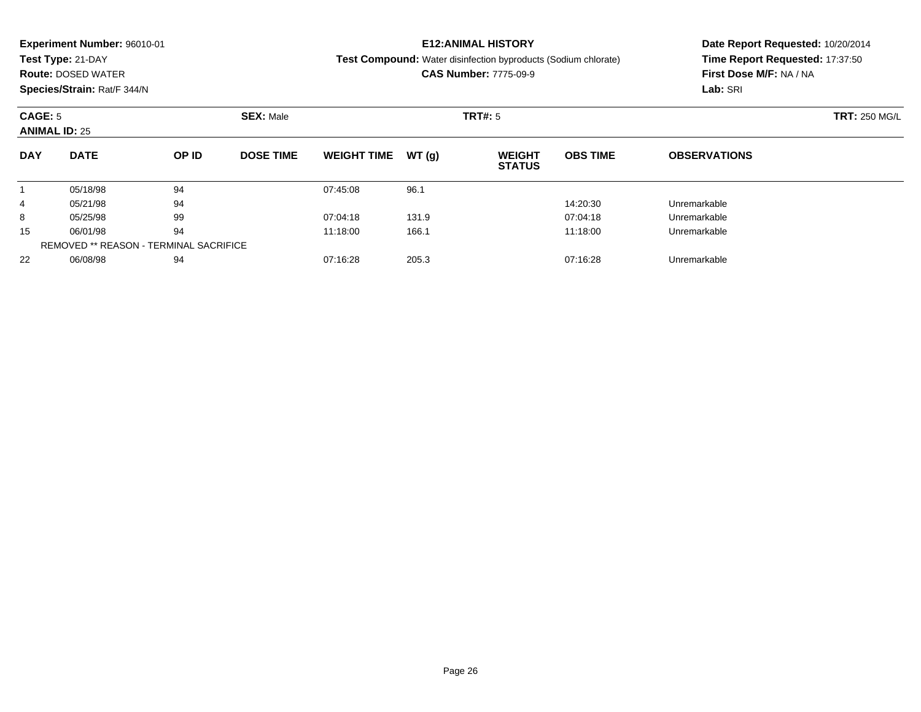| Test Type: 21-DAY<br><b>Test Compound:</b> Water disinfection byproducts (Sodium chlorate)<br><b>CAS Number: 7775-09-9</b><br><b>Route: DOSED WATER</b> | Time Report Requested: 17:37:50 |
|---------------------------------------------------------------------------------------------------------------------------------------------------------|---------------------------------|
|                                                                                                                                                         |                                 |
|                                                                                                                                                         | First Dose M/F: NA / NA         |
| Species/Strain: Rat/F 344/N                                                                                                                             | Lab: SRI                        |
| <b>CAGE: 5</b><br><b>SEX: Male</b><br><b>TRT#: 5</b>                                                                                                    | <b>TRT: 250 MG/L</b>            |
| <b>ANIMAL ID: 25</b>                                                                                                                                    |                                 |
| <b>DATE</b><br>OP ID<br><b>DOSE TIME</b><br><b>OBS TIME</b><br><b>DAY</b><br><b>WEIGHT TIME</b><br>WT(q)<br><b>WEIGHT</b><br><b>STATUS</b>              | <b>OBSERVATIONS</b>             |
| 94<br>96.1<br>05/18/98<br>07:45:08                                                                                                                      |                                 |
| 94<br>05/21/98<br>14:20:30<br>4                                                                                                                         | Unremarkable                    |
| 99<br>131.9<br>05/25/98<br>07:04:18<br>07:04:18<br>8                                                                                                    | Unremarkable                    |
| 94<br>15<br>06/01/98<br>166.1<br>11:18:00<br>11:18:00                                                                                                   | Unremarkable                    |

06/08/98 <sup>94</sup> 07:16:28 205.3 07:16:28 Unremarkable

REMOVED \*\* REASON - TERMINAL SACRIFICE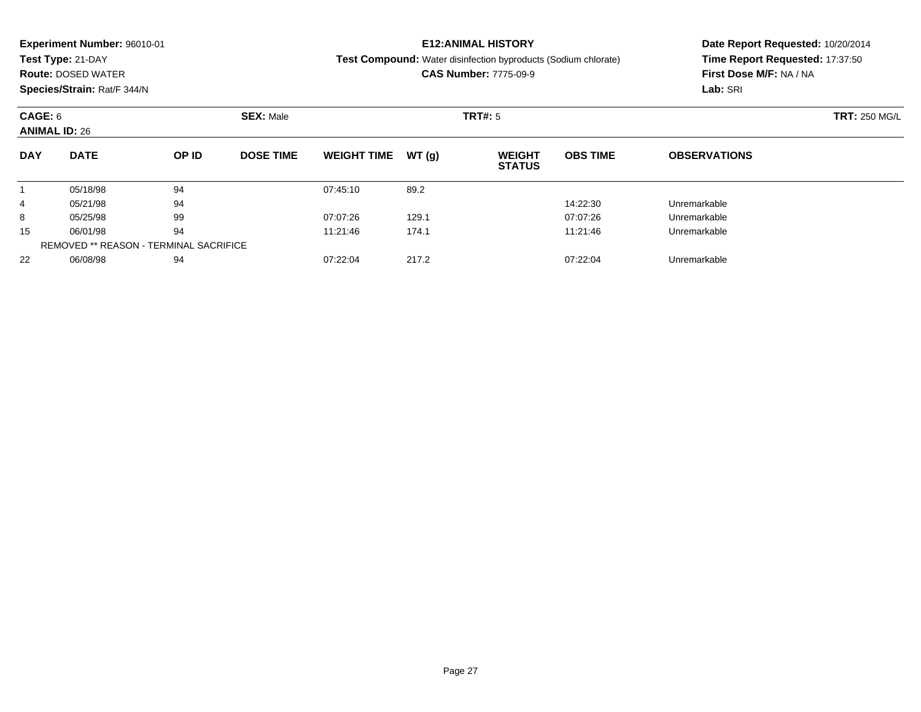| <b>Experiment Number: 96010-01</b><br>Test Type: 21-DAY<br><b>Route: DOSED WATER</b><br>Species/Strain: Rat/F 344/N |             |       |                  |                    |       | <b>E12:ANIMAL HISTORY</b><br><b>Test Compound:</b> Water disinfection byproducts (Sodium chlorate)<br><b>CAS Number: 7775-09-9</b> | Date Report Requested: 10/20/2014<br>Time Report Requested: 17:37:50<br>First Dose M/F: NA / NA<br>Lab: SRI |                                                                             |  |
|---------------------------------------------------------------------------------------------------------------------|-------------|-------|------------------|--------------------|-------|------------------------------------------------------------------------------------------------------------------------------------|-------------------------------------------------------------------------------------------------------------|-----------------------------------------------------------------------------|--|
| CAGE: 6<br><b>ANIMAL ID: 26</b>                                                                                     |             |       | <b>SEX: Male</b> |                    |       | TRT#: 5                                                                                                                            |                                                                                                             | <b>TRT: 250 MG/L</b><br><b>OBSERVATIONS</b><br>Unremarkable<br>Unremarkable |  |
| <b>DAY</b>                                                                                                          | <b>DATE</b> | OP ID | <b>DOSE TIME</b> | <b>WEIGHT TIME</b> | WT(q) | <b>WEIGHT</b><br><b>STATUS</b>                                                                                                     | <b>OBS TIME</b>                                                                                             |                                                                             |  |
|                                                                                                                     | 05/18/98    | 94    |                  | 07:45:10           | 89.2  |                                                                                                                                    |                                                                                                             |                                                                             |  |
| 4                                                                                                                   | 05/21/98    | 94    |                  |                    |       |                                                                                                                                    | 14:22:30                                                                                                    |                                                                             |  |
| 8                                                                                                                   | 05/25/98    | 99    |                  | 07:07:26           | 129.1 |                                                                                                                                    | 07:07:26                                                                                                    |                                                                             |  |
|                                                                                                                     |             |       |                  |                    |       |                                                                                                                                    |                                                                                                             |                                                                             |  |

5 06/01/98 94 94 11:21:46 174.1 11:46 174.1 11:21:46 Unremarkable

06/08/98 <sup>94</sup> 07:22:04 217.2 07:22:04 Unremarkable

15

22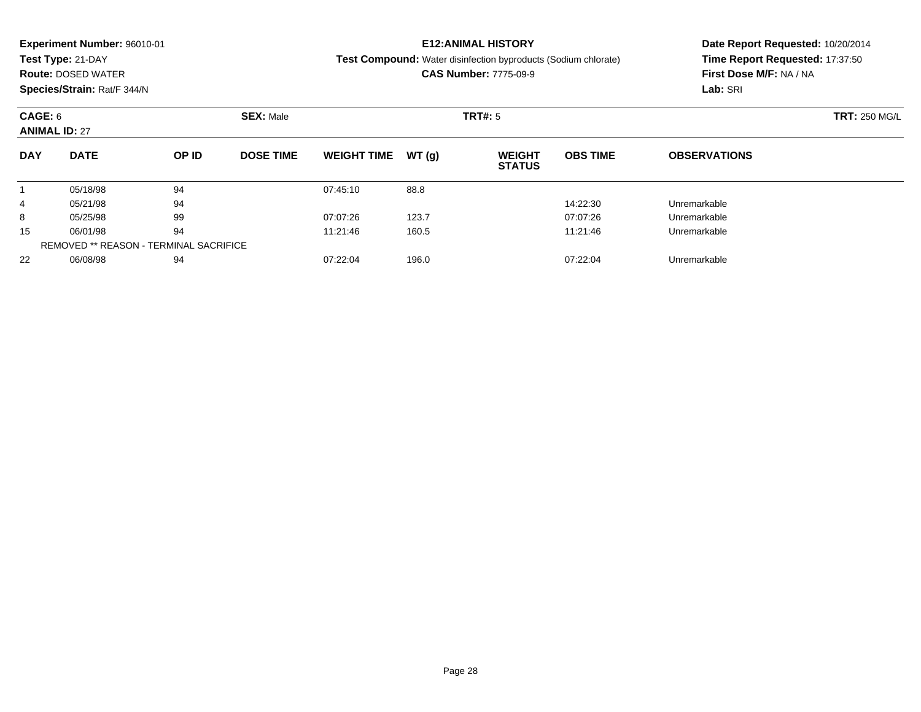|                             | <b>Experiment Number: 96010-01</b> |       |                  |                    |       | <b>E12:ANIMAL HISTORY</b>                                             | Date Report Requested: 10/20/2014 |                                 |  |  |
|-----------------------------|------------------------------------|-------|------------------|--------------------|-------|-----------------------------------------------------------------------|-----------------------------------|---------------------------------|--|--|
|                             | Test Type: 21-DAY                  |       |                  |                    |       | <b>Test Compound:</b> Water disinfection byproducts (Sodium chlorate) |                                   | Time Report Requested: 17:37:50 |  |  |
|                             | <b>Route: DOSED WATER</b>          |       |                  |                    |       | <b>CAS Number: 7775-09-9</b>                                          |                                   | First Dose M/F: NA / NA         |  |  |
|                             | Species/Strain: Rat/F 344/N        |       |                  |                    |       |                                                                       |                                   | Lab: SRI                        |  |  |
| <b>SEX: Male</b><br>CAGE: 6 |                                    |       |                  |                    |       | TRT#: 5                                                               | <b>TRT: 250 MG/L</b>              |                                 |  |  |
| <b>ANIMAL ID: 27</b>        |                                    |       |                  |                    |       |                                                                       |                                   |                                 |  |  |
| <b>DAY</b>                  | <b>DATE</b>                        | OP ID | <b>DOSE TIME</b> | <b>WEIGHT TIME</b> | WT(q) | <b>WEIGHT</b><br><b>STATUS</b>                                        | <b>OBS TIME</b>                   | <b>OBSERVATIONS</b>             |  |  |
|                             | 05/18/98                           | 94    |                  | 07:45:10           | 88.8  |                                                                       |                                   |                                 |  |  |
| 4                           | 05/21/98                           | 94    |                  |                    |       |                                                                       | 14:22:30                          | Unremarkable                    |  |  |
| 8                           | 05/25/98                           | 99    |                  | 07:07:26           | 123.7 |                                                                       | 07:07:26                          | Unremarkable                    |  |  |
| 15                          | 06/01/98                           | 94    |                  | 11:21:46           | 160.5 |                                                                       | 11:21:46                          | Unremarkable                    |  |  |

06/08/98 <sup>94</sup> 07:22:04 196.0 07:22:04 Unremarkable

REMOVED \*\* REASON - TERMINAL SACRIFICE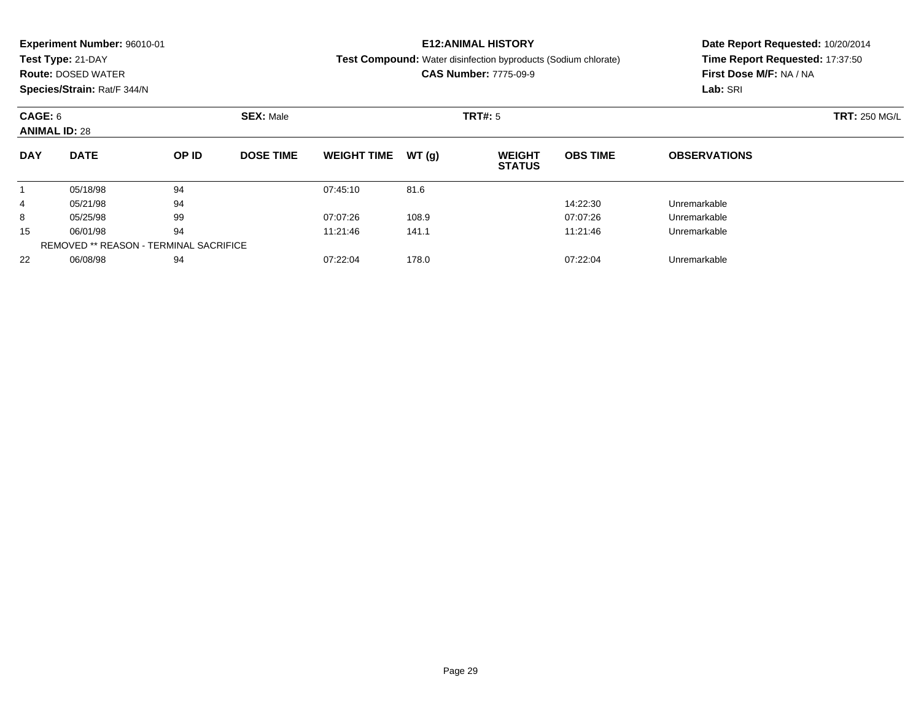|            | <b>Experiment Number: 96010-01</b> |       |                  |                    |       | <b>E12:ANIMAL HISTORY</b>                                             |                         | Date Report Requested: 10/20/2014 |  |  |
|------------|------------------------------------|-------|------------------|--------------------|-------|-----------------------------------------------------------------------|-------------------------|-----------------------------------|--|--|
|            | Test Type: 21-DAY                  |       |                  |                    |       | <b>Test Compound:</b> Water disinfection byproducts (Sodium chlorate) |                         | Time Report Requested: 17:37:50   |  |  |
|            | <b>Route: DOSED WATER</b>          |       |                  |                    |       | <b>CAS Number: 7775-09-9</b>                                          | First Dose M/F: NA / NA |                                   |  |  |
|            | Species/Strain: Rat/F 344/N        |       |                  |                    |       |                                                                       |                         | Lab: SRI                          |  |  |
| CAGE: 6    |                                    |       | <b>SEX: Male</b> |                    |       | <b>TRT#:</b> 5                                                        |                         | <b>TRT: 250 MG/L</b>              |  |  |
|            | <b>ANIMAL ID: 28</b>               |       |                  |                    |       |                                                                       |                         |                                   |  |  |
| <b>DAY</b> | <b>DATE</b>                        | OP ID | <b>DOSE TIME</b> | <b>WEIGHT TIME</b> | WT(q) | <b>WEIGHT</b><br><b>STATUS</b>                                        | <b>OBS TIME</b>         | <b>OBSERVATIONS</b>               |  |  |
|            | 05/18/98                           | 94    |                  | 07:45:10           | 81.6  |                                                                       |                         |                                   |  |  |
| 4          | 05/21/98                           | 94    |                  |                    |       |                                                                       | 14:22:30                | Unremarkable                      |  |  |
| 8          | 05/25/98                           | 99    |                  | 07:07:26           | 108.9 |                                                                       | 07:07:26                | Unremarkable                      |  |  |
|            |                                    |       |                  |                    |       |                                                                       |                         |                                   |  |  |

5 06/01/98 94 94 11:21:46 141.1 11:21:46 141.1 11:21:46 Unremarkable

06/08/98 <sup>94</sup> 07:22:04 178.0 07:22:04 Unremarkable

15

22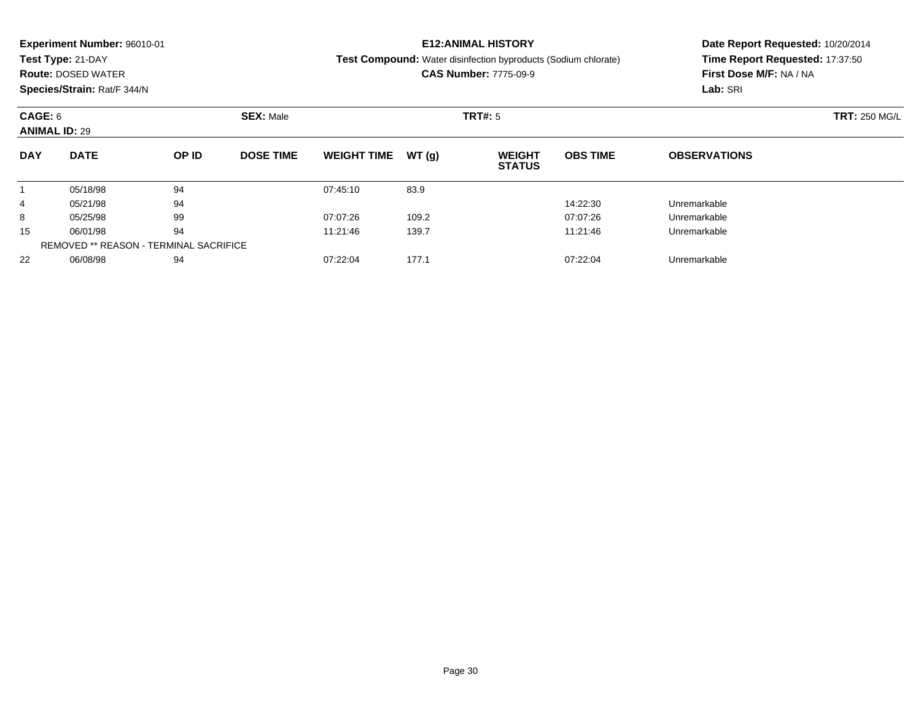| <b>Experiment Number: 96010-01</b><br>Test Type: 21-DAY<br><b>Route: DOSED WATER</b><br>Species/Strain: Rat/F 344/N |             |       |                  |                    |       | <b>E12:ANIMAL HISTORY</b><br><b>Test Compound:</b> Water disinfection byproducts (Sodium chlorate)<br><b>CAS Number: 7775-09-9</b> | Date Report Requested: 10/20/2014<br>Time Report Requested: 17:37:50<br>First Dose M/F: NA / NA<br>Lab: SRI |                     |  |
|---------------------------------------------------------------------------------------------------------------------|-------------|-------|------------------|--------------------|-------|------------------------------------------------------------------------------------------------------------------------------------|-------------------------------------------------------------------------------------------------------------|---------------------|--|
| CAGE: 6<br><b>ANIMAL ID: 29</b>                                                                                     |             |       | <b>SEX: Male</b> |                    |       | TRT#: 5                                                                                                                            | <b>TRT: 250 MG/L</b>                                                                                        |                     |  |
| <b>DAY</b>                                                                                                          | <b>DATE</b> | OP ID | <b>DOSE TIME</b> | <b>WEIGHT TIME</b> | WT(a) | <b>WEIGHT</b><br><b>STATUS</b>                                                                                                     | <b>OBS TIME</b>                                                                                             | <b>OBSERVATIONS</b> |  |
|                                                                                                                     | 05/18/98    | 94    |                  | 07:45:10           | 83.9  |                                                                                                                                    |                                                                                                             |                     |  |
| 4                                                                                                                   | 05/21/98    | 94    |                  |                    |       |                                                                                                                                    | 14:22:30                                                                                                    | Unremarkable        |  |
| 8                                                                                                                   | 05/25/98    | 99    |                  | 07:07:26           | 109.2 |                                                                                                                                    | 07:07:26                                                                                                    | Unremarkable        |  |
|                                                                                                                     |             |       |                  |                    |       |                                                                                                                                    |                                                                                                             |                     |  |

06/01/98 <sup>94</sup> 11:21:46 139.7 11:21:46 Unremarkable

2 06/08/98 94 94 07:22:04 177.1 07:22:04 Dhremarkable

15

22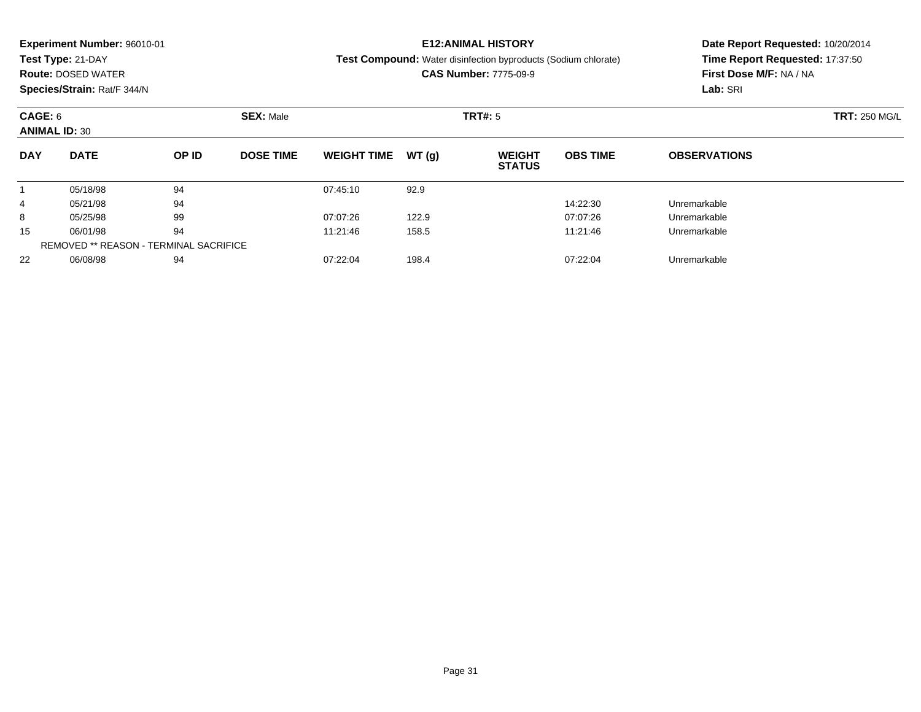| <b>Experiment Number: 96010-01</b><br>Test Type: 21-DAY<br><b>Route: DOSED WATER</b><br>Species/Strain: Rat/F 344/N |             |       |                  |                    |       | <b>E12:ANIMAL HISTORY</b><br><b>Test Compound:</b> Water disinfection byproducts (Sodium chlorate)<br><b>CAS Number: 7775-09-9</b> | Date Report Requested: 10/20/2014<br>Time Report Requested: 17:37:50<br>First Dose M/F: NA / NA<br>Lab: SRI |                      |  |
|---------------------------------------------------------------------------------------------------------------------|-------------|-------|------------------|--------------------|-------|------------------------------------------------------------------------------------------------------------------------------------|-------------------------------------------------------------------------------------------------------------|----------------------|--|
| CAGE: 6<br><b>ANIMAL ID: 30</b>                                                                                     |             |       | <b>SEX: Male</b> |                    |       | TRT#: 5                                                                                                                            |                                                                                                             | <b>TRT: 250 MG/L</b> |  |
| <b>DAY</b>                                                                                                          | <b>DATE</b> | OP ID | <b>DOSE TIME</b> | <b>WEIGHT TIME</b> | WT(q) | <b>WEIGHT</b><br><b>STATUS</b>                                                                                                     | <b>OBS TIME</b>                                                                                             | <b>OBSERVATIONS</b>  |  |
|                                                                                                                     | 05/18/98    | 94    |                  | 07:45:10           | 92.9  |                                                                                                                                    |                                                                                                             |                      |  |
| 4                                                                                                                   | 05/21/98    | 94    |                  |                    |       |                                                                                                                                    | 14:22:30                                                                                                    | Unremarkable         |  |
| 8                                                                                                                   | 05/25/98    | 99    |                  | 07:07:26           | 122.9 |                                                                                                                                    | 07:07:26                                                                                                    | Unremarkable         |  |
|                                                                                                                     |             |       |                  |                    |       |                                                                                                                                    |                                                                                                             |                      |  |

06/01/98 <sup>94</sup> 11:21:46 158.5 11:21:46 Unremarkable

06/08/98 <sup>94</sup> 07:22:04 198.4 07:22:04 Unremarkable

15

22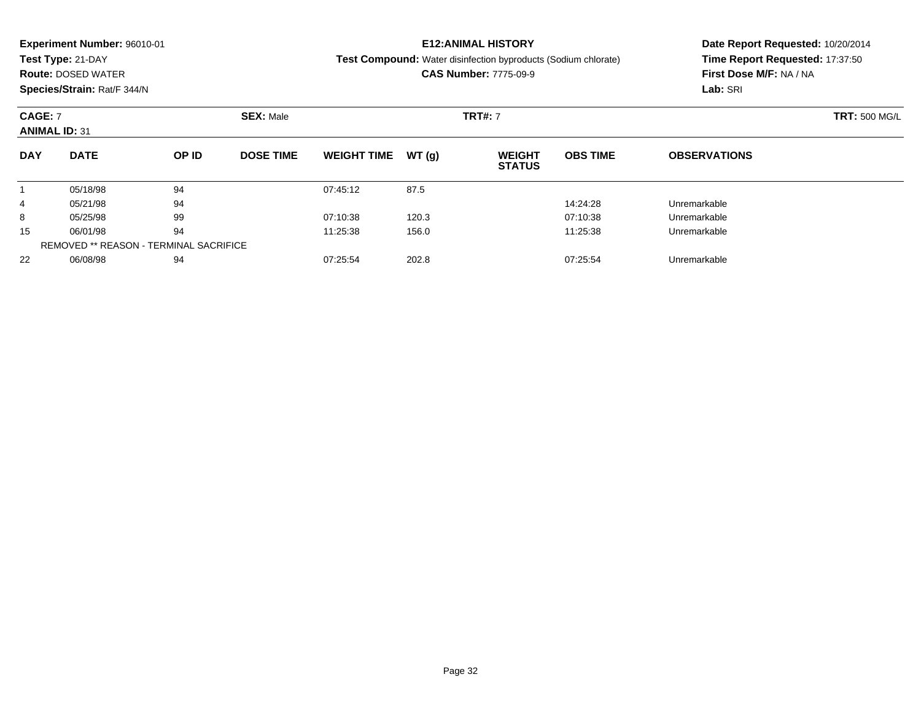|                      | <b>Experiment Number: 96010-01</b>     |       |                  |                    |       | <b>E12:ANIMAL HISTORY</b>                                      |                         | Date Report Requested: 10/20/2014 |  |  |
|----------------------|----------------------------------------|-------|------------------|--------------------|-------|----------------------------------------------------------------|-------------------------|-----------------------------------|--|--|
|                      | Test Type: 21-DAY                      |       |                  |                    |       | Test Compound: Water disinfection byproducts (Sodium chlorate) |                         | Time Report Requested: 17:37:50   |  |  |
|                      | <b>Route: DOSED WATER</b>              |       |                  |                    |       | <b>CAS Number: 7775-09-9</b>                                   | First Dose M/F: NA / NA |                                   |  |  |
|                      | Species/Strain: Rat/F 344/N            |       |                  |                    |       |                                                                |                         | Lab: SRI                          |  |  |
| <b>CAGE: 7</b>       |                                        |       | <b>SEX: Male</b> |                    |       | <b>TRT#: 7</b>                                                 |                         | <b>TRT: 500 MG/L</b>              |  |  |
| <b>ANIMAL ID: 31</b> |                                        |       |                  |                    |       |                                                                |                         |                                   |  |  |
| <b>DAY</b>           | <b>DATE</b>                            | OP ID | <b>DOSE TIME</b> | <b>WEIGHT TIME</b> | WT(g) | <b>WEIGHT</b><br><b>STATUS</b>                                 | <b>OBS TIME</b>         | <b>OBSERVATIONS</b>               |  |  |
|                      | 05/18/98                               | 94    |                  | 07:45:12           | 87.5  |                                                                |                         |                                   |  |  |
| 4                    | 05/21/98                               | 94    |                  |                    |       |                                                                | 14:24:28                | Unremarkable                      |  |  |
| 8                    | 05/25/98                               | 99    |                  | 07:10:38           | 120.3 |                                                                | 07:10:38                | Unremarkable                      |  |  |
| 15                   | 06/01/98                               | 94    |                  | 11:25:38           | 156.0 |                                                                | 11:25:38                | Unremarkable                      |  |  |
|                      | REMOVED ** REASON - TERMINAL SACRIFICE |       |                  |                    |       |                                                                |                         |                                   |  |  |

06/08/98 <sup>94</sup> 07:25:54 202.8 07:25:54 Unremarkable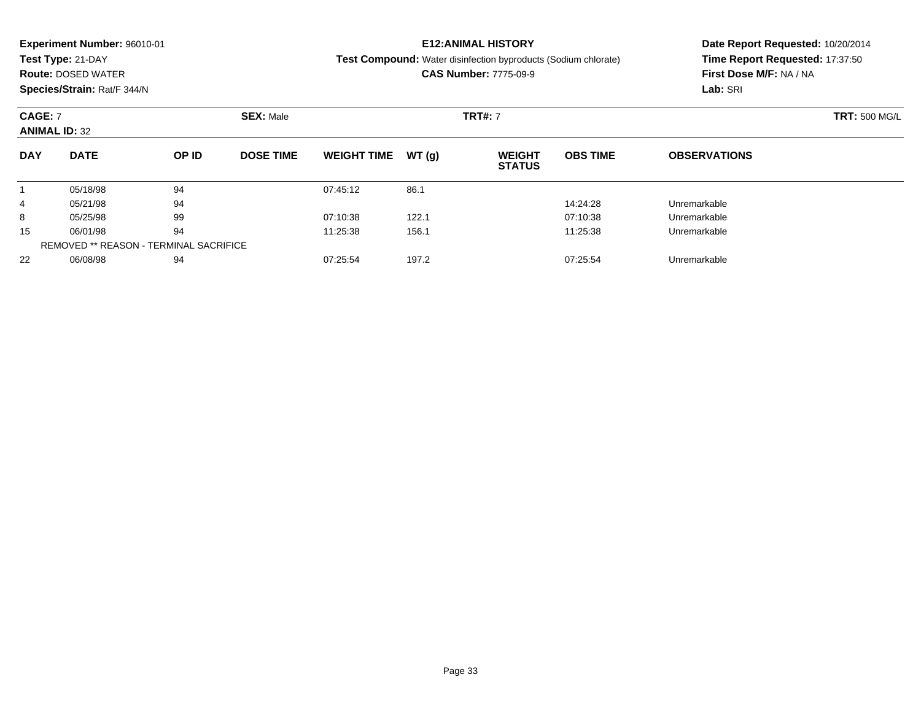|            | <b>Experiment Number: 96010-01</b>                         |       |                  |                    |       | <b>E12:ANIMAL HISTORY</b>                                             | Date Report Requested: 10/20/2014 |                                 |  |  |
|------------|------------------------------------------------------------|-------|------------------|--------------------|-------|-----------------------------------------------------------------------|-----------------------------------|---------------------------------|--|--|
|            | Test Type: 21-DAY                                          |       |                  |                    |       | <b>Test Compound:</b> Water disinfection byproducts (Sodium chlorate) |                                   | Time Report Requested: 17:37:50 |  |  |
|            | <b>Route: DOSED WATER</b>                                  |       |                  |                    |       | <b>CAS Number: 7775-09-9</b>                                          |                                   | First Dose M/F: NA / NA         |  |  |
|            | Species/Strain: Rat/F 344/N                                |       |                  |                    |       |                                                                       |                                   | Lab: SRI                        |  |  |
|            | <b>CAGE: 7</b><br><b>SEX: Male</b><br><b>ANIMAL ID: 32</b> |       |                  |                    |       | <b>TRT#: 7</b>                                                        |                                   | <b>TRT: 500 MG/L</b>            |  |  |
| <b>DAY</b> | <b>DATE</b>                                                | OP ID | <b>DOSE TIME</b> | <b>WEIGHT TIME</b> | WT(q) | <b>WEIGHT</b><br><b>STATUS</b>                                        | <b>OBS TIME</b>                   | <b>OBSERVATIONS</b>             |  |  |
|            | 05/18/98                                                   | 94    |                  | 07:45:12           | 86.1  |                                                                       |                                   |                                 |  |  |
| 4          | 05/21/98                                                   | 94    |                  |                    |       |                                                                       | 14:24:28                          | Unremarkable                    |  |  |
| 8          | 05/25/98                                                   | 99    |                  | 07:10:38           | 122.1 |                                                                       | 07:10:38                          | Unremarkable                    |  |  |
| 15         | 06/01/98                                                   | 94    |                  | 11:25:38           | 156.1 |                                                                       | 11:25:38                          | Unremarkable                    |  |  |
|            | REMOVED ** REASON - TERMINAL SACRIFICE                     |       |                  |                    |       |                                                                       |                                   |                                 |  |  |

06/08/98 <sup>94</sup> 07:25:54 197.2 07:25:54 Unremarkable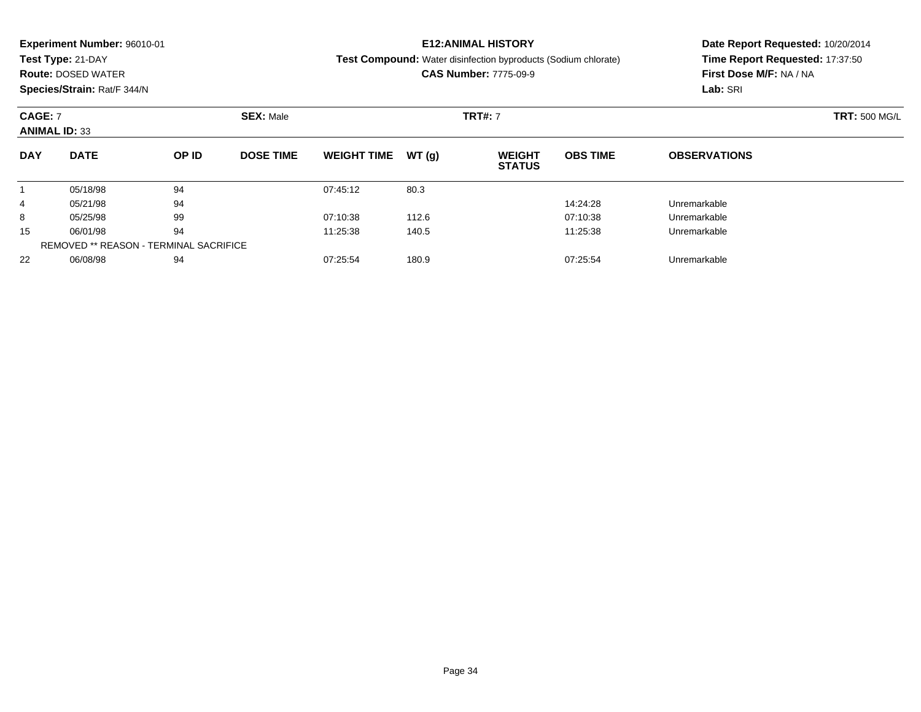|                                                            | <b>Experiment Number: 96010-01</b> |       |                  |                    |       | <b>E12:ANIMAL HISTORY</b>                                             |                         | Date Report Requested: 10/20/2014 |  |  |
|------------------------------------------------------------|------------------------------------|-------|------------------|--------------------|-------|-----------------------------------------------------------------------|-------------------------|-----------------------------------|--|--|
|                                                            | Test Type: 21-DAY                  |       |                  |                    |       | <b>Test Compound:</b> Water disinfection byproducts (Sodium chlorate) |                         | Time Report Requested: 17:37:50   |  |  |
|                                                            | <b>Route: DOSED WATER</b>          |       |                  |                    |       | <b>CAS Number: 7775-09-9</b>                                          | First Dose M/F: NA / NA |                                   |  |  |
|                                                            | Species/Strain: Rat/F 344/N        |       |                  |                    |       |                                                                       |                         | Lab: SRI                          |  |  |
| <b>SEX: Male</b><br><b>CAGE: 7</b><br><b>ANIMAL ID: 33</b> |                                    |       |                  |                    |       | <b>TRT#: 7</b>                                                        | <b>TRT: 500 MG/L</b>    |                                   |  |  |
|                                                            |                                    |       |                  |                    |       |                                                                       |                         |                                   |  |  |
| <b>DAY</b>                                                 | <b>DATE</b>                        | OP ID | <b>DOSE TIME</b> | <b>WEIGHT TIME</b> | WT(q) | <b>WEIGHT</b><br><b>STATUS</b>                                        | <b>OBS TIME</b>         | <b>OBSERVATIONS</b>               |  |  |
|                                                            | 05/18/98                           | 94    |                  | 07:45:12           | 80.3  |                                                                       |                         |                                   |  |  |
| 4                                                          | 05/21/98                           | 94    |                  |                    |       |                                                                       | 14:24:28                | Unremarkable                      |  |  |
| 8                                                          | 05/25/98                           | 99    |                  | 07:10:38           | 112.6 |                                                                       | 07:10:38                | Unremarkable                      |  |  |
| 15                                                         | 06/01/98                           | 94    |                  | 11:25:38           | 140.5 |                                                                       | 11:25:38                | Unremarkable                      |  |  |
|                                                            |                                    |       |                  |                    |       |                                                                       |                         |                                   |  |  |

06/08/98 <sup>94</sup> 07:25:54 180.9 07:25:54 Unremarkable

REMOVED \*\* REASON - TERMINAL SACRIFICE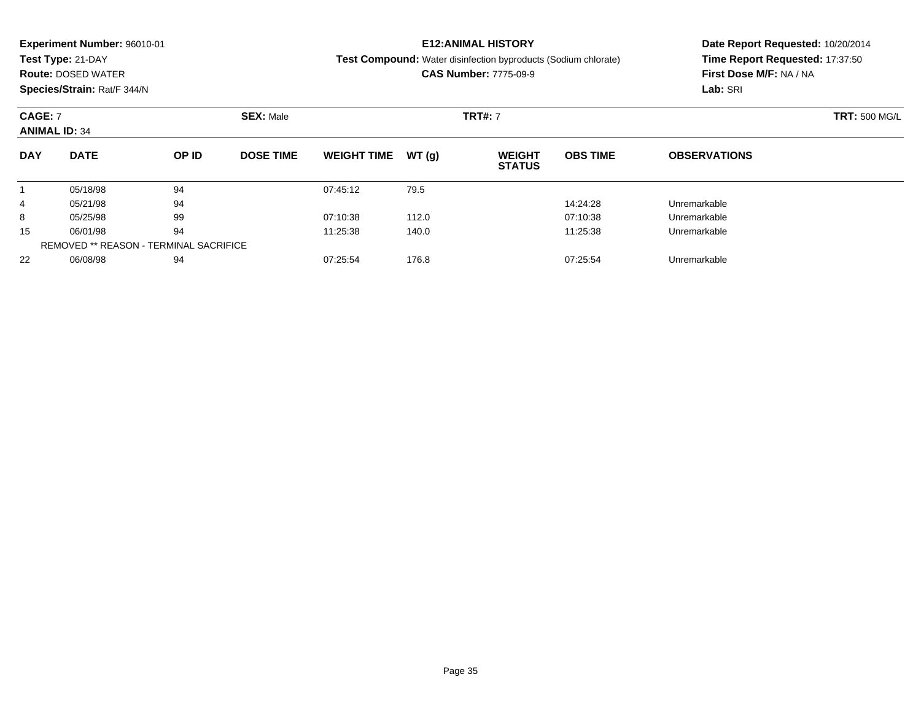|                      | <b>Experiment Number: 96010-01</b>            |       |                  |                    |       | <b>E12:ANIMAL HISTORY</b>                                             |                 | Date Report Requested: 10/20/2014<br>Time Report Requested: 17:37:50 |  |  |
|----------------------|-----------------------------------------------|-------|------------------|--------------------|-------|-----------------------------------------------------------------------|-----------------|----------------------------------------------------------------------|--|--|
|                      | Test Type: 21-DAY                             |       |                  |                    |       | <b>Test Compound:</b> Water disinfection byproducts (Sodium chlorate) |                 |                                                                      |  |  |
|                      | <b>Route: DOSED WATER</b>                     |       |                  |                    |       | <b>CAS Number: 7775-09-9</b>                                          |                 | First Dose M/F: NA / NA                                              |  |  |
|                      | Species/Strain: Rat/F 344/N                   |       |                  |                    |       |                                                                       |                 | Lab: SRI                                                             |  |  |
| <b>CAGE: 7</b>       |                                               |       | <b>SEX: Male</b> |                    |       | <b>TRT#: 7</b>                                                        |                 | <b>TRT: 500 MG/L</b>                                                 |  |  |
| <b>ANIMAL ID: 34</b> |                                               |       |                  |                    |       |                                                                       |                 |                                                                      |  |  |
| <b>DAY</b>           | <b>DATE</b>                                   | OP ID | <b>DOSE TIME</b> | <b>WEIGHT TIME</b> | WT(q) | <b>WEIGHT</b><br><b>STATUS</b>                                        | <b>OBS TIME</b> | <b>OBSERVATIONS</b>                                                  |  |  |
|                      | 05/18/98                                      | 94    |                  | 07:45:12           | 79.5  |                                                                       |                 |                                                                      |  |  |
| 4                    | 05/21/98                                      | 94    |                  |                    |       |                                                                       | 14:24:28        | Unremarkable                                                         |  |  |
| 8                    | 05/25/98                                      | 99    |                  | 07:10:38           | 112.0 |                                                                       | 07:10:38        | Unremarkable                                                         |  |  |
| 15                   | 06/01/98                                      | 94    |                  | 11:25:38           | 140.0 |                                                                       | 11:25:38        | Unremarkable                                                         |  |  |
|                      | <b>REMOVED ** REASON - TERMINAL SACRIFICE</b> |       |                  |                    |       |                                                                       |                 |                                                                      |  |  |

06/08/98 <sup>94</sup> 07:25:54 176.8 07:25:54 Unremarkable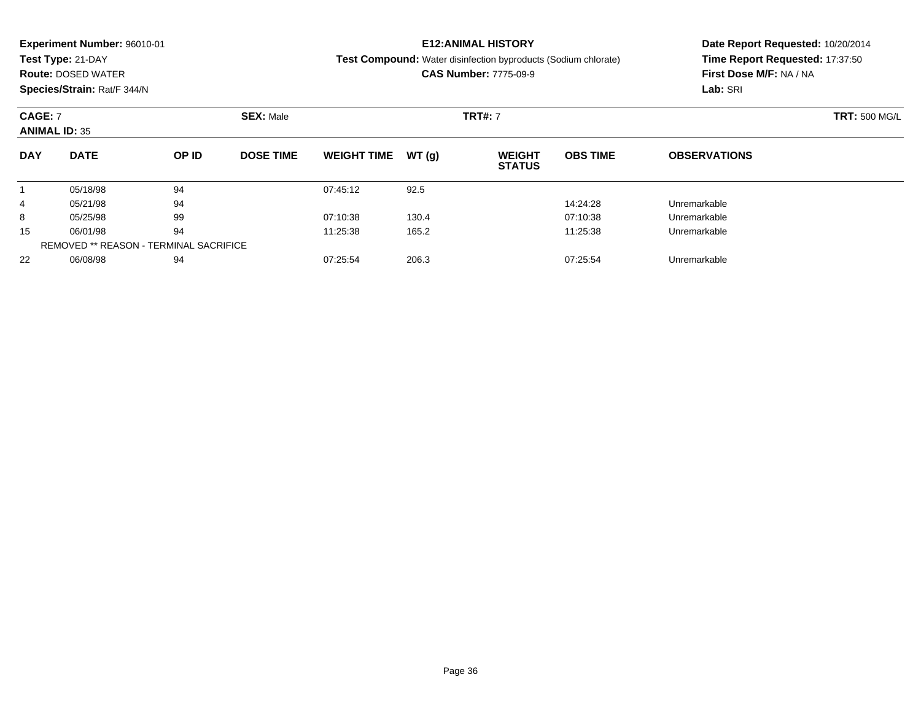|                | <b>Experiment Number: 96010-01</b>     |       |                  |                    |       | <b>E12:ANIMAL HISTORY</b>                                             |                 | Date Report Requested: 10/20/2014<br>Time Report Requested: 17:37:50 |  |  |
|----------------|----------------------------------------|-------|------------------|--------------------|-------|-----------------------------------------------------------------------|-----------------|----------------------------------------------------------------------|--|--|
|                | Test Type: 21-DAY                      |       |                  |                    |       | <b>Test Compound:</b> Water disinfection byproducts (Sodium chlorate) |                 |                                                                      |  |  |
|                | <b>Route: DOSED WATER</b>              |       |                  |                    |       | <b>CAS Number: 7775-09-9</b>                                          |                 | First Dose M/F: NA / NA                                              |  |  |
|                | Species/Strain: Rat/F 344/N            |       |                  |                    |       |                                                                       |                 | Lab: SRI                                                             |  |  |
| <b>CAGE: 7</b> | <b>ANIMAL ID: 35</b>                   |       | <b>SEX: Male</b> |                    |       | <b>TRT#: 7</b>                                                        |                 | <b>TRT: 500 MG/L</b>                                                 |  |  |
| <b>DAY</b>     | <b>DATE</b>                            | OP ID | <b>DOSE TIME</b> | <b>WEIGHT TIME</b> | WT(q) | <b>WEIGHT</b><br><b>STATUS</b>                                        | <b>OBS TIME</b> | <b>OBSERVATIONS</b>                                                  |  |  |
|                |                                        |       |                  |                    |       |                                                                       |                 |                                                                      |  |  |
|                | 05/18/98                               | 94    |                  | 07:45:12           | 92.5  |                                                                       |                 |                                                                      |  |  |
| 4              | 05/21/98                               | 94    |                  |                    |       |                                                                       | 14:24:28        | Unremarkable                                                         |  |  |
| 8              | 05/25/98                               | 99    |                  | 07:10:38           | 130.4 |                                                                       | 07:10:38        | Unremarkable                                                         |  |  |
| 15             | 06/01/98                               | 94    |                  | 11:25:38           | 165.2 |                                                                       | 11:25:38        | Unremarkable                                                         |  |  |
|                | REMOVED ** REASON - TERMINAL SACRIFICE |       |                  |                    |       |                                                                       |                 |                                                                      |  |  |

06/08/98 <sup>94</sup> 07:25:54 206.3 07:25:54 Unremarkable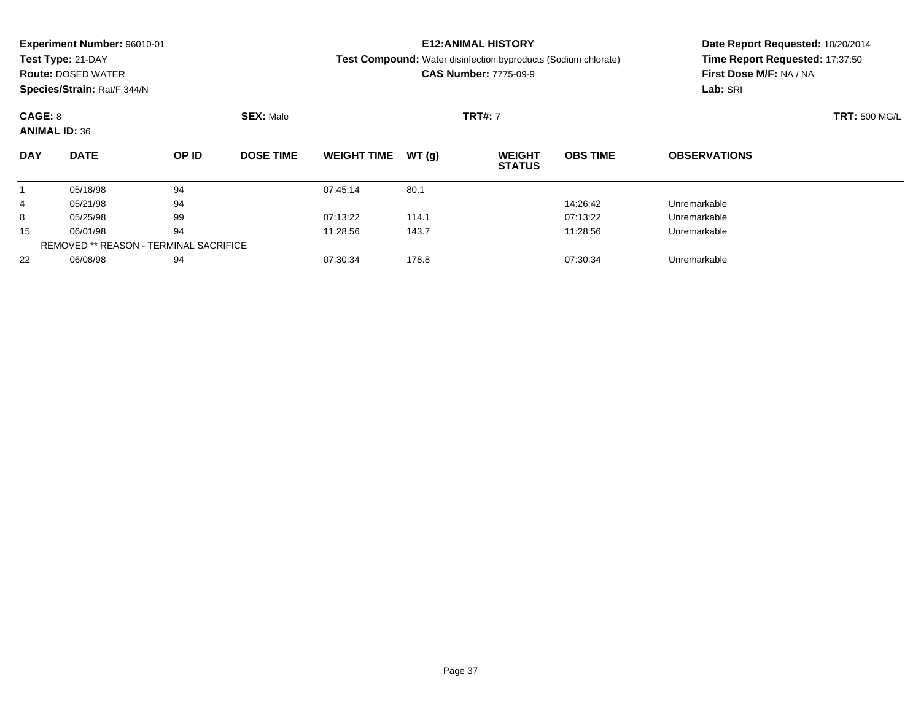|            | <b>Experiment Number: 96010-01</b> |       |                  |                    |       | <b>E12:ANIMAL HISTORY</b>                                             |                 | Date Report Requested: 10/20/2014 |  |  |
|------------|------------------------------------|-------|------------------|--------------------|-------|-----------------------------------------------------------------------|-----------------|-----------------------------------|--|--|
|            | Test Type: 21-DAY                  |       |                  |                    |       | <b>Test Compound:</b> Water disinfection byproducts (Sodium chlorate) |                 | Time Report Requested: 17:37:50   |  |  |
|            | <b>Route: DOSED WATER</b>          |       |                  |                    |       | <b>CAS Number: 7775-09-9</b>                                          |                 | First Dose M/F: NA / NA           |  |  |
|            | Species/Strain: Rat/F 344/N        |       |                  |                    |       |                                                                       |                 | Lab: SRI                          |  |  |
| CAGE: 8    |                                    |       | <b>SEX: Male</b> |                    |       | <b>TRT#: 7</b>                                                        |                 | <b>TRT: 500 MG/L</b>              |  |  |
|            | <b>ANIMAL ID: 36</b>               |       |                  |                    |       |                                                                       |                 |                                   |  |  |
| <b>DAY</b> | <b>DATE</b>                        | OP ID | <b>DOSE TIME</b> | <b>WEIGHT TIME</b> | WT(q) | <b>WEIGHT</b><br><b>STATUS</b>                                        | <b>OBS TIME</b> | <b>OBSERVATIONS</b>               |  |  |
|            | 05/18/98                           | 94    |                  | 07:45:14           | 80.1  |                                                                       |                 |                                   |  |  |
| 4          | 05/21/98                           | 94    |                  |                    |       |                                                                       | 14:26:42        | Unremarkable                      |  |  |
| 8          | 05/25/98                           | 99    |                  | 07:13:22           | 114.1 |                                                                       | 07:13:22        | Unremarkable                      |  |  |
| 15         | 06/01/98                           | 94    |                  | 11:28:56           | 143.7 |                                                                       | 11:28:56        | Unremarkable                      |  |  |
|            |                                    |       |                  |                    |       |                                                                       |                 |                                   |  |  |

06/08/98 <sup>94</sup> 07:30:34 178.8 07:30:34 Unremarkable

REMOVED \*\* REASON - TERMINAL SACRIFICE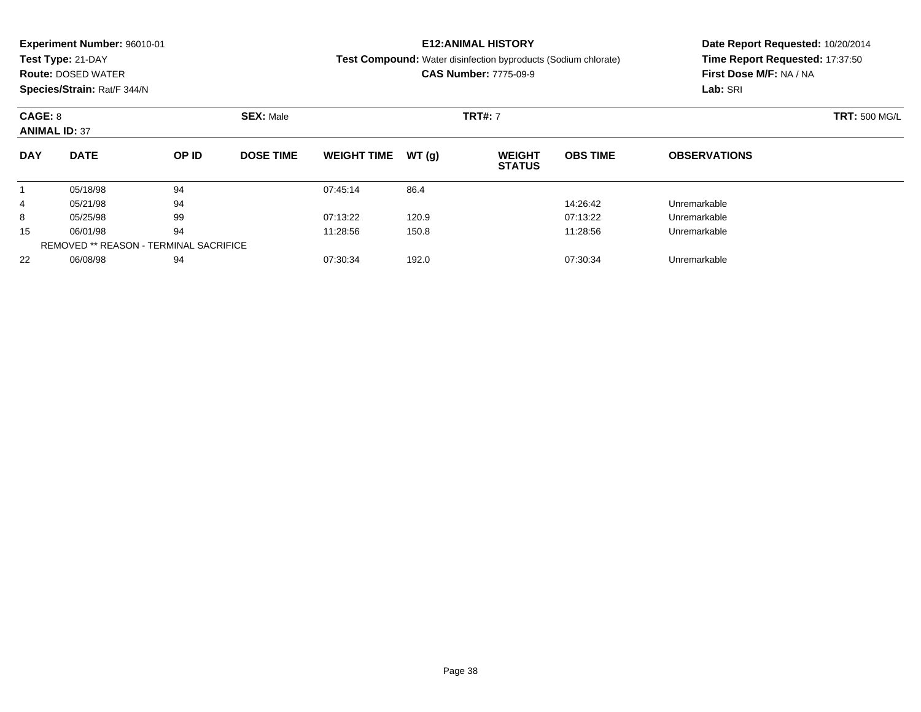|            | <b>Experiment Number: 96010-01</b> |       |                  |                    |       | <b>E12:ANIMAL HISTORY</b>                                             |                 | Date Report Requested: 10/20/2014 |  |  |
|------------|------------------------------------|-------|------------------|--------------------|-------|-----------------------------------------------------------------------|-----------------|-----------------------------------|--|--|
|            | Test Type: 21-DAY                  |       |                  |                    |       | <b>Test Compound:</b> Water disinfection byproducts (Sodium chlorate) |                 | Time Report Requested: 17:37:50   |  |  |
|            | <b>Route: DOSED WATER</b>          |       |                  |                    |       | <b>CAS Number: 7775-09-9</b>                                          |                 | First Dose M/F: NA / NA           |  |  |
|            | Species/Strain: Rat/F 344/N        |       |                  |                    |       |                                                                       |                 | Lab: SRI                          |  |  |
| CAGE: 8    |                                    |       | <b>SEX: Male</b> |                    |       | <b>TRT#: 7</b>                                                        |                 | <b>TRT: 500 MG/L</b>              |  |  |
|            | <b>ANIMAL ID: 37</b>               |       |                  |                    |       |                                                                       |                 |                                   |  |  |
| <b>DAY</b> | <b>DATE</b>                        | OP ID | <b>DOSE TIME</b> | <b>WEIGHT TIME</b> | WT(q) | <b>WEIGHT</b><br><b>STATUS</b>                                        | <b>OBS TIME</b> | <b>OBSERVATIONS</b>               |  |  |
|            | 05/18/98                           | 94    |                  | 07:45:14           | 86.4  |                                                                       |                 |                                   |  |  |
| 4          | 05/21/98                           | 94    |                  |                    |       |                                                                       | 14:26:42        | Unremarkable                      |  |  |
| 8          | 05/25/98                           | 99    |                  | 07:13:22           | 120.9 |                                                                       | 07:13:22        | Unremarkable                      |  |  |
| 15         | 06/01/98                           | 94    |                  | 11:28:56           | 150.8 |                                                                       | 11:28:56        | Unremarkable                      |  |  |
|            |                                    |       |                  |                    |       |                                                                       |                 |                                   |  |  |

06/08/98 <sup>94</sup> 07:30:34 192.0 07:30:34 Unremarkable

REMOVED \*\* REASON - TERMINAL SACRIFICE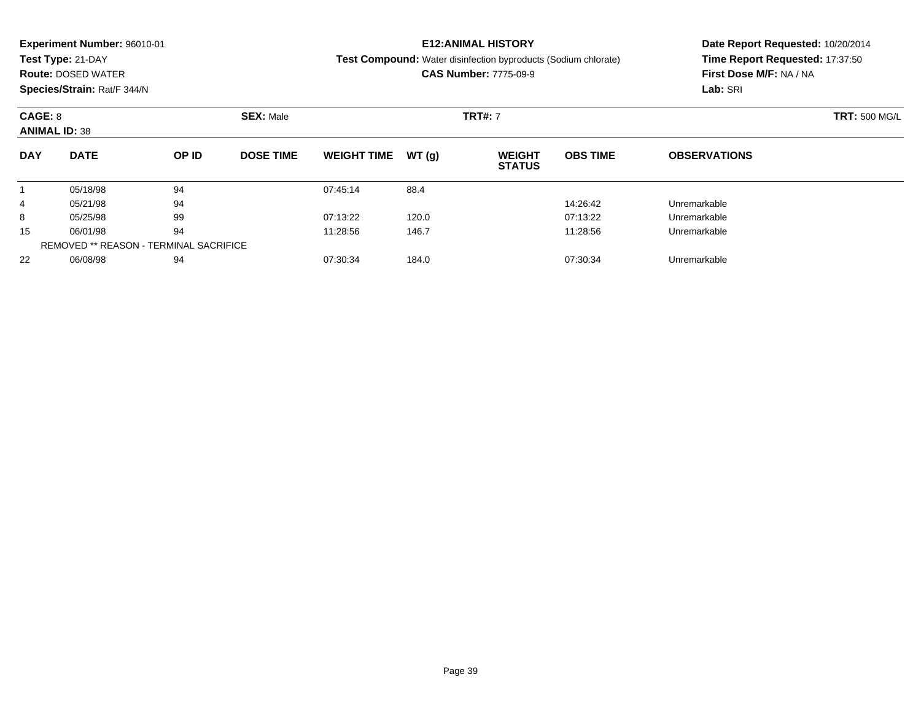|            | <b>Experiment Number: 96010-01</b><br>Test Type: 21-DAY<br><b>Route: DOSED WATER</b><br>Species/Strain: Rat/F 344/N |       |                  |                    |       | <b>E12:ANIMAL HISTORY</b><br><b>Test Compound:</b> Water disinfection byproducts (Sodium chlorate)<br><b>CAS Number: 7775-09-9</b> |                 | Date Report Requested: 10/20/2014<br>Time Report Requested: 17:37:50<br>First Dose M/F: NA / NA<br>Lab: SRI |
|------------|---------------------------------------------------------------------------------------------------------------------|-------|------------------|--------------------|-------|------------------------------------------------------------------------------------------------------------------------------------|-----------------|-------------------------------------------------------------------------------------------------------------|
| CAGE: 8    | <b>ANIMAL ID: 38</b>                                                                                                |       | <b>SEX: Male</b> |                    |       | <b>TRT#: 7</b>                                                                                                                     |                 | <b>TRT: 500 MG/L</b>                                                                                        |
| <b>DAY</b> | <b>DATE</b>                                                                                                         | OP ID | <b>DOSE TIME</b> | <b>WEIGHT TIME</b> | WT(g) | <b>WEIGHT</b><br><b>STATUS</b>                                                                                                     | <b>OBS TIME</b> | <b>OBSERVATIONS</b>                                                                                         |
|            | 05/18/98                                                                                                            | 94    |                  | 07:45:14           | 88.4  |                                                                                                                                    |                 |                                                                                                             |
| 4          | 05/21/98                                                                                                            | 94    |                  |                    |       |                                                                                                                                    | 14:26:42        | Unremarkable                                                                                                |
| 8          | 05/25/98                                                                                                            | 99    |                  | 07:13:22           | 120.0 |                                                                                                                                    | 07:13:22        | Unremarkable                                                                                                |
|            |                                                                                                                     |       |                  |                    |       |                                                                                                                                    |                 |                                                                                                             |

06/01/98 <sup>94</sup> 11:28:56 146.7 11:28:56 Unremarkable

06/08/98 <sup>94</sup> 07:30:34 184.0 07:30:34 Unremarkable

15

22

REMOVED \*\* REASON - TERMINAL SACRIFICE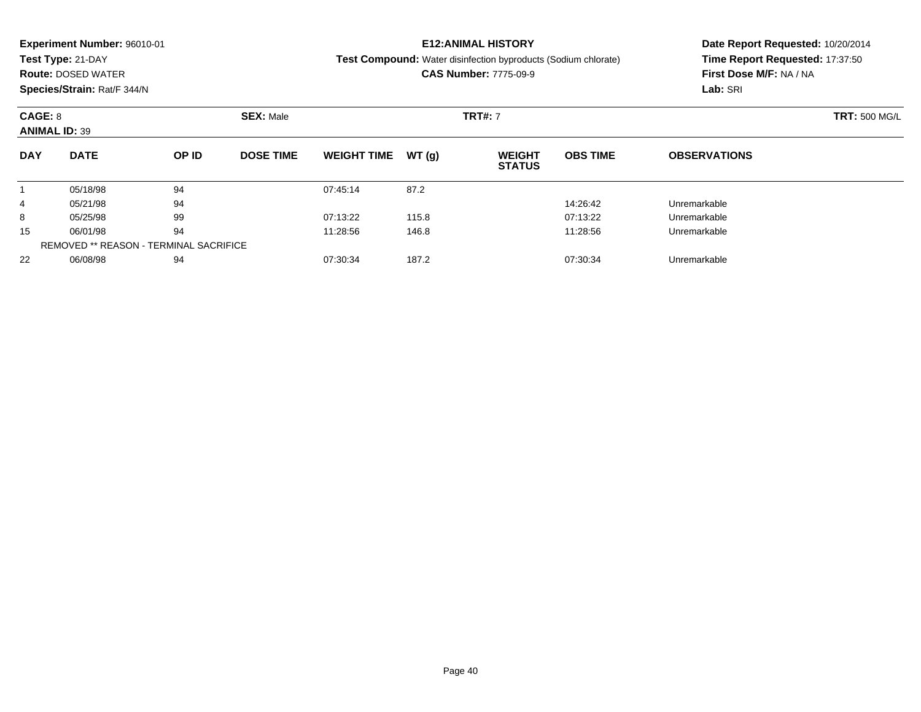|            | <b>Experiment Number: 96010-01</b> |                                                |                  |                    |       | <b>E12:ANIMAL HISTORY</b>                                             |                 | Date Report Requested: 10/20/2014 |  |  |
|------------|------------------------------------|------------------------------------------------|------------------|--------------------|-------|-----------------------------------------------------------------------|-----------------|-----------------------------------|--|--|
|            | Test Type: 21-DAY                  |                                                |                  |                    |       | <b>Test Compound:</b> Water disinfection byproducts (Sodium chlorate) |                 | Time Report Requested: 17:37:50   |  |  |
|            | <b>Route: DOSED WATER</b>          |                                                |                  |                    |       | <b>CAS Number: 7775-09-9</b>                                          |                 | First Dose M/F: NA / NA           |  |  |
|            | Species/Strain: Rat/F 344/N        | Lab: SRI<br><b>SEX: Male</b><br><b>TRT#: 7</b> |                  |                    |       |                                                                       |                 |                                   |  |  |
| CAGE: 8    |                                    |                                                |                  |                    |       |                                                                       |                 | <b>TRT: 500 MG/L</b>              |  |  |
|            | <b>ANIMAL ID: 39</b>               |                                                |                  |                    |       |                                                                       |                 |                                   |  |  |
| <b>DAY</b> | <b>DATE</b>                        | OP ID                                          | <b>DOSE TIME</b> | <b>WEIGHT TIME</b> | WT(q) | <b>WEIGHT</b><br><b>STATUS</b>                                        | <b>OBS TIME</b> | <b>OBSERVATIONS</b>               |  |  |
|            | 05/18/98                           | 94                                             |                  | 07:45:14           | 87.2  |                                                                       |                 |                                   |  |  |
| 4          | 05/21/98                           | 94                                             |                  |                    |       |                                                                       | 14:26:42        | Unremarkable                      |  |  |
| 8          | 05/25/98                           | 99                                             |                  | 07:13:22           | 115.8 |                                                                       | 07:13:22        | Unremarkable                      |  |  |
| 15         | 06/01/98                           | 94                                             |                  | 11:28:56           | 146.8 |                                                                       | 11:28:56        | Unremarkable                      |  |  |

06/01/98 <sup>94</sup> 11:28:56 146.8 11:28:56 Unremarkable

06/08/98 <sup>94</sup> 07:30:34 187.2 07:30:34 Unremarkable

REMOVED \*\* REASON - TERMINAL SACRIFICE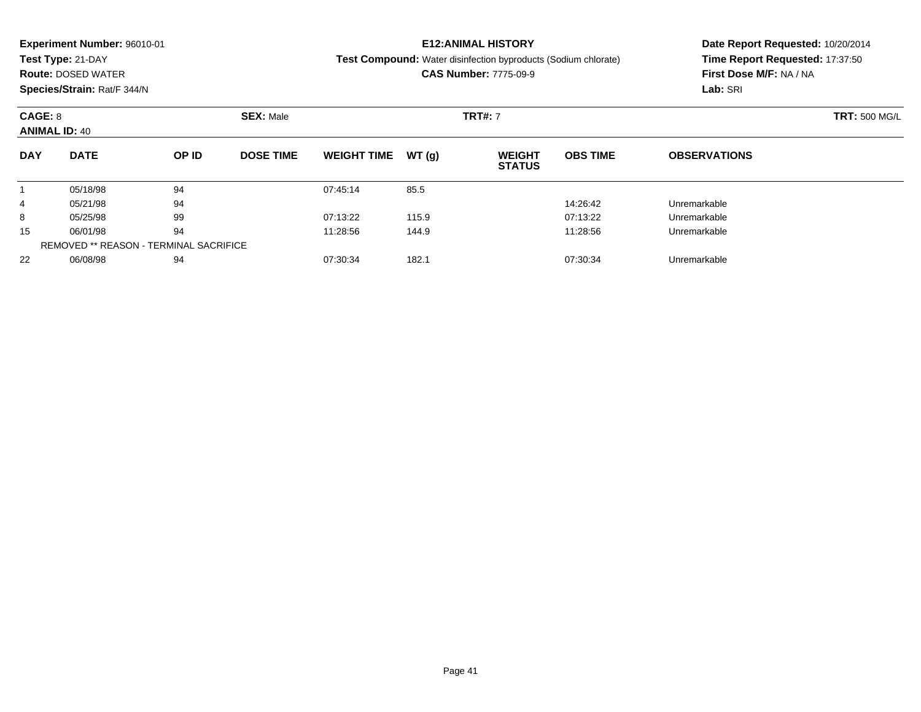|            | <b>Experiment Number: 96010-01</b> |       |                  |                    |       | <b>E12:ANIMAL HISTORY</b>                                             |                 | Date Report Requested: 10/20/2014 |
|------------|------------------------------------|-------|------------------|--------------------|-------|-----------------------------------------------------------------------|-----------------|-----------------------------------|
|            | Test Type: 21-DAY                  |       |                  |                    |       | <b>Test Compound:</b> Water disinfection byproducts (Sodium chlorate) |                 | Time Report Requested: 17:37:50   |
|            | <b>Route: DOSED WATER</b>          |       |                  |                    |       | <b>CAS Number: 7775-09-9</b>                                          |                 | First Dose M/F: NA / NA           |
|            | Species/Strain: Rat/F 344/N        |       |                  |                    |       |                                                                       |                 | Lab: SRI                          |
| CAGE: 8    |                                    |       | <b>SEX: Male</b> |                    |       | <b>TRT#: 7</b>                                                        |                 | <b>TRT: 500 MG/L</b>              |
|            | <b>ANIMAL ID: 40</b>               |       |                  |                    |       |                                                                       |                 |                                   |
| <b>DAY</b> | <b>DATE</b>                        | OP ID | <b>DOSE TIME</b> | <b>WEIGHT TIME</b> | WT(q) | <b>WEIGHT</b><br><b>STATUS</b>                                        | <b>OBS TIME</b> | <b>OBSERVATIONS</b>               |
|            | 05/18/98                           | 94    |                  | 07:45:14           | 85.5  |                                                                       |                 |                                   |
| 4          | 05/21/98                           | 94    |                  |                    |       |                                                                       | 14:26:42        | Unremarkable                      |
| 8          | 05/25/98                           | 99    |                  | 07:13:22           | 115.9 |                                                                       | 07:13:22        | Unremarkable                      |
| 15         | 06/01/98                           | 94    |                  | 11:28:56           | 144.9 |                                                                       | 11:28:56        | Unremarkable                      |
|            |                                    |       |                  |                    |       |                                                                       |                 |                                   |

06/08/98 <sup>94</sup> 07:30:34 182.1 07:30:34 Unremarkable

REMOVED \*\* REASON - TERMINAL SACRIFICE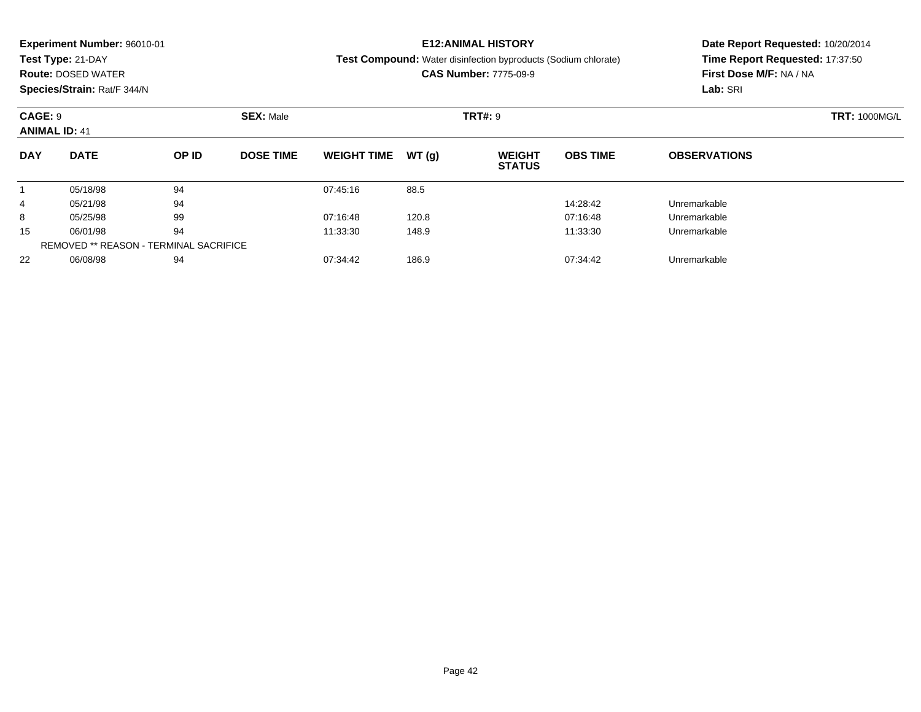|                      | <b>Experiment Number: 96010-01</b> |       |                  |                    |       | <b>E12:ANIMAL HISTORY</b>                                             |                 | Date Report Requested: 10/20/2014 |  |  |
|----------------------|------------------------------------|-------|------------------|--------------------|-------|-----------------------------------------------------------------------|-----------------|-----------------------------------|--|--|
|                      | Test Type: 21-DAY                  |       |                  |                    |       | <b>Test Compound:</b> Water disinfection byproducts (Sodium chlorate) |                 | Time Report Requested: 17:37:50   |  |  |
|                      | <b>Route: DOSED WATER</b>          |       |                  |                    |       | <b>CAS Number: 7775-09-9</b>                                          |                 | First Dose M/F: NA / NA           |  |  |
|                      | Species/Strain: Rat/F 344/N        |       |                  |                    |       |                                                                       |                 | Lab: SRI                          |  |  |
| CAGE: 9              |                                    |       | <b>SEX: Male</b> |                    |       | <b>TRT#: 9</b>                                                        |                 | <b>TRT: 1000MG/L</b>              |  |  |
| <b>ANIMAL ID: 41</b> |                                    |       |                  |                    |       |                                                                       |                 |                                   |  |  |
| <b>DAY</b>           | <b>DATE</b>                        | OP ID | <b>DOSE TIME</b> | <b>WEIGHT TIME</b> | WT(q) | <b>WEIGHT</b><br><b>STATUS</b>                                        | <b>OBS TIME</b> | <b>OBSERVATIONS</b>               |  |  |
|                      | 05/18/98                           | 94    |                  | 07:45:16           | 88.5  |                                                                       |                 |                                   |  |  |
| 4                    | 05/21/98                           | 94    |                  |                    |       |                                                                       | 14:28:42        | Unremarkable                      |  |  |
| 8                    | 05/25/98                           | 99    |                  | 07:16:48           | 120.8 |                                                                       | 07:16:48        | Unremarkable                      |  |  |
| 15                   | 06/01/98                           | 94    |                  | 11:33:30           | 148.9 |                                                                       | 11:33:30        | Unremarkable                      |  |  |

06/08/98 <sup>94</sup> 07:34:42 186.9 07:34:42 Unremarkable

REMOVED \*\* REASON - TERMINAL SACRIFICE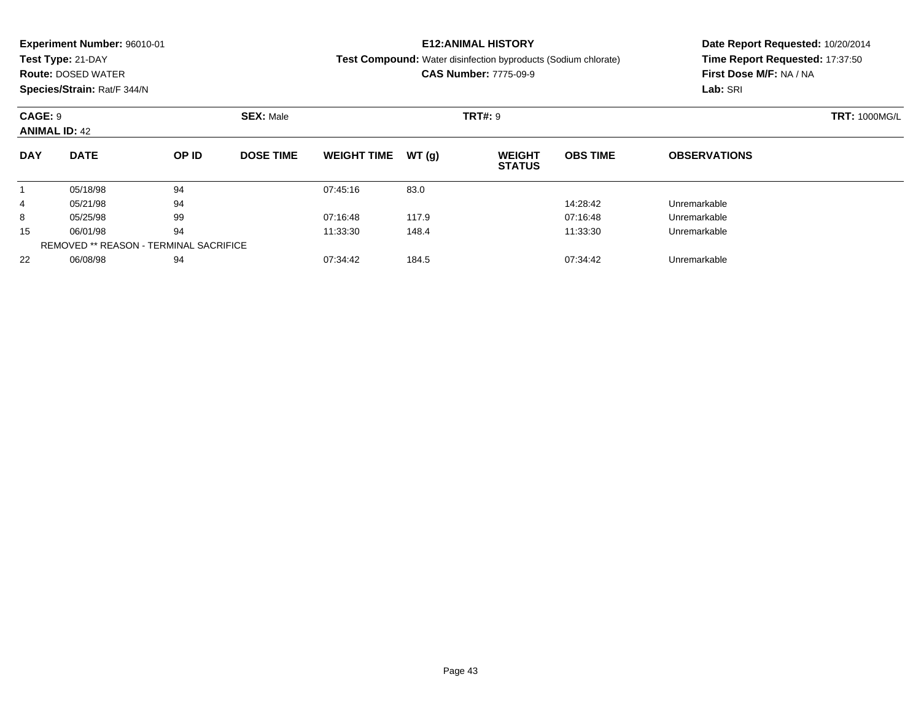|                      | <b>Experiment Number: 96010-01</b> |       |                  |                    |       | <b>E12:ANIMAL HISTORY</b>                                             |                 | Date Report Requested: 10/20/2014 |  |  |
|----------------------|------------------------------------|-------|------------------|--------------------|-------|-----------------------------------------------------------------------|-----------------|-----------------------------------|--|--|
|                      | Test Type: 21-DAY                  |       |                  |                    |       | <b>Test Compound:</b> Water disinfection byproducts (Sodium chlorate) |                 | Time Report Requested: 17:37:50   |  |  |
|                      | <b>Route: DOSED WATER</b>          |       |                  |                    |       | <b>CAS Number: 7775-09-9</b>                                          |                 | First Dose M/F: NA / NA           |  |  |
|                      | Species/Strain: Rat/F 344/N        |       |                  |                    |       |                                                                       |                 | Lab: SRI                          |  |  |
| CAGE: 9              |                                    |       | <b>SEX: Male</b> |                    |       | <b>TRT#: 9</b>                                                        |                 | <b>TRT: 1000MG/L</b>              |  |  |
| <b>ANIMAL ID: 42</b> |                                    |       |                  |                    |       |                                                                       |                 |                                   |  |  |
| <b>DAY</b>           | <b>DATE</b>                        | OP ID | <b>DOSE TIME</b> | <b>WEIGHT TIME</b> | WT(q) | <b>WEIGHT</b><br><b>STATUS</b>                                        | <b>OBS TIME</b> | <b>OBSERVATIONS</b>               |  |  |
|                      | 05/18/98                           | 94    |                  | 07:45:16           | 83.0  |                                                                       |                 |                                   |  |  |
| 4                    | 05/21/98                           | 94    |                  |                    |       |                                                                       | 14:28:42        | Unremarkable                      |  |  |
| 8                    | 05/25/98                           | 99    |                  | 07:16:48           | 117.9 |                                                                       | 07:16:48        | Unremarkable                      |  |  |
| 15                   | 06/01/98                           | 94    |                  | 11:33:30           | 148.4 |                                                                       | 11:33:30        | Unremarkable                      |  |  |

06/08/98 <sup>94</sup> 07:34:42 184.5 07:34:42 Unremarkable

REMOVED \*\* REASON - TERMINAL SACRIFICE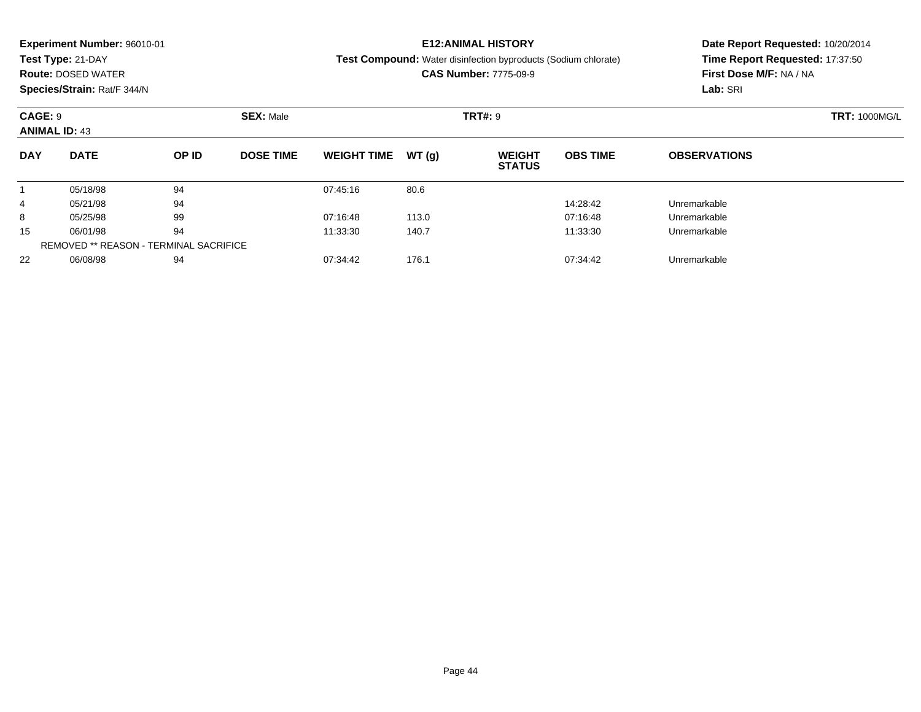|            | <b>Experiment Number: 96010-01</b> |       |                  |                    |       | <b>E12:ANIMAL HISTORY</b>                                             |                 | Date Report Requested: 10/20/2014 |  |  |
|------------|------------------------------------|-------|------------------|--------------------|-------|-----------------------------------------------------------------------|-----------------|-----------------------------------|--|--|
|            | Test Type: 21-DAY                  |       |                  |                    |       | <b>Test Compound:</b> Water disinfection byproducts (Sodium chlorate) |                 | Time Report Requested: 17:37:50   |  |  |
|            | <b>Route: DOSED WATER</b>          |       |                  |                    |       | <b>CAS Number: 7775-09-9</b>                                          |                 | First Dose M/F: NA / NA           |  |  |
|            | Species/Strain: Rat/F 344/N        |       |                  |                    |       |                                                                       |                 | Lab: SRI                          |  |  |
| CAGE: 9    |                                    |       | <b>SEX: Male</b> |                    |       | <b>TRT#: 9</b>                                                        |                 | <b>TRT: 1000MG/L</b>              |  |  |
|            | <b>ANIMAL ID: 43</b>               |       |                  |                    |       |                                                                       |                 |                                   |  |  |
| <b>DAY</b> | <b>DATE</b>                        | OP ID | <b>DOSE TIME</b> | <b>WEIGHT TIME</b> | WT(q) | <b>WEIGHT</b><br><b>STATUS</b>                                        | <b>OBS TIME</b> | <b>OBSERVATIONS</b>               |  |  |
|            | 05/18/98                           | 94    |                  | 07:45:16           | 80.6  |                                                                       |                 |                                   |  |  |
| 4          | 05/21/98                           | 94    |                  |                    |       |                                                                       | 14:28:42        | Unremarkable                      |  |  |
| 8          | 05/25/98                           | 99    |                  | 07:16:48           | 113.0 |                                                                       | 07:16:48        | Unremarkable                      |  |  |
| 15         | 06/01/98                           | 94    |                  | 11:33:30           | 140.7 |                                                                       | 11:33:30        | Unremarkable                      |  |  |
|            |                                    |       |                  |                    |       |                                                                       |                 |                                   |  |  |

06/08/98 <sup>94</sup> 07:34:42 176.1 07:34:42 Unremarkable

REMOVED \*\* REASON - TERMINAL SACRIFICE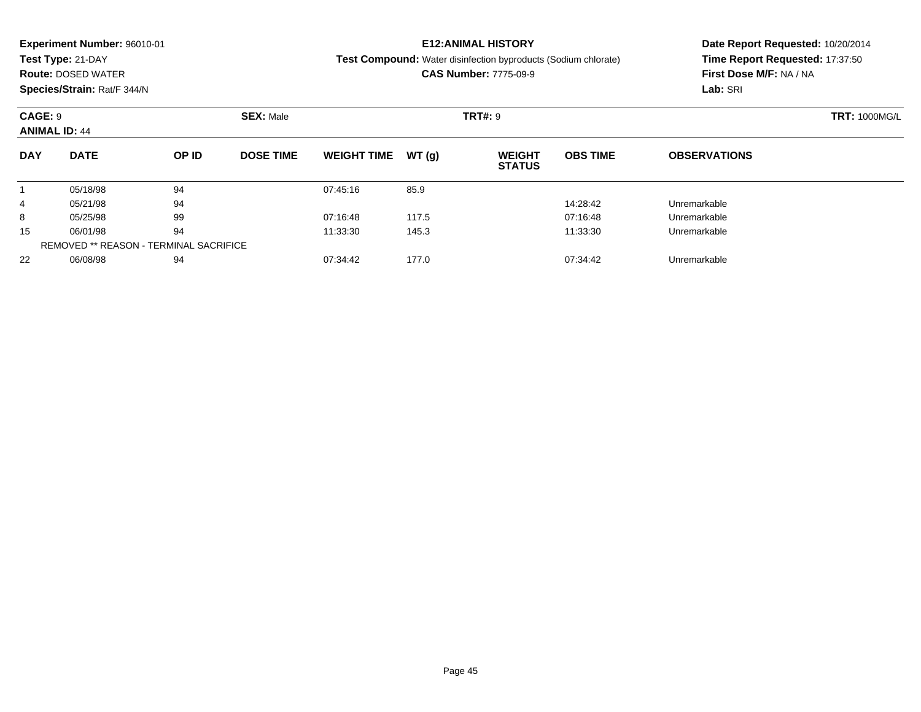|            | <b>Experiment Number: 96010-01</b> |       |                  |                    |       | <b>E12:ANIMAL HISTORY</b>                                             |                 | Date Report Requested: 10/20/2014 |  |  |
|------------|------------------------------------|-------|------------------|--------------------|-------|-----------------------------------------------------------------------|-----------------|-----------------------------------|--|--|
|            | Test Type: 21-DAY                  |       |                  |                    |       | <b>Test Compound:</b> Water disinfection byproducts (Sodium chlorate) |                 | Time Report Requested: 17:37:50   |  |  |
|            | <b>Route: DOSED WATER</b>          |       |                  |                    |       | <b>CAS Number: 7775-09-9</b>                                          |                 | First Dose M/F: NA / NA           |  |  |
|            | Species/Strain: Rat/F 344/N        |       |                  |                    |       |                                                                       |                 | Lab: SRI                          |  |  |
| CAGE: 9    |                                    |       | <b>SEX: Male</b> |                    |       | <b>TRT#: 9</b>                                                        |                 | <b>TRT: 1000MG/L</b>              |  |  |
|            | <b>ANIMAL ID: 44</b>               |       |                  |                    |       |                                                                       |                 |                                   |  |  |
| <b>DAY</b> | <b>DATE</b>                        | OP ID | <b>DOSE TIME</b> | <b>WEIGHT TIME</b> | WT(q) | <b>WEIGHT</b><br><b>STATUS</b>                                        | <b>OBS TIME</b> | <b>OBSERVATIONS</b>               |  |  |
|            | 05/18/98                           | 94    |                  | 07:45:16           | 85.9  |                                                                       |                 |                                   |  |  |
| 4          | 05/21/98                           | 94    |                  |                    |       |                                                                       | 14:28:42        | Unremarkable                      |  |  |
| 8          | 05/25/98                           | 99    |                  | 07:16:48           | 117.5 |                                                                       | 07:16:48        | Unremarkable                      |  |  |
| 15         | 06/01/98                           | 94    |                  | 11:33:30           | 145.3 |                                                                       | 11:33:30        | Unremarkable                      |  |  |
|            |                                    |       |                  |                    |       |                                                                       |                 |                                   |  |  |

06/08/98 <sup>94</sup> 07:34:42 177.0 07:34:42 Unremarkable

REMOVED \*\* REASON - TERMINAL SACRIFICE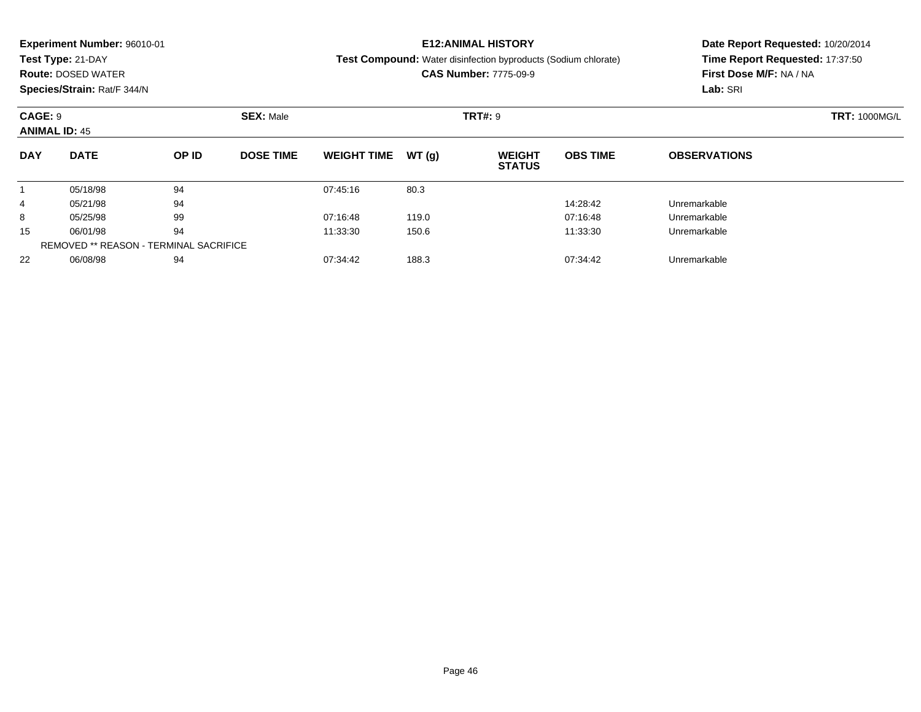| Time Report Requested: 17:37:50<br>Test Type: 21-DAY<br><b>Test Compound:</b> Water disinfection byproducts (Sodium chlorate)<br><b>CAS Number: 7775-09-9</b><br>First Dose M/F: NA / NA<br><b>Route: DOSED WATER</b><br>Species/Strain: Rat/F 344/N<br>Lab: SRI<br><b>SEX: Male</b><br><b>TRT#: 9</b><br>CAGE: 9<br><b>ANIMAL ID: 45</b><br><b>DATE</b><br><b>DAY</b><br>OP ID<br><b>DOSE TIME</b><br>WT(q)<br><b>WEIGHT</b><br><b>OBS TIME</b><br><b>WEIGHT TIME</b><br><b>OBSERVATIONS</b><br><b>STATUS</b><br>94<br>80.3<br>05/18/98<br>07:45:16<br>94<br>Unremarkable<br>05/21/98<br>14:28:42<br>4<br>99<br>8<br>07:16:48<br>119.0<br>05/25/98<br>07:16:48<br>Unremarkable<br>94<br>06/01/98<br>150.6<br>15<br>11:33:30<br>11:33:30<br>Unremarkable | <b>Experiment Number: 96010-01</b> |  |  | <b>E12:ANIMAL HISTORY</b> | Date Report Requested: 10/20/2014 |  |  |
|----------------------------------------------------------------------------------------------------------------------------------------------------------------------------------------------------------------------------------------------------------------------------------------------------------------------------------------------------------------------------------------------------------------------------------------------------------------------------------------------------------------------------------------------------------------------------------------------------------------------------------------------------------------------------------------------------------------------------------------------------------|------------------------------------|--|--|---------------------------|-----------------------------------|--|--|
|                                                                                                                                                                                                                                                                                                                                                                                                                                                                                                                                                                                                                                                                                                                                                          |                                    |  |  |                           |                                   |  |  |
|                                                                                                                                                                                                                                                                                                                                                                                                                                                                                                                                                                                                                                                                                                                                                          |                                    |  |  |                           |                                   |  |  |
|                                                                                                                                                                                                                                                                                                                                                                                                                                                                                                                                                                                                                                                                                                                                                          |                                    |  |  |                           |                                   |  |  |
|                                                                                                                                                                                                                                                                                                                                                                                                                                                                                                                                                                                                                                                                                                                                                          |                                    |  |  |                           | <b>TRT: 1000MG/L</b>              |  |  |
|                                                                                                                                                                                                                                                                                                                                                                                                                                                                                                                                                                                                                                                                                                                                                          |                                    |  |  |                           |                                   |  |  |
|                                                                                                                                                                                                                                                                                                                                                                                                                                                                                                                                                                                                                                                                                                                                                          |                                    |  |  |                           |                                   |  |  |
|                                                                                                                                                                                                                                                                                                                                                                                                                                                                                                                                                                                                                                                                                                                                                          |                                    |  |  |                           |                                   |  |  |
|                                                                                                                                                                                                                                                                                                                                                                                                                                                                                                                                                                                                                                                                                                                                                          |                                    |  |  |                           |                                   |  |  |
|                                                                                                                                                                                                                                                                                                                                                                                                                                                                                                                                                                                                                                                                                                                                                          |                                    |  |  |                           |                                   |  |  |
|                                                                                                                                                                                                                                                                                                                                                                                                                                                                                                                                                                                                                                                                                                                                                          |                                    |  |  |                           |                                   |  |  |

06/08/98 <sup>94</sup> 07:34:42 188.3 07:34:42 Unremarkable

REMOVED \*\* REASON - TERMINAL SACRIFICE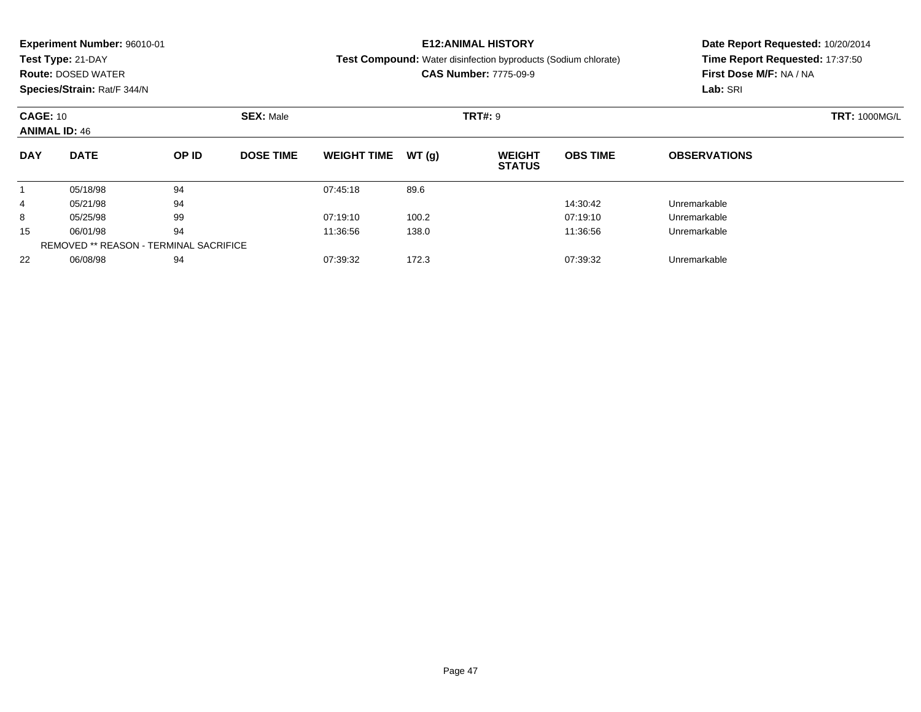|                 | <b>Experiment Number: 96010-01</b> |       |                  |                    |       | <b>E12:ANIMAL HISTORY</b>                                             |                 | Date Report Requested: 10/20/2014 |  |  |
|-----------------|------------------------------------|-------|------------------|--------------------|-------|-----------------------------------------------------------------------|-----------------|-----------------------------------|--|--|
|                 | Test Type: 21-DAY                  |       |                  |                    |       | <b>Test Compound:</b> Water disinfection byproducts (Sodium chlorate) |                 | Time Report Requested: 17:37:50   |  |  |
|                 | <b>Route: DOSED WATER</b>          |       |                  |                    |       | <b>CAS Number: 7775-09-9</b>                                          |                 | First Dose M/F: NA / NA           |  |  |
|                 | Species/Strain: Rat/F 344/N        |       |                  |                    |       |                                                                       |                 | Lab: SRI                          |  |  |
| <b>CAGE: 10</b> |                                    |       | <b>SEX: Male</b> |                    |       | <b>TRT#: 9</b>                                                        |                 | <b>TRT: 1000MG/L</b>              |  |  |
|                 | <b>ANIMAL ID: 46</b>               |       |                  |                    |       |                                                                       |                 |                                   |  |  |
| <b>DAY</b>      | <b>DATE</b>                        | OP ID | <b>DOSE TIME</b> | <b>WEIGHT TIME</b> | WT(q) | <b>WEIGHT</b><br><b>STATUS</b>                                        | <b>OBS TIME</b> | <b>OBSERVATIONS</b>               |  |  |
|                 | 05/18/98                           | 94    |                  | 07:45:18           | 89.6  |                                                                       |                 |                                   |  |  |
| 4               | 05/21/98                           | 94    |                  |                    |       |                                                                       | 14:30:42        | Unremarkable                      |  |  |
| 8               | 05/25/98                           | 99    |                  | 07:19:10           | 100.2 |                                                                       | 07:19:10        | Unremarkable                      |  |  |
|                 |                                    |       |                  |                    |       |                                                                       |                 |                                   |  |  |

06/01/98 <sup>94</sup> 11:36:56 138.0 11:36:56 Unremarkable

06/08/98 <sup>94</sup> 07:39:32 172.3 07:39:32 Unremarkable

15

22

REMOVED \*\* REASON - TERMINAL SACRIFICE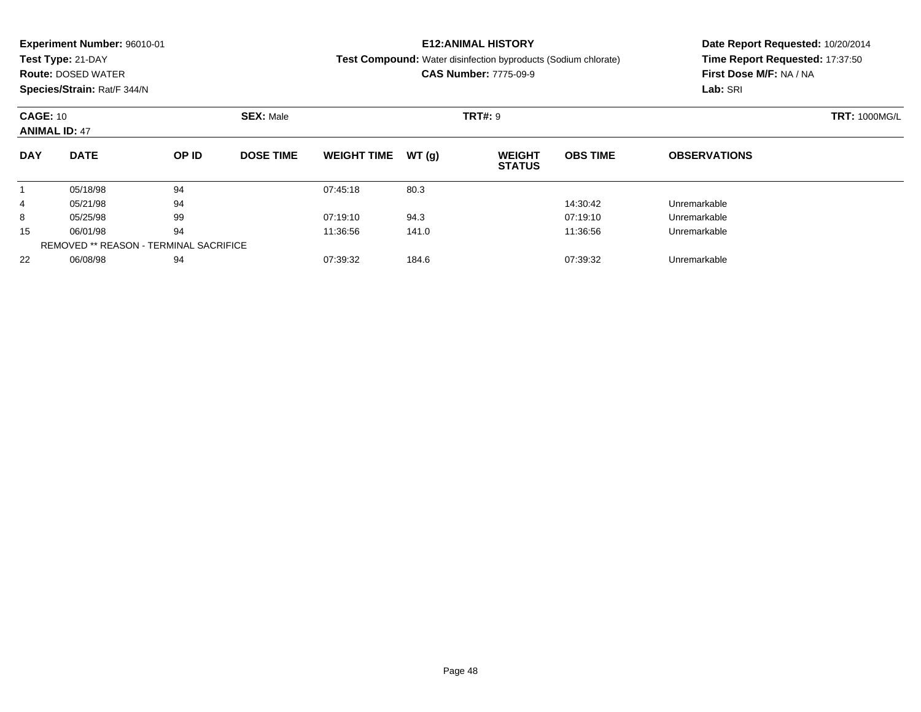| Time Report Requested: 17:37:50<br>Test Type: 21-DAY<br><b>Test Compound:</b> Water disinfection byproducts (Sodium chlorate)<br><b>CAS Number: 7775-09-9</b><br>First Dose M/F: NA / NA<br><b>Route: DOSED WATER</b><br>Species/Strain: Rat/F 344/N<br>Lab: SRI<br><b>SEX: Male</b><br><b>TRT#: 9</b><br><b>CAGE: 10</b><br><b>ANIMAL ID: 47</b><br><b>DATE</b><br><b>DAY</b><br>OP ID<br><b>DOSE TIME</b><br>WT(q)<br><b>OBS TIME</b><br><b>WEIGHT TIME</b><br><b>WEIGHT</b><br><b>OBSERVATIONS</b><br><b>STATUS</b><br>94<br>80.3<br>05/18/98<br>07:45:18<br>94<br>Unremarkable<br>05/21/98<br>14:30:42<br>4<br>99<br>94.3<br>8<br>07:19:10<br>07:19:10<br>05/25/98<br>Unremarkable<br>94<br>06/01/98<br>141.0<br>15<br>11:36:56<br>11:36:56<br>Unremarkable | <b>Experiment Number: 96010-01</b> |  |  | <b>E12:ANIMAL HISTORY</b> | Date Report Requested: 10/20/2014 |  |  |
|-----------------------------------------------------------------------------------------------------------------------------------------------------------------------------------------------------------------------------------------------------------------------------------------------------------------------------------------------------------------------------------------------------------------------------------------------------------------------------------------------------------------------------------------------------------------------------------------------------------------------------------------------------------------------------------------------------------------------------------------------------------------|------------------------------------|--|--|---------------------------|-----------------------------------|--|--|
|                                                                                                                                                                                                                                                                                                                                                                                                                                                                                                                                                                                                                                                                                                                                                                 |                                    |  |  |                           |                                   |  |  |
|                                                                                                                                                                                                                                                                                                                                                                                                                                                                                                                                                                                                                                                                                                                                                                 |                                    |  |  |                           |                                   |  |  |
|                                                                                                                                                                                                                                                                                                                                                                                                                                                                                                                                                                                                                                                                                                                                                                 |                                    |  |  |                           |                                   |  |  |
|                                                                                                                                                                                                                                                                                                                                                                                                                                                                                                                                                                                                                                                                                                                                                                 |                                    |  |  |                           | <b>TRT: 1000MG/L</b>              |  |  |
|                                                                                                                                                                                                                                                                                                                                                                                                                                                                                                                                                                                                                                                                                                                                                                 |                                    |  |  |                           |                                   |  |  |
|                                                                                                                                                                                                                                                                                                                                                                                                                                                                                                                                                                                                                                                                                                                                                                 |                                    |  |  |                           |                                   |  |  |
|                                                                                                                                                                                                                                                                                                                                                                                                                                                                                                                                                                                                                                                                                                                                                                 |                                    |  |  |                           |                                   |  |  |
|                                                                                                                                                                                                                                                                                                                                                                                                                                                                                                                                                                                                                                                                                                                                                                 |                                    |  |  |                           |                                   |  |  |
|                                                                                                                                                                                                                                                                                                                                                                                                                                                                                                                                                                                                                                                                                                                                                                 |                                    |  |  |                           |                                   |  |  |
|                                                                                                                                                                                                                                                                                                                                                                                                                                                                                                                                                                                                                                                                                                                                                                 |                                    |  |  |                           |                                   |  |  |

06/08/98 <sup>94</sup> 07:39:32 184.6 07:39:32 Unremarkable

REMOVED \*\* REASON - TERMINAL SACRIFICE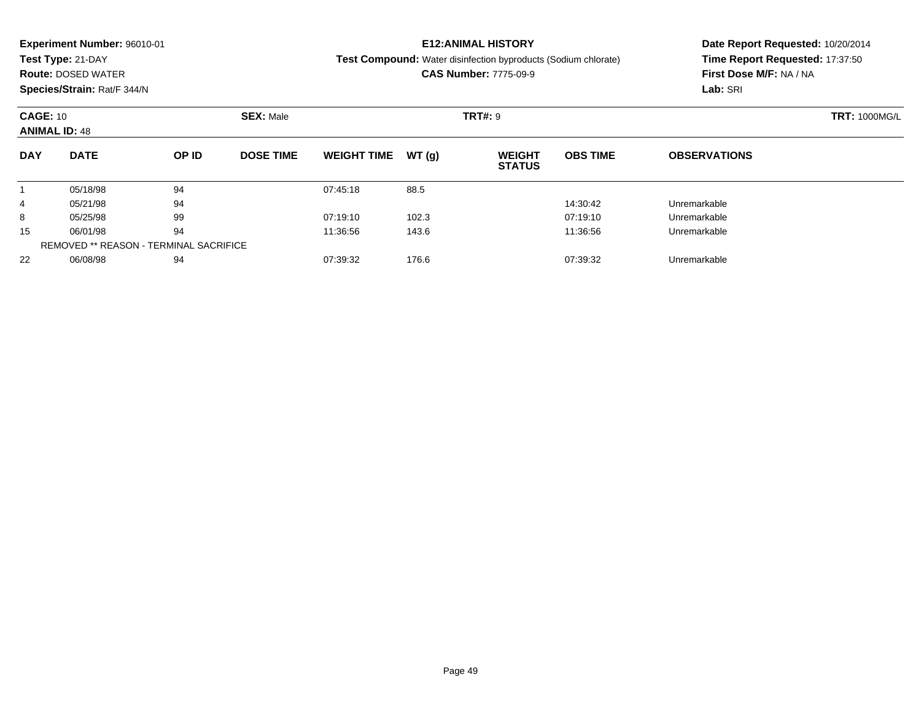|                                         | <b>Experiment Number: 96010-01</b><br>Test Type: 21-DAY<br><b>Route: DOSED WATER</b><br>Species/Strain: Rat/F 344/N |       |                  |                    |        | <b>E12:ANIMAL HISTORY</b><br><b>Test Compound:</b> Water disinfection byproducts (Sodium chlorate)<br><b>CAS Number: 7775-09-9</b> |                      | Date Report Requested: 10/20/2014<br>Time Report Requested: 17:37:50<br>First Dose M/F: NA / NA<br>Lab: SRI |  |
|-----------------------------------------|---------------------------------------------------------------------------------------------------------------------|-------|------------------|--------------------|--------|------------------------------------------------------------------------------------------------------------------------------------|----------------------|-------------------------------------------------------------------------------------------------------------|--|
| <b>CAGE: 10</b><br><b>ANIMAL ID: 48</b> |                                                                                                                     |       | <b>SEX: Male</b> |                    |        | <b>TRT#: 9</b>                                                                                                                     | <b>TRT: 1000MG/L</b> |                                                                                                             |  |
| <b>DAY</b>                              | <b>DATE</b>                                                                                                         | OP ID | <b>DOSE TIME</b> | <b>WEIGHT TIME</b> | WT (a) | <b>WEIGHT</b><br><b>STATUS</b>                                                                                                     | <b>OBS TIME</b>      | <b>OBSERVATIONS</b>                                                                                         |  |
|                                         | 05/18/98                                                                                                            | 94    |                  | 07:45:18           | 88.5   |                                                                                                                                    |                      |                                                                                                             |  |
| 4                                       | 05/21/98                                                                                                            | 94    |                  |                    |        |                                                                                                                                    | 14:30:42             | Unremarkable                                                                                                |  |
| 8                                       | 05/25/98<br>99                                                                                                      |       |                  | 07:19:10           | 102.3  |                                                                                                                                    | 07:19:10             | Unremarkable                                                                                                |  |
|                                         |                                                                                                                     |       |                  |                    |        |                                                                                                                                    |                      |                                                                                                             |  |

06/01/98 <sup>94</sup> 11:36:56 143.6 11:36:56 Unremarkable

06/08/98 <sup>94</sup> 07:39:32 176.6 07:39:32 Unremarkable

15

22

REMOVED \*\* REASON - TERMINAL SACRIFICE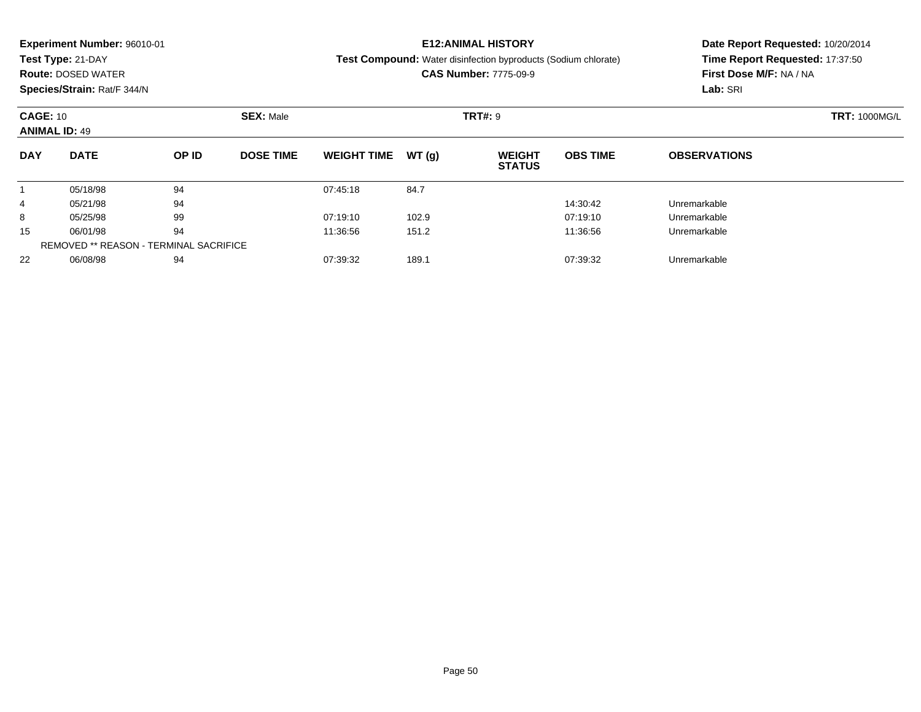|                                                                               | <b>Experiment Number: 96010-01</b><br>Test Type: 21-DAY<br><b>Route: DOSED WATER</b><br>Species/Strain: Rat/F 344/N |       |                  |                      |       | <b>E12:ANIMAL HISTORY</b><br><b>Test Compound:</b> Water disinfection byproducts (Sodium chlorate)<br><b>CAS Number: 7775-09-9</b> |                 | Date Report Requested: 10/20/2014<br>Time Report Requested: 17:37:50<br>First Dose M/F: NA / NA<br>Lab: SRI |
|-------------------------------------------------------------------------------|---------------------------------------------------------------------------------------------------------------------|-------|------------------|----------------------|-------|------------------------------------------------------------------------------------------------------------------------------------|-----------------|-------------------------------------------------------------------------------------------------------------|
| <b>CAGE: 10</b><br><b>SEX: Male</b><br><b>TRT#: 9</b><br><b>ANIMAL ID: 49</b> |                                                                                                                     |       |                  | <b>TRT: 1000MG/L</b> |       |                                                                                                                                    |                 |                                                                                                             |
| <b>DAY</b>                                                                    | <b>DATE</b>                                                                                                         | OP ID | <b>DOSE TIME</b> | <b>WEIGHT TIME</b>   | WT(g) | <b>WEIGHT</b><br><b>STATUS</b>                                                                                                     | <b>OBS TIME</b> | <b>OBSERVATIONS</b>                                                                                         |
|                                                                               | 05/18/98                                                                                                            | 94    |                  | 07:45:18             | 84.7  |                                                                                                                                    |                 |                                                                                                             |
| $\overline{4}$                                                                | 05/21/98                                                                                                            | 94    |                  |                      |       |                                                                                                                                    | 14:30:42        | Unremarkable                                                                                                |
| 8                                                                             | 05/25/98                                                                                                            | 99    |                  | 07:19:10             | 102.9 |                                                                                                                                    | 07:19:10        | Unremarkable                                                                                                |
|                                                                               |                                                                                                                     |       |                  |                      |       |                                                                                                                                    |                 |                                                                                                             |

06/01/98 <sup>94</sup> 11:36:56 151.2 11:36:56 Unremarkable

06/08/98 <sup>94</sup> 07:39:32 189.1 07:39:32 Unremarkable

15

22

REMOVED \*\* REASON - TERMINAL SACRIFICE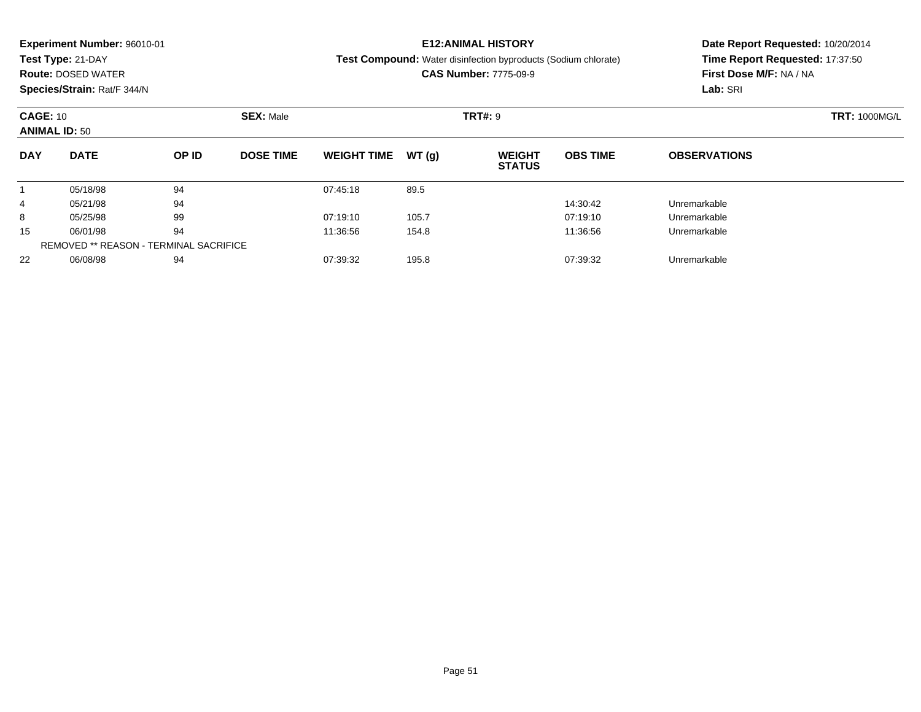| Time Report Requested: 17:37:50<br>Test Type: 21-DAY<br><b>Test Compound:</b> Water disinfection byproducts (Sodium chlorate)<br><b>CAS Number: 7775-09-9</b><br>First Dose M/F: NA / NA<br><b>Route: DOSED WATER</b><br>Species/Strain: Rat/F 344/N<br>Lab: SRI<br><b>SEX: Male</b><br><b>TRT#: 9</b><br><b>CAGE: 10</b><br><b>TRT: 1000MG/L</b><br><b>ANIMAL ID: 50</b><br><b>DATE</b><br><b>DAY</b><br>OP ID<br><b>DOSE TIME</b><br>WT(q)<br><b>OBS TIME</b><br><b>WEIGHT TIME</b><br><b>WEIGHT</b><br><b>OBSERVATIONS</b><br><b>STATUS</b><br>94<br>89.5<br>05/18/98<br>07:45:18<br>94<br>Unremarkable<br>05/21/98<br>14:30:42<br>4<br>99<br>105.7<br>8<br>07:19:10<br>07:19:10<br>05/25/98<br>Unremarkable<br>94<br>06/01/98<br>154.8<br>15<br>11:36:56<br>11:36:56<br>Unremarkable |  | <b>Experiment Number: 96010-01</b> |  |  |  | <b>E12:ANIMAL HISTORY</b> | Date Report Requested: 10/20/2014 |  |  |  |
|------------------------------------------------------------------------------------------------------------------------------------------------------------------------------------------------------------------------------------------------------------------------------------------------------------------------------------------------------------------------------------------------------------------------------------------------------------------------------------------------------------------------------------------------------------------------------------------------------------------------------------------------------------------------------------------------------------------------------------------------------------------------------------------|--|------------------------------------|--|--|--|---------------------------|-----------------------------------|--|--|--|
|                                                                                                                                                                                                                                                                                                                                                                                                                                                                                                                                                                                                                                                                                                                                                                                          |  |                                    |  |  |  |                           |                                   |  |  |  |
|                                                                                                                                                                                                                                                                                                                                                                                                                                                                                                                                                                                                                                                                                                                                                                                          |  |                                    |  |  |  |                           |                                   |  |  |  |
|                                                                                                                                                                                                                                                                                                                                                                                                                                                                                                                                                                                                                                                                                                                                                                                          |  |                                    |  |  |  |                           |                                   |  |  |  |
|                                                                                                                                                                                                                                                                                                                                                                                                                                                                                                                                                                                                                                                                                                                                                                                          |  |                                    |  |  |  |                           |                                   |  |  |  |
|                                                                                                                                                                                                                                                                                                                                                                                                                                                                                                                                                                                                                                                                                                                                                                                          |  |                                    |  |  |  |                           |                                   |  |  |  |
|                                                                                                                                                                                                                                                                                                                                                                                                                                                                                                                                                                                                                                                                                                                                                                                          |  |                                    |  |  |  |                           |                                   |  |  |  |
|                                                                                                                                                                                                                                                                                                                                                                                                                                                                                                                                                                                                                                                                                                                                                                                          |  |                                    |  |  |  |                           |                                   |  |  |  |
|                                                                                                                                                                                                                                                                                                                                                                                                                                                                                                                                                                                                                                                                                                                                                                                          |  |                                    |  |  |  |                           |                                   |  |  |  |
|                                                                                                                                                                                                                                                                                                                                                                                                                                                                                                                                                                                                                                                                                                                                                                                          |  |                                    |  |  |  |                           |                                   |  |  |  |
|                                                                                                                                                                                                                                                                                                                                                                                                                                                                                                                                                                                                                                                                                                                                                                                          |  |                                    |  |  |  |                           |                                   |  |  |  |

06/08/98 <sup>94</sup> 07:39:32 195.8 07:39:32 Unremarkable

REMOVED \*\* REASON - TERMINAL SACRIFICE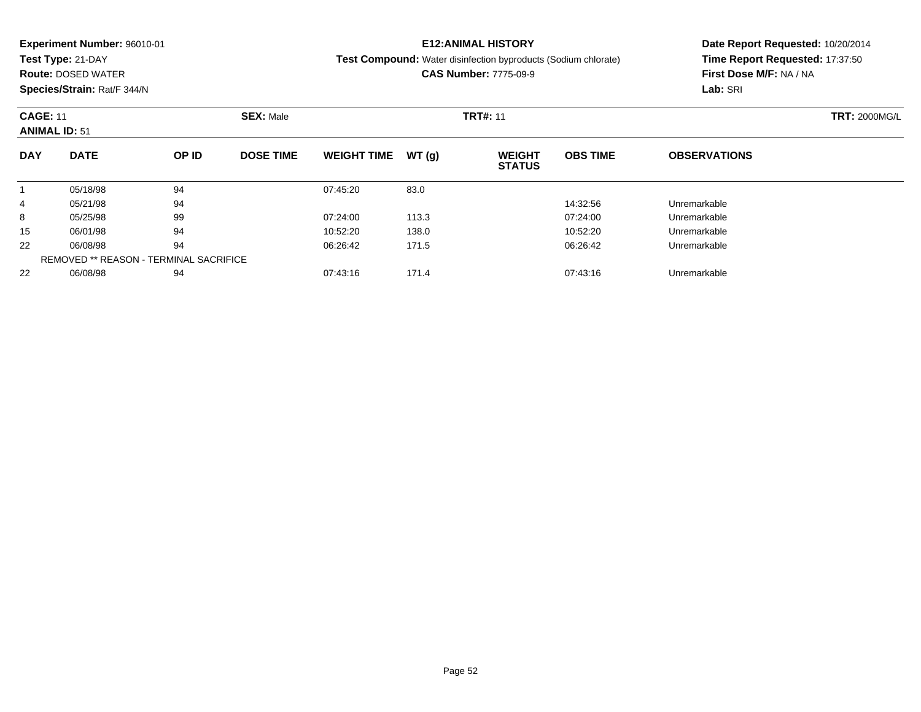**Test Type:** 21-DAY

**Route:** DOSED WATER

#### **Species/Strain:** Rat/F 344/N

**E12:ANIMAL HISTORY**

#### **Test Compound:** Water disinfection byproducts (Sodium chlorate)

**CAS Number:** 7775-09-9

| <b>CAGE: 11</b><br><b>ANIMAL ID: 51</b> |             |                                               | <b>SEX: Male</b> |                    |       | <b>TRT#: 11</b>                | <b>TRT: 2000MG/L</b> |                     |  |
|-----------------------------------------|-------------|-----------------------------------------------|------------------|--------------------|-------|--------------------------------|----------------------|---------------------|--|
| <b>DAY</b>                              | <b>DATE</b> | OP ID                                         | <b>DOSE TIME</b> | <b>WEIGHT TIME</b> | WT(q) | <b>WEIGHT</b><br><b>STATUS</b> | <b>OBS TIME</b>      | <b>OBSERVATIONS</b> |  |
|                                         | 05/18/98    | 94                                            |                  | 07:45:20           | 83.0  |                                |                      |                     |  |
| 4                                       | 05/21/98    | 94                                            |                  |                    |       |                                | 14:32:56             | Unremarkable        |  |
| 8                                       | 05/25/98    | 99                                            |                  | 07:24:00           | 113.3 |                                | 07:24:00             | Unremarkable        |  |
| 15                                      | 06/01/98    | 94                                            |                  | 10:52:20           | 138.0 |                                | 10:52:20             | Unremarkable        |  |
| 22                                      | 06/08/98    | 94                                            |                  | 06:26:42           | 171.5 |                                | 06:26:42             | Unremarkable        |  |
|                                         |             | <b>REMOVED ** REASON - TERMINAL SACRIFICE</b> |                  |                    |       |                                |                      |                     |  |
| 22                                      | 06/08/98    | 94                                            |                  | 07:43:16           | 171.4 |                                | 07:43:16             | Unremarkable        |  |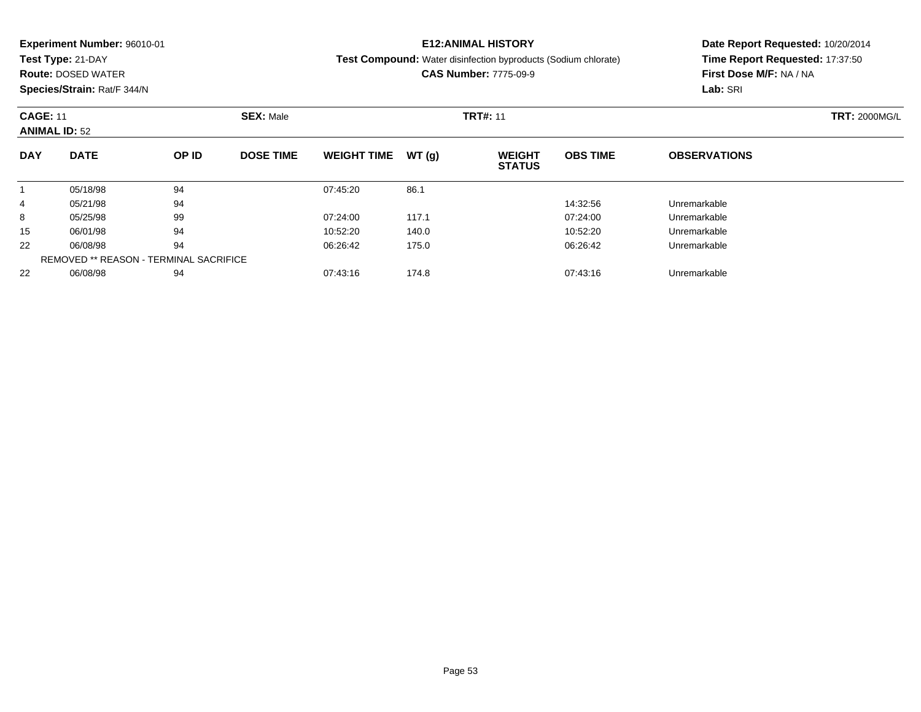**Test Type:** 21-DAY

**Route:** DOSED WATER

**Species/Strain:** Rat/F 344/N

### **E12:ANIMAL HISTORY**

**Test Compound:** Water disinfection byproducts (Sodium chlorate)

**CAS Number:** 7775-09-9

| <b>CAGE: 11</b> | <b>ANIMAL ID: 52</b> |                                               | <b>SEX: Male</b> | <b>TRT#: 11</b>    |       |                                |                 |                     |  |  |
|-----------------|----------------------|-----------------------------------------------|------------------|--------------------|-------|--------------------------------|-----------------|---------------------|--|--|
| <b>DAY</b>      | <b>DATE</b>          | OP ID                                         | <b>DOSE TIME</b> | <b>WEIGHT TIME</b> | WT(q) | <b>WEIGHT</b><br><b>STATUS</b> | <b>OBS TIME</b> | <b>OBSERVATIONS</b> |  |  |
|                 | 05/18/98             | 94                                            |                  | 07:45:20           | 86.1  |                                |                 |                     |  |  |
| 4               | 05/21/98             | 94                                            |                  |                    |       |                                | 14:32:56        | Unremarkable        |  |  |
| 8               | 05/25/98             | 99                                            |                  | 07:24:00           | 117.1 |                                | 07:24:00        | Unremarkable        |  |  |
| 15              | 06/01/98             | 94                                            |                  | 10:52:20           | 140.0 |                                | 10:52:20        | Unremarkable        |  |  |
| 22              | 06/08/98             | 94                                            |                  | 06:26:42           | 175.0 |                                | 06:26:42        | Unremarkable        |  |  |
|                 |                      | <b>REMOVED ** REASON - TERMINAL SACRIFICE</b> |                  |                    |       |                                |                 |                     |  |  |
| 22              | 06/08/98             | 94                                            |                  | 07:43:16           | 174.8 |                                | 07:43:16        | Unremarkable        |  |  |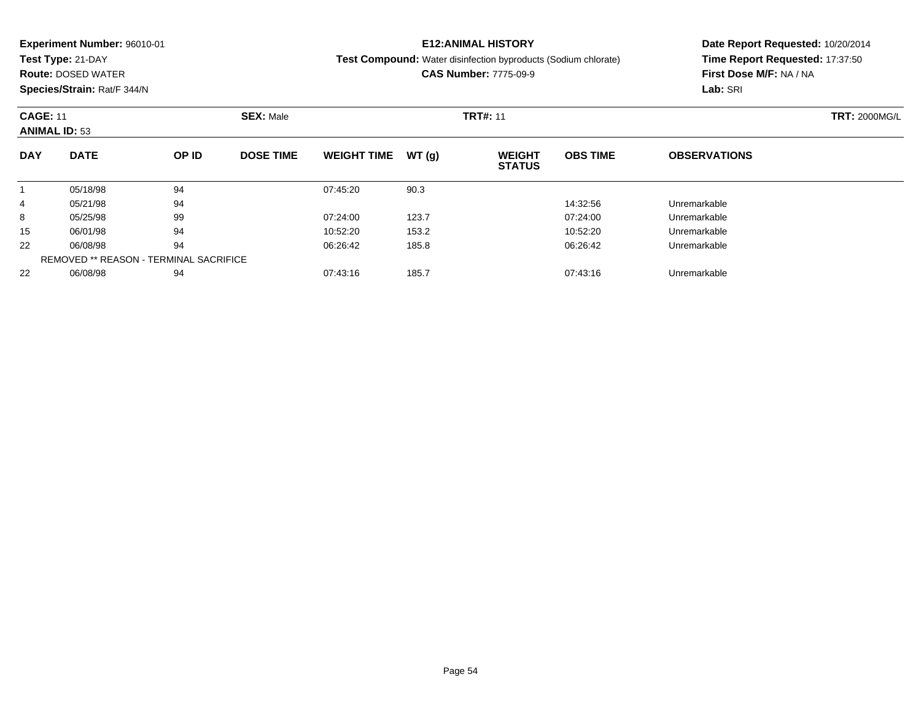**Test Type:** 21-DAY

**Route:** DOSED WATER

**Species/Strain:** Rat/F 344/N

## **E12:ANIMAL HISTORY**

**Test Compound:** Water disinfection byproducts (Sodium chlorate)

**CAS Number:** 7775-09-9

| <b>CAGE: 11</b><br><b>ANIMAL ID: 53</b> |             |                                               | <b>SEX: Male</b> |                    |       | <b>TRT: 2000MG/L</b>           |                 |                     |  |
|-----------------------------------------|-------------|-----------------------------------------------|------------------|--------------------|-------|--------------------------------|-----------------|---------------------|--|
| <b>DAY</b>                              | <b>DATE</b> | OP ID                                         | <b>DOSE TIME</b> | <b>WEIGHT TIME</b> | WT(g) | <b>WEIGHT</b><br><b>STATUS</b> | <b>OBS TIME</b> | <b>OBSERVATIONS</b> |  |
|                                         | 05/18/98    | 94                                            |                  | 07:45:20           | 90.3  |                                |                 |                     |  |
| 4                                       | 05/21/98    | 94                                            |                  |                    |       |                                | 14:32:56        | Unremarkable        |  |
| 8                                       | 05/25/98    | 99                                            |                  | 07:24:00           | 123.7 |                                | 07:24:00        | Unremarkable        |  |
| 15                                      | 06/01/98    | 94                                            |                  | 10:52:20           | 153.2 |                                | 10:52:20        | Unremarkable        |  |
| 22                                      | 06/08/98    | 94                                            |                  | 06:26:42           | 185.8 |                                | 06:26:42        | Unremarkable        |  |
|                                         |             | <b>REMOVED ** REASON - TERMINAL SACRIFICE</b> |                  |                    |       |                                |                 |                     |  |
| 22                                      | 06/08/98    | 94                                            |                  | 07:43:16           | 185.7 |                                | 07:43:16        | Unremarkable        |  |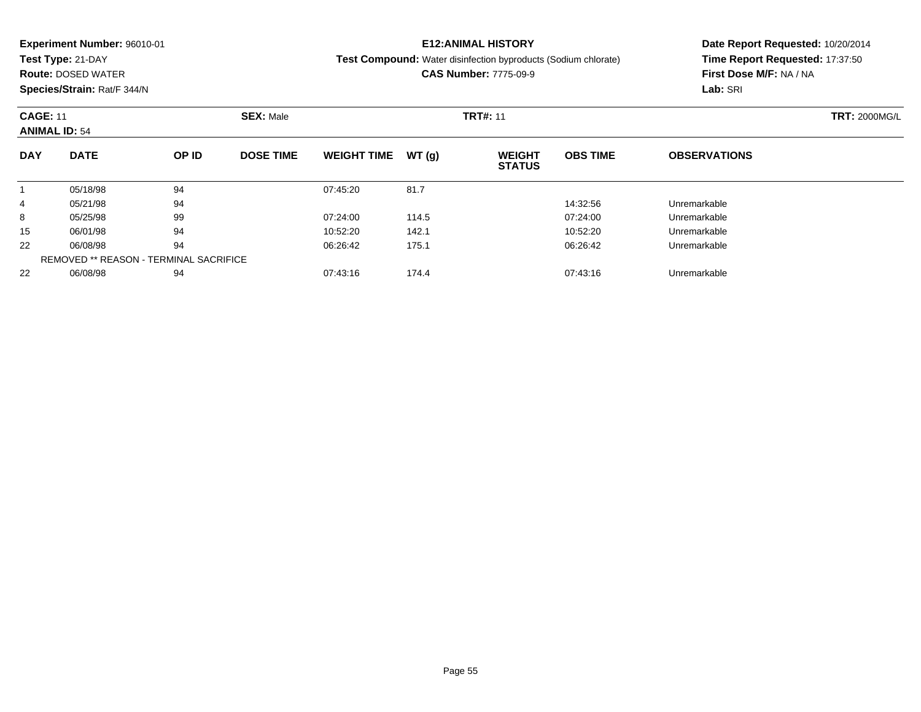**Test Type:** 21-DAY

**Route:** DOSED WATER

**Species/Strain:** Rat/F 344/N

## **E12:ANIMAL HISTORY**

**Test Compound:** Water disinfection byproducts (Sodium chlorate)

**CAS Number:** 7775-09-9

| <b>CAGE: 11</b><br><b>ANIMAL ID: 54</b> |             |                                               | <b>SEX: Male</b> |                    |       | <b>TRT#: 11</b>                |                 |                     | <b>TRT: 2000MG/L</b> |
|-----------------------------------------|-------------|-----------------------------------------------|------------------|--------------------|-------|--------------------------------|-----------------|---------------------|----------------------|
| <b>DAY</b>                              | <b>DATE</b> | OP ID                                         | <b>DOSE TIME</b> | <b>WEIGHT TIME</b> | WT(g) | <b>WEIGHT</b><br><b>STATUS</b> | <b>OBS TIME</b> | <b>OBSERVATIONS</b> |                      |
|                                         | 05/18/98    | 94                                            |                  | 07:45:20           | 81.7  |                                |                 |                     |                      |
| 4                                       | 05/21/98    | 94                                            |                  |                    |       |                                | 14:32:56        | Unremarkable        |                      |
| 8                                       | 05/25/98    | 99                                            |                  | 07:24:00           | 114.5 |                                | 07:24:00        | Unremarkable        |                      |
| 15                                      | 06/01/98    | 94                                            |                  | 10:52:20           | 142.1 |                                | 10:52:20        | Unremarkable        |                      |
| 22                                      | 06/08/98    | 94                                            |                  | 06:26:42           | 175.1 |                                | 06:26:42        | Unremarkable        |                      |
|                                         |             | <b>REMOVED ** REASON - TERMINAL SACRIFICE</b> |                  |                    |       |                                |                 |                     |                      |
| 22                                      | 06/08/98    | 94                                            |                  | 07:43:16           | 174.4 |                                | 07:43:16        | Unremarkable        |                      |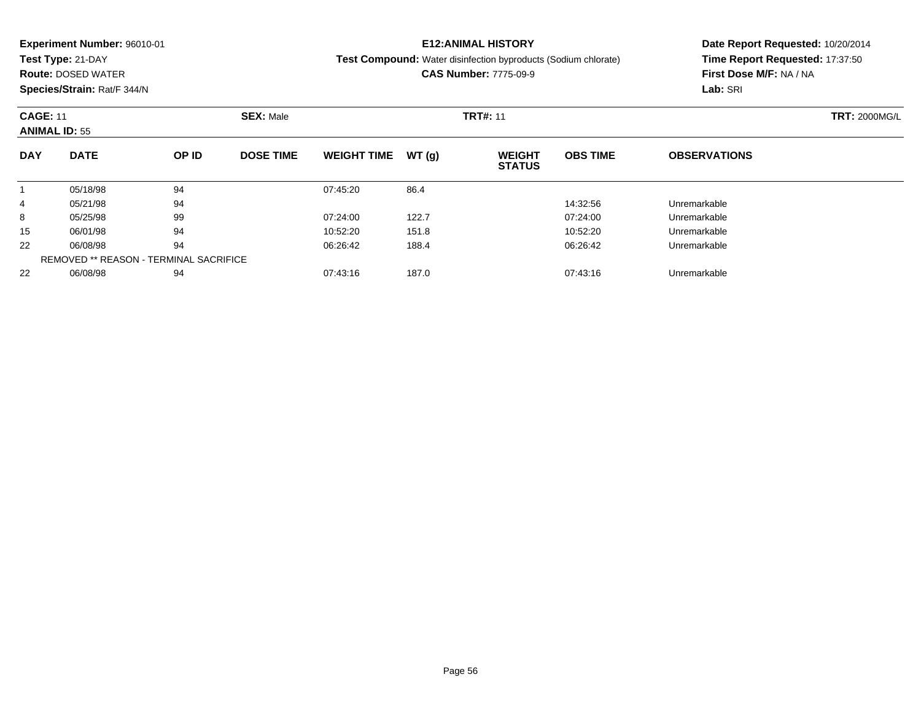**Test Type:** 21-DAY

**Route:** DOSED WATER

**Species/Strain:** Rat/F 344/N

### **E12:ANIMAL HISTORY**

**Test Compound:** Water disinfection byproducts (Sodium chlorate)

**CAS Number:** 7775-09-9

| <b>CAGE: 11</b> | <b>ANIMAL ID: 55</b> |                                        | <b>SEX: Male</b> |                    |       |                                | <b>TRT: 2000MG/L</b> |                     |  |
|-----------------|----------------------|----------------------------------------|------------------|--------------------|-------|--------------------------------|----------------------|---------------------|--|
| <b>DAY</b>      | <b>DATE</b>          | OP ID                                  | <b>DOSE TIME</b> | <b>WEIGHT TIME</b> | WT(q) | <b>WEIGHT</b><br><b>STATUS</b> | <b>OBS TIME</b>      | <b>OBSERVATIONS</b> |  |
|                 | 05/18/98             | 94                                     |                  | 07:45:20           | 86.4  |                                |                      |                     |  |
| 4               | 05/21/98             | 94                                     |                  |                    |       |                                | 14:32:56             | Unremarkable        |  |
| 8               | 05/25/98             | 99                                     |                  | 07:24:00           | 122.7 |                                | 07:24:00             | Unremarkable        |  |
| 15              | 06/01/98             | 94                                     |                  | 10:52:20           | 151.8 |                                | 10:52:20             | Unremarkable        |  |
| 22              | 06/08/98             | 94                                     |                  | 06:26:42           | 188.4 |                                | 06:26:42             | Unremarkable        |  |
|                 |                      | REMOVED ** REASON - TERMINAL SACRIFICE |                  |                    |       |                                |                      |                     |  |
| 22              | 06/08/98             | 94                                     |                  | 07:43:16           | 187.0 |                                | 07:43:16             | Unremarkable        |  |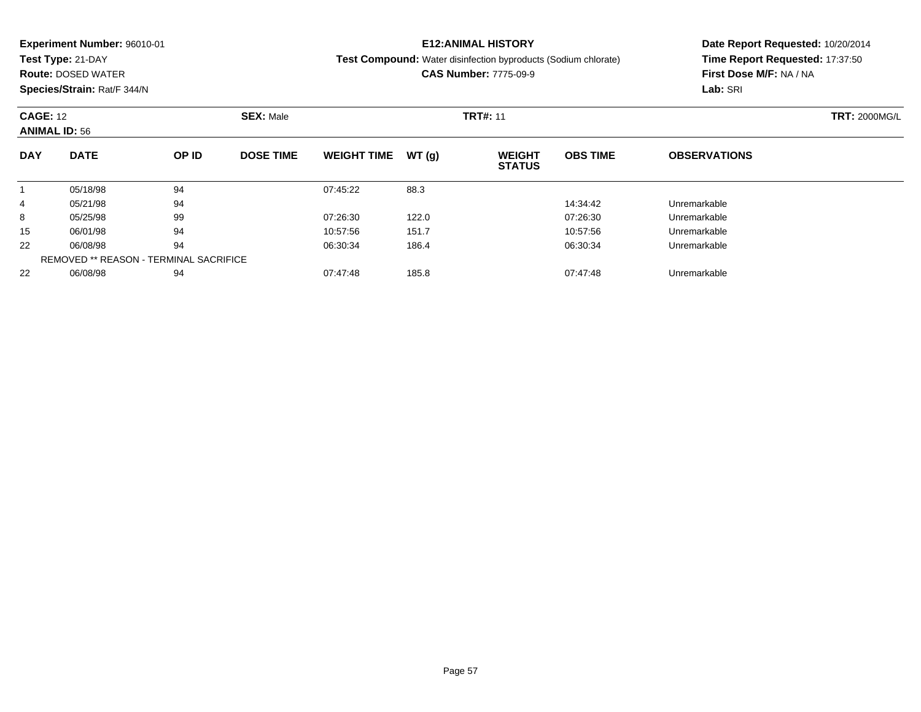**Test Type:** 21-DAY

**Route:** DOSED WATER

**Species/Strain:** Rat/F 344/N

### **E12:ANIMAL HISTORY**

**Test Compound:** Water disinfection byproducts (Sodium chlorate)

**CAS Number:** 7775-09-9

| <b>CAGE: 12</b> | <b>ANIMAL ID: 56</b> |                                               | <b>SEX: Male</b> |                    |       | <b>TRT#: 11</b>                |                 | <b>TRT: 2000MG/L</b> |  |
|-----------------|----------------------|-----------------------------------------------|------------------|--------------------|-------|--------------------------------|-----------------|----------------------|--|
| <b>DAY</b>      | <b>DATE</b>          | OP ID                                         | <b>DOSE TIME</b> | <b>WEIGHT TIME</b> | WT(q) | <b>WEIGHT</b><br><b>STATUS</b> | <b>OBS TIME</b> | <b>OBSERVATIONS</b>  |  |
|                 | 05/18/98             | 94                                            |                  | 07:45:22           | 88.3  |                                |                 |                      |  |
| 4               | 05/21/98             | 94                                            |                  |                    |       |                                | 14:34:42        | Unremarkable         |  |
| 8               | 05/25/98             | 99                                            |                  | 07:26:30           | 122.0 |                                | 07:26:30        | Unremarkable         |  |
| 15              | 06/01/98             | 94                                            |                  | 10:57:56           | 151.7 |                                | 10:57:56        | Unremarkable         |  |
| 22              | 06/08/98             | 94                                            |                  | 06:30:34           | 186.4 |                                | 06:30:34        | Unremarkable         |  |
|                 |                      | <b>REMOVED ** REASON - TERMINAL SACRIFICE</b> |                  |                    |       |                                |                 |                      |  |
| 22              | 06/08/98             | 94                                            |                  | 07:47:48           | 185.8 |                                | 07:47:48        | Unremarkable         |  |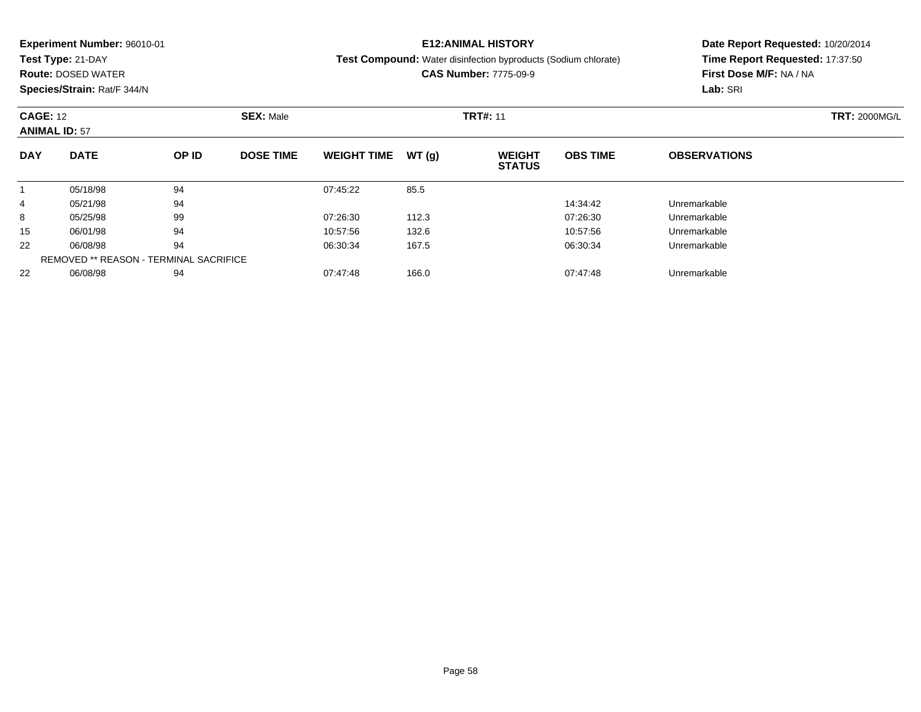**Test Type:** 21-DAY

**Route:** DOSED WATER

**Species/Strain:** Rat/F 344/N

#### **E12:ANIMAL HISTORY**

**Test Compound:** Water disinfection byproducts (Sodium chlorate)

**CAS Number:** 7775-09-9

| <b>CAGE: 12</b><br><b>ANIMAL ID: 57</b> |             |                                               | <b>SEX: Male</b> |                    |       | <b>TRT#: 11</b>                |                 | <b>TRT: 2000MG/L</b> |  |
|-----------------------------------------|-------------|-----------------------------------------------|------------------|--------------------|-------|--------------------------------|-----------------|----------------------|--|
| <b>DAY</b>                              | <b>DATE</b> | OP ID                                         | <b>DOSE TIME</b> | <b>WEIGHT TIME</b> | WT(q) | <b>WEIGHT</b><br><b>STATUS</b> | <b>OBS TIME</b> | <b>OBSERVATIONS</b>  |  |
|                                         | 05/18/98    | 94                                            |                  | 07:45:22           | 85.5  |                                |                 |                      |  |
| 4                                       | 05/21/98    | 94                                            |                  |                    |       |                                | 14:34:42        | Unremarkable         |  |
| 8                                       | 05/25/98    | 99                                            |                  | 07:26:30           | 112.3 |                                | 07:26:30        | Unremarkable         |  |
| 15                                      | 06/01/98    | 94                                            |                  | 10:57:56           | 132.6 |                                | 10:57:56        | Unremarkable         |  |
| 22                                      | 06/08/98    | 94                                            |                  | 06:30:34           | 167.5 |                                | 06:30:34        | Unremarkable         |  |
|                                         |             | <b>REMOVED ** REASON - TERMINAL SACRIFICE</b> |                  |                    |       |                                |                 |                      |  |
| 22                                      | 06/08/98    | 94                                            |                  | 07:47:48           | 166.0 |                                | 07:47:48        | Unremarkable         |  |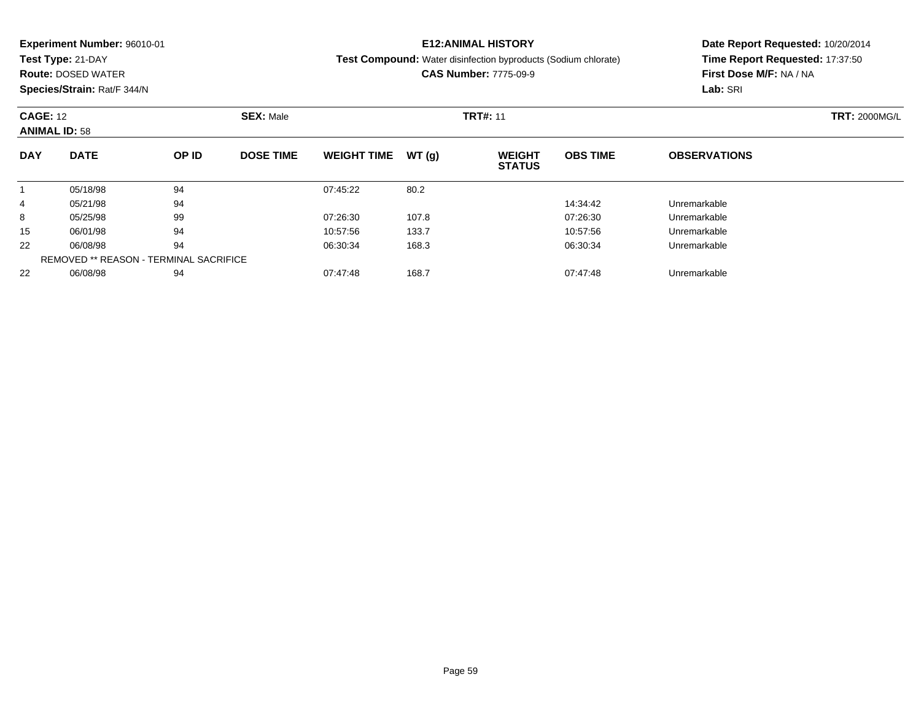**Test Type:** 21-DAY

**Route:** DOSED WATER

**Species/Strain:** Rat/F 344/N

## **E12:ANIMAL HISTORY**

**Test Compound:** Water disinfection byproducts (Sodium chlorate)

**CAS Number:** 7775-09-9

| <b>CAGE: 12</b><br><b>ANIMAL ID: 58</b> |             |                                               | <b>SEX: Male</b> |                    |       | <b>TRT#: 11</b>                | <b>TRT: 2000MG/L</b> |                     |  |
|-----------------------------------------|-------------|-----------------------------------------------|------------------|--------------------|-------|--------------------------------|----------------------|---------------------|--|
| <b>DAY</b>                              | <b>DATE</b> | OP ID                                         | <b>DOSE TIME</b> | <b>WEIGHT TIME</b> | WT(g) | <b>WEIGHT</b><br><b>STATUS</b> | <b>OBS TIME</b>      | <b>OBSERVATIONS</b> |  |
|                                         | 05/18/98    | 94                                            |                  | 07:45:22           | 80.2  |                                |                      |                     |  |
| 4                                       | 05/21/98    | 94                                            |                  |                    |       |                                | 14:34:42             | Unremarkable        |  |
| 8                                       | 05/25/98    | 99                                            |                  | 07:26:30           | 107.8 |                                | 07:26:30             | Unremarkable        |  |
| 15                                      | 06/01/98    | 94                                            |                  | 10:57:56           | 133.7 |                                | 10:57:56             | Unremarkable        |  |
| 22                                      | 06/08/98    | 94                                            |                  | 06:30:34           | 168.3 |                                | 06:30:34             | Unremarkable        |  |
|                                         |             | <b>REMOVED ** REASON - TERMINAL SACRIFICE</b> |                  |                    |       |                                |                      |                     |  |
| 22                                      | 06/08/98    | 94                                            |                  | 07:47:48           | 168.7 |                                | 07:47:48             | Unremarkable        |  |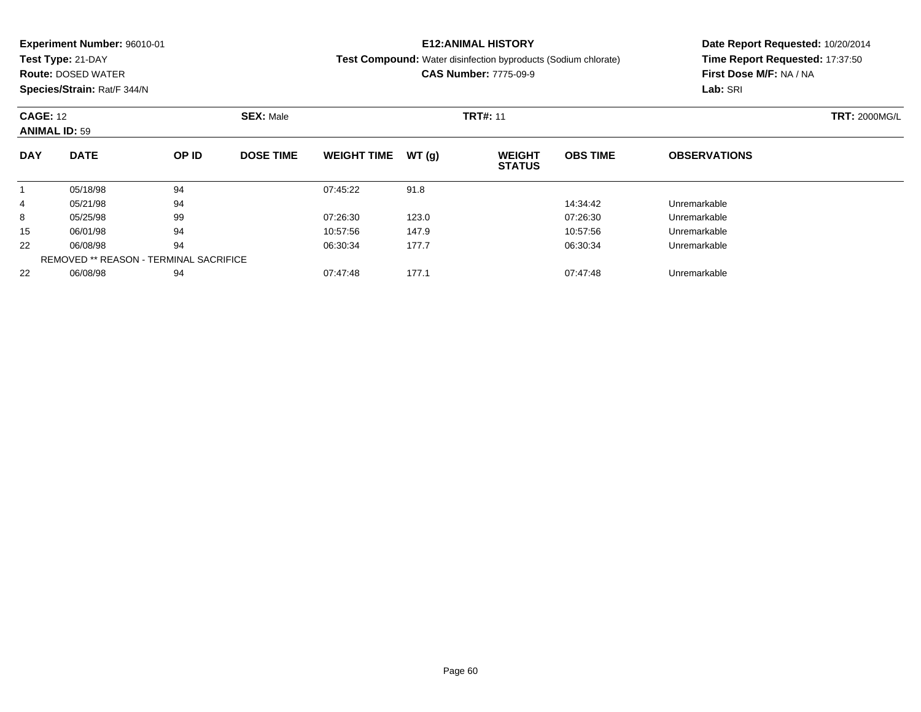**Test Type:** 21-DAY

**Route:** DOSED WATER

**Species/Strain:** Rat/F 344/N

## **E12:ANIMAL HISTORY**

**Test Compound:** Water disinfection byproducts (Sodium chlorate)

**CAS Number:** 7775-09-9

| <b>CAGE: 12</b><br><b>ANIMAL ID: 59</b> |                                               |       | <b>SEX: Male</b> |                    |       | <b>TRT#: 11</b>                | <b>TRT: 2000MG/L</b> |                     |  |
|-----------------------------------------|-----------------------------------------------|-------|------------------|--------------------|-------|--------------------------------|----------------------|---------------------|--|
| <b>DAY</b>                              | <b>DATE</b>                                   | OP ID | <b>DOSE TIME</b> | <b>WEIGHT TIME</b> | WT(q) | <b>WEIGHT</b><br><b>STATUS</b> | <b>OBS TIME</b>      | <b>OBSERVATIONS</b> |  |
|                                         | 05/18/98                                      | 94    |                  | 07:45:22           | 91.8  |                                |                      |                     |  |
| 4                                       | 05/21/98                                      | 94    |                  |                    |       |                                | 14:34:42             | Unremarkable        |  |
| 8                                       | 05/25/98                                      | 99    |                  | 07:26:30           | 123.0 |                                | 07:26:30             | Unremarkable        |  |
| 15                                      | 06/01/98                                      | 94    |                  | 10:57:56           | 147.9 |                                | 10:57:56             | Unremarkable        |  |
| 22                                      | 06/08/98                                      | 94    |                  | 06:30:34           | 177.7 |                                | 06:30:34             | Unremarkable        |  |
|                                         | <b>REMOVED ** REASON - TERMINAL SACRIFICE</b> |       |                  |                    |       |                                |                      |                     |  |
| 22                                      | 06/08/98                                      | 94    |                  | 07:47:48           | 177.1 |                                | 07:47:48             | Unremarkable        |  |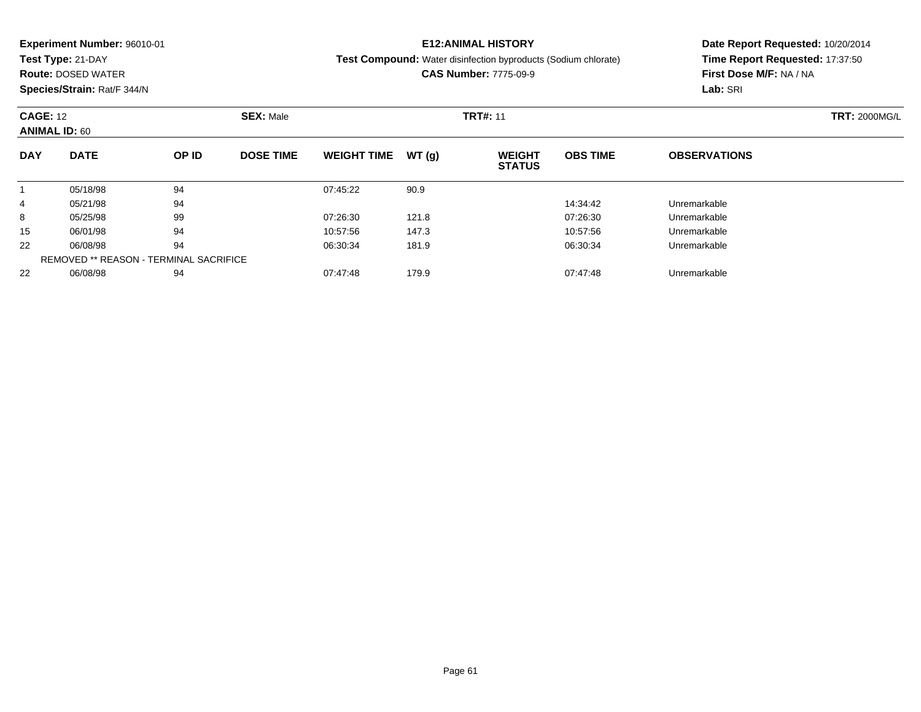**Test Type:** 21-DAY

**Route:** DOSED WATER

**Species/Strain:** Rat/F 344/N

## **E12:ANIMAL HISTORY**

**Test Compound:** Water disinfection byproducts (Sodium chlorate)

**CAS Number:** 7775-09-9

|            | <b>CAGE: 12</b><br><b>ANIMAL ID: 60</b> |                                               | <b>SEX: Male</b> |                    |       | <b>TRT#: 11</b>                | <b>TRT: 2000MG/L</b> |                     |  |
|------------|-----------------------------------------|-----------------------------------------------|------------------|--------------------|-------|--------------------------------|----------------------|---------------------|--|
| <b>DAY</b> | <b>DATE</b>                             | OP ID                                         | <b>DOSE TIME</b> | <b>WEIGHT TIME</b> | WT(q) | <b>WEIGHT</b><br><b>STATUS</b> | <b>OBS TIME</b>      | <b>OBSERVATIONS</b> |  |
|            | 05/18/98                                | 94                                            |                  | 07:45:22           | 90.9  |                                |                      |                     |  |
| 4          | 05/21/98                                | 94                                            |                  |                    |       |                                | 14:34:42             | Unremarkable        |  |
| 8          | 05/25/98                                | 99                                            |                  | 07:26:30           | 121.8 |                                | 07:26:30             | Unremarkable        |  |
| 15         | 06/01/98                                | 94                                            |                  | 10:57:56           | 147.3 |                                | 10:57:56             | Unremarkable        |  |
| 22         | 06/08/98                                | 94                                            |                  | 06:30:34           | 181.9 |                                | 06:30:34             | Unremarkable        |  |
|            |                                         | <b>REMOVED ** REASON - TERMINAL SACRIFICE</b> |                  |                    |       |                                |                      |                     |  |
| 22         | 06/08/98                                | 94                                            |                  | 07:47:48           | 179.9 |                                | 07:47:48             | Unremarkable        |  |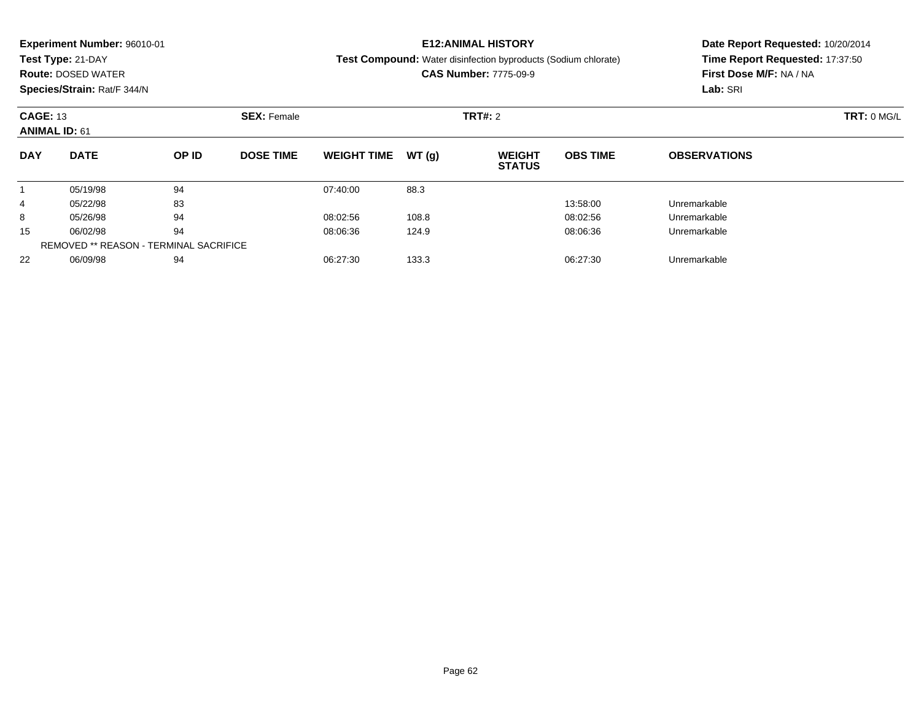|                      | <b>Experiment Number: 96010-01</b><br>Test Type: 21-DAY<br><b>Route: DOSED WATER</b> |       |                                      |                    |       | <b>E12:ANIMAL HISTORY</b><br>Test Compound: Water disinfection byproducts (Sodium chlorate)<br><b>CAS Number: 7775-09-9</b> | Date Report Requested: 10/20/2014<br>Time Report Requested: 17:37:50<br>First Dose M/F: NA / NA |                     |  |
|----------------------|--------------------------------------------------------------------------------------|-------|--------------------------------------|--------------------|-------|-----------------------------------------------------------------------------------------------------------------------------|-------------------------------------------------------------------------------------------------|---------------------|--|
|                      | Species/Strain: Rat/F 344/N                                                          |       |                                      |                    |       |                                                                                                                             |                                                                                                 | Lab: SRI            |  |
|                      | <b>CAGE: 13</b><br><b>ANIMAL ID: 61</b><br><b>DATE</b>                               |       | <b>SEX: Female</b><br><b>TRT#:</b> 2 |                    |       |                                                                                                                             |                                                                                                 | TRT: 0 MG/L         |  |
| <b>DAY</b>           |                                                                                      | OP ID | <b>DOSE TIME</b>                     | <b>WEIGHT TIME</b> | WT(q) | <b>WEIGHT</b><br><b>STATUS</b>                                                                                              | <b>OBS TIME</b>                                                                                 | <b>OBSERVATIONS</b> |  |
|                      | 05/19/98                                                                             | 94    |                                      | 07:40:00           | 88.3  |                                                                                                                             |                                                                                                 |                     |  |
| 4                    | 05/22/98                                                                             | 83    |                                      |                    |       |                                                                                                                             | 13:58:00                                                                                        | Unremarkable        |  |
| 8                    | 05/26/98                                                                             | 94    |                                      | 08:02:56           | 108.8 |                                                                                                                             | 08:02:56                                                                                        | Unremarkable        |  |
| 94<br>15<br>06/02/98 |                                                                                      |       | 08:06:36                             | 124.9              |       | 08:06:36                                                                                                                    | Unremarkable                                                                                    |                     |  |
|                      | <b>REMOVED ** REASON - TERMINAL SACRIFICE</b>                                        |       |                                      |                    |       |                                                                                                                             |                                                                                                 |                     |  |

06/09/98 <sup>94</sup> 06:27:30 133.3 06:27:30 Unremarkable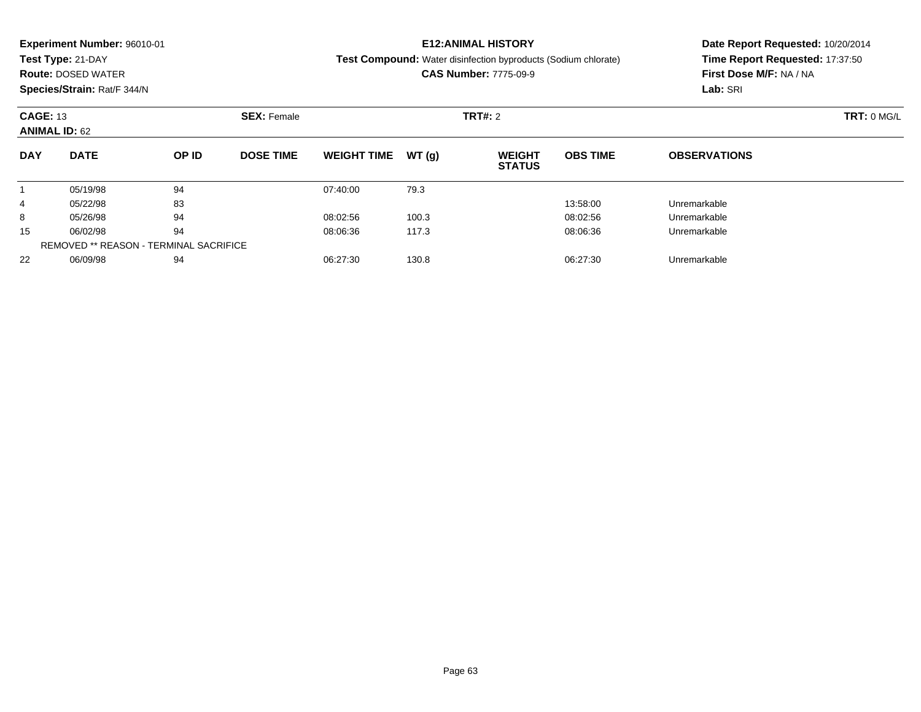|            | <b>Experiment Number: 96010-01</b>                            |       |                  |                    |       | <b>E12:ANIMAL HISTORY</b>                                      | Date Report Requested: 10/20/2014 |                                 |  |  |
|------------|---------------------------------------------------------------|-------|------------------|--------------------|-------|----------------------------------------------------------------|-----------------------------------|---------------------------------|--|--|
|            | Test Type: 21-DAY                                             |       |                  |                    |       | Test Compound: Water disinfection byproducts (Sodium chlorate) |                                   | Time Report Requested: 17:37:50 |  |  |
|            | <b>Route: DOSED WATER</b>                                     |       |                  |                    |       | <b>CAS Number: 7775-09-9</b>                                   |                                   | First Dose M/F: NA / NA         |  |  |
|            | Species/Strain: Rat/F 344/N                                   |       |                  |                    |       |                                                                |                                   | Lab: SRI                        |  |  |
|            | <b>CAGE: 13</b><br><b>SEX: Female</b><br><b>ANIMAL ID: 62</b> |       |                  |                    |       | <b>TRT#: 2</b>                                                 |                                   | TRT: 0 MG/L                     |  |  |
|            |                                                               |       |                  |                    |       |                                                                |                                   |                                 |  |  |
| <b>DAY</b> | <b>DATE</b>                                                   | OP ID | <b>DOSE TIME</b> | <b>WEIGHT TIME</b> | WT(q) | <b>WEIGHT</b><br><b>STATUS</b>                                 | <b>OBS TIME</b>                   | <b>OBSERVATIONS</b>             |  |  |
|            | 05/19/98                                                      | 94    |                  | 07:40:00           | 79.3  |                                                                |                                   |                                 |  |  |
| 4          | 05/22/98                                                      | 83    |                  |                    |       |                                                                | 13:58:00                          | Unremarkable                    |  |  |
| 8          | 05/26/98                                                      | 94    |                  | 08:02:56           | 100.3 |                                                                | 08:02:56                          | Unremarkable                    |  |  |
| 15         | 06/02/98                                                      | 94    |                  | 08:06:36           | 117.3 |                                                                | 08:06:36                          | Unremarkable                    |  |  |
|            | <b>REMOVED ** REASON - TERMINAL SACRIFICE</b>                 |       |                  |                    |       |                                                                |                                   |                                 |  |  |

06/09/98 <sup>94</sup> 06:27:30 130.8 06:27:30 Unremarkable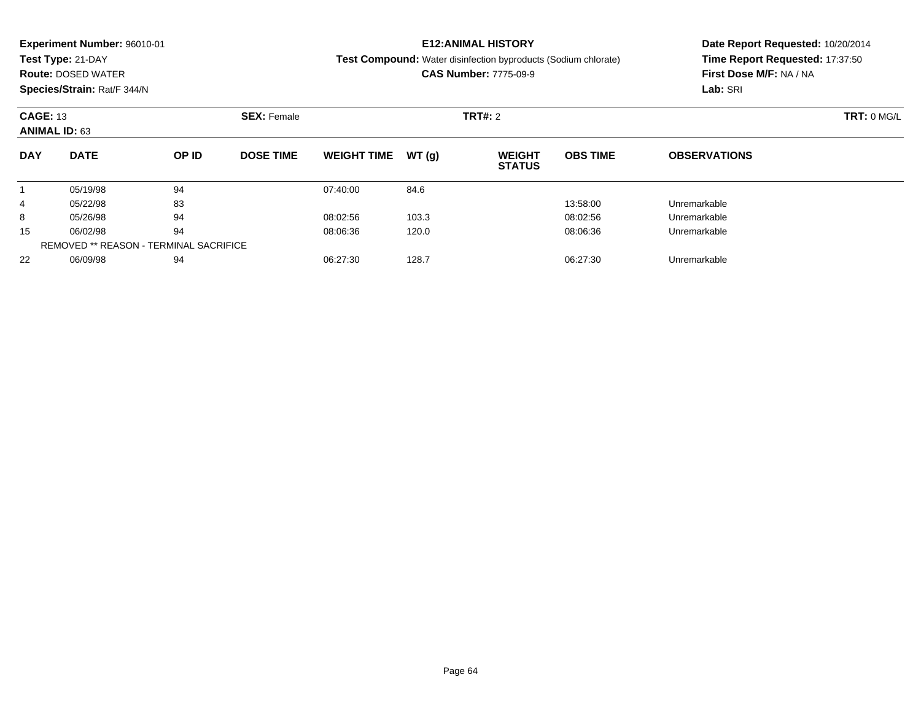|                                               | <b>Experiment Number: 96010-01</b>                            |       |                  |                    |       | <b>E12:ANIMAL HISTORY</b>                                             | Date Report Requested: 10/20/2014 |                                 |  |  |
|-----------------------------------------------|---------------------------------------------------------------|-------|------------------|--------------------|-------|-----------------------------------------------------------------------|-----------------------------------|---------------------------------|--|--|
|                                               | Test Type: 21-DAY                                             |       |                  |                    |       | <b>Test Compound:</b> Water disinfection byproducts (Sodium chlorate) |                                   | Time Report Requested: 17:37:50 |  |  |
|                                               | <b>Route: DOSED WATER</b>                                     |       |                  |                    |       | <b>CAS Number: 7775-09-9</b>                                          |                                   | First Dose M/F: NA / NA         |  |  |
|                                               | Species/Strain: Rat/F 344/N                                   |       |                  |                    |       |                                                                       |                                   | Lab: SRI                        |  |  |
|                                               | <b>CAGE: 13</b><br><b>SEX: Female</b><br><b>ANIMAL ID: 63</b> |       |                  |                    |       | TRT#: 2                                                               |                                   | TRT: 0 MGL                      |  |  |
|                                               |                                                               |       |                  |                    |       |                                                                       |                                   |                                 |  |  |
| <b>DAY</b>                                    | <b>DATE</b>                                                   | OP ID | <b>DOSE TIME</b> | <b>WEIGHT TIME</b> | WT(q) | <b>WEIGHT</b><br><b>STATUS</b>                                        | <b>OBS TIME</b>                   | <b>OBSERVATIONS</b>             |  |  |
|                                               | 05/19/98                                                      | 94    |                  | 07:40:00           | 84.6  |                                                                       |                                   |                                 |  |  |
| 4                                             | 05/22/98                                                      | 83    |                  |                    |       |                                                                       | 13:58:00                          | Unremarkable                    |  |  |
| 8                                             | 05/26/98                                                      | 94    |                  | 08:02:56           | 103.3 |                                                                       | 08:02:56                          | Unremarkable                    |  |  |
| 15                                            | 06/02/98                                                      | 94    |                  | 08:06:36           | 120.0 |                                                                       | 08:06:36                          | Unremarkable                    |  |  |
| <b>REMOVED ** REASON - TERMINAL SACRIFICE</b> |                                                               |       |                  |                    |       |                                                                       |                                   |                                 |  |  |

06/09/98 <sup>94</sup> 06:27:30 128.7 06:27:30 Unremarkable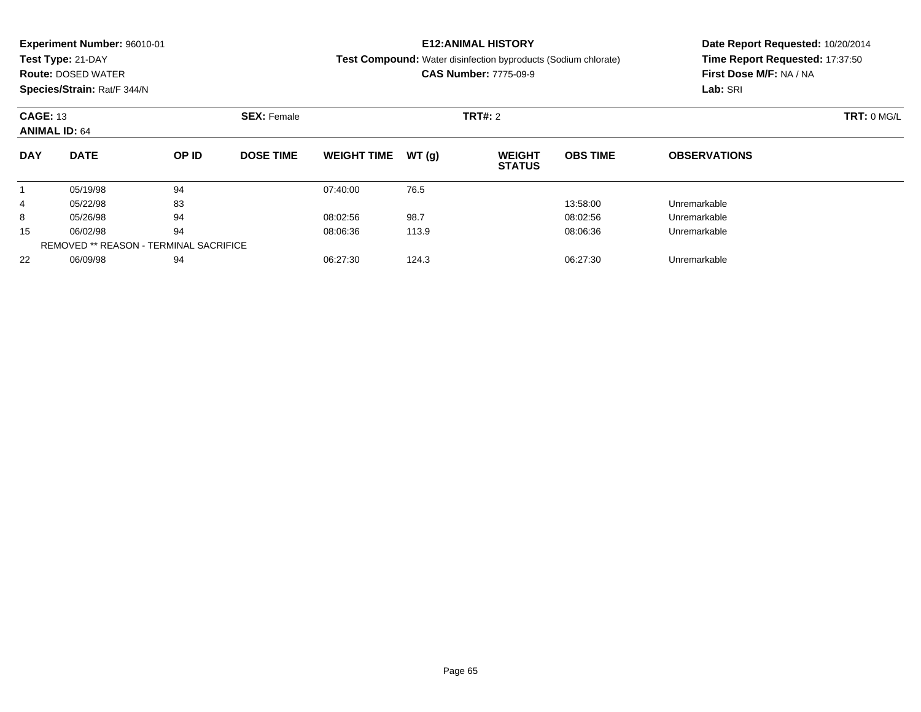|                 | <b>Experiment Number: 96010-01</b>            |       |                    |                    |       | <b>E12:ANIMAL HISTORY</b>                                             | Date Report Requested: 10/20/2014 |                                 |  |  |
|-----------------|-----------------------------------------------|-------|--------------------|--------------------|-------|-----------------------------------------------------------------------|-----------------------------------|---------------------------------|--|--|
|                 | Test Type: 21-DAY                             |       |                    |                    |       | <b>Test Compound:</b> Water disinfection byproducts (Sodium chlorate) |                                   | Time Report Requested: 17:37:50 |  |  |
|                 | <b>Route: DOSED WATER</b>                     |       |                    |                    |       | <b>CAS Number: 7775-09-9</b>                                          |                                   | First Dose M/F: NA / NA         |  |  |
|                 | Species/Strain: Rat/F 344/N                   |       |                    |                    |       |                                                                       |                                   | Lab: SRI                        |  |  |
| <b>CAGE: 13</b> | <b>ANIMAL ID: 64</b>                          |       | <b>SEX: Female</b> |                    |       | <b>TRT#: 2</b>                                                        |                                   | TRT: 0 MG/L                     |  |  |
| <b>DAY</b>      | <b>DATE</b>                                   | OP ID | <b>DOSE TIME</b>   | <b>WEIGHT TIME</b> | WT(q) | <b>WEIGHT</b><br><b>STATUS</b>                                        | <b>OBS TIME</b>                   | <b>OBSERVATIONS</b>             |  |  |
|                 | 05/19/98                                      | 94    |                    | 07:40:00           | 76.5  |                                                                       |                                   |                                 |  |  |
| 4               | 05/22/98                                      | 83    |                    |                    |       |                                                                       | 13:58:00                          | Unremarkable                    |  |  |
| 8               | 05/26/98                                      | 94    |                    | 08:02:56           | 98.7  |                                                                       | 08:02:56                          | Unremarkable                    |  |  |
| 15              | 06/02/98                                      | 94    |                    | 08:06:36           | 113.9 |                                                                       | 08:06:36                          | Unremarkable                    |  |  |
|                 | <b>REMOVED ** REASON - TERMINAL SACRIFICE</b> |       |                    |                    |       |                                                                       |                                   |                                 |  |  |

06/09/98 <sup>94</sup> 06:27:30 124.3 06:27:30 Unremarkable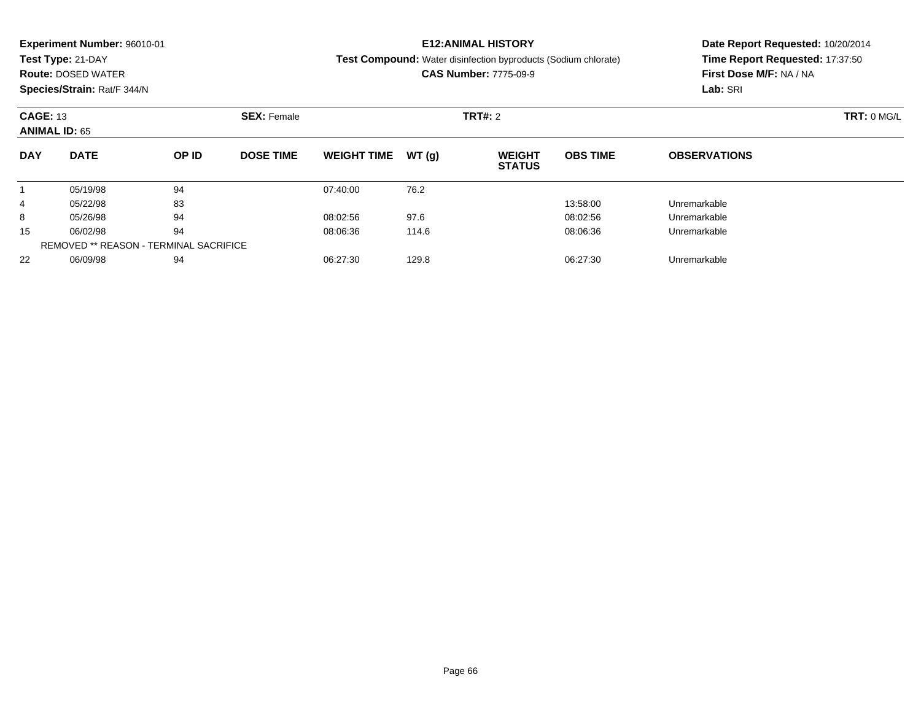|                 | <b>Experiment Number: 96010-01</b>            |       |                    |                    |       | <b>E12:ANIMAL HISTORY</b>                                      | Date Report Requested: 10/20/2014 |                                 |  |  |
|-----------------|-----------------------------------------------|-------|--------------------|--------------------|-------|----------------------------------------------------------------|-----------------------------------|---------------------------------|--|--|
|                 | Test Type: 21-DAY                             |       |                    |                    |       | Test Compound: Water disinfection byproducts (Sodium chlorate) |                                   | Time Report Requested: 17:37:50 |  |  |
|                 | <b>Route: DOSED WATER</b>                     |       |                    |                    |       | <b>CAS Number: 7775-09-9</b>                                   |                                   | First Dose M/F: NA / NA         |  |  |
|                 | Species/Strain: Rat/F 344/N                   |       |                    |                    |       |                                                                |                                   | Lab: SRI                        |  |  |
| <b>CAGE: 13</b> |                                               |       | <b>SEX: Female</b> |                    |       | <b>TRT#: 2</b>                                                 |                                   | TRT: 0 MG/L                     |  |  |
|                 | <b>ANIMAL ID: 65</b>                          |       |                    |                    |       |                                                                |                                   |                                 |  |  |
| <b>DAY</b>      | <b>DATE</b>                                   | OP ID | <b>DOSE TIME</b>   | <b>WEIGHT TIME</b> | WT(q) | <b>WEIGHT</b><br><b>STATUS</b>                                 | <b>OBS TIME</b>                   | <b>OBSERVATIONS</b>             |  |  |
|                 | 05/19/98                                      | 94    |                    | 07:40:00           | 76.2  |                                                                |                                   |                                 |  |  |
| 4               | 05/22/98                                      | 83    |                    |                    |       |                                                                | 13:58:00                          | Unremarkable                    |  |  |
| 8               | 05/26/98                                      | 94    |                    | 08:02:56           | 97.6  |                                                                | 08:02:56                          | Unremarkable                    |  |  |
| 15              | 06/02/98                                      | 94    |                    | 08:06:36           | 114.6 |                                                                | 08:06:36                          | Unremarkable                    |  |  |
|                 | <b>REMOVED ** REASON - TERMINAL SACRIFICE</b> |       |                    |                    |       |                                                                |                                   |                                 |  |  |

06/09/98 <sup>94</sup> 06:27:30 129.8 06:27:30 Unremarkable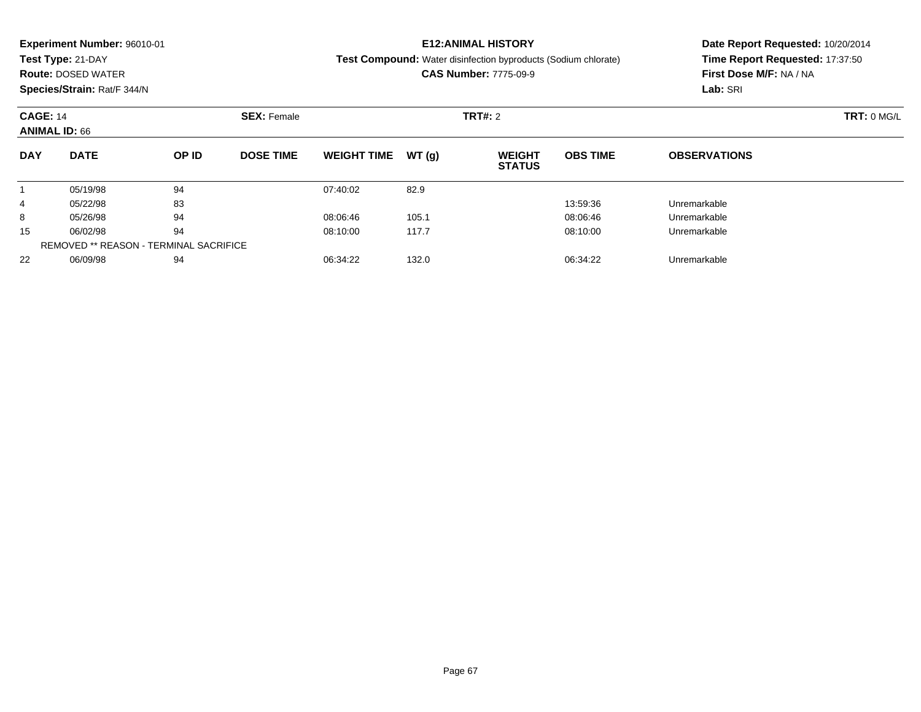|                 | <b>Experiment Number: 96010-01</b>            |       |                    |                    |       | <b>E12:ANIMAL HISTORY</b>                                             | Date Report Requested: 10/20/2014 |                                 |             |  |
|-----------------|-----------------------------------------------|-------|--------------------|--------------------|-------|-----------------------------------------------------------------------|-----------------------------------|---------------------------------|-------------|--|
|                 | Test Type: 21-DAY                             |       |                    |                    |       | <b>Test Compound:</b> Water disinfection byproducts (Sodium chlorate) |                                   | Time Report Requested: 17:37:50 |             |  |
|                 | <b>Route: DOSED WATER</b>                     |       |                    |                    |       | <b>CAS Number: 7775-09-9</b>                                          |                                   | First Dose M/F: NA / NA         |             |  |
|                 | Species/Strain: Rat/F 344/N                   |       |                    |                    |       |                                                                       |                                   | Lab: SRI                        |             |  |
| <b>CAGE: 14</b> | <b>ANIMAL ID: 66</b>                          |       | <b>SEX: Female</b> |                    |       | <b>TRT#: 2</b>                                                        |                                   |                                 | TRT: 0 MG/L |  |
| <b>DAY</b>      | <b>DATE</b>                                   | OP ID | <b>DOSE TIME</b>   | <b>WEIGHT TIME</b> | WT(g) | <b>WEIGHT</b><br><b>STATUS</b>                                        | <b>OBS TIME</b>                   | <b>OBSERVATIONS</b>             |             |  |
|                 | 05/19/98                                      | 94    |                    | 07:40:02           | 82.9  |                                                                       |                                   |                                 |             |  |
| 4               | 05/22/98                                      | 83    |                    |                    |       |                                                                       | 13:59:36                          | Unremarkable                    |             |  |
| 8               | 05/26/98                                      | 94    |                    | 08:06:46           | 105.1 |                                                                       | 08:06:46                          | Unremarkable                    |             |  |
| 15              | 06/02/98                                      | 94    |                    | 08:10:00           | 117.7 |                                                                       | 08:10:00                          | Unremarkable                    |             |  |
|                 | <b>REMOVED ** REASON - TERMINAL SACRIFICE</b> |       |                    |                    |       |                                                                       |                                   |                                 |             |  |

06/09/98 <sup>94</sup> 06:34:22 132.0 06:34:22 Unremarkable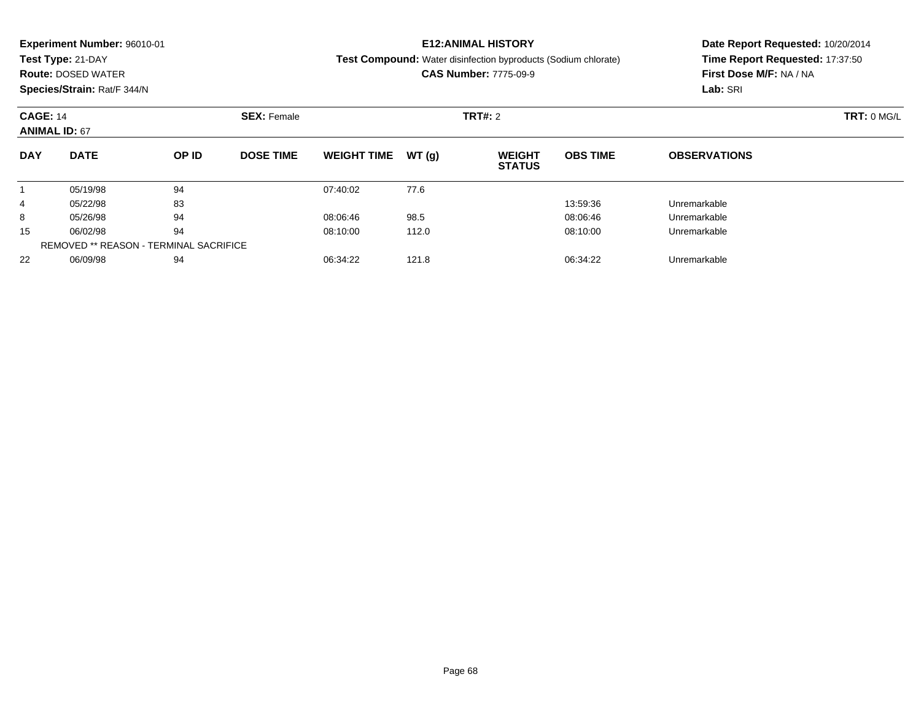|            | <b>Experiment Number: 96010-01</b><br>Test Type: 21-DAY<br><b>Route: DOSED WATER</b><br>Species/Strain: Rat/F 344/N |    |                                      |                    |       | <b>E12:ANIMAL HISTORY</b><br>Test Compound: Water disinfection byproducts (Sodium chlorate)<br><b>CAS Number: 7775-09-9</b> | Date Report Requested: 10/20/2014<br>Time Report Requested: 17:37:50<br>First Dose M/F: NA / NA<br>Lab: SRI |                     |  |
|------------|---------------------------------------------------------------------------------------------------------------------|----|--------------------------------------|--------------------|-------|-----------------------------------------------------------------------------------------------------------------------------|-------------------------------------------------------------------------------------------------------------|---------------------|--|
|            | <b>CAGE: 14</b><br><b>ANIMAL ID: 67</b><br><b>DATE</b><br>OP ID                                                     |    | <b>TRT#: 2</b><br><b>SEX: Female</b> |                    |       |                                                                                                                             |                                                                                                             | TRT: 0 MG/L         |  |
| <b>DAY</b> |                                                                                                                     |    | <b>DOSE TIME</b>                     | <b>WEIGHT TIME</b> | WT(g) | <b>WEIGHT</b><br><b>STATUS</b>                                                                                              | <b>OBS TIME</b>                                                                                             | <b>OBSERVATIONS</b> |  |
|            | 05/19/98                                                                                                            | 94 |                                      | 07:40:02           | 77.6  |                                                                                                                             |                                                                                                             |                     |  |
| 4          | 05/22/98                                                                                                            | 83 |                                      |                    |       |                                                                                                                             | 13:59:36                                                                                                    | Unremarkable        |  |
| 8          | 05/26/98                                                                                                            | 94 |                                      | 08:06:46           | 98.5  |                                                                                                                             | 08:06:46                                                                                                    | Unremarkable        |  |
| 15         | 06/02/98                                                                                                            | 94 |                                      | 08:10:00           | 112.0 |                                                                                                                             | 08:10:00                                                                                                    | Unremarkable        |  |
|            | <b>REMOVED ** REASON - TERMINAL SACRIFICE</b>                                                                       |    |                                      |                    |       |                                                                                                                             |                                                                                                             |                     |  |
| 22         | 06/09/98                                                                                                            | 94 |                                      | 06:34:22           | 121.8 |                                                                                                                             | 06:34:22                                                                                                    | Unremarkable        |  |

06/09/98 <sup>94</sup> 06:34:22 121.8 06:34:22 Unremarkable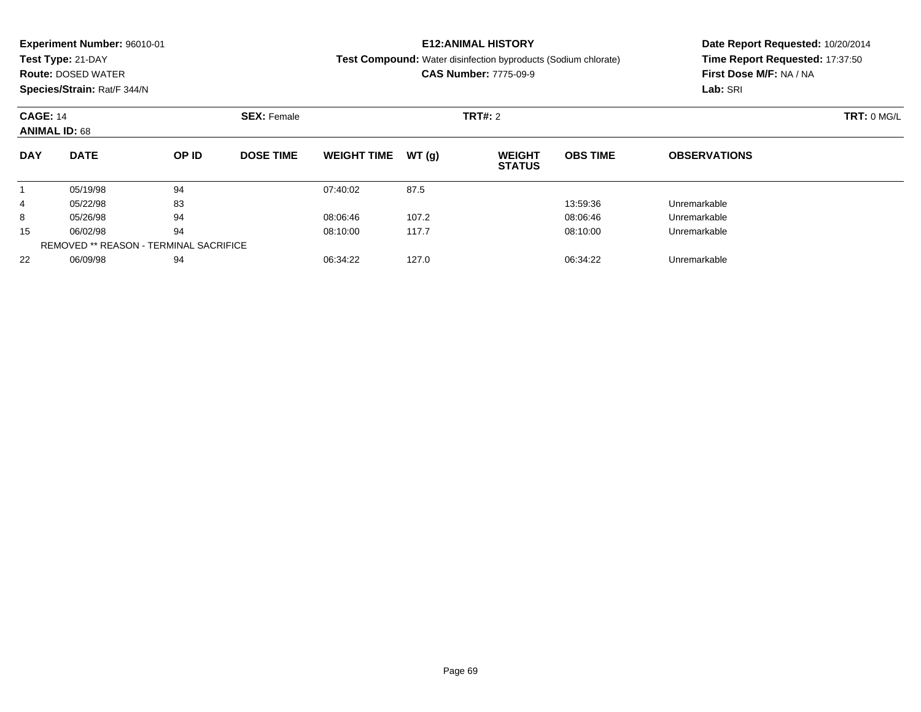|                                         | <b>Experiment Number: 96010-01</b>            |       |                    |                    |       | <b>E12:ANIMAL HISTORY</b>                                      | Date Report Requested: 10/20/2014 |                                 |             |  |
|-----------------------------------------|-----------------------------------------------|-------|--------------------|--------------------|-------|----------------------------------------------------------------|-----------------------------------|---------------------------------|-------------|--|
|                                         | Test Type: 21-DAY                             |       |                    |                    |       | Test Compound: Water disinfection byproducts (Sodium chlorate) |                                   | Time Report Requested: 17:37:50 |             |  |
|                                         | <b>Route: DOSED WATER</b>                     |       |                    |                    |       | <b>CAS Number: 7775-09-9</b>                                   |                                   | First Dose M/F: NA / NA         |             |  |
|                                         | Species/Strain: Rat/F 344/N                   |       |                    |                    |       |                                                                |                                   | Lab: SRI                        |             |  |
| <b>CAGE: 14</b><br><b>ANIMAL ID: 68</b> |                                               |       | <b>SEX: Female</b> |                    |       | <b>TRT#: 2</b>                                                 |                                   |                                 | TRT: 0 MG/L |  |
| <b>DAY</b>                              | <b>DATE</b>                                   | OP ID | <b>DOSE TIME</b>   | <b>WEIGHT TIME</b> | WT(g) | <b>WEIGHT</b><br><b>STATUS</b>                                 | <b>OBS TIME</b>                   | <b>OBSERVATIONS</b>             |             |  |
|                                         | 05/19/98                                      | 94    |                    | 07:40:02           | 87.5  |                                                                |                                   |                                 |             |  |
| 4                                       | 05/22/98                                      | 83    |                    |                    |       |                                                                | 13:59:36                          | Unremarkable                    |             |  |
| 8                                       | 05/26/98                                      | 94    |                    | 08:06:46           | 107.2 |                                                                | 08:06:46                          | Unremarkable                    |             |  |
| 15                                      | 06/02/98                                      | 94    |                    | 08:10:00           | 117.7 |                                                                | 08:10:00                          | Unremarkable                    |             |  |
|                                         | <b>REMOVED ** REASON - TERMINAL SACRIFICE</b> |       |                    |                    |       |                                                                |                                   |                                 |             |  |

06/09/98 <sup>94</sup> 06:34:22 127.0 06:34:22 Unremarkable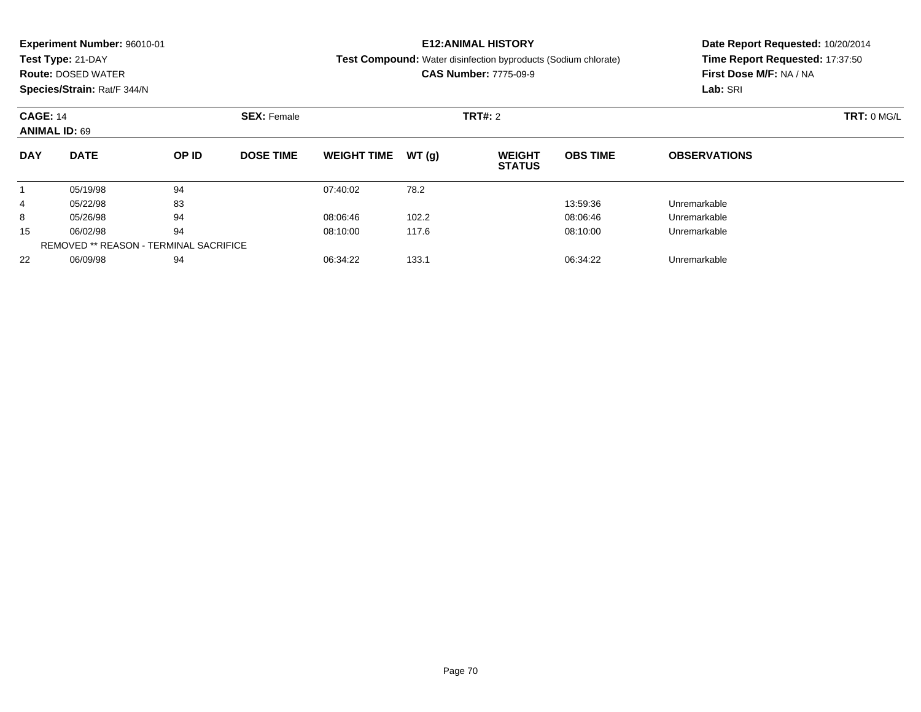|                                         | <b>Experiment Number: 96010-01</b>            |       |                    |                    |       | <b>E12:ANIMAL HISTORY</b>                                      | Date Report Requested: 10/20/2014 |                                 |             |  |
|-----------------------------------------|-----------------------------------------------|-------|--------------------|--------------------|-------|----------------------------------------------------------------|-----------------------------------|---------------------------------|-------------|--|
|                                         | Test Type: 21-DAY                             |       |                    |                    |       | Test Compound: Water disinfection byproducts (Sodium chlorate) |                                   | Time Report Requested: 17:37:50 |             |  |
|                                         | <b>Route: DOSED WATER</b>                     |       |                    |                    |       | <b>CAS Number: 7775-09-9</b>                                   |                                   | First Dose M/F: NA / NA         |             |  |
|                                         | Species/Strain: Rat/F 344/N                   |       |                    |                    |       |                                                                |                                   | Lab: SRI                        |             |  |
| <b>CAGE: 14</b><br><b>ANIMAL ID: 69</b> |                                               |       | <b>SEX: Female</b> |                    |       | <b>TRT#: 2</b>                                                 |                                   |                                 | TRT: 0 MG/L |  |
| <b>DAY</b>                              | <b>DATE</b>                                   | OP ID | <b>DOSE TIME</b>   | <b>WEIGHT TIME</b> | WT(g) | <b>WEIGHT</b><br><b>STATUS</b>                                 | <b>OBS TIME</b>                   | <b>OBSERVATIONS</b>             |             |  |
|                                         | 05/19/98                                      | 94    |                    | 07:40:02           | 78.2  |                                                                |                                   |                                 |             |  |
| 4                                       | 05/22/98                                      | 83    |                    |                    |       |                                                                | 13:59:36                          | Unremarkable                    |             |  |
| 8                                       | 05/26/98                                      | 94    |                    | 08:06:46           | 102.2 |                                                                | 08:06:46                          | Unremarkable                    |             |  |
| 15                                      | 06/02/98                                      | 94    |                    | 08:10:00           | 117.6 |                                                                | 08:10:00                          | Unremarkable                    |             |  |
|                                         | <b>REMOVED ** REASON - TERMINAL SACRIFICE</b> |       |                    |                    |       |                                                                |                                   |                                 |             |  |

06/09/98 <sup>94</sup> 06:34:22 133.1 06:34:22 Unremarkable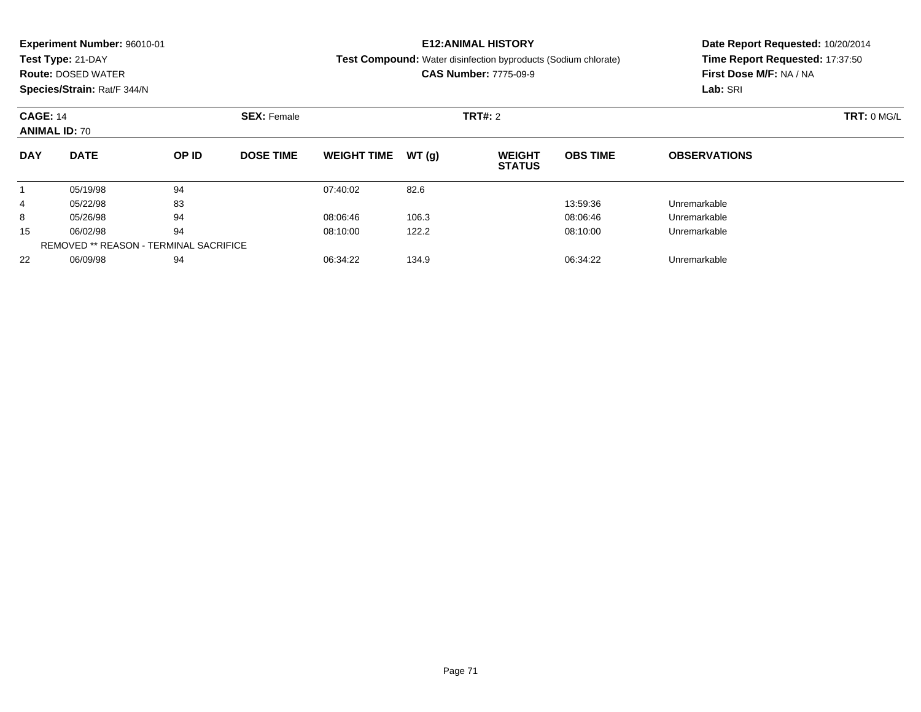|                 | <b>Experiment Number: 96010-01</b>            |       |                    |                    |       | <b>E12:ANIMAL HISTORY</b>                                             | Date Report Requested: 10/20/2014 |                                 |  |  |
|-----------------|-----------------------------------------------|-------|--------------------|--------------------|-------|-----------------------------------------------------------------------|-----------------------------------|---------------------------------|--|--|
|                 | Test Type: 21-DAY                             |       |                    |                    |       | <b>Test Compound:</b> Water disinfection byproducts (Sodium chlorate) |                                   | Time Report Requested: 17:37:50 |  |  |
|                 | <b>Route: DOSED WATER</b>                     |       |                    |                    |       | <b>CAS Number: 7775-09-9</b>                                          |                                   | First Dose M/F: NA / NA         |  |  |
|                 | Species/Strain: Rat/F 344/N                   |       |                    |                    |       |                                                                       |                                   | Lab: SRI                        |  |  |
| <b>CAGE: 14</b> | <b>ANIMAL ID: 70</b>                          |       | <b>SEX: Female</b> |                    |       | <b>TRT#: 2</b>                                                        |                                   | TRT: 0 MG/L                     |  |  |
| <b>DAY</b>      | <b>DATE</b>                                   | OP ID | <b>DOSE TIME</b>   | <b>WEIGHT TIME</b> | WT(g) | <b>WEIGHT</b><br><b>STATUS</b>                                        | <b>OBS TIME</b>                   | <b>OBSERVATIONS</b>             |  |  |
|                 | 05/19/98                                      | 94    |                    | 07:40:02           | 82.6  |                                                                       |                                   |                                 |  |  |
| 4               | 05/22/98                                      | 83    |                    |                    |       |                                                                       | 13:59:36                          | Unremarkable                    |  |  |
| 8               | 05/26/98                                      | 94    |                    | 08:06:46           | 106.3 |                                                                       | 08:06:46                          | Unremarkable                    |  |  |
| 15              | 06/02/98                                      | 94    |                    | 08:10:00           | 122.2 |                                                                       | 08:10:00                          | Unremarkable                    |  |  |
|                 | <b>REMOVED ** REASON - TERMINAL SACRIFICE</b> |       |                    |                    |       |                                                                       |                                   |                                 |  |  |

06/09/98 <sup>94</sup> 06:34:22 134.9 06:34:22 Unremarkable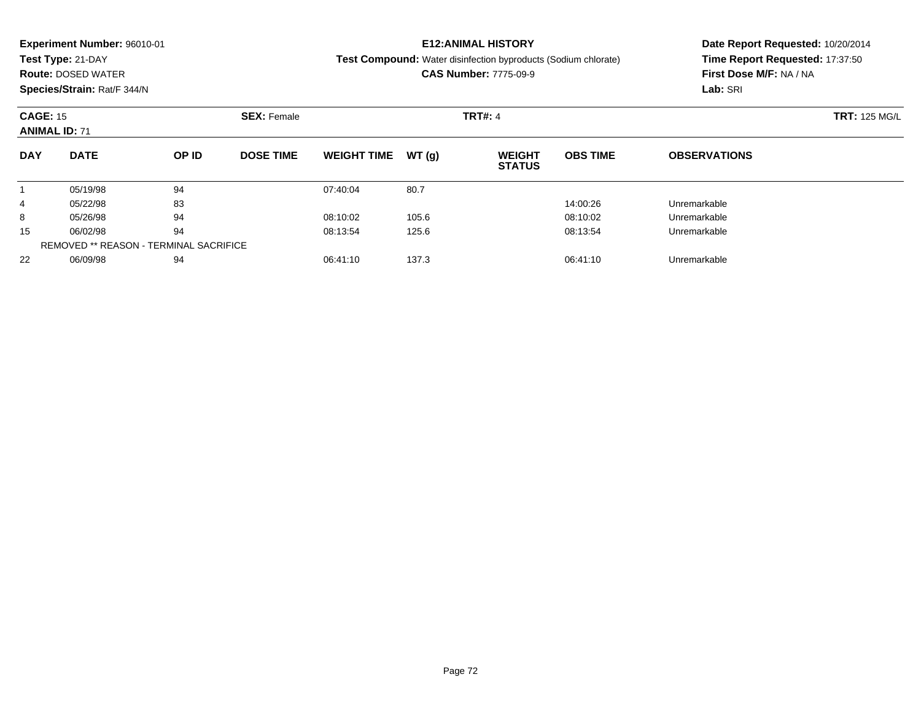|                                        | <b>Experiment Number: 96010-01</b> |       |                    |                    |       | <b>E12:ANIMAL HISTORY</b>                                      | Date Report Requested: 10/20/2014 |                                 |                      |  |
|----------------------------------------|------------------------------------|-------|--------------------|--------------------|-------|----------------------------------------------------------------|-----------------------------------|---------------------------------|----------------------|--|
|                                        | Test Type: 21-DAY                  |       |                    |                    |       | Test Compound: Water disinfection byproducts (Sodium chlorate) |                                   | Time Report Requested: 17:37:50 |                      |  |
|                                        | <b>Route: DOSED WATER</b>          |       |                    |                    |       | <b>CAS Number: 7775-09-9</b>                                   |                                   | First Dose M/F: NA / NA         |                      |  |
|                                        | Species/Strain: Rat/F 344/N        |       |                    |                    |       |                                                                |                                   | Lab: SRI                        |                      |  |
| <b>CAGE: 15</b>                        |                                    |       | <b>SEX: Female</b> |                    |       | <b>TRT#: 4</b>                                                 |                                   |                                 | <b>TRT: 125 MG/L</b> |  |
|                                        | <b>ANIMAL ID: 71</b>               |       |                    |                    |       |                                                                |                                   |                                 |                      |  |
| <b>DAY</b>                             | <b>DATE</b>                        | OP ID | <b>DOSE TIME</b>   | <b>WEIGHT TIME</b> | WT(q) | <b>WEIGHT</b><br><b>STATUS</b>                                 | <b>OBS TIME</b>                   | <b>OBSERVATIONS</b>             |                      |  |
|                                        | 05/19/98                           | 94    |                    | 07:40:04           | 80.7  |                                                                |                                   |                                 |                      |  |
| 4                                      | 05/22/98                           | 83    |                    |                    |       |                                                                | 14:00:26                          | Unremarkable                    |                      |  |
| 8                                      | 05/26/98                           | 94    |                    | 08:10:02           | 105.6 |                                                                | 08:10:02                          | Unremarkable                    |                      |  |
| 15                                     | 06/02/98                           | 94    |                    | 08:13:54           | 125.6 |                                                                | 08:13:54                          | Unremarkable                    |                      |  |
| REMOVED ** REASON - TERMINAL SACRIFICE |                                    |       |                    |                    |       |                                                                |                                   |                                 |                      |  |

06/09/98 <sup>94</sup> 06:41:10 137.3 06:41:10 Unremarkable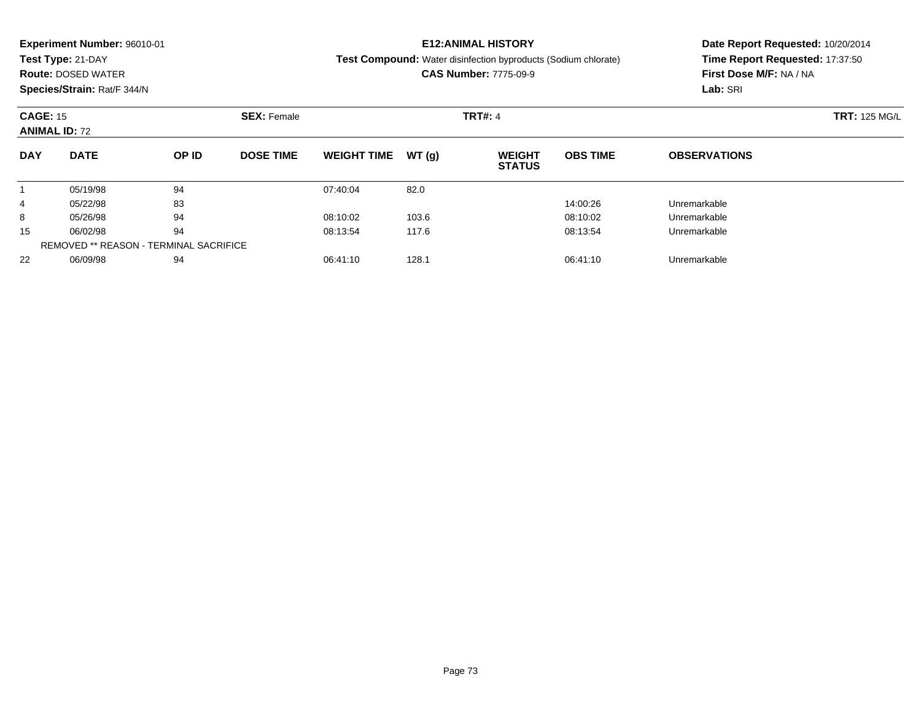|                 | <b>Experiment Number: 96010-01</b> |       |                    |                    |        | <b>E12:ANIMAL HISTORY</b>                                             | Date Report Requested: 10/20/2014 |                                 |  |  |
|-----------------|------------------------------------|-------|--------------------|--------------------|--------|-----------------------------------------------------------------------|-----------------------------------|---------------------------------|--|--|
|                 | Test Type: 21-DAY                  |       |                    |                    |        | <b>Test Compound:</b> Water disinfection byproducts (Sodium chlorate) |                                   | Time Report Requested: 17:37:50 |  |  |
|                 | <b>Route: DOSED WATER</b>          |       |                    |                    |        | <b>CAS Number: 7775-09-9</b>                                          | First Dose M/F: NA / NA           |                                 |  |  |
|                 | Species/Strain: Rat/F 344/N        |       |                    |                    |        |                                                                       |                                   | Lab: SRI                        |  |  |
| <b>CAGE: 15</b> |                                    |       | <b>SEX: Female</b> |                    |        | <b>TRT#: 4</b>                                                        | <b>TRT: 125 MG/L</b>              |                                 |  |  |
|                 | <b>ANIMAL ID: 72</b>               |       |                    |                    |        |                                                                       |                                   |                                 |  |  |
| <b>DAY</b>      | <b>DATE</b>                        | OP ID | <b>DOSE TIME</b>   | <b>WEIGHT TIME</b> | WT (q) | <b>WEIGHT</b><br><b>STATUS</b>                                        | <b>OBS TIME</b>                   | <b>OBSERVATIONS</b>             |  |  |
|                 | 05/19/98                           | 94    |                    | 07:40:04           | 82.0   |                                                                       |                                   |                                 |  |  |
| 4               | 05/22/98                           | 83    |                    |                    |        |                                                                       | 14:00:26                          | Unremarkable                    |  |  |
| 8               | 05/26/98                           | 94    |                    | 08:10:02           | 103.6  |                                                                       | 08:10:02                          | Unremarkable                    |  |  |
| 15              | 06/02/98                           | 94    |                    | 08:13:54           | 117.6  |                                                                       | 08:13:54                          | Unremarkable                    |  |  |
|                 |                                    |       |                    |                    |        |                                                                       |                                   |                                 |  |  |

06/09/98 <sup>94</sup> 06:41:10 128.1 06:41:10 Unremarkable

REMOVED \*\* REASON - TERMINAL SACRIFICE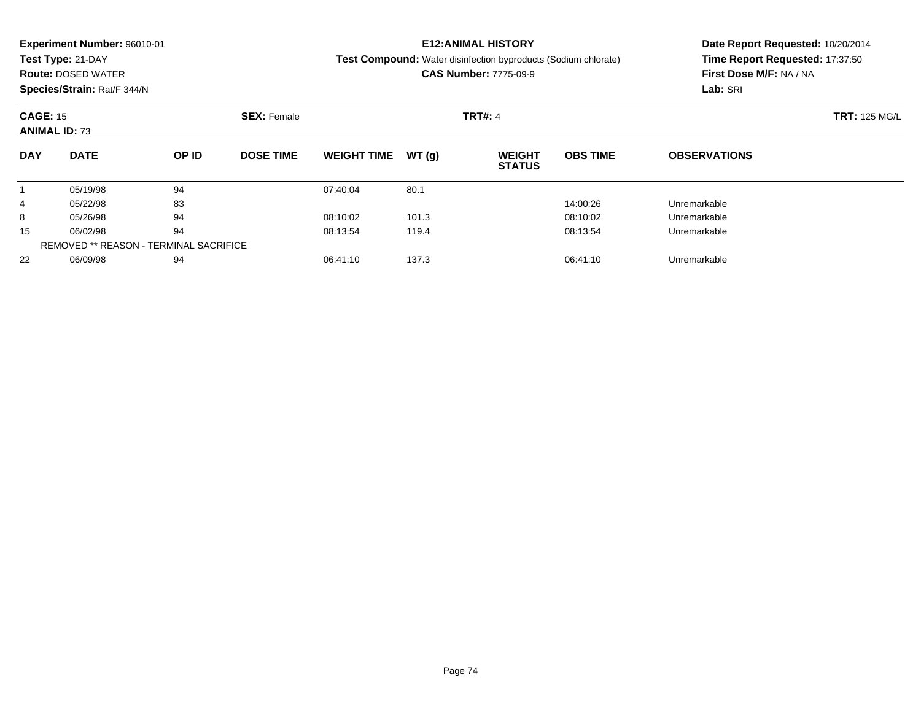|                 | <b>Experiment Number: 96010-01</b> |       |                    |                    |        | <b>E12:ANIMAL HISTORY</b>                                             | Date Report Requested: 10/20/2014 |                                 |  |  |
|-----------------|------------------------------------|-------|--------------------|--------------------|--------|-----------------------------------------------------------------------|-----------------------------------|---------------------------------|--|--|
|                 | Test Type: 21-DAY                  |       |                    |                    |        | <b>Test Compound:</b> Water disinfection byproducts (Sodium chlorate) |                                   | Time Report Requested: 17:37:50 |  |  |
|                 | <b>Route: DOSED WATER</b>          |       |                    |                    |        | <b>CAS Number: 7775-09-9</b>                                          | First Dose M/F: NA / NA           |                                 |  |  |
|                 | Species/Strain: Rat/F 344/N        |       |                    |                    |        |                                                                       |                                   | Lab: SRI                        |  |  |
| <b>CAGE: 15</b> |                                    |       | <b>SEX: Female</b> |                    |        | <b>TRT#: 4</b>                                                        |                                   | <b>TRT: 125 MG/L</b>            |  |  |
|                 | <b>ANIMAL ID: 73</b>               |       |                    |                    |        |                                                                       |                                   |                                 |  |  |
| <b>DAY</b>      | <b>DATE</b>                        | OP ID | <b>DOSE TIME</b>   | <b>WEIGHT TIME</b> | WT (q) | <b>WEIGHT</b><br><b>STATUS</b>                                        | <b>OBS TIME</b>                   | <b>OBSERVATIONS</b>             |  |  |
|                 | 05/19/98                           | 94    |                    | 07:40:04           | 80.1   |                                                                       |                                   |                                 |  |  |
| 4               | 05/22/98                           | 83    |                    |                    |        |                                                                       | 14:00:26                          | Unremarkable                    |  |  |
| 8               | 05/26/98                           | 94    |                    | 08:10:02           | 101.3  |                                                                       | 08:10:02                          | Unremarkable                    |  |  |
| 15              | 06/02/98                           | 94    |                    | 08:13:54           | 119.4  |                                                                       | 08:13:54                          | Unremarkable                    |  |  |
|                 |                                    |       |                    |                    |        |                                                                       |                                   |                                 |  |  |

06/09/98 <sup>94</sup> 06:41:10 137.3 06:41:10 Unremarkable

REMOVED \*\* REASON - TERMINAL SACRIFICE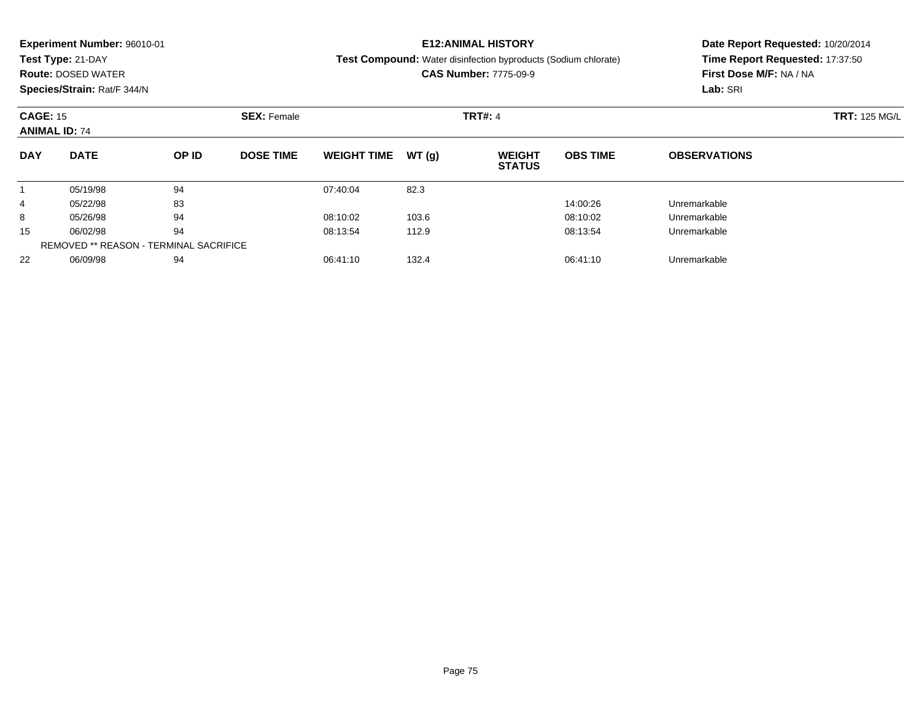|                 | <b>Experiment Number: 96010-01</b> |       |                    |                    |        | <b>E12:ANIMAL HISTORY</b>                                             | Date Report Requested: 10/20/2014 |                                 |  |  |
|-----------------|------------------------------------|-------|--------------------|--------------------|--------|-----------------------------------------------------------------------|-----------------------------------|---------------------------------|--|--|
|                 | Test Type: 21-DAY                  |       |                    |                    |        | <b>Test Compound:</b> Water disinfection byproducts (Sodium chlorate) |                                   | Time Report Requested: 17:37:50 |  |  |
|                 | <b>Route: DOSED WATER</b>          |       |                    |                    |        | <b>CAS Number: 7775-09-9</b>                                          | First Dose M/F: NA / NA           |                                 |  |  |
|                 | Species/Strain: Rat/F 344/N        |       |                    |                    |        |                                                                       |                                   | Lab: SRI                        |  |  |
| <b>CAGE: 15</b> |                                    |       | <b>SEX: Female</b> |                    |        | <b>TRT#: 4</b>                                                        | <b>TRT: 125 MG/L</b>              |                                 |  |  |
|                 | <b>ANIMAL ID: 74</b>               |       |                    |                    |        |                                                                       |                                   |                                 |  |  |
| <b>DAY</b>      | <b>DATE</b>                        | OP ID | <b>DOSE TIME</b>   | <b>WEIGHT TIME</b> | WT (q) | <b>WEIGHT</b><br><b>STATUS</b>                                        | <b>OBS TIME</b>                   | <b>OBSERVATIONS</b>             |  |  |
|                 | 05/19/98                           | 94    |                    | 07:40:04           | 82.3   |                                                                       |                                   |                                 |  |  |
| 4               | 05/22/98                           | 83    |                    |                    |        |                                                                       | 14:00:26                          | Unremarkable                    |  |  |
| 8               | 05/26/98                           | 94    |                    | 08:10:02           | 103.6  |                                                                       | 08:10:02                          | Unremarkable                    |  |  |
| 15              | 06/02/98                           | 94    |                    | 08:13:54           | 112.9  |                                                                       | 08:13:54                          | Unremarkable                    |  |  |
|                 |                                    |       |                    |                    |        |                                                                       |                                   |                                 |  |  |

06/09/98 <sup>94</sup> 06:41:10 132.4 06:41:10 Unremarkable

REMOVED \*\* REASON - TERMINAL SACRIFICE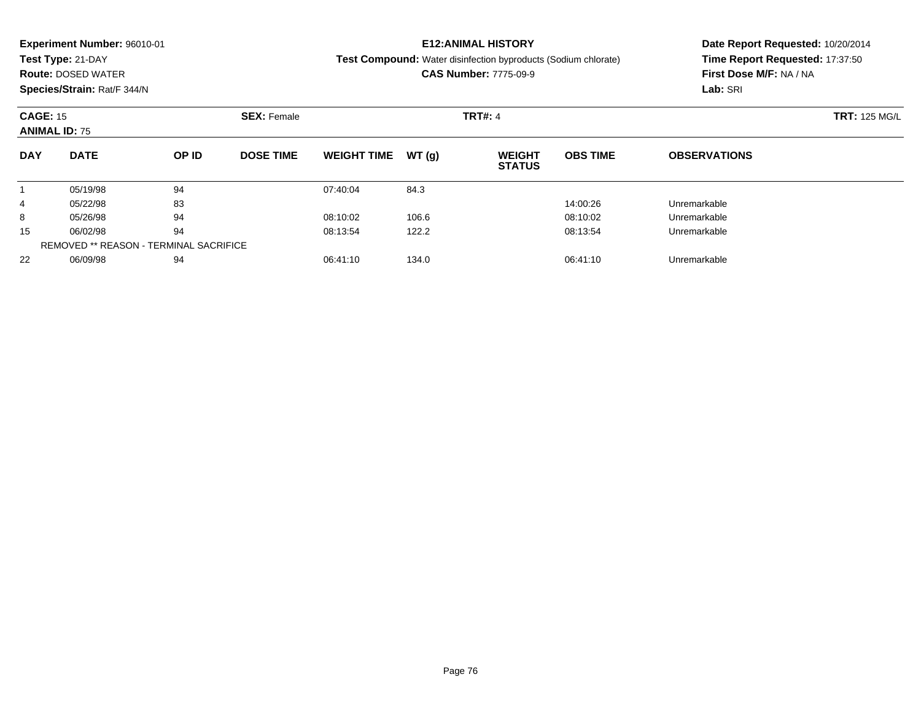|                 | <b>Experiment Number: 96010-01</b> |       |                    |                    |       | <b>E12:ANIMAL HISTORY</b>                                             | Date Report Requested: 10/20/2014 |                                                            |                      |  |
|-----------------|------------------------------------|-------|--------------------|--------------------|-------|-----------------------------------------------------------------------|-----------------------------------|------------------------------------------------------------|----------------------|--|
|                 | Test Type: 21-DAY                  |       |                    |                    |       | <b>Test Compound:</b> Water disinfection byproducts (Sodium chlorate) |                                   | Time Report Requested: 17:37:50<br>First Dose M/F: NA / NA |                      |  |
|                 | <b>Route: DOSED WATER</b>          |       |                    |                    |       | <b>CAS Number: 7775-09-9</b>                                          |                                   |                                                            |                      |  |
|                 | Species/Strain: Rat/F 344/N        |       |                    |                    |       |                                                                       |                                   | Lab: SRI                                                   |                      |  |
| <b>CAGE: 15</b> |                                    |       | <b>SEX: Female</b> |                    |       | <b>TRT#: 4</b>                                                        |                                   |                                                            | <b>TRT: 125 MG/L</b> |  |
|                 | <b>ANIMAL ID: 75</b>               |       |                    |                    |       |                                                                       |                                   |                                                            |                      |  |
| <b>DAY</b>      | <b>DATE</b>                        | OP ID | <b>DOSE TIME</b>   | <b>WEIGHT TIME</b> | WT(q) | <b>WEIGHT</b><br><b>STATUS</b>                                        | <b>OBS TIME</b>                   | <b>OBSERVATIONS</b>                                        |                      |  |
|                 | 05/19/98                           | 94    |                    | 07:40:04           | 84.3  |                                                                       |                                   |                                                            |                      |  |
| 4               | 05/22/98                           | 83    |                    |                    |       |                                                                       | 14:00:26                          | Unremarkable                                               |                      |  |
| 8               | 05/26/98                           | 94    |                    | 08:10:02           | 106.6 |                                                                       | 08:10:02                          | Unremarkable                                               |                      |  |
| 15              | 06/02/98                           | 94    |                    | 08:13:54           | 122.2 |                                                                       | 08:13:54                          | Unremarkable                                               |                      |  |
|                 |                                    |       |                    |                    |       |                                                                       |                                   |                                                            |                      |  |
|                 |                                    |       |                    |                    |       |                                                                       |                                   |                                                            |                      |  |

06/09/98 <sup>94</sup> 06:41:10 134.0 06:41:10 Unremarkable

REMOVED \*\* REASON - TERMINAL SACRIFICE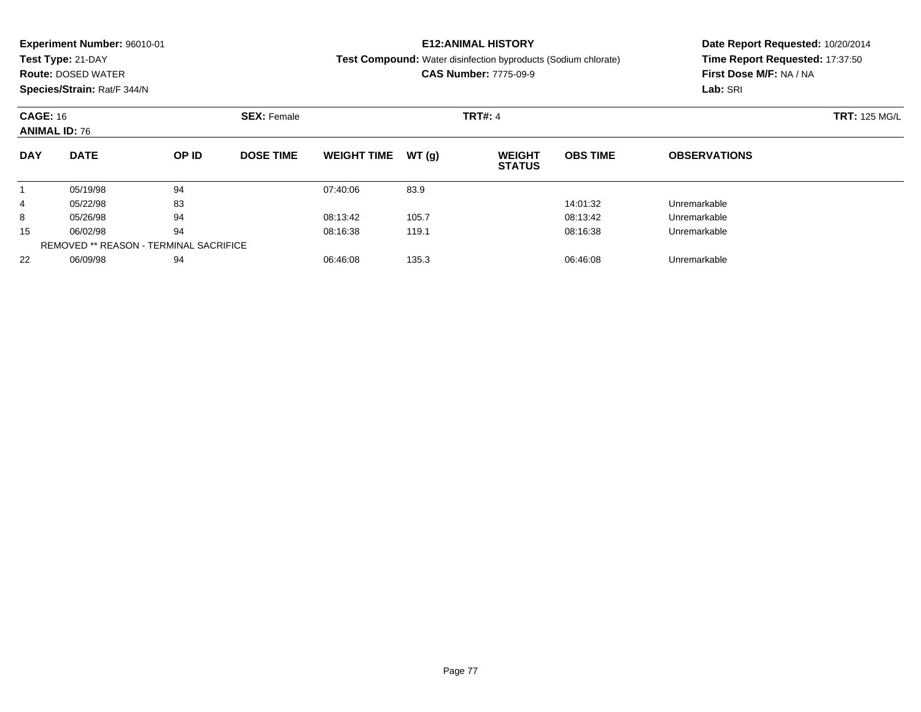|                                       | <b>Experiment Number: 96010-01</b> |       |                  |                    |       | <b>E12:ANIMAL HISTORY</b>                                             | Date Report Requested: 10/20/2014 |                                 |  |  |
|---------------------------------------|------------------------------------|-------|------------------|--------------------|-------|-----------------------------------------------------------------------|-----------------------------------|---------------------------------|--|--|
|                                       | Test Type: 21-DAY                  |       |                  |                    |       | <b>Test Compound:</b> Water disinfection byproducts (Sodium chlorate) |                                   | Time Report Requested: 17:37:50 |  |  |
|                                       | <b>Route: DOSED WATER</b>          |       |                  |                    |       | <b>CAS Number: 7775-09-9</b>                                          |                                   | First Dose M/F: NA / NA         |  |  |
|                                       | Species/Strain: Rat/F 344/N        |       |                  |                    |       |                                                                       |                                   | Lab: SRI                        |  |  |
| <b>CAGE: 16</b><br><b>SEX: Female</b> |                                    |       |                  |                    |       | <b>TRT#: 4</b>                                                        | <b>TRT: 125 MG/L</b>              |                                 |  |  |
|                                       | <b>ANIMAL ID: 76</b>               |       |                  |                    |       |                                                                       |                                   |                                 |  |  |
| <b>DAY</b>                            | <b>DATE</b>                        | OP ID | <b>DOSE TIME</b> | <b>WEIGHT TIME</b> | WT(q) | <b>WEIGHT</b><br><b>STATUS</b>                                        | <b>OBS TIME</b>                   | <b>OBSERVATIONS</b>             |  |  |
|                                       | 05/19/98                           | 94    |                  | 07:40:06           | 83.9  |                                                                       |                                   |                                 |  |  |
| 4                                     | 05/22/98                           | 83    |                  |                    |       |                                                                       | 14:01:32                          | Unremarkable                    |  |  |
| 8                                     | 05/26/98                           | 94    |                  | 08:13:42           | 105.7 |                                                                       | 08:13:42                          | Unremarkable                    |  |  |
| 15                                    | 06/02/98                           | 94    |                  | 08:16:38           | 119.1 |                                                                       | 08:16:38                          | Unremarkable                    |  |  |
|                                       |                                    |       |                  |                    |       |                                                                       |                                   |                                 |  |  |

06/09/98 <sup>94</sup> 06:46:08 135.3 06:46:08 Unremarkable

REMOVED \*\* REASON - TERMINAL SACRIFICE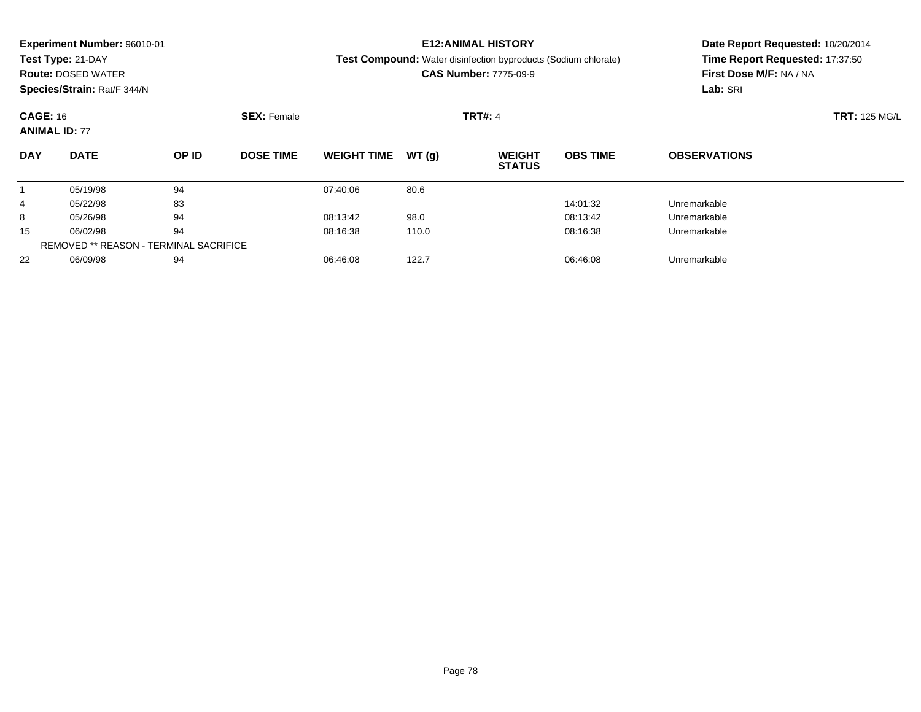|                 | <b>Experiment Number: 96010-01</b> |                                               |                  |                    |       | <b>E12:ANIMAL HISTORY</b>                                             | Date Report Requested: 10/20/2014 |                                                            |  |  |
|-----------------|------------------------------------|-----------------------------------------------|------------------|--------------------|-------|-----------------------------------------------------------------------|-----------------------------------|------------------------------------------------------------|--|--|
|                 | Test Type: 21-DAY                  |                                               |                  |                    |       | <b>Test Compound:</b> Water disinfection byproducts (Sodium chlorate) |                                   | Time Report Requested: 17:37:50<br>First Dose M/F: NA / NA |  |  |
|                 | <b>Route: DOSED WATER</b>          |                                               |                  |                    |       | <b>CAS Number: 7775-09-9</b>                                          |                                   |                                                            |  |  |
|                 | Species/Strain: Rat/F 344/N        |                                               |                  |                    |       |                                                                       |                                   | Lab: SRI                                                   |  |  |
| <b>CAGE: 16</b> |                                    |                                               |                  | <b>TRT#: 4</b>     |       | <b>TRT: 125 MG/L</b>                                                  |                                   |                                                            |  |  |
|                 | <b>ANIMAL ID: 77</b>               |                                               |                  |                    |       |                                                                       |                                   |                                                            |  |  |
| <b>DAY</b>      | <b>DATE</b>                        | OP ID                                         | <b>DOSE TIME</b> | <b>WEIGHT TIME</b> | WT(q) | <b>WEIGHT</b><br><b>STATUS</b>                                        | <b>OBS TIME</b>                   | <b>OBSERVATIONS</b>                                        |  |  |
|                 | 05/19/98                           | 94                                            |                  | 07:40:06           | 80.6  |                                                                       |                                   |                                                            |  |  |
| 4               | 05/22/98                           | 83                                            |                  |                    |       |                                                                       | 14:01:32                          | Unremarkable                                               |  |  |
| 8               | 05/26/98                           | 94                                            |                  | 08:13:42           | 98.0  |                                                                       | 08:13:42                          | Unremarkable                                               |  |  |
| 15              | 06/02/98                           | 94                                            |                  | 08:16:38           | 110.0 |                                                                       | 08:16:38                          | Unremarkable                                               |  |  |
|                 |                                    | <b>REMOVED ** REASON - TERMINAL SACRIFICE</b> |                  |                    |       |                                                                       |                                   |                                                            |  |  |

06/09/98 <sup>94</sup> 06:46:08 122.7 06:46:08 Unremarkable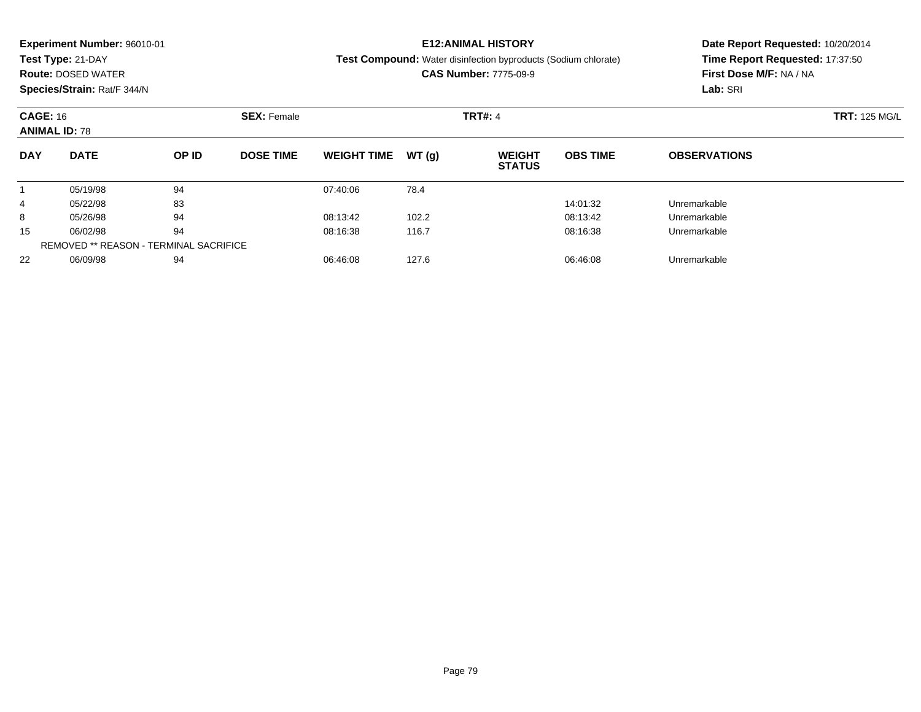|                                         | <b>Experiment Number: 96010-01</b> |       |                    |                    |        | <b>E12:ANIMAL HISTORY</b>                                             | Date Report Requested: 10/20/2014 |                                 |  |  |
|-----------------------------------------|------------------------------------|-------|--------------------|--------------------|--------|-----------------------------------------------------------------------|-----------------------------------|---------------------------------|--|--|
|                                         | Test Type: 21-DAY                  |       |                    |                    |        | <b>Test Compound:</b> Water disinfection byproducts (Sodium chlorate) |                                   | Time Report Requested: 17:37:50 |  |  |
|                                         | <b>Route: DOSED WATER</b>          |       |                    |                    |        | <b>CAS Number: 7775-09-9</b>                                          | First Dose M/F: NA / NA           |                                 |  |  |
|                                         | Species/Strain: Rat/F 344/N        |       |                    |                    |        |                                                                       |                                   | Lab: SRI                        |  |  |
| <b>CAGE: 16</b><br><b>ANIMAL ID: 78</b> |                                    |       | <b>SEX: Female</b> |                    |        | <b>TRT#: 4</b>                                                        | <b>TRT: 125 MG/L</b>              |                                 |  |  |
|                                         |                                    |       |                    |                    |        |                                                                       |                                   |                                 |  |  |
| <b>DAY</b>                              | <b>DATE</b>                        | OP ID | <b>DOSE TIME</b>   | <b>WEIGHT TIME</b> | WT (q) | <b>WEIGHT</b><br><b>STATUS</b>                                        | <b>OBS TIME</b>                   | <b>OBSERVATIONS</b>             |  |  |
|                                         | 05/19/98                           | 94    |                    | 07:40:06           | 78.4   |                                                                       |                                   |                                 |  |  |
| 4                                       | 05/22/98                           | 83    |                    |                    |        |                                                                       | 14:01:32                          | Unremarkable                    |  |  |
| 8                                       | 05/26/98                           | 94    |                    | 08:13:42           | 102.2  |                                                                       | 08:13:42                          | Unremarkable                    |  |  |
| 15                                      | 06/02/98                           | 94    |                    | 08:16:38           | 116.7  |                                                                       | 08:16:38                          | Unremarkable                    |  |  |
|                                         |                                    |       |                    |                    |        |                                                                       |                                   |                                 |  |  |

06/09/98 <sup>94</sup> 06:46:08 127.6 06:46:08 Unremarkable

REMOVED \*\* REASON - TERMINAL SACRIFICE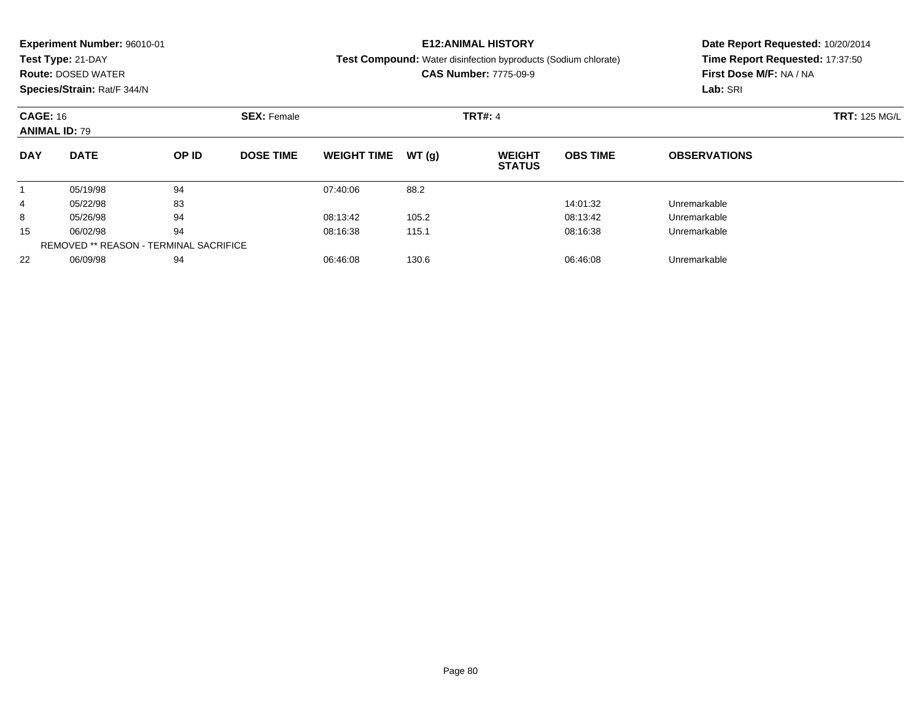|                 | <b>Experiment Number: 96010-01</b> |                                        |                  |                    |       | <b>E12:ANIMAL HISTORY</b>                                      | Date Report Requested: 10/20/2014 |                                                            |  |  |
|-----------------|------------------------------------|----------------------------------------|------------------|--------------------|-------|----------------------------------------------------------------|-----------------------------------|------------------------------------------------------------|--|--|
|                 | Test Type: 21-DAY                  |                                        |                  |                    |       | Test Compound: Water disinfection byproducts (Sodium chlorate) |                                   | Time Report Requested: 17:37:50<br>First Dose M/F: NA / NA |  |  |
|                 | <b>Route: DOSED WATER</b>          |                                        |                  |                    |       | <b>CAS Number: 7775-09-9</b>                                   |                                   |                                                            |  |  |
|                 | Species/Strain: Rat/F 344/N        |                                        |                  |                    |       |                                                                |                                   | Lab: SRI                                                   |  |  |
| <b>CAGE: 16</b> |                                    |                                        |                  | <b>TRT#: 4</b>     |       | <b>TRT: 125 MG/L</b>                                           |                                   |                                                            |  |  |
|                 | <b>ANIMAL ID: 79</b>               |                                        |                  |                    |       |                                                                |                                   |                                                            |  |  |
| <b>DAY</b>      | <b>DATE</b>                        | OP ID                                  | <b>DOSE TIME</b> | <b>WEIGHT TIME</b> | WT(q) | <b>WEIGHT</b><br><b>STATUS</b>                                 | <b>OBS TIME</b>                   | <b>OBSERVATIONS</b>                                        |  |  |
|                 | 05/19/98                           | 94                                     |                  | 07:40:06           | 88.2  |                                                                |                                   |                                                            |  |  |
| 4               | 05/22/98                           | 83                                     |                  |                    |       |                                                                | 14:01:32                          | Unremarkable                                               |  |  |
| 8               | 05/26/98                           | 94                                     |                  | 08:13:42           | 105.2 |                                                                | 08:13:42                          | Unremarkable                                               |  |  |
| 15              | 06/02/98                           | 94                                     |                  | 08:16:38           | 115.1 |                                                                | 08:16:38                          | Unremarkable                                               |  |  |
|                 |                                    | REMOVED ** REASON - TERMINAL SACRIFICE |                  |                    |       |                                                                |                                   |                                                            |  |  |

06/09/98 <sup>94</sup> 06:46:08 130.6 06:46:08 Unremarkable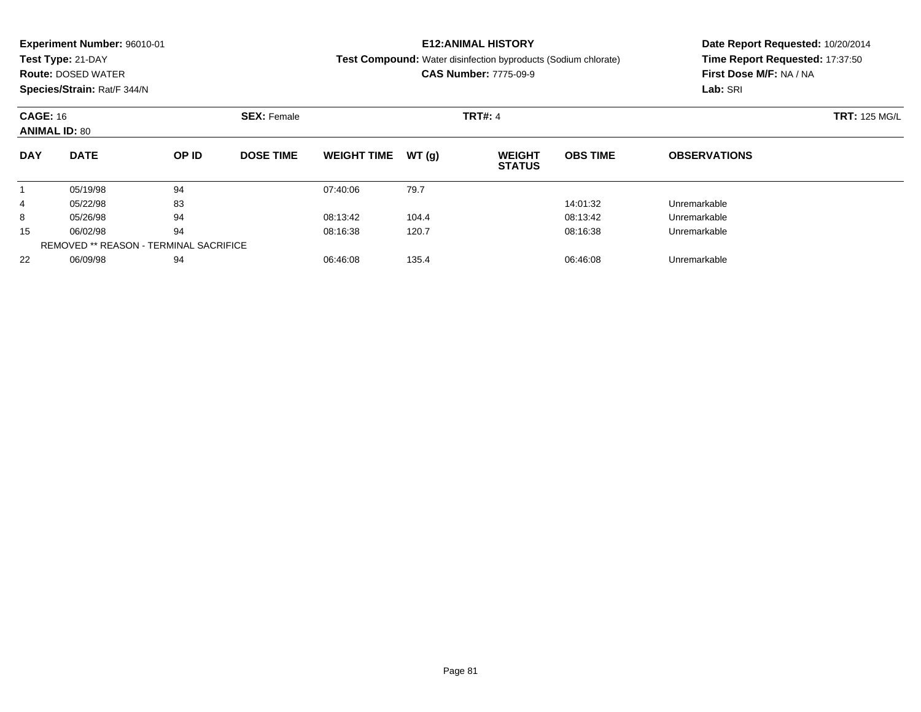|            | <b>Experiment Number: 96010-01</b>            |       |                  |                    |       | <b>E12:ANIMAL HISTORY</b>                                      | Date Report Requested: 10/20/2014 |                                                            |  |  |
|------------|-----------------------------------------------|-------|------------------|--------------------|-------|----------------------------------------------------------------|-----------------------------------|------------------------------------------------------------|--|--|
|            | Test Type: 21-DAY                             |       |                  |                    |       | Test Compound: Water disinfection byproducts (Sodium chlorate) |                                   | Time Report Requested: 17:37:50<br>First Dose M/F: NA / NA |  |  |
|            | <b>Route: DOSED WATER</b>                     |       |                  |                    |       | <b>CAS Number: 7775-09-9</b>                                   |                                   |                                                            |  |  |
|            | Species/Strain: Rat/F 344/N                   |       |                  |                    |       |                                                                |                                   | Lab: SRI                                                   |  |  |
|            | <b>CAGE: 16</b><br><b>SEX: Female</b>         |       |                  |                    |       | <b>TRT#: 4</b>                                                 |                                   | <b>TRT: 125 MG/L</b>                                       |  |  |
|            | <b>ANIMAL ID: 80</b>                          |       |                  |                    |       |                                                                |                                   |                                                            |  |  |
| <b>DAY</b> | <b>DATE</b>                                   | OP ID | <b>DOSE TIME</b> | <b>WEIGHT TIME</b> | WT(g) | <b>WEIGHT</b><br><b>STATUS</b>                                 | <b>OBS TIME</b>                   | <b>OBSERVATIONS</b>                                        |  |  |
|            | 05/19/98                                      | 94    |                  | 07:40:06           | 79.7  |                                                                |                                   |                                                            |  |  |
| 4          | 05/22/98                                      | 83    |                  |                    |       |                                                                | 14:01:32                          | Unremarkable                                               |  |  |
| 8          | 05/26/98                                      | 94    |                  | 08:13:42           | 104.4 |                                                                | 08:13:42                          | Unremarkable                                               |  |  |
| 15         | 06/02/98                                      | 94    |                  | 08:16:38           | 120.7 |                                                                | 08:16:38                          | Unremarkable                                               |  |  |
|            | <b>REMOVED ** REASON - TERMINAL SACRIFICE</b> |       |                  |                    |       |                                                                |                                   |                                                            |  |  |

06/09/98 <sup>94</sup> 06:46:08 135.4 06:46:08 Unremarkable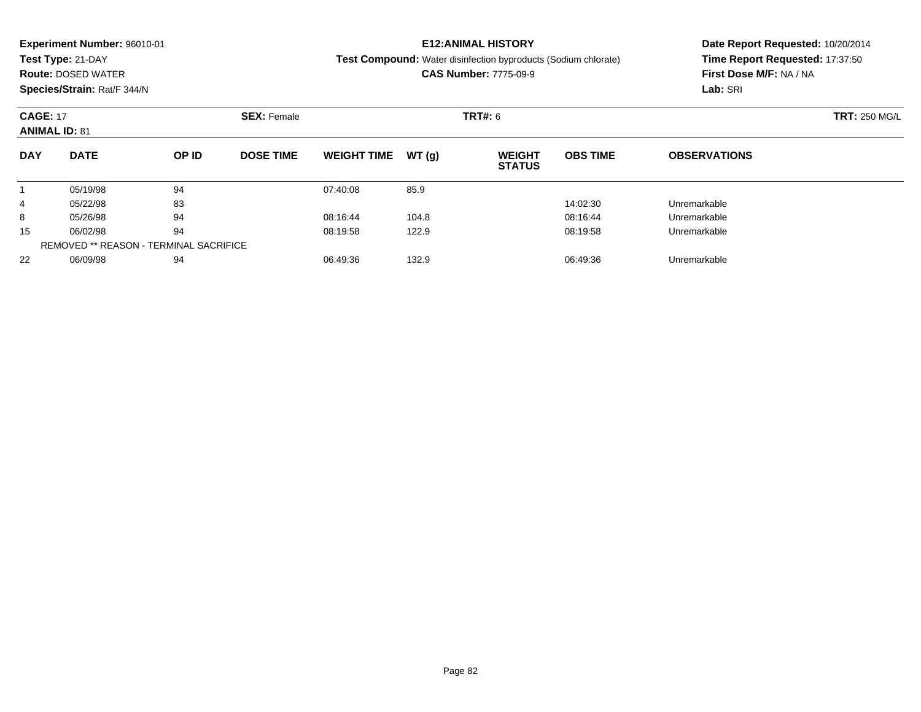|                 | <b>Experiment Number: 96010-01</b> |       |                    |                    |        | <b>E12:ANIMAL HISTORY</b>                                             | Date Report Requested: 10/20/2014 |                                                            |  |  |
|-----------------|------------------------------------|-------|--------------------|--------------------|--------|-----------------------------------------------------------------------|-----------------------------------|------------------------------------------------------------|--|--|
|                 | Test Type: 21-DAY                  |       |                    |                    |        | <b>Test Compound:</b> Water disinfection byproducts (Sodium chlorate) |                                   | Time Report Requested: 17:37:50<br>First Dose M/F: NA / NA |  |  |
|                 | <b>Route: DOSED WATER</b>          |       |                    |                    |        | <b>CAS Number: 7775-09-9</b>                                          |                                   |                                                            |  |  |
|                 | Species/Strain: Rat/F 344/N        |       |                    |                    |        |                                                                       |                                   | Lab: SRI                                                   |  |  |
| <b>CAGE: 17</b> |                                    |       | <b>SEX: Female</b> |                    |        | <b>TRT#: 6</b>                                                        | <b>TRT: 250 MG/L</b>              |                                                            |  |  |
|                 | <b>ANIMAL ID: 81</b>               |       |                    |                    |        |                                                                       |                                   |                                                            |  |  |
| <b>DAY</b>      | <b>DATE</b>                        | OP ID | <b>DOSE TIME</b>   | <b>WEIGHT TIME</b> | WT (q) | <b>WEIGHT</b><br><b>STATUS</b>                                        | <b>OBS TIME</b>                   | <b>OBSERVATIONS</b>                                        |  |  |
|                 | 05/19/98                           | 94    |                    | 07:40:08           | 85.9   |                                                                       |                                   |                                                            |  |  |
| 4               | 05/22/98                           | 83    |                    |                    |        |                                                                       | 14:02:30                          | Unremarkable                                               |  |  |
| 8               | 05/26/98                           | 94    |                    | 08:16:44           | 104.8  |                                                                       | 08:16:44                          | Unremarkable                                               |  |  |
| 15              | 06/02/98                           | 94    |                    | 08:19:58           | 122.9  |                                                                       | 08:19:58                          | Unremarkable                                               |  |  |
|                 |                                    |       |                    |                    |        |                                                                       |                                   |                                                            |  |  |

06/09/98 <sup>94</sup> 06:49:36 132.9 06:49:36 Unremarkable

REMOVED \*\* REASON - TERMINAL SACRIFICE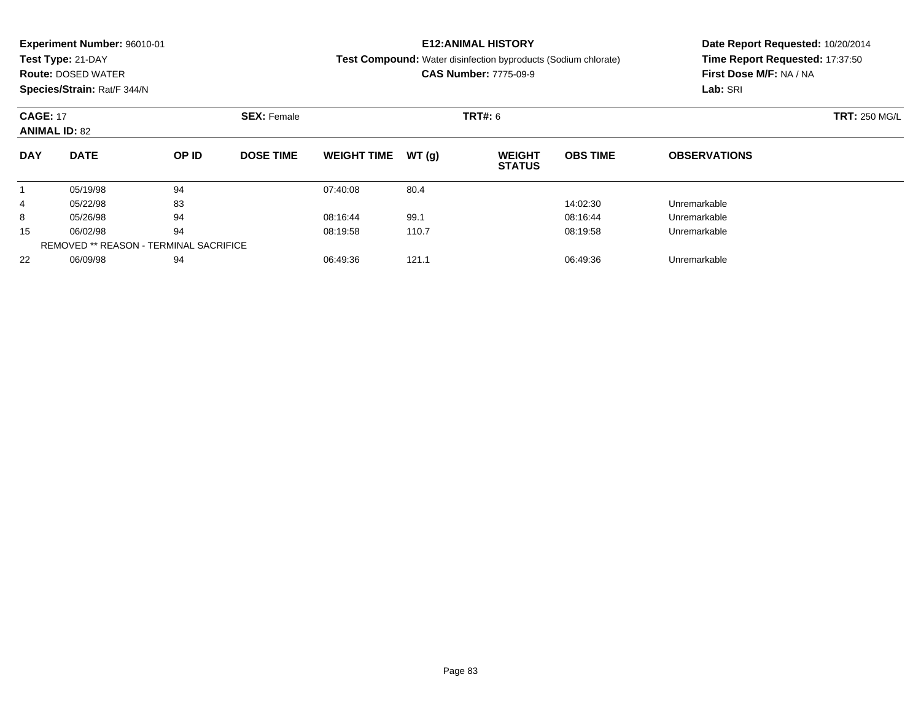|                 | <b>Experiment Number: 96010-01</b> |       |                    |                    |       | <b>E12:ANIMAL HISTORY</b>                                             | Date Report Requested: 10/20/2014 |                                                            |  |  |
|-----------------|------------------------------------|-------|--------------------|--------------------|-------|-----------------------------------------------------------------------|-----------------------------------|------------------------------------------------------------|--|--|
|                 | Test Type: 21-DAY                  |       |                    |                    |       | <b>Test Compound:</b> Water disinfection byproducts (Sodium chlorate) |                                   | Time Report Requested: 17:37:50<br>First Dose M/F: NA / NA |  |  |
|                 | <b>Route: DOSED WATER</b>          |       |                    |                    |       | <b>CAS Number: 7775-09-9</b>                                          |                                   |                                                            |  |  |
|                 | Species/Strain: Rat/F 344/N        |       |                    |                    |       |                                                                       |                                   | Lab: SRI                                                   |  |  |
| <b>CAGE: 17</b> |                                    |       | <b>SEX: Female</b> |                    |       | <b>TRT#: 6</b>                                                        | <b>TRT: 250 MG/L</b>              |                                                            |  |  |
|                 | <b>ANIMAL ID: 82</b>               |       |                    |                    |       |                                                                       |                                   |                                                            |  |  |
| <b>DAY</b>      | <b>DATE</b>                        | OP ID | <b>DOSE TIME</b>   | <b>WEIGHT TIME</b> | WT(q) | <b>WEIGHT</b><br><b>STATUS</b>                                        | <b>OBS TIME</b>                   | <b>OBSERVATIONS</b>                                        |  |  |
|                 | 05/19/98                           | 94    |                    | 07:40:08           | 80.4  |                                                                       |                                   |                                                            |  |  |
| 4               | 05/22/98                           | 83    |                    |                    |       |                                                                       | 14:02:30                          | Unremarkable                                               |  |  |
| 8               | 05/26/98                           | 94    |                    | 08:16:44           | 99.1  |                                                                       | 08:16:44                          | Unremarkable                                               |  |  |
| 15              | 06/02/98                           | 94    |                    | 08:19:58           | 110.7 |                                                                       | 08:19:58                          | Unremarkable                                               |  |  |
|                 |                                    |       |                    |                    |       |                                                                       |                                   |                                                            |  |  |

2 06/09/98 94 94 06:49:36 121.1 06:49:36 06:49:36 Dhremarkable

REMOVED \*\* REASON - TERMINAL SACRIFICE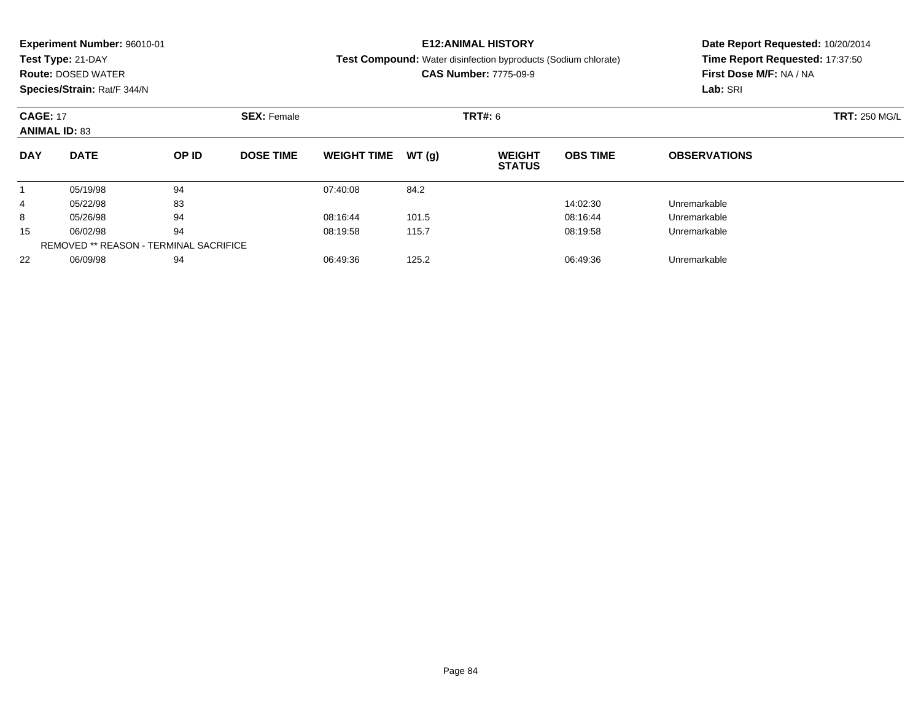|                                         | <b>Experiment Number: 96010-01</b> |                    |                  |                    |                      | <b>E12:ANIMAL HISTORY</b>                                             | Date Report Requested: 10/20/2014 |                                 |  |  |
|-----------------------------------------|------------------------------------|--------------------|------------------|--------------------|----------------------|-----------------------------------------------------------------------|-----------------------------------|---------------------------------|--|--|
|                                         | Test Type: 21-DAY                  |                    |                  |                    |                      | <b>Test Compound:</b> Water disinfection byproducts (Sodium chlorate) |                                   | Time Report Requested: 17:37:50 |  |  |
|                                         | <b>Route: DOSED WATER</b>          |                    |                  |                    |                      | <b>CAS Number: 7775-09-9</b>                                          | First Dose M/F: NA / NA           |                                 |  |  |
|                                         | Species/Strain: Rat/F 344/N        |                    |                  |                    |                      |                                                                       |                                   | Lab: SRI                        |  |  |
| <b>CAGE: 17</b><br><b>ANIMAL ID: 83</b> |                                    | <b>SEX: Female</b> |                  | <b>TRT#: 6</b>     | <b>TRT: 250 MG/L</b> |                                                                       |                                   |                                 |  |  |
| <b>DAY</b>                              | <b>DATE</b>                        | OP ID              | <b>DOSE TIME</b> | <b>WEIGHT TIME</b> | WT(q)                | <b>WEIGHT</b><br><b>STATUS</b>                                        | <b>OBS TIME</b>                   | <b>OBSERVATIONS</b>             |  |  |
|                                         | 05/19/98                           | 94                 |                  | 07:40:08           | 84.2                 |                                                                       |                                   |                                 |  |  |
| 4                                       | 05/22/98                           | 83                 |                  |                    |                      |                                                                       | 14:02:30                          | Unremarkable                    |  |  |
| 8                                       | 05/26/98                           | 94                 |                  | 08:16:44           | 101.5                |                                                                       | 08:16:44                          | Unremarkable                    |  |  |
| 15                                      | 06/02/98                           | 94                 |                  | 08:19:58           | 115.7                |                                                                       | 08:19:58                          | Unremarkable                    |  |  |

06/02/98 <sup>94</sup> 08:19:58 115.7 08:19:58 Unremarkable

06/09/98 <sup>94</sup> 06:49:36 125.2 06:49:36 Unremarkable

REMOVED \*\* REASON - TERMINAL SACRIFICE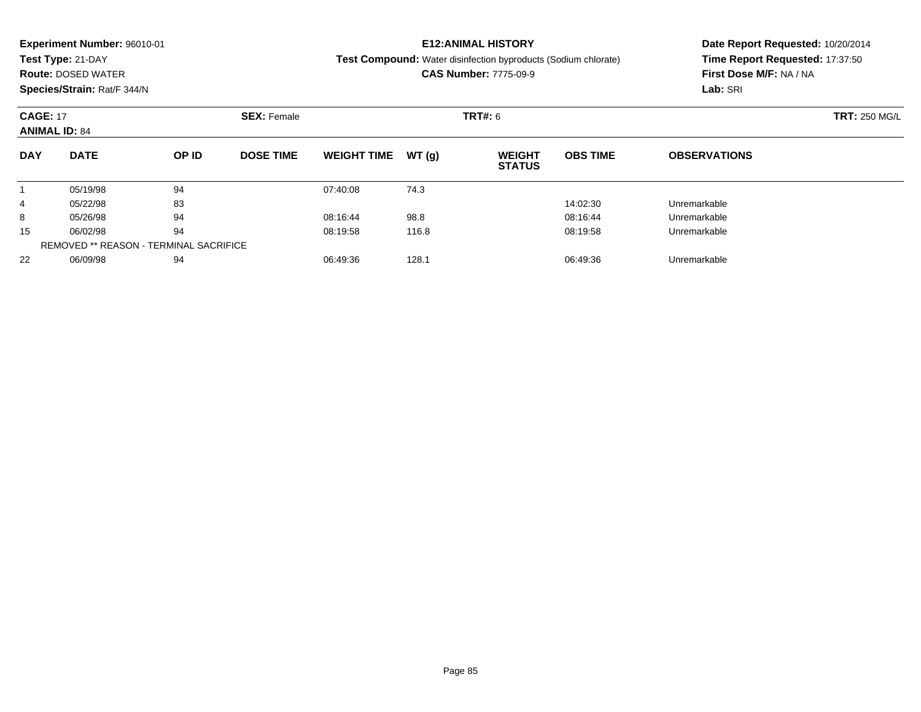|                      | <b>Experiment Number: 96010-01</b> |       |                  |                    |                      | <b>E12:ANIMAL HISTORY</b>                                             | Date Report Requested: 10/20/2014 |                                 |  |  |
|----------------------|------------------------------------|-------|------------------|--------------------|----------------------|-----------------------------------------------------------------------|-----------------------------------|---------------------------------|--|--|
|                      | Test Type: 21-DAY                  |       |                  |                    |                      | <b>Test Compound:</b> Water disinfection byproducts (Sodium chlorate) |                                   | Time Report Requested: 17:37:50 |  |  |
|                      | <b>Route: DOSED WATER</b>          |       |                  |                    |                      | <b>CAS Number: 7775-09-9</b>                                          | First Dose M/F: NA / NA           |                                 |  |  |
|                      | Species/Strain: Rat/F 344/N        |       |                  |                    |                      |                                                                       |                                   | Lab: SRI                        |  |  |
| <b>CAGE: 17</b>      |                                    |       |                  | <b>TRT#:</b> 6     | <b>TRT: 250 MG/L</b> |                                                                       |                                   |                                 |  |  |
| <b>ANIMAL ID: 84</b> |                                    |       |                  |                    |                      |                                                                       |                                   |                                 |  |  |
| <b>DAY</b>           | <b>DATE</b>                        | OP ID | <b>DOSE TIME</b> | <b>WEIGHT TIME</b> | WT(q)                | <b>WEIGHT</b><br><b>STATUS</b>                                        | <b>OBS TIME</b>                   | <b>OBSERVATIONS</b>             |  |  |
|                      | 05/19/98                           | 94    |                  | 07:40:08           | 74.3                 |                                                                       |                                   |                                 |  |  |
| 4                    | 05/22/98                           | 83    |                  |                    |                      |                                                                       | 14:02:30                          | Unremarkable                    |  |  |
| 8                    | 05/26/98                           | 94    |                  | 08:16:44           | 98.8                 |                                                                       | 08:16:44                          | Unremarkable                    |  |  |
| 15                   | 06/02/98                           | 94    |                  | 08:19:58           | 116.8                |                                                                       | 08:19:58                          | Unremarkable                    |  |  |

06/09/98 <sup>94</sup> 06:49:36 128.1 06:49:36 Unremarkable

REMOVED \*\* REASON - TERMINAL SACRIFICE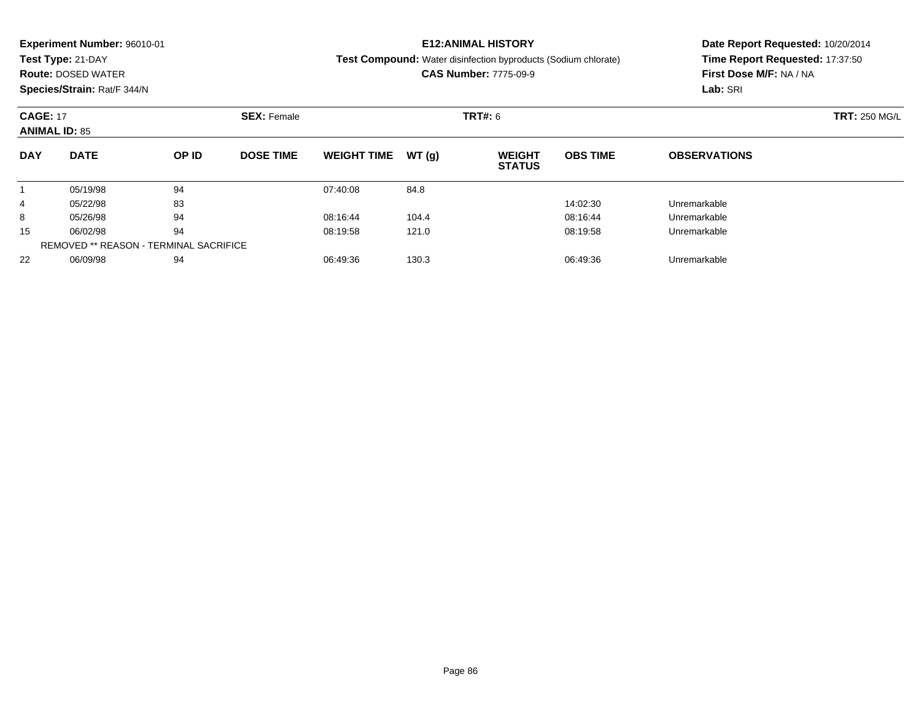|            | <b>Experiment Number: 96010-01</b>    |       |                  |                    |       | <b>E12:ANIMAL HISTORY</b>                                             | Date Report Requested: 10/20/2014 |                                 |  |  |
|------------|---------------------------------------|-------|------------------|--------------------|-------|-----------------------------------------------------------------------|-----------------------------------|---------------------------------|--|--|
|            | Test Type: 21-DAY                     |       |                  |                    |       | <b>Test Compound:</b> Water disinfection byproducts (Sodium chlorate) |                                   | Time Report Requested: 17:37:50 |  |  |
|            | <b>Route: DOSED WATER</b>             |       |                  |                    |       | <b>CAS Number: 7775-09-9</b>                                          | First Dose M/F: NA / NA           |                                 |  |  |
|            | Species/Strain: Rat/F 344/N           |       |                  |                    |       |                                                                       |                                   | Lab: SRI                        |  |  |
|            | <b>CAGE: 17</b><br><b>SEX: Female</b> |       |                  |                    |       | <b>TRT#: 6</b>                                                        | <b>TRT: 250 MG/L</b>              |                                 |  |  |
|            | <b>ANIMAL ID: 85</b>                  |       |                  |                    |       |                                                                       |                                   |                                 |  |  |
| <b>DAY</b> | <b>DATE</b>                           | OP ID | <b>DOSE TIME</b> | <b>WEIGHT TIME</b> | WT(q) | <b>WEIGHT</b><br><b>STATUS</b>                                        | <b>OBS TIME</b>                   | <b>OBSERVATIONS</b>             |  |  |
|            | 05/19/98                              | 94    |                  | 07:40:08           | 84.8  |                                                                       |                                   |                                 |  |  |
| 4          | 05/22/98                              | 83    |                  |                    |       |                                                                       | 14:02:30                          | Unremarkable                    |  |  |
| 8          | 05/26/98                              | 94    |                  | 08:16:44           | 104.4 |                                                                       | 08:16:44                          | Unremarkable                    |  |  |
| 15         | 06/02/98                              | 94    |                  | 08:19:58           | 121.0 |                                                                       | 08:19:58                          | Unremarkable                    |  |  |
|            |                                       |       |                  |                    |       |                                                                       |                                   |                                 |  |  |

06/09/98 <sup>94</sup> 06:49:36 130.3 06:49:36 Unremarkable

REMOVED \*\* REASON - TERMINAL SACRIFICE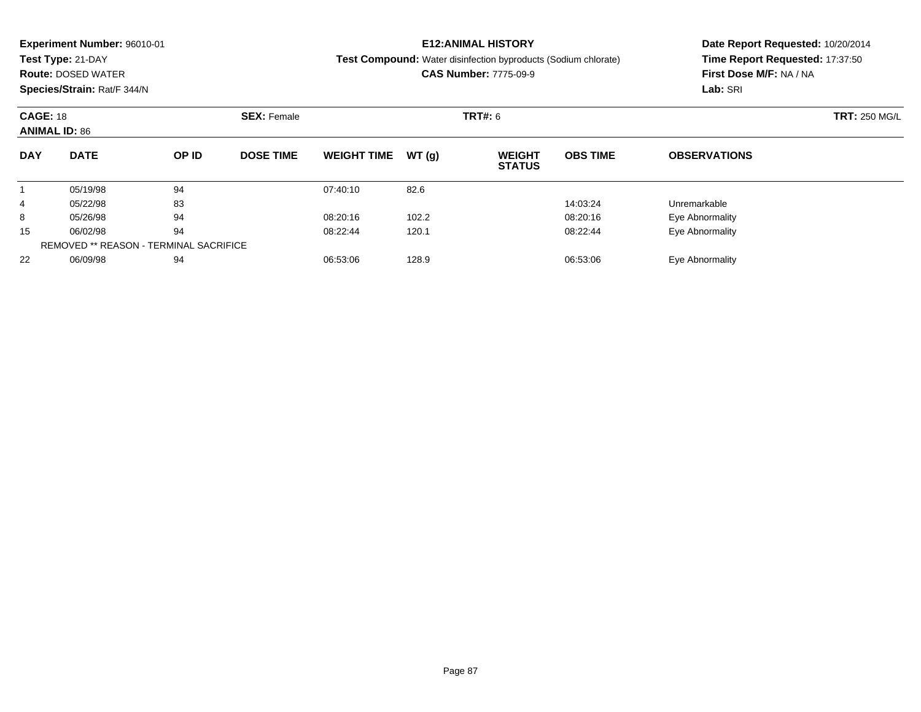|                      | <b>Experiment Number: 96010-01</b>    |       |                  |                    |       | <b>E12:ANIMAL HISTORY</b>                                             | Date Report Requested: 10/20/2014 |                                 |  |  |
|----------------------|---------------------------------------|-------|------------------|--------------------|-------|-----------------------------------------------------------------------|-----------------------------------|---------------------------------|--|--|
|                      | Test Type: 21-DAY                     |       |                  |                    |       | <b>Test Compound:</b> Water disinfection byproducts (Sodium chlorate) |                                   | Time Report Requested: 17:37:50 |  |  |
|                      | <b>Route: DOSED WATER</b>             |       |                  |                    |       | <b>CAS Number: 7775-09-9</b>                                          | First Dose M/F: NA / NA           |                                 |  |  |
|                      | Species/Strain: Rat/F 344/N           |       |                  |                    |       |                                                                       |                                   | Lab: SRI                        |  |  |
|                      | <b>CAGE: 18</b><br><b>SEX: Female</b> |       |                  |                    |       | <b>TRT#:</b> 6                                                        | <b>TRT: 250 MG/L</b>              |                                 |  |  |
| <b>ANIMAL ID: 86</b> |                                       |       |                  |                    |       |                                                                       |                                   |                                 |  |  |
| <b>DAY</b>           | <b>DATE</b>                           | OP ID | <b>DOSE TIME</b> | <b>WEIGHT TIME</b> | WT(q) | <b>WEIGHT</b><br><b>STATUS</b>                                        | <b>OBS TIME</b>                   | <b>OBSERVATIONS</b>             |  |  |
|                      | 05/19/98                              | 94    |                  | 07:40:10           | 82.6  |                                                                       |                                   |                                 |  |  |
| 4                    | 05/22/98                              | 83    |                  |                    |       |                                                                       | 14:03:24                          | Unremarkable                    |  |  |
| 8                    | 05/26/98                              | 94    |                  | 08:20:16           | 102.2 |                                                                       | 08:20:16                          | Eye Abnormality                 |  |  |
| 15                   | 06/02/98                              | 94    |                  | 08:22:44           | 120.1 |                                                                       | 08:22:44                          | Eye Abnormality                 |  |  |

06/09/98 <sup>94</sup> 06:53:06 128.9 06:53:06 Eye Abnormality

REMOVED \*\* REASON - TERMINAL SACRIFICE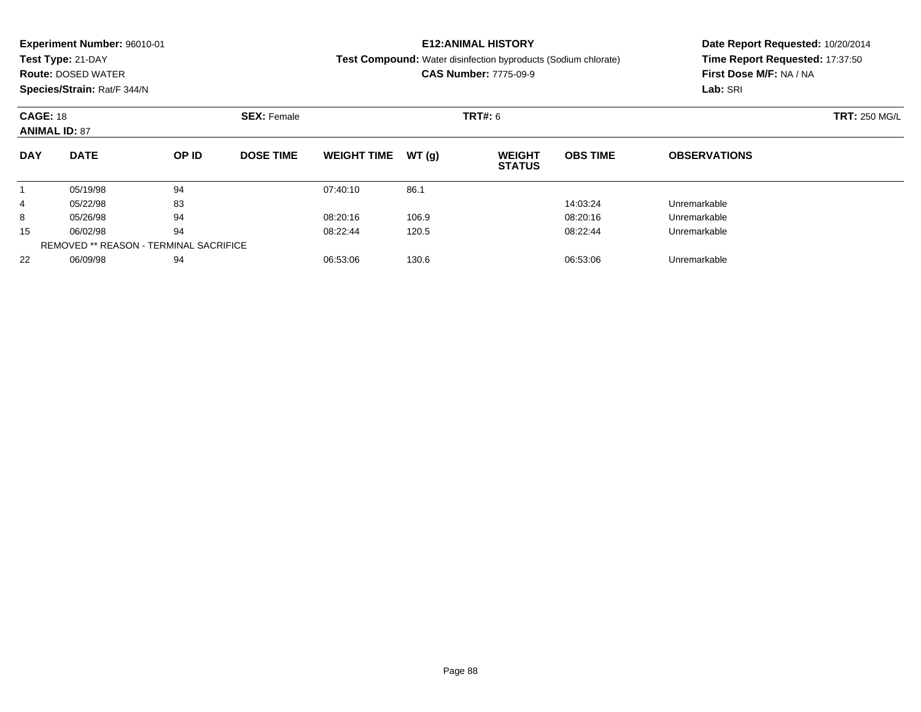|            | <b>Experiment Number: 96010-01</b>                            |       |                  |                    |        | <b>E12:ANIMAL HISTORY</b>                                             | Date Report Requested: 10/20/2014 |                                 |  |  |
|------------|---------------------------------------------------------------|-------|------------------|--------------------|--------|-----------------------------------------------------------------------|-----------------------------------|---------------------------------|--|--|
|            | Test Type: 21-DAY                                             |       |                  |                    |        | <b>Test Compound:</b> Water disinfection byproducts (Sodium chlorate) |                                   | Time Report Requested: 17:37:50 |  |  |
|            | <b>Route: DOSED WATER</b>                                     |       |                  |                    |        | <b>CAS Number: 7775-09-9</b>                                          | First Dose M/F: NA / NA           |                                 |  |  |
|            | Species/Strain: Rat/F 344/N                                   |       |                  |                    |        |                                                                       | Lab: SRI                          |                                 |  |  |
|            | <b>CAGE: 18</b><br><b>SEX: Female</b><br><b>ANIMAL ID: 87</b> |       |                  |                    |        | <b>TRT#: 6</b>                                                        | <b>TRT: 250 MG/L</b>              |                                 |  |  |
|            |                                                               |       |                  |                    |        |                                                                       |                                   |                                 |  |  |
| <b>DAY</b> | <b>DATE</b>                                                   | OP ID | <b>DOSE TIME</b> | <b>WEIGHT TIME</b> | WT (q) | <b>WEIGHT</b><br><b>STATUS</b>                                        | <b>OBS TIME</b>                   | <b>OBSERVATIONS</b>             |  |  |
|            | 05/19/98                                                      | 94    |                  | 07:40:10           | 86.1   |                                                                       |                                   |                                 |  |  |
| 4          | 05/22/98                                                      | 83    |                  |                    |        |                                                                       | 14:03:24                          | Unremarkable                    |  |  |
| 8          | 05/26/98                                                      | 94    |                  | 08:20:16           | 106.9  |                                                                       | 08:20:16                          | Unremarkable                    |  |  |
| 15         | 06/02/98                                                      | 94    |                  | 08:22:44           | 120.5  |                                                                       | 08:22:44                          | Unremarkable                    |  |  |
|            |                                                               |       |                  |                    |        |                                                                       |                                   |                                 |  |  |

06/09/98 <sup>94</sup> 06:53:06 130.6 06:53:06 Unremarkable

REMOVED \*\* REASON - TERMINAL SACRIFICE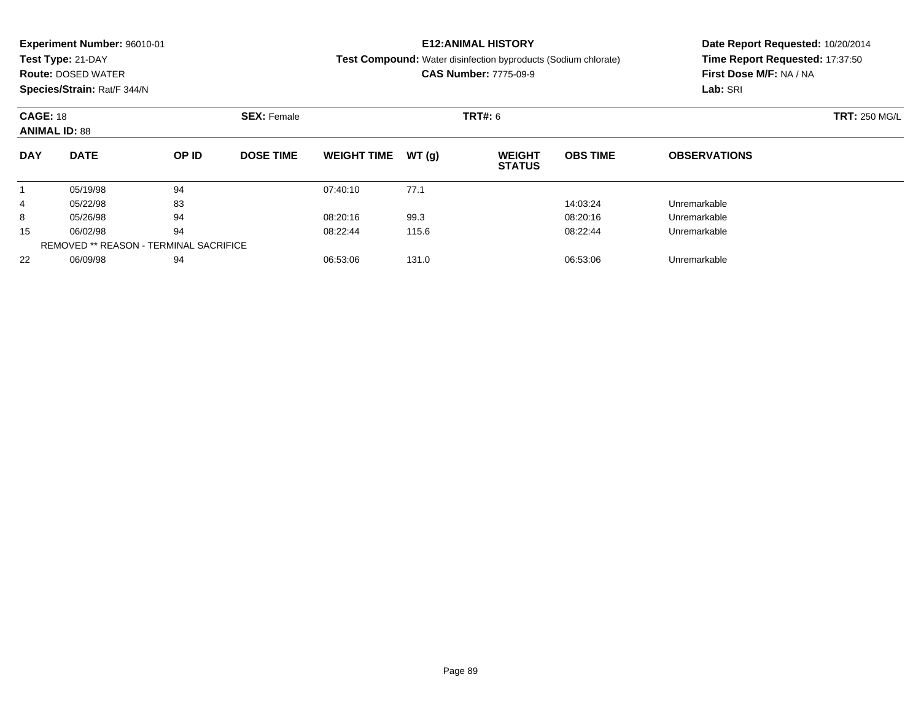| Test Type: 21-DAY<br><b>Test Compound:</b> Water disinfection byproducts (Sodium chlorate)                                                 |                                                            |  |  |
|--------------------------------------------------------------------------------------------------------------------------------------------|------------------------------------------------------------|--|--|
|                                                                                                                                            | Time Report Requested: 17:37:50<br>First Dose M/F: NA / NA |  |  |
| <b>CAS Number: 7775-09-9</b><br><b>Route: DOSED WATER</b>                                                                                  |                                                            |  |  |
| Species/Strain: Rat/F 344/N                                                                                                                | Lab: SRI                                                   |  |  |
| <b>CAGE: 18</b><br><b>SEX: Female</b><br><b>TRT#:</b> 6                                                                                    | <b>TRT: 250 MG/L</b>                                       |  |  |
| <b>ANIMAL ID: 88</b>                                                                                                                       |                                                            |  |  |
| <b>DATE</b><br>OP ID<br><b>DOSE TIME</b><br><b>OBS TIME</b><br><b>DAY</b><br><b>WEIGHT TIME</b><br>WT(q)<br><b>WEIGHT</b><br><b>STATUS</b> | <b>OBSERVATIONS</b>                                        |  |  |
| 94<br>05/19/98<br>07:40:10<br>77.1                                                                                                         |                                                            |  |  |
| 83<br>14:03:24<br>05/22/98<br>Unremarkable<br>4                                                                                            |                                                            |  |  |
| 94<br>99.3<br>05/26/98<br>08:20:16<br>08:20:16<br>8<br>Unremarkable                                                                        |                                                            |  |  |
| 94<br>15<br>06/02/98<br>08:22:44<br>08:22:44<br>115.6<br>Unremarkable                                                                      |                                                            |  |  |

06/09/98 <sup>94</sup> 06:53:06 131.0 06:53:06 Unremarkable

REMOVED \*\* REASON - TERMINAL SACRIFICE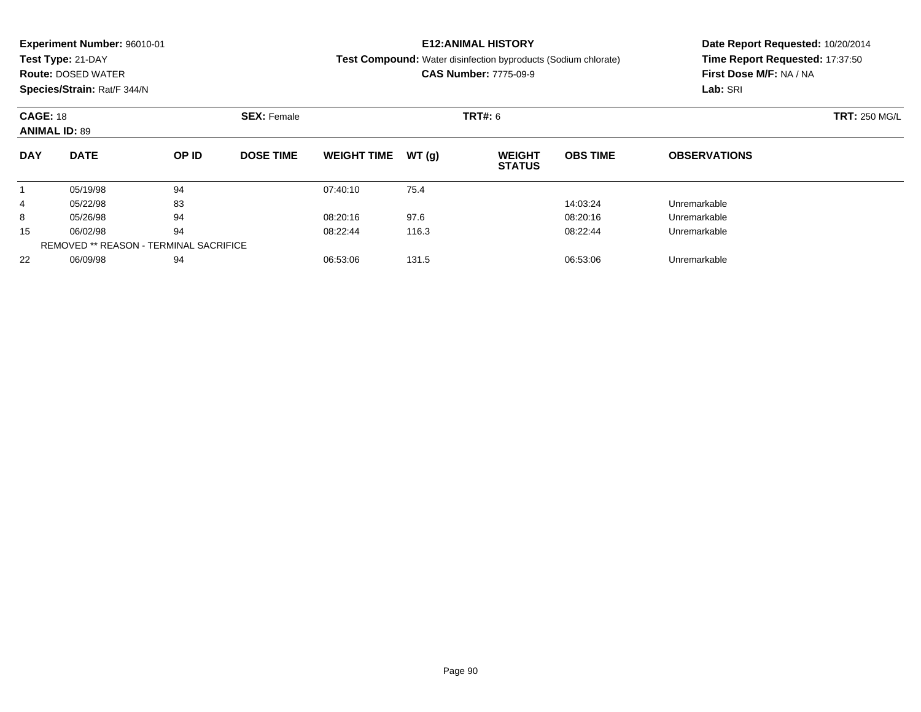|            | <b>Experiment Number: 96010-01</b>    |       |                  |                    |       | <b>E12:ANIMAL HISTORY</b>                                             | Date Report Requested: 10/20/2014 |                                 |  |  |
|------------|---------------------------------------|-------|------------------|--------------------|-------|-----------------------------------------------------------------------|-----------------------------------|---------------------------------|--|--|
|            | Test Type: 21-DAY                     |       |                  |                    |       | <b>Test Compound:</b> Water disinfection byproducts (Sodium chlorate) |                                   | Time Report Requested: 17:37:50 |  |  |
|            | <b>Route: DOSED WATER</b>             |       |                  |                    |       | <b>CAS Number: 7775-09-9</b>                                          | First Dose M/F: NA / NA           |                                 |  |  |
|            | Species/Strain: Rat/F 344/N           |       |                  |                    |       |                                                                       |                                   | Lab: SRI                        |  |  |
|            | <b>CAGE: 18</b><br><b>SEX: Female</b> |       |                  |                    |       | <b>TRT#: 6</b>                                                        | <b>TRT: 250 MG/L</b>              |                                 |  |  |
|            | <b>ANIMAL ID: 89</b>                  |       |                  |                    |       |                                                                       |                                   |                                 |  |  |
| <b>DAY</b> | <b>DATE</b>                           | OP ID | <b>DOSE TIME</b> | <b>WEIGHT TIME</b> | WT(q) | <b>WEIGHT</b><br><b>STATUS</b>                                        | <b>OBS TIME</b>                   | <b>OBSERVATIONS</b>             |  |  |
|            | 05/19/98                              | 94    |                  | 07:40:10           | 75.4  |                                                                       |                                   |                                 |  |  |
| 4          | 05/22/98                              | 83    |                  |                    |       |                                                                       | 14:03:24                          | Unremarkable                    |  |  |
| 8          | 05/26/98                              | 94    |                  | 08:20:16           | 97.6  |                                                                       | 08:20:16                          | Unremarkable                    |  |  |
| 15         | 06/02/98                              | 94    |                  | 08:22:44           | 116.3 |                                                                       | 08:22:44                          | Unremarkable                    |  |  |
|            |                                       |       |                  |                    |       |                                                                       |                                   |                                 |  |  |

06/09/98 <sup>94</sup> 06:53:06 131.5 06:53:06 Unremarkable

REMOVED \*\* REASON - TERMINAL SACRIFICE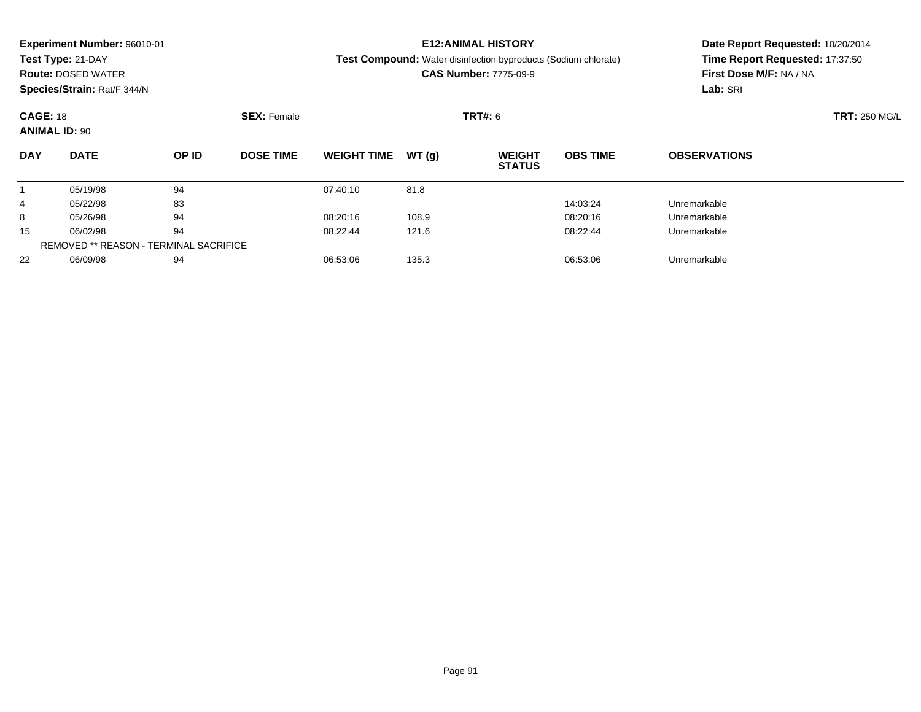|            | <b>Experiment Number: 96010-01</b>                            |       |                  |                    |       | <b>E12:ANIMAL HISTORY</b>                                             | Date Report Requested: 10/20/2014 |                                 |  |  |
|------------|---------------------------------------------------------------|-------|------------------|--------------------|-------|-----------------------------------------------------------------------|-----------------------------------|---------------------------------|--|--|
|            | Test Type: 21-DAY                                             |       |                  |                    |       | <b>Test Compound:</b> Water disinfection byproducts (Sodium chlorate) |                                   | Time Report Requested: 17:37:50 |  |  |
|            | <b>Route: DOSED WATER</b>                                     |       |                  |                    |       | <b>CAS Number: 7775-09-9</b>                                          | First Dose M/F: NA / NA           |                                 |  |  |
|            | Species/Strain: Rat/F 344/N                                   |       |                  |                    |       |                                                                       | Lab: SRI                          |                                 |  |  |
|            | <b>CAGE: 18</b><br><b>SEX: Female</b><br><b>ANIMAL ID: 90</b> |       |                  |                    |       | <b>TRT#:</b> 6                                                        | <b>TRT: 250 MG/L</b>              |                                 |  |  |
|            |                                                               |       |                  |                    |       |                                                                       |                                   |                                 |  |  |
| <b>DAY</b> | <b>DATE</b>                                                   | OP ID | <b>DOSE TIME</b> | <b>WEIGHT TIME</b> | WT(q) | <b>WEIGHT</b><br><b>STATUS</b>                                        | <b>OBS TIME</b>                   | <b>OBSERVATIONS</b>             |  |  |
|            | 05/19/98                                                      | 94    |                  | 07:40:10           | 81.8  |                                                                       |                                   |                                 |  |  |
| 4          | 05/22/98                                                      | 83    |                  |                    |       |                                                                       | 14:03:24                          | Unremarkable                    |  |  |
| 8          | 05/26/98                                                      | 94    |                  | 08:20:16           | 108.9 |                                                                       | 08:20:16                          | Unremarkable                    |  |  |
| 15         | 06/02/98                                                      | 94    |                  | 08:22:44           | 121.6 |                                                                       | 08:22:44                          | Unremarkable                    |  |  |
|            |                                                               |       |                  |                    |       |                                                                       |                                   |                                 |  |  |

06/09/98 <sup>94</sup> 06:53:06 135.3 06:53:06 Unremarkable

REMOVED \*\* REASON - TERMINAL SACRIFICE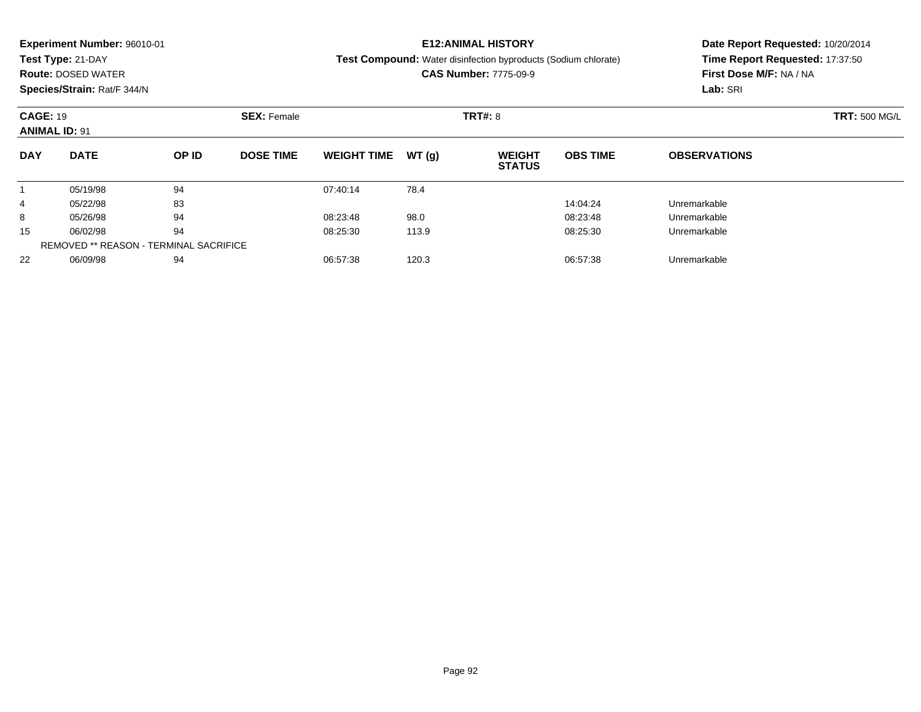|            | <b>Experiment Number: 96010-01</b>            |       |                  |                    |       | <b>E12:ANIMAL HISTORY</b>                                      | Date Report Requested: 10/20/2014 |                                                            |  |  |
|------------|-----------------------------------------------|-------|------------------|--------------------|-------|----------------------------------------------------------------|-----------------------------------|------------------------------------------------------------|--|--|
|            | Test Type: 21-DAY                             |       |                  |                    |       | Test Compound: Water disinfection byproducts (Sodium chlorate) |                                   | Time Report Requested: 17:37:50<br>First Dose M/F: NA / NA |  |  |
|            | <b>Route: DOSED WATER</b>                     |       |                  |                    |       | <b>CAS Number: 7775-09-9</b>                                   |                                   |                                                            |  |  |
|            | Species/Strain: Rat/F 344/N                   |       |                  |                    |       |                                                                |                                   | Lab: SRI                                                   |  |  |
|            | <b>CAGE: 19</b><br><b>SEX: Female</b>         |       |                  |                    |       | <b>TRT#: 8</b>                                                 |                                   | <b>TRT: 500 MG/L</b>                                       |  |  |
|            | <b>ANIMAL ID: 91</b>                          |       |                  |                    |       |                                                                |                                   |                                                            |  |  |
| <b>DAY</b> | <b>DATE</b>                                   | OP ID | <b>DOSE TIME</b> | <b>WEIGHT TIME</b> | WT(g) | <b>WEIGHT</b><br><b>STATUS</b>                                 | <b>OBS TIME</b>                   | <b>OBSERVATIONS</b>                                        |  |  |
|            | 05/19/98                                      | 94    |                  | 07:40:14           | 78.4  |                                                                |                                   |                                                            |  |  |
| 4          | 05/22/98                                      | 83    |                  |                    |       |                                                                | 14:04:24                          | Unremarkable                                               |  |  |
| 8          | 05/26/98                                      | 94    |                  | 08:23:48           | 98.0  |                                                                | 08:23:48                          | Unremarkable                                               |  |  |
| 15         | 06/02/98                                      | 94    |                  | 08:25:30           | 113.9 |                                                                | 08:25:30                          | Unremarkable                                               |  |  |
|            | <b>REMOVED ** REASON - TERMINAL SACRIFICE</b> |       |                  |                    |       |                                                                |                                   |                                                            |  |  |

06/09/98 <sup>94</sup> 06:57:38 120.3 06:57:38 Unremarkable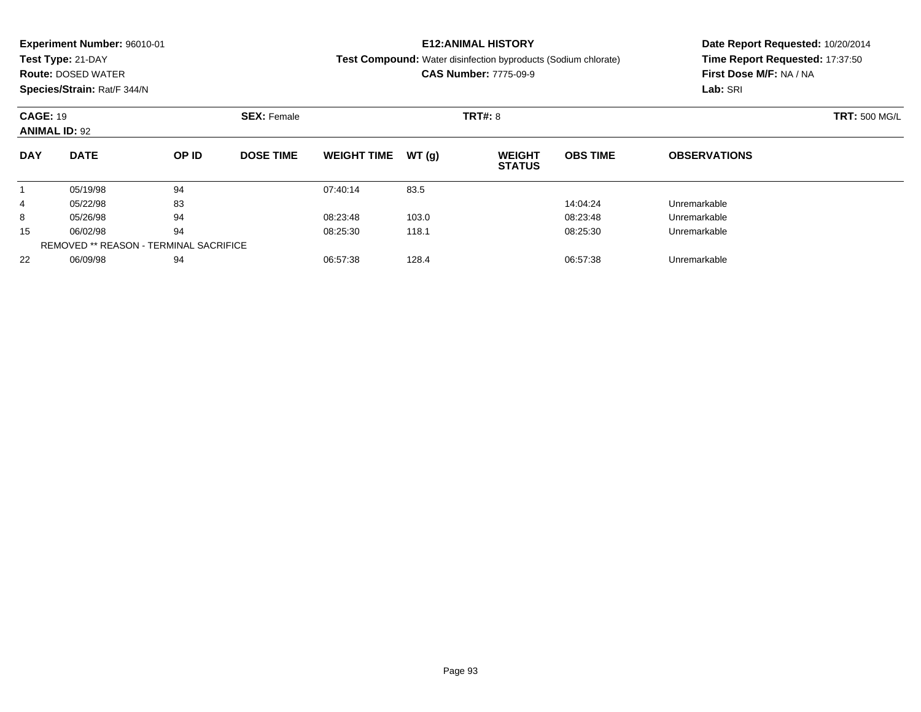|            | <b>Experiment Number: 96010-01</b>            |       |                  |                    |       | <b>E12:ANIMAL HISTORY</b>                                      | Date Report Requested: 10/20/2014 |                                                            |  |  |
|------------|-----------------------------------------------|-------|------------------|--------------------|-------|----------------------------------------------------------------|-----------------------------------|------------------------------------------------------------|--|--|
|            | Test Type: 21-DAY                             |       |                  |                    |       | Test Compound: Water disinfection byproducts (Sodium chlorate) |                                   | Time Report Requested: 17:37:50<br>First Dose M/F: NA / NA |  |  |
|            | <b>Route: DOSED WATER</b>                     |       |                  |                    |       | <b>CAS Number: 7775-09-9</b>                                   |                                   |                                                            |  |  |
|            | Species/Strain: Rat/F 344/N                   |       |                  |                    |       |                                                                |                                   | Lab: SRI                                                   |  |  |
|            | <b>CAGE: 19</b><br><b>SEX: Female</b>         |       |                  |                    |       | <b>TRT#: 8</b>                                                 |                                   | <b>TRT: 500 MG/L</b>                                       |  |  |
|            | <b>ANIMAL ID: 92</b>                          |       |                  |                    |       |                                                                |                                   |                                                            |  |  |
| <b>DAY</b> | <b>DATE</b>                                   | OP ID | <b>DOSE TIME</b> | <b>WEIGHT TIME</b> | WT(g) | <b>WEIGHT</b><br><b>STATUS</b>                                 | <b>OBS TIME</b>                   | <b>OBSERVATIONS</b>                                        |  |  |
|            | 05/19/98                                      | 94    |                  | 07:40:14           | 83.5  |                                                                |                                   |                                                            |  |  |
| 4          | 05/22/98                                      | 83    |                  |                    |       |                                                                | 14:04:24                          | Unremarkable                                               |  |  |
| 8          | 05/26/98                                      | 94    |                  | 08:23:48           | 103.0 |                                                                | 08:23:48                          | Unremarkable                                               |  |  |
| 15         | 06/02/98                                      | 94    |                  | 08:25:30           | 118.1 |                                                                | 08:25:30                          | Unremarkable                                               |  |  |
|            | <b>REMOVED ** REASON - TERMINAL SACRIFICE</b> |       |                  |                    |       |                                                                |                                   |                                                            |  |  |

06/09/98 <sup>94</sup> 06:57:38 128.4 06:57:38 Unremarkable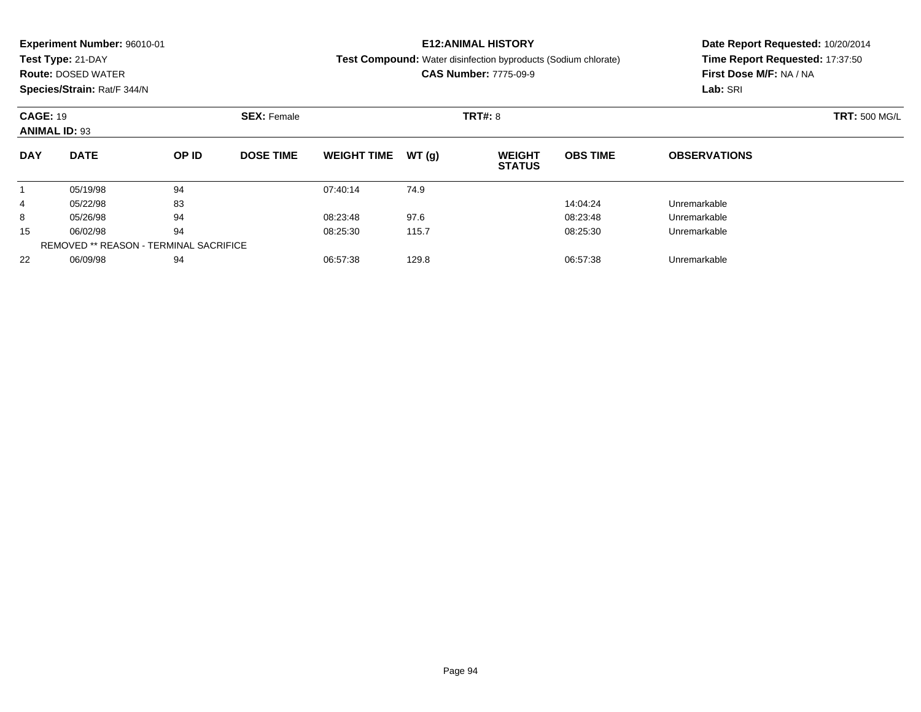|            | <b>Experiment Number: 96010-01</b>     |       |                  |                    |       | <b>E12:ANIMAL HISTORY</b>                                      | Date Report Requested: 10/20/2014 |                                                            |  |  |
|------------|----------------------------------------|-------|------------------|--------------------|-------|----------------------------------------------------------------|-----------------------------------|------------------------------------------------------------|--|--|
|            | Test Type: 21-DAY                      |       |                  |                    |       | Test Compound: Water disinfection byproducts (Sodium chlorate) |                                   | Time Report Requested: 17:37:50<br>First Dose M/F: NA / NA |  |  |
|            | <b>Route: DOSED WATER</b>              |       |                  |                    |       | <b>CAS Number: 7775-09-9</b>                                   |                                   |                                                            |  |  |
|            | Species/Strain: Rat/F 344/N            |       |                  |                    |       |                                                                |                                   | Lab: SRI                                                   |  |  |
|            | <b>CAGE: 19</b><br><b>SEX: Female</b>  |       |                  |                    |       | <b>TRT#: 8</b>                                                 |                                   | <b>TRT: 500 MG/L</b>                                       |  |  |
|            | <b>ANIMAL ID: 93</b>                   |       |                  |                    |       |                                                                |                                   |                                                            |  |  |
| <b>DAY</b> | <b>DATE</b>                            | OP ID | <b>DOSE TIME</b> | <b>WEIGHT TIME</b> | WT(q) | <b>WEIGHT</b><br><b>STATUS</b>                                 | <b>OBS TIME</b>                   | <b>OBSERVATIONS</b>                                        |  |  |
|            | 05/19/98                               | 94    |                  | 07:40:14           | 74.9  |                                                                |                                   |                                                            |  |  |
| 4          | 05/22/98                               | 83    |                  |                    |       |                                                                | 14:04:24                          | Unremarkable                                               |  |  |
| 8          | 05/26/98                               | 94    |                  | 08:23:48           | 97.6  |                                                                | 08:23:48                          | Unremarkable                                               |  |  |
| 15         | 06/02/98                               | 94    |                  | 08:25:30           | 115.7 |                                                                | 08:25:30                          | Unremarkable                                               |  |  |
|            | REMOVED ** REASON - TERMINAL SACRIFICE |       |                  |                    |       |                                                                |                                   |                                                            |  |  |

06/09/98 <sup>94</sup> 06:57:38 129.8 06:57:38 Unremarkable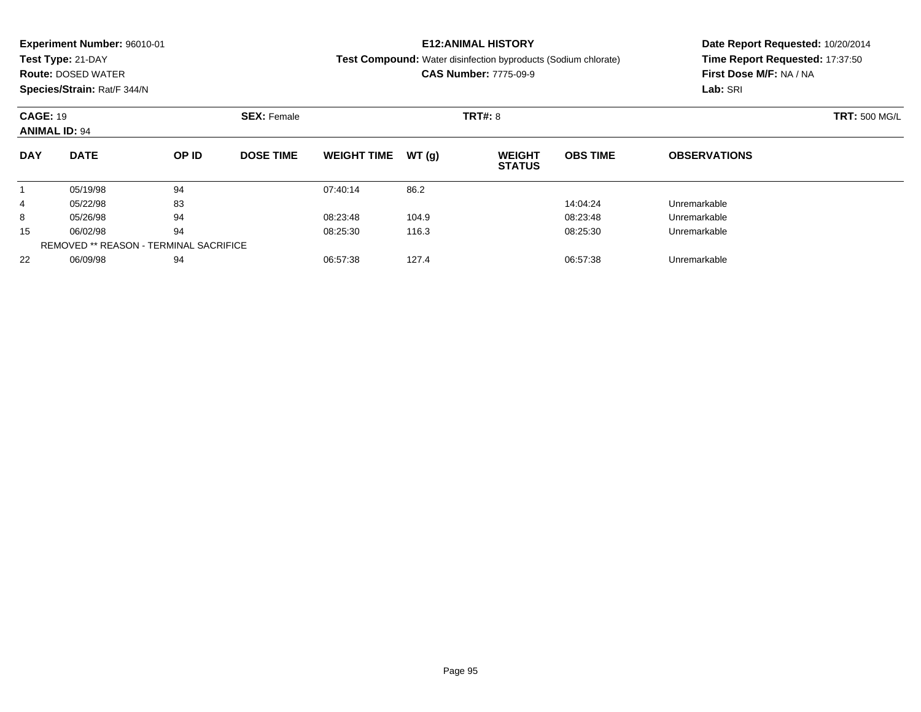|            | <b>Experiment Number: 96010-01</b>    |       |                  |                    |       | <b>E12:ANIMAL HISTORY</b>                                             | Date Report Requested: 10/20/2014 |                                 |  |  |
|------------|---------------------------------------|-------|------------------|--------------------|-------|-----------------------------------------------------------------------|-----------------------------------|---------------------------------|--|--|
|            | Test Type: 21-DAY                     |       |                  |                    |       | <b>Test Compound:</b> Water disinfection byproducts (Sodium chlorate) |                                   | Time Report Requested: 17:37:50 |  |  |
|            | <b>Route: DOSED WATER</b>             |       |                  |                    |       | <b>CAS Number: 7775-09-9</b>                                          | First Dose M/F: NA / NA           |                                 |  |  |
|            | Species/Strain: Rat/F 344/N           |       |                  |                    |       |                                                                       |                                   | Lab: SRI                        |  |  |
|            | <b>CAGE: 19</b><br><b>SEX: Female</b> |       |                  |                    |       | <b>TRT#: 8</b>                                                        | <b>TRT: 500 MG/L</b>              |                                 |  |  |
|            | <b>ANIMAL ID: 94</b>                  |       |                  |                    |       |                                                                       |                                   |                                 |  |  |
| <b>DAY</b> | <b>DATE</b>                           | OP ID | <b>DOSE TIME</b> | <b>WEIGHT TIME</b> | WT(q) | <b>WEIGHT</b><br><b>STATUS</b>                                        | <b>OBS TIME</b>                   | <b>OBSERVATIONS</b>             |  |  |
|            | 05/19/98                              | 94    |                  | 07:40:14           | 86.2  |                                                                       |                                   |                                 |  |  |
| 4          | 05/22/98                              | 83    |                  |                    |       |                                                                       | 14:04:24                          | Unremarkable                    |  |  |
| 8          | 05/26/98                              | 94    |                  | 08:23:48           | 104.9 |                                                                       | 08:23:48                          | Unremarkable                    |  |  |
| 15         | 06/02/98                              | 94    |                  | 08:25:30           | 116.3 |                                                                       | 08:25:30                          | Unremarkable                    |  |  |
|            |                                       |       |                  |                    |       |                                                                       |                                   |                                 |  |  |

06/09/98 <sup>94</sup> 06:57:38 127.4 06:57:38 Unremarkable

REMOVED \*\* REASON - TERMINAL SACRIFICE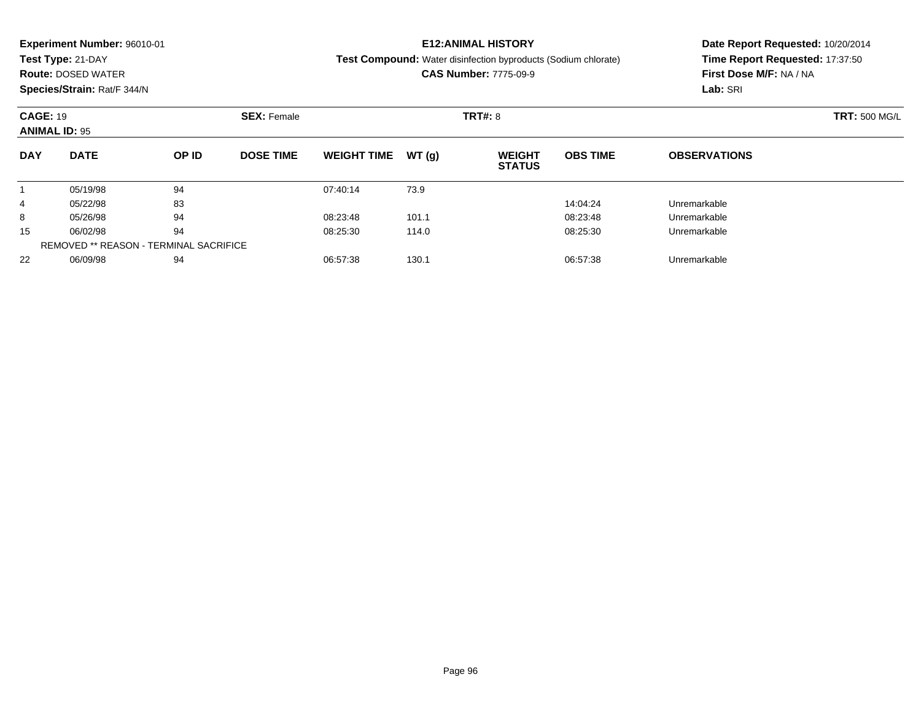|                 | <b>Experiment Number: 96010-01</b> |       |                    |                    |       | <b>E12:ANIMAL HISTORY</b>                                             | Date Report Requested: 10/20/2014 |                                 |  |  |
|-----------------|------------------------------------|-------|--------------------|--------------------|-------|-----------------------------------------------------------------------|-----------------------------------|---------------------------------|--|--|
|                 | Test Type: 21-DAY                  |       |                    |                    |       | <b>Test Compound:</b> Water disinfection byproducts (Sodium chlorate) |                                   | Time Report Requested: 17:37:50 |  |  |
|                 | <b>Route: DOSED WATER</b>          |       |                    |                    |       | <b>CAS Number: 7775-09-9</b>                                          | First Dose M/F: NA / NA           |                                 |  |  |
|                 | Species/Strain: Rat/F 344/N        |       |                    |                    |       |                                                                       |                                   | Lab: SRI                        |  |  |
| <b>CAGE: 19</b> |                                    |       | <b>SEX: Female</b> |                    |       | <b>TRT#: 8</b>                                                        | <b>TRT: 500 MG/L</b>              |                                 |  |  |
|                 | <b>ANIMAL ID: 95</b>               |       |                    |                    |       |                                                                       |                                   |                                 |  |  |
| <b>DAY</b>      | <b>DATE</b>                        | OP ID | <b>DOSE TIME</b>   | <b>WEIGHT TIME</b> | WT(q) | <b>WEIGHT</b><br><b>STATUS</b>                                        | <b>OBS TIME</b>                   | <b>OBSERVATIONS</b>             |  |  |
|                 | 05/19/98                           | 94    |                    | 07:40:14           | 73.9  |                                                                       |                                   |                                 |  |  |
| 4               | 05/22/98                           | 83    |                    |                    |       |                                                                       | 14:04:24                          | Unremarkable                    |  |  |
| 8               | 05/26/98                           | 94    |                    | 08:23:48           | 101.1 |                                                                       | 08:23:48                          | Unremarkable                    |  |  |
| 15              | 06/02/98                           | 94    |                    | 08:25:30           | 114.0 |                                                                       | 08:25:30                          | Unremarkable                    |  |  |

06/02/98 <sup>94</sup> 08:25:30 114.0 08:25:30 Unremarkable

06/09/98 <sup>94</sup> 06:57:38 130.1 06:57:38 Unremarkable

REMOVED \*\* REASON - TERMINAL SACRIFICE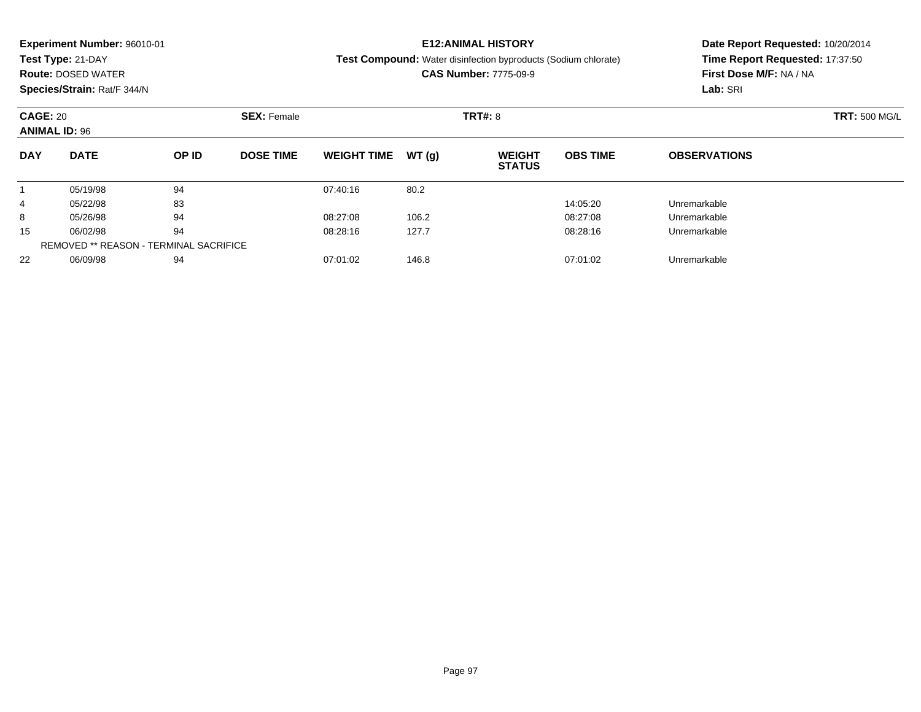| <b>Experiment Number: 96010-01</b> | Date Report Requested: 10/20/2014 |  |  |
|------------------------------------|-----------------------------------|--|--|
| Test Type: 21-DAY                  | Time Report Requested: 17:37:50   |  |  |
| <b>Route: DOSED WATER</b>          | First Dose M/F: NA / NA           |  |  |
| Species/Strain: Rat/F 344/N        | Lab: SRI                          |  |  |
| <b>CAGE: 20</b>                    | <b>TRT: 500 MG/L</b>              |  |  |
| <b>ANIMAL ID: 96</b>               |                                   |  |  |
| <b>DAY</b>                         | <b>OBSERVATIONS</b>               |  |  |
|                                    |                                   |  |  |
| 4                                  |                                   |  |  |
| 8                                  |                                   |  |  |
| 15                                 |                                   |  |  |
|                                    |                                   |  |  |

06/09/98 <sup>94</sup> 07:01:02 146.8 07:01:02 Unremarkable

REMOVED \*\* REASON - TERMINAL SACRIFICE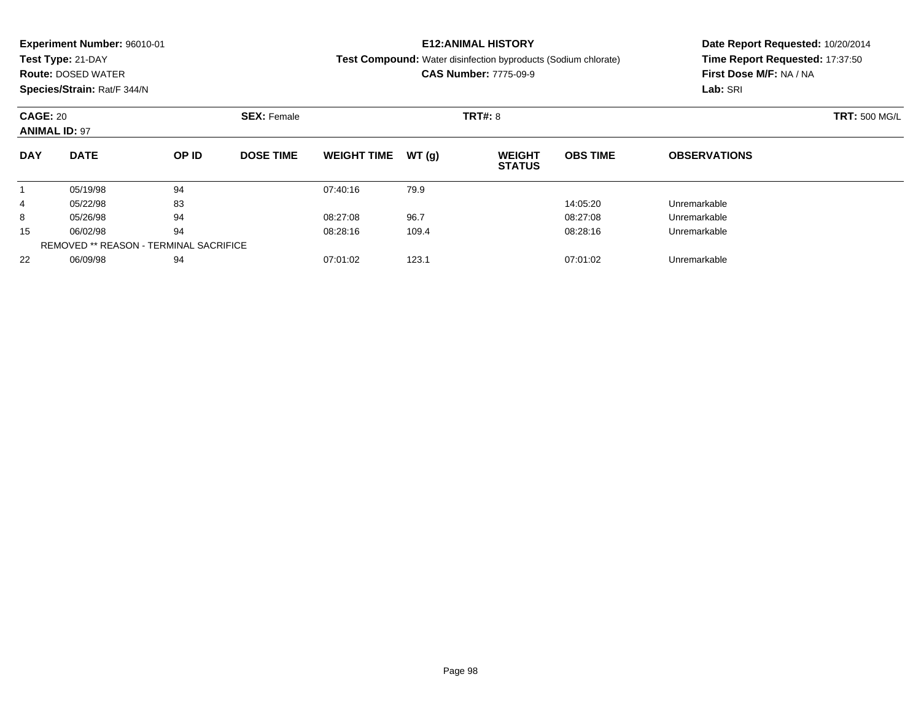|            | <b>Experiment Number: 96010-01</b>                            |                                               |                  |                    |       | <b>E12:ANIMAL HISTORY</b>                                             |                 | Date Report Requested: 10/20/2014 |                      |  |
|------------|---------------------------------------------------------------|-----------------------------------------------|------------------|--------------------|-------|-----------------------------------------------------------------------|-----------------|-----------------------------------|----------------------|--|
|            | Test Type: 21-DAY                                             |                                               |                  |                    |       | <b>Test Compound:</b> Water disinfection byproducts (Sodium chlorate) |                 | Time Report Requested: 17:37:50   |                      |  |
|            | <b>Route: DOSED WATER</b>                                     |                                               |                  |                    |       | <b>CAS Number: 7775-09-9</b>                                          |                 | First Dose M/F: NA / NA           |                      |  |
|            | Species/Strain: Rat/F 344/N                                   |                                               |                  |                    |       |                                                                       |                 | Lab: SRI                          |                      |  |
|            | <b>CAGE: 20</b><br><b>SEX: Female</b><br><b>ANIMAL ID: 97</b> |                                               |                  |                    |       | <b>TRT#: 8</b>                                                        |                 |                                   | <b>TRT: 500 MG/L</b> |  |
|            |                                                               |                                               |                  |                    |       |                                                                       |                 |                                   |                      |  |
| <b>DAY</b> | <b>DATE</b>                                                   | OP ID                                         | <b>DOSE TIME</b> | <b>WEIGHT TIME</b> | WT(q) | <b>WEIGHT</b><br><b>STATUS</b>                                        | <b>OBS TIME</b> | <b>OBSERVATIONS</b>               |                      |  |
|            | 05/19/98                                                      | 94                                            |                  | 07:40:16           | 79.9  |                                                                       |                 |                                   |                      |  |
| 4          | 05/22/98                                                      | 83                                            |                  |                    |       |                                                                       | 14:05:20        | Unremarkable                      |                      |  |
| 8          | 05/26/98                                                      | 94                                            |                  | 08:27:08           | 96.7  |                                                                       | 08:27:08        | Unremarkable                      |                      |  |
| 15         | 06/02/98                                                      | 94                                            |                  | 08:28:16           | 109.4 |                                                                       | 08:28:16        | Unremarkable                      |                      |  |
|            |                                                               | <b>REMOVED ** REASON - TERMINAL SACRIFICE</b> |                  |                    |       |                                                                       |                 |                                   |                      |  |

06/09/98 <sup>94</sup> 07:01:02 123.1 07:01:02 Unremarkable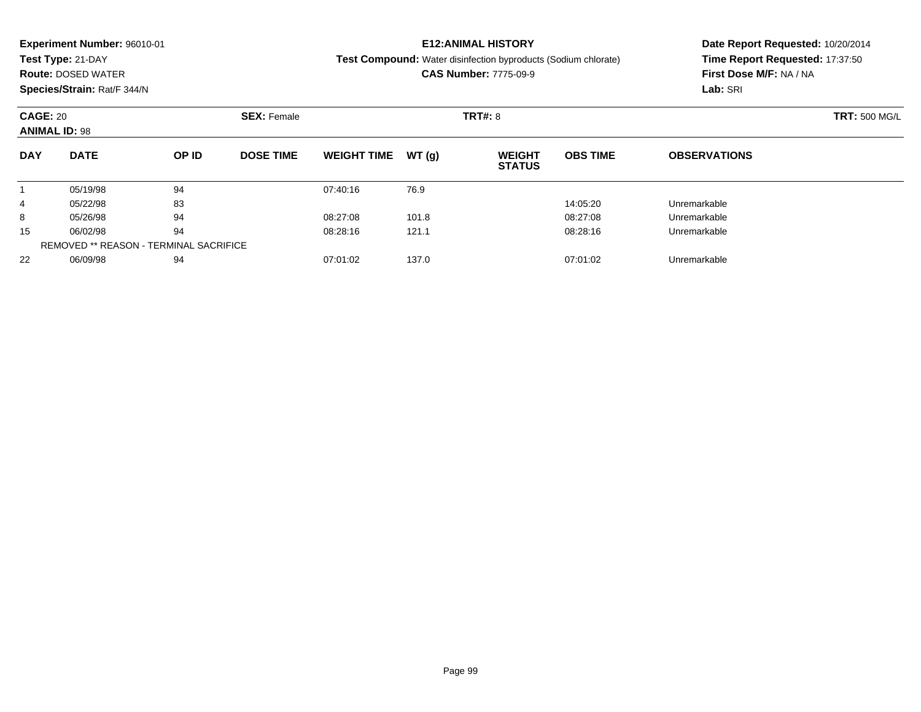|                      | <b>Experiment Number: 96010-01</b> |       |                    |                    |        | <b>E12:ANIMAL HISTORY</b>                                             | Date Report Requested: 10/20/2014 |                                                            |  |  |
|----------------------|------------------------------------|-------|--------------------|--------------------|--------|-----------------------------------------------------------------------|-----------------------------------|------------------------------------------------------------|--|--|
|                      | Test Type: 21-DAY                  |       |                    |                    |        | <b>Test Compound:</b> Water disinfection byproducts (Sodium chlorate) |                                   | Time Report Requested: 17:37:50<br>First Dose M/F: NA / NA |  |  |
|                      | <b>Route: DOSED WATER</b>          |       |                    |                    |        | <b>CAS Number: 7775-09-9</b>                                          |                                   |                                                            |  |  |
|                      | Species/Strain: Rat/F 344/N        |       |                    |                    |        |                                                                       |                                   | Lab: SRI                                                   |  |  |
| <b>CAGE: 20</b>      |                                    |       | <b>SEX: Female</b> |                    |        | <b>TRT#: 8</b>                                                        |                                   | <b>TRT: 500 MG/L</b>                                       |  |  |
| <b>ANIMAL ID: 98</b> |                                    |       |                    |                    |        |                                                                       |                                   |                                                            |  |  |
| <b>DAY</b>           | <b>DATE</b>                        | OP ID | <b>DOSE TIME</b>   | <b>WEIGHT TIME</b> | WT (a) | <b>WEIGHT</b><br><b>STATUS</b>                                        | <b>OBS TIME</b>                   | <b>OBSERVATIONS</b>                                        |  |  |
|                      | 05/19/98                           | 94    |                    | 07:40:16           | 76.9   |                                                                       |                                   |                                                            |  |  |
| 4                    | 05/22/98                           | 83    |                    |                    |        |                                                                       | 14:05:20                          | Unremarkable                                               |  |  |
| 8                    | 05/26/98                           | 94    |                    | 08:27:08           | 101.8  |                                                                       | 08:27:08                          | Unremarkable                                               |  |  |

 $\overline{\phantom{0}}$ 

06/02/98 <sup>94</sup> 08:28:16 121.1 08:28:16 Unremarkable

06/09/98 <sup>94</sup> 07:01:02 137.0 07:01:02 Unremarkable

15

22

REMOVED \*\* REASON - TERMINAL SACRIFICE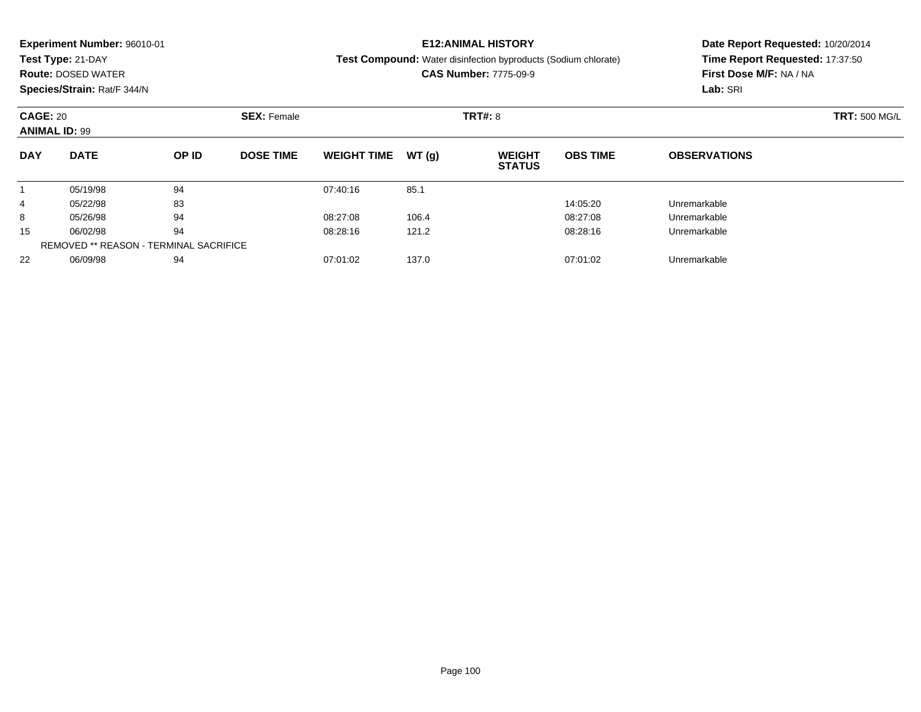| Time Report Requested: 17:37:50<br>Test Type: 21-DAY<br><b>Test Compound:</b> Water disinfection byproducts (Sodium chlorate)<br><b>CAS Number: 7775-09-9</b><br>First Dose M/F: NA / NA<br><b>Route: DOSED WATER</b><br>Species/Strain: Rat/F 344/N<br>Lab: SRI<br><b>CAGE: 20</b><br><b>SEX: Female</b><br><b>TRT#: 8</b><br><b>ANIMAL ID: 99</b><br><b>DATE</b><br><b>DAY</b><br>OP ID<br><b>DOSE TIME</b><br>WT(q)<br><b>OBS TIME</b><br><b>WEIGHT TIME</b><br><b>WEIGHT</b><br><b>OBSERVATIONS</b><br><b>STATUS</b><br>94<br>05/19/98<br>07:40:16<br>85.1<br>83<br>Unremarkable<br>05/22/98<br>14:05:20<br>4<br>94<br>08:27:08<br>05/26/98<br>106.4<br>08:27:08<br>8<br>Unremarkable<br>94<br>15<br>06/02/98<br>121.2<br>08:28:16<br>08:28:16<br>Unremarkable | <b>Experiment Number: 96010-01</b> |  |  | <b>E12:ANIMAL HISTORY</b> | Date Report Requested: 10/20/2014 |  |  |  |
|--------------------------------------------------------------------------------------------------------------------------------------------------------------------------------------------------------------------------------------------------------------------------------------------------------------------------------------------------------------------------------------------------------------------------------------------------------------------------------------------------------------------------------------------------------------------------------------------------------------------------------------------------------------------------------------------------------------------------------------------------------------------|------------------------------------|--|--|---------------------------|-----------------------------------|--|--|--|
|                                                                                                                                                                                                                                                                                                                                                                                                                                                                                                                                                                                                                                                                                                                                                                    |                                    |  |  |                           |                                   |  |  |  |
|                                                                                                                                                                                                                                                                                                                                                                                                                                                                                                                                                                                                                                                                                                                                                                    |                                    |  |  |                           |                                   |  |  |  |
|                                                                                                                                                                                                                                                                                                                                                                                                                                                                                                                                                                                                                                                                                                                                                                    |                                    |  |  |                           |                                   |  |  |  |
|                                                                                                                                                                                                                                                                                                                                                                                                                                                                                                                                                                                                                                                                                                                                                                    |                                    |  |  |                           | <b>TRT: 500 MG/L</b>              |  |  |  |
|                                                                                                                                                                                                                                                                                                                                                                                                                                                                                                                                                                                                                                                                                                                                                                    |                                    |  |  |                           |                                   |  |  |  |
|                                                                                                                                                                                                                                                                                                                                                                                                                                                                                                                                                                                                                                                                                                                                                                    |                                    |  |  |                           |                                   |  |  |  |
|                                                                                                                                                                                                                                                                                                                                                                                                                                                                                                                                                                                                                                                                                                                                                                    |                                    |  |  |                           |                                   |  |  |  |
|                                                                                                                                                                                                                                                                                                                                                                                                                                                                                                                                                                                                                                                                                                                                                                    |                                    |  |  |                           |                                   |  |  |  |
|                                                                                                                                                                                                                                                                                                                                                                                                                                                                                                                                                                                                                                                                                                                                                                    |                                    |  |  |                           |                                   |  |  |  |
|                                                                                                                                                                                                                                                                                                                                                                                                                                                                                                                                                                                                                                                                                                                                                                    |                                    |  |  |                           |                                   |  |  |  |

06/09/98 <sup>94</sup> 07:01:02 137.0 07:01:02 Unremarkable

REMOVED \*\* REASON - TERMINAL SACRIFICE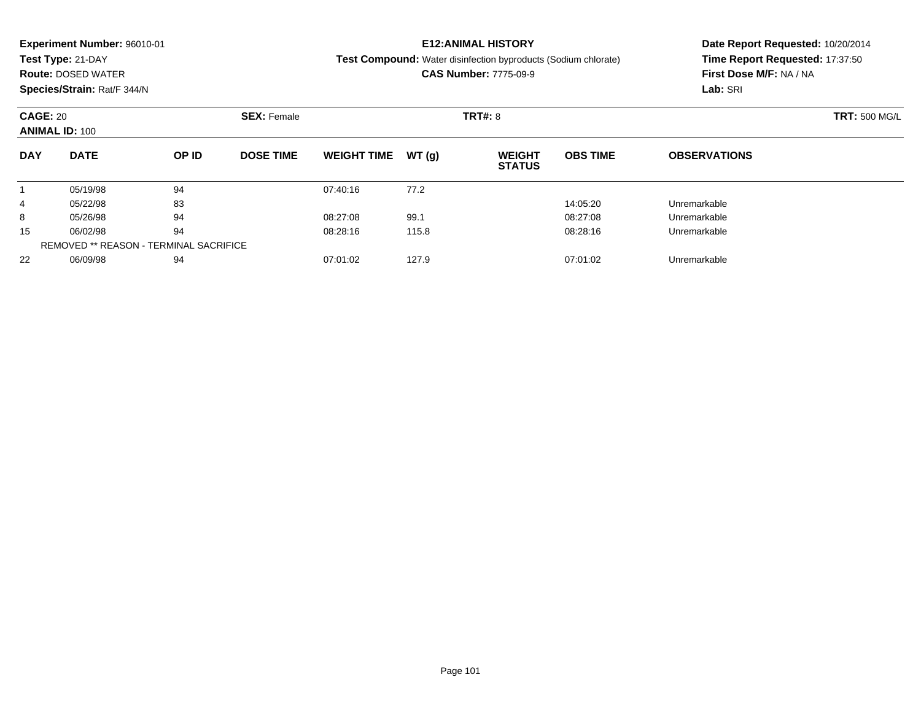| <b>Experiment Number: 96010-01</b>                     | <b>E12:ANIMAL HISTORY</b>                                                        | Date Report Requested: 10/20/2014 |  |  |
|--------------------------------------------------------|----------------------------------------------------------------------------------|-----------------------------------|--|--|
| Test Type: 21-DAY                                      | <b>Test Compound:</b> Water disinfection byproducts (Sodium chlorate)            | Time Report Requested: 17:37:50   |  |  |
| <b>Route: DOSED WATER</b>                              | <b>CAS Number: 7775-09-9</b>                                                     | First Dose M/F: NA / NA           |  |  |
| Species/Strain: Rat/F 344/N                            |                                                                                  | Lab: SRI                          |  |  |
| <b>CAGE: 20</b><br><b>SEX: Female</b>                  | <b>TRT#: 8</b>                                                                   | <b>TRT: 500 MG/L</b>              |  |  |
| <b>ANIMAL ID: 100</b>                                  |                                                                                  |                                   |  |  |
| <b>DATE</b><br>OP ID<br><b>DOSE TIME</b><br><b>DAY</b> | <b>OBS TIME</b><br><b>WEIGHT TIME</b><br>WT(q)<br><b>WEIGHT</b><br><b>STATUS</b> | <b>OBSERVATIONS</b>               |  |  |
| 94<br>05/19/98                                         | 77.2<br>07:40:16                                                                 |                                   |  |  |
| 83<br>05/22/98<br>4                                    | 14:05:20                                                                         | Unremarkable                      |  |  |
| 94<br>05/26/98<br>8                                    | 08:27:08<br>99.1<br>08:27:08                                                     | Unremarkable                      |  |  |
| 94<br>15<br>06/02/98                                   | 08:28:16<br>115.8<br>08:28:16                                                    | Unremarkable                      |  |  |

06/09/98 <sup>94</sup> 07:01:02 127.9 07:01:02 Unremarkable

REMOVED \*\* REASON - TERMINAL SACRIFICE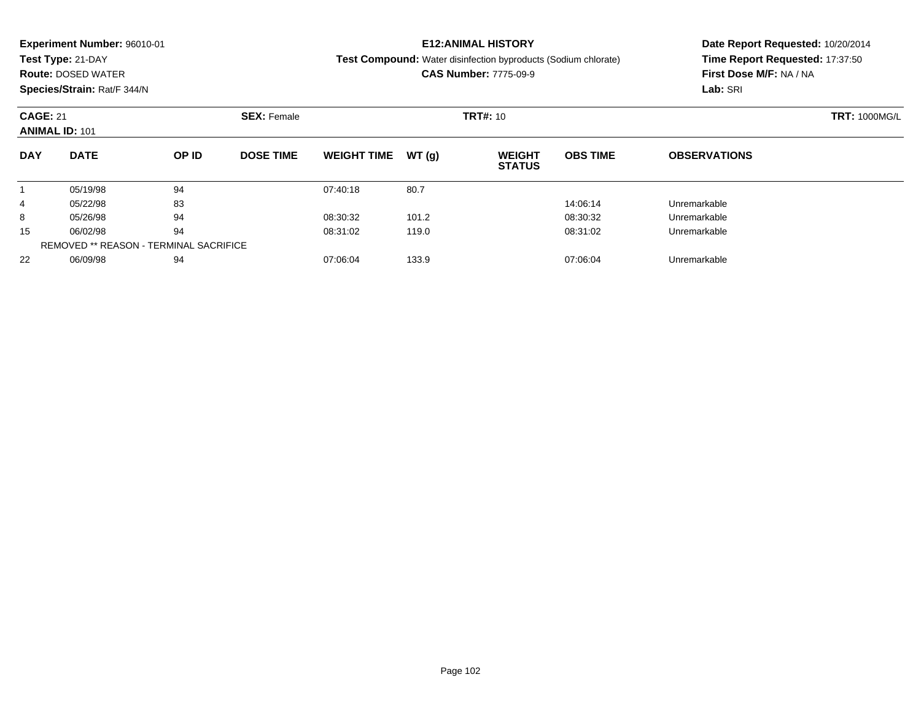|            | <b>Experiment Number: 96010-01</b>                             |                                               |                  |                    |       | <b>E12:ANIMAL HISTORY</b>                                             |                      | Date Report Requested: 10/20/2014 |  |  |
|------------|----------------------------------------------------------------|-----------------------------------------------|------------------|--------------------|-------|-----------------------------------------------------------------------|----------------------|-----------------------------------|--|--|
|            | Test Type: 21-DAY                                              |                                               |                  |                    |       | <b>Test Compound:</b> Water disinfection byproducts (Sodium chlorate) |                      | Time Report Requested: 17:37:50   |  |  |
|            | <b>Route: DOSED WATER</b>                                      |                                               |                  |                    |       | <b>CAS Number: 7775-09-9</b>                                          |                      | First Dose M/F: NA / NA           |  |  |
|            | Species/Strain: Rat/F 344/N                                    |                                               |                  |                    |       |                                                                       |                      | Lab: SRI                          |  |  |
|            | <b>CAGE: 21</b><br><b>SEX: Female</b><br><b>ANIMAL ID: 101</b> |                                               |                  |                    |       | <b>TRT#: 10</b>                                                       | <b>TRT: 1000MG/L</b> |                                   |  |  |
| <b>DAY</b> | <b>DATE</b>                                                    | OP ID                                         | <b>DOSE TIME</b> | <b>WEIGHT TIME</b> | WT(q) | <b>WEIGHT</b><br><b>STATUS</b>                                        | <b>OBS TIME</b>      | <b>OBSERVATIONS</b>               |  |  |
|            | 05/19/98                                                       | 94                                            |                  | 07:40:18           | 80.7  |                                                                       |                      |                                   |  |  |
| 4          | 05/22/98                                                       | 83                                            |                  |                    |       |                                                                       | 14:06:14             | Unremarkable                      |  |  |
| 8          | 05/26/98                                                       | 94                                            |                  | 08:30:32           | 101.2 |                                                                       | 08:30:32             | Unremarkable                      |  |  |
| 15         | 06/02/98                                                       | 94                                            |                  | 08:31:02           | 119.0 |                                                                       | 08:31:02             | Unremarkable                      |  |  |
|            |                                                                | <b>REMOVED ** REASON - TERMINAL SACRIFICE</b> |                  |                    |       |                                                                       |                      |                                   |  |  |

06/09/98 <sup>94</sup> 07:06:04 133.9 07:06:04 Unremarkable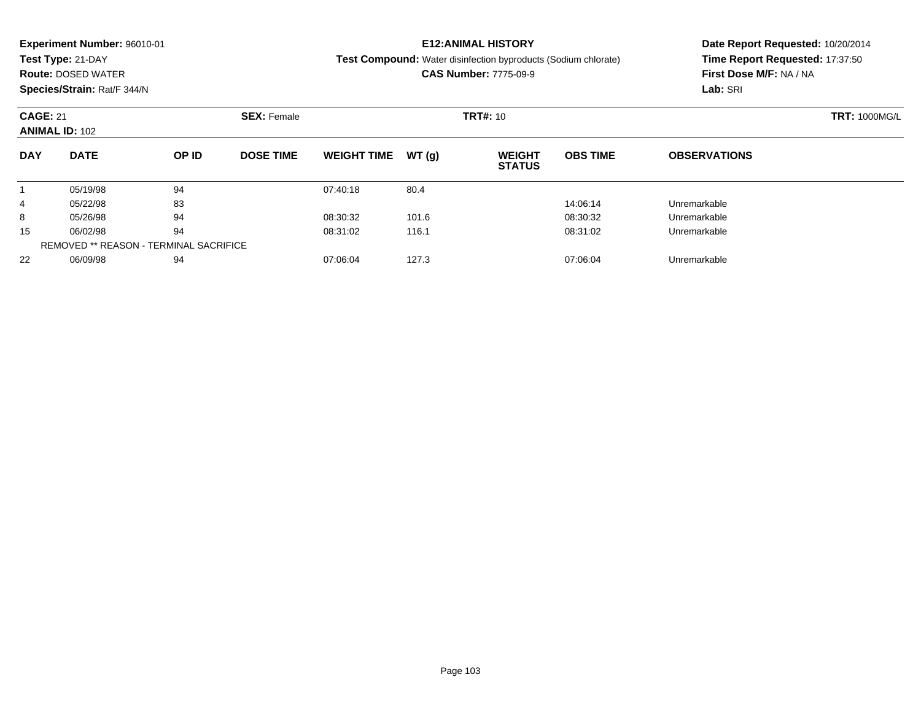|                       | <b>Experiment Number: 96010-01</b> |                                               |                    |                    |       | <b>E12:ANIMAL HISTORY</b>                                      |                 | Date Report Requested: 10/20/2014 |                      |  |
|-----------------------|------------------------------------|-----------------------------------------------|--------------------|--------------------|-------|----------------------------------------------------------------|-----------------|-----------------------------------|----------------------|--|
|                       | Test Type: 21-DAY                  |                                               |                    |                    |       | Test Compound: Water disinfection byproducts (Sodium chlorate) |                 | Time Report Requested: 17:37:50   |                      |  |
|                       | <b>Route: DOSED WATER</b>          |                                               |                    |                    |       | <b>CAS Number: 7775-09-9</b>                                   |                 | First Dose M/F: NA / NA           |                      |  |
|                       | Species/Strain: Rat/F 344/N        |                                               |                    |                    |       |                                                                |                 | Lab: SRI                          |                      |  |
| <b>CAGE: 21</b>       |                                    |                                               | <b>SEX: Female</b> |                    |       | <b>TRT#: 10</b>                                                |                 |                                   | <b>TRT: 1000MG/L</b> |  |
| <b>ANIMAL ID: 102</b> |                                    |                                               |                    |                    |       |                                                                |                 |                                   |                      |  |
| <b>DAY</b>            | <b>DATE</b>                        | OP ID                                         | <b>DOSE TIME</b>   | <b>WEIGHT TIME</b> | WT(q) | <b>WEIGHT</b><br><b>STATUS</b>                                 | <b>OBS TIME</b> | <b>OBSERVATIONS</b>               |                      |  |
|                       | 05/19/98                           | 94                                            |                    | 07:40:18           | 80.4  |                                                                |                 |                                   |                      |  |
| 4                     | 05/22/98                           | 83                                            |                    |                    |       |                                                                | 14:06:14        | Unremarkable                      |                      |  |
| 8                     | 05/26/98                           | 94                                            |                    | 08:30:32           | 101.6 |                                                                | 08:30:32        | Unremarkable                      |                      |  |
| 15                    | 06/02/98                           | 94                                            |                    | 08:31:02           | 116.1 |                                                                | 08:31:02        | Unremarkable                      |                      |  |
|                       |                                    | <b>REMOVED ** REASON - TERMINAL SACRIFICE</b> |                    |                    |       |                                                                |                 |                                   |                      |  |

06/09/98 <sup>94</sup> 07:06:04 127.3 07:06:04 Unremarkable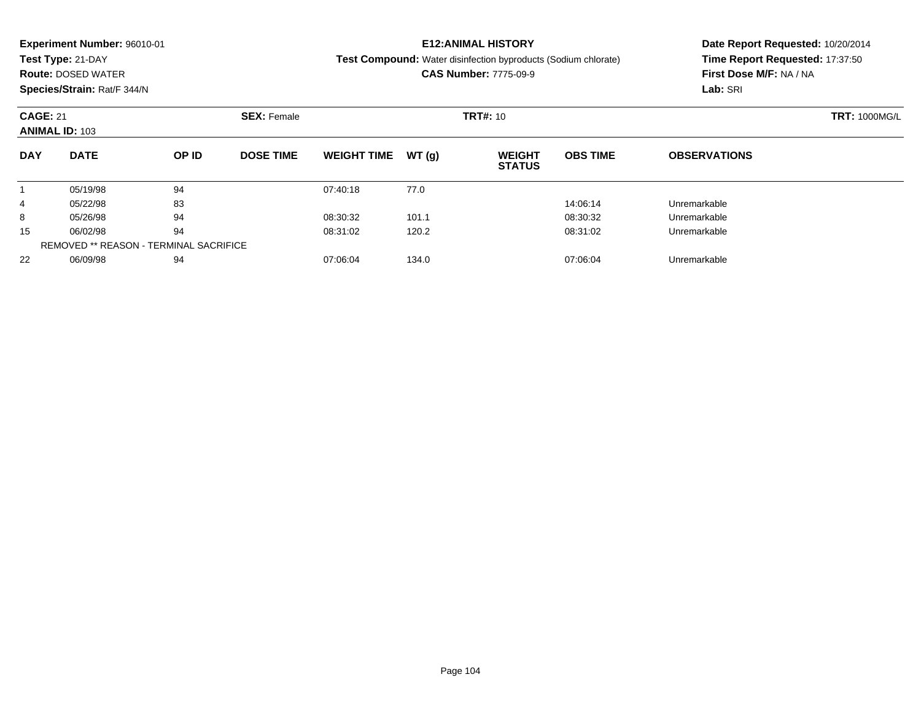|                       | <b>Experiment Number: 96010-01</b> |                                               |                    |                    |       | <b>E12:ANIMAL HISTORY</b>                                      |                 | Date Report Requested: 10/20/2014 |                      |  |
|-----------------------|------------------------------------|-----------------------------------------------|--------------------|--------------------|-------|----------------------------------------------------------------|-----------------|-----------------------------------|----------------------|--|
|                       | Test Type: 21-DAY                  |                                               |                    |                    |       | Test Compound: Water disinfection byproducts (Sodium chlorate) |                 | Time Report Requested: 17:37:50   |                      |  |
|                       | <b>Route: DOSED WATER</b>          |                                               |                    |                    |       | <b>CAS Number: 7775-09-9</b>                                   |                 | First Dose M/F: NA / NA           |                      |  |
|                       | Species/Strain: Rat/F 344/N        |                                               |                    |                    |       |                                                                |                 | Lab: SRI                          |                      |  |
| <b>CAGE: 21</b>       |                                    |                                               | <b>SEX: Female</b> |                    |       | <b>TRT#: 10</b>                                                |                 |                                   | <b>TRT: 1000MG/L</b> |  |
| <b>ANIMAL ID: 103</b> |                                    |                                               |                    |                    |       |                                                                |                 |                                   |                      |  |
| <b>DAY</b>            | <b>DATE</b>                        | OP ID                                         | <b>DOSE TIME</b>   | <b>WEIGHT TIME</b> | WT(q) | <b>WEIGHT</b><br><b>STATUS</b>                                 | <b>OBS TIME</b> | <b>OBSERVATIONS</b>               |                      |  |
|                       | 05/19/98                           | 94                                            |                    | 07:40:18           | 77.0  |                                                                |                 |                                   |                      |  |
| 4                     | 05/22/98                           | 83                                            |                    |                    |       |                                                                | 14:06:14        | Unremarkable                      |                      |  |
| 8                     | 05/26/98                           | 94                                            |                    | 08:30:32           | 101.1 |                                                                | 08:30:32        | Unremarkable                      |                      |  |
| 15                    | 06/02/98                           | 94                                            |                    | 08:31:02           | 120.2 |                                                                | 08:31:02        | Unremarkable                      |                      |  |
|                       |                                    | <b>REMOVED ** REASON - TERMINAL SACRIFICE</b> |                    |                    |       |                                                                |                 |                                   |                      |  |

06/09/98 <sup>94</sup> 07:06:04 134.0 07:06:04 Unremarkable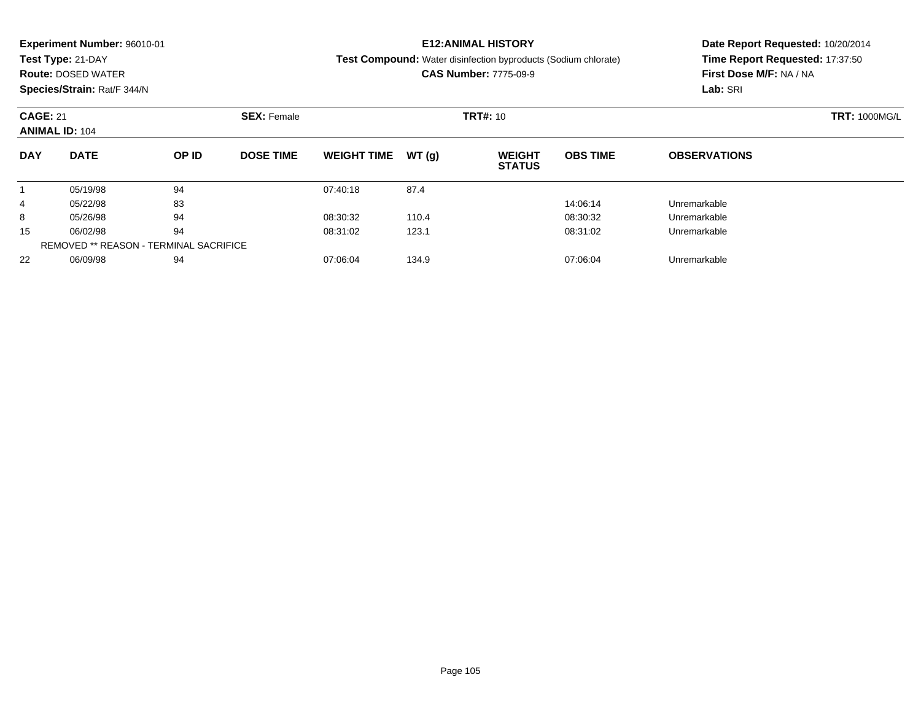|                       | <b>Experiment Number: 96010-01</b> |                                               |                    |                    |       | <b>E12:ANIMAL HISTORY</b>                                             |                 | Date Report Requested: 10/20/2014 |                      |  |
|-----------------------|------------------------------------|-----------------------------------------------|--------------------|--------------------|-------|-----------------------------------------------------------------------|-----------------|-----------------------------------|----------------------|--|
|                       | Test Type: 21-DAY                  |                                               |                    |                    |       | <b>Test Compound:</b> Water disinfection byproducts (Sodium chlorate) |                 | Time Report Requested: 17:37:50   |                      |  |
|                       | <b>Route: DOSED WATER</b>          |                                               |                    |                    |       | <b>CAS Number: 7775-09-9</b>                                          |                 | First Dose M/F: NA / NA           |                      |  |
|                       | Species/Strain: Rat/F 344/N        |                                               |                    |                    |       |                                                                       |                 | Lab: SRI                          |                      |  |
| <b>CAGE: 21</b>       |                                    |                                               | <b>SEX: Female</b> |                    |       | <b>TRT#: 10</b>                                                       |                 |                                   | <b>TRT: 1000MG/L</b> |  |
| <b>ANIMAL ID: 104</b> |                                    |                                               |                    |                    |       |                                                                       |                 |                                   |                      |  |
| <b>DAY</b>            | <b>DATE</b>                        | OP ID                                         | <b>DOSE TIME</b>   | <b>WEIGHT TIME</b> | WT(q) | <b>WEIGHT</b><br><b>STATUS</b>                                        | <b>OBS TIME</b> | <b>OBSERVATIONS</b>               |                      |  |
|                       | 05/19/98                           | 94                                            |                    | 07:40:18           | 87.4  |                                                                       |                 |                                   |                      |  |
| 4                     | 05/22/98                           | 83                                            |                    |                    |       |                                                                       | 14:06:14        | Unremarkable                      |                      |  |
| 8                     | 05/26/98                           | 94                                            |                    | 08:30:32           | 110.4 |                                                                       | 08:30:32        | Unremarkable                      |                      |  |
| 15                    | 06/02/98                           | 94                                            |                    | 08:31:02           | 123.1 |                                                                       | 08:31:02        | Unremarkable                      |                      |  |
|                       |                                    | <b>REMOVED ** REASON - TERMINAL SACRIFICE</b> |                    |                    |       |                                                                       |                 |                                   |                      |  |

06/09/98 <sup>94</sup> 07:06:04 134.9 07:06:04 Unremarkable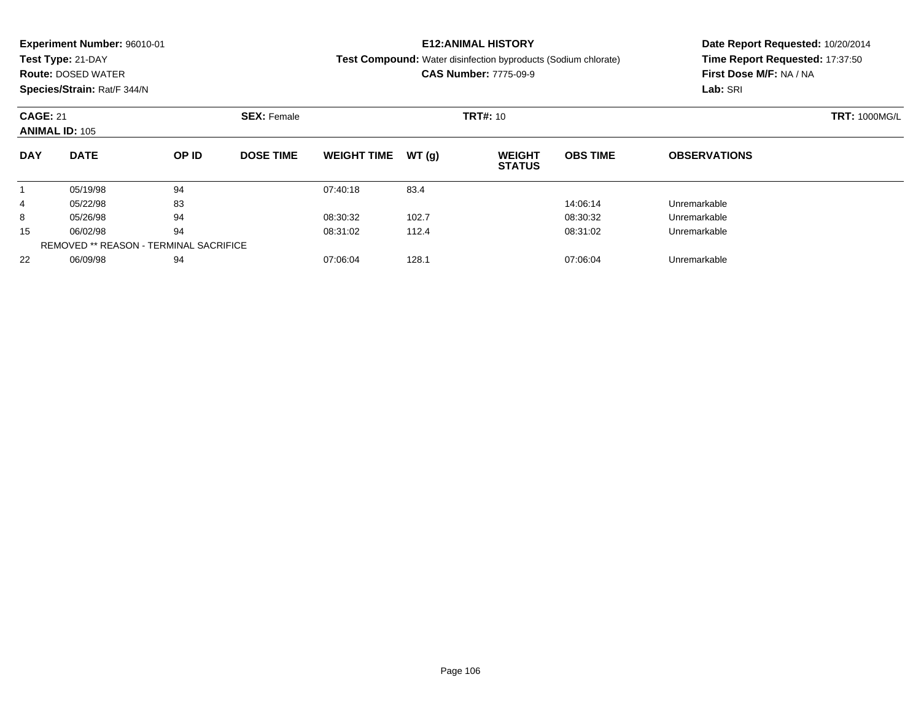|                       | <b>Experiment Number: 96010-01</b> |                                               |                    |                    |       | <b>E12:ANIMAL HISTORY</b>                                      | Date Report Requested: 10/20/2014 |                                 |                      |  |
|-----------------------|------------------------------------|-----------------------------------------------|--------------------|--------------------|-------|----------------------------------------------------------------|-----------------------------------|---------------------------------|----------------------|--|
|                       | Test Type: 21-DAY                  |                                               |                    |                    |       | Test Compound: Water disinfection byproducts (Sodium chlorate) |                                   | Time Report Requested: 17:37:50 |                      |  |
|                       | <b>Route: DOSED WATER</b>          |                                               |                    |                    |       | <b>CAS Number: 7775-09-9</b>                                   |                                   | First Dose M/F: NA / NA         |                      |  |
|                       | Species/Strain: Rat/F 344/N        |                                               |                    |                    |       |                                                                |                                   | Lab: SRI                        |                      |  |
| <b>CAGE: 21</b>       |                                    |                                               | <b>SEX: Female</b> |                    |       | <b>TRT#: 10</b>                                                |                                   |                                 | <b>TRT: 1000MG/L</b> |  |
| <b>ANIMAL ID: 105</b> |                                    |                                               |                    |                    |       |                                                                |                                   |                                 |                      |  |
| <b>DAY</b>            | <b>DATE</b>                        | OP ID                                         | <b>DOSE TIME</b>   | <b>WEIGHT TIME</b> | WT(q) | <b>WEIGHT</b><br><b>STATUS</b>                                 | <b>OBS TIME</b>                   | <b>OBSERVATIONS</b>             |                      |  |
|                       | 05/19/98                           | 94                                            |                    | 07:40:18           | 83.4  |                                                                |                                   |                                 |                      |  |
| 4                     | 05/22/98                           | 83                                            |                    |                    |       |                                                                | 14:06:14                          | Unremarkable                    |                      |  |
| 8                     | 05/26/98                           | 94                                            |                    | 08:30:32           | 102.7 |                                                                | 08:30:32                          | Unremarkable                    |                      |  |
| 15                    | 06/02/98                           | 94                                            |                    | 08:31:02           | 112.4 |                                                                | 08:31:02                          | Unremarkable                    |                      |  |
|                       |                                    | <b>REMOVED ** REASON - TERMINAL SACRIFICE</b> |                    |                    |       |                                                                |                                   |                                 |                      |  |

06/09/98 <sup>94</sup> 07:06:04 128.1 07:06:04 Unremarkable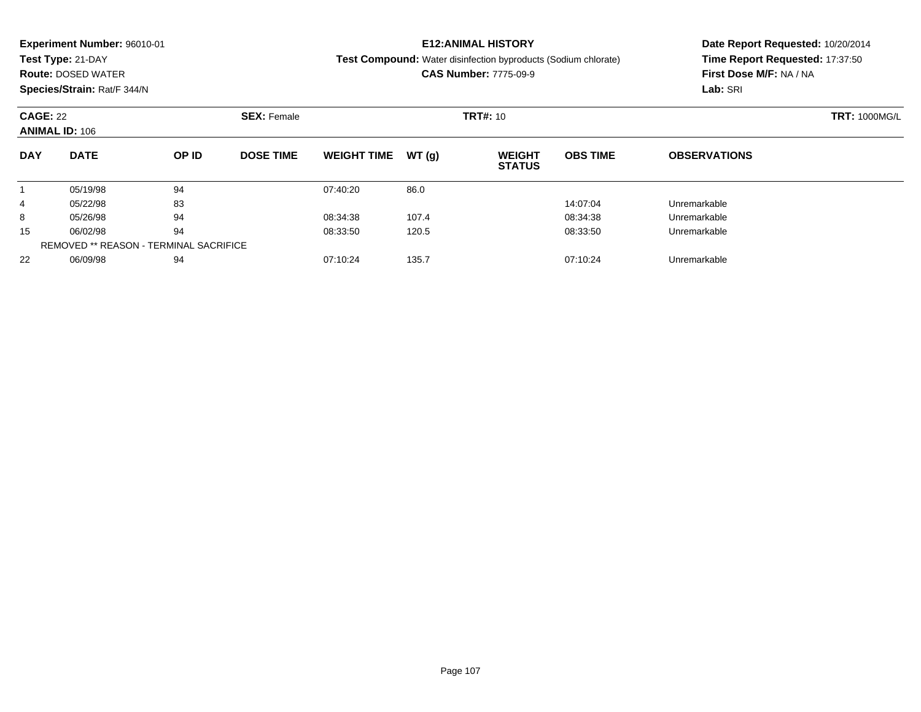|                       | <b>Experiment Number: 96010-01</b> |                                               |                    |                    |       | <b>E12:ANIMAL HISTORY</b>                                      |                 | Date Report Requested: 10/20/2014 |                      |  |
|-----------------------|------------------------------------|-----------------------------------------------|--------------------|--------------------|-------|----------------------------------------------------------------|-----------------|-----------------------------------|----------------------|--|
|                       | Test Type: 21-DAY                  |                                               |                    |                    |       | Test Compound: Water disinfection byproducts (Sodium chlorate) |                 | Time Report Requested: 17:37:50   |                      |  |
|                       | <b>Route: DOSED WATER</b>          |                                               |                    |                    |       | <b>CAS Number: 7775-09-9</b>                                   |                 | First Dose M/F: NA / NA           |                      |  |
|                       | Species/Strain: Rat/F 344/N        |                                               |                    |                    |       |                                                                |                 | Lab: SRI                          |                      |  |
| <b>CAGE: 22</b>       |                                    |                                               | <b>SEX: Female</b> |                    |       | <b>TRT#: 10</b>                                                |                 |                                   | <b>TRT: 1000MG/L</b> |  |
| <b>ANIMAL ID: 106</b> |                                    |                                               |                    |                    |       |                                                                |                 |                                   |                      |  |
| <b>DAY</b>            | <b>DATE</b>                        | OP ID                                         | <b>DOSE TIME</b>   | <b>WEIGHT TIME</b> | WT(q) | <b>WEIGHT</b><br><b>STATUS</b>                                 | <b>OBS TIME</b> | <b>OBSERVATIONS</b>               |                      |  |
|                       | 05/19/98                           | 94                                            |                    | 07:40:20           | 86.0  |                                                                |                 |                                   |                      |  |
| 4                     | 05/22/98                           | 83                                            |                    |                    |       |                                                                | 14:07:04        | Unremarkable                      |                      |  |
| 8                     | 05/26/98                           | 94                                            |                    | 08:34:38           | 107.4 |                                                                | 08:34:38        | Unremarkable                      |                      |  |
| 15                    | 06/02/98                           | 94                                            |                    | 08:33:50           | 120.5 |                                                                | 08:33:50        | Unremarkable                      |                      |  |
|                       |                                    | <b>REMOVED ** REASON - TERMINAL SACRIFICE</b> |                    |                    |       |                                                                |                 |                                   |                      |  |

06/09/98 <sup>94</sup> 07:10:24 135.7 07:10:24 Unremarkable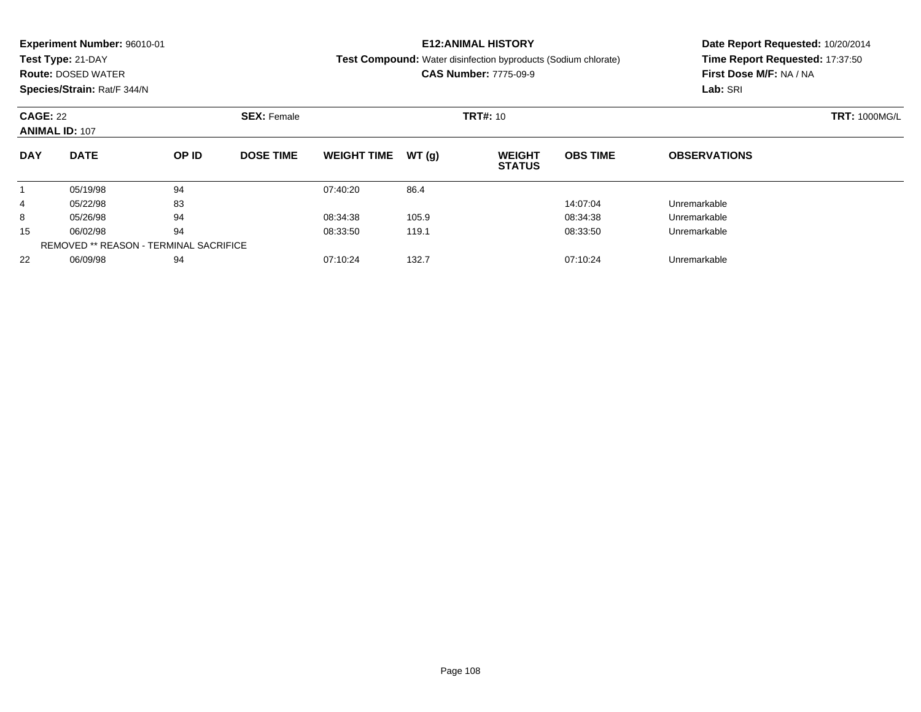|            | <b>Experiment Number: 96010-01</b>                             |                                               |                  |                    |       | <b>E12:ANIMAL HISTORY</b>                                             |                      | Date Report Requested: 10/20/2014 |  |  |
|------------|----------------------------------------------------------------|-----------------------------------------------|------------------|--------------------|-------|-----------------------------------------------------------------------|----------------------|-----------------------------------|--|--|
|            | Test Type: 21-DAY                                              |                                               |                  |                    |       | <b>Test Compound:</b> Water disinfection byproducts (Sodium chlorate) |                      | Time Report Requested: 17:37:50   |  |  |
|            | <b>Route: DOSED WATER</b>                                      |                                               |                  |                    |       | <b>CAS Number: 7775-09-9</b>                                          |                      | First Dose M/F: NA / NA           |  |  |
|            | Species/Strain: Rat/F 344/N                                    |                                               |                  |                    |       |                                                                       |                      | Lab: SRI                          |  |  |
|            | <b>CAGE: 22</b><br><b>SEX: Female</b><br><b>ANIMAL ID: 107</b> |                                               |                  |                    |       | <b>TRT#: 10</b>                                                       | <b>TRT: 1000MG/L</b> |                                   |  |  |
| <b>DAY</b> | <b>DATE</b>                                                    | OP ID                                         | <b>DOSE TIME</b> | <b>WEIGHT TIME</b> | WT(q) | <b>WEIGHT</b><br><b>STATUS</b>                                        | <b>OBS TIME</b>      | <b>OBSERVATIONS</b>               |  |  |
|            | 05/19/98                                                       | 94                                            |                  | 07:40:20           | 86.4  |                                                                       |                      |                                   |  |  |
| 4          | 05/22/98                                                       | 83                                            |                  |                    |       |                                                                       | 14:07:04             | Unremarkable                      |  |  |
| 8          | 05/26/98                                                       | 94                                            |                  | 08:34:38           | 105.9 |                                                                       | 08:34:38             | Unremarkable                      |  |  |
| 15         | 06/02/98                                                       | 94                                            |                  | 08:33:50           | 119.1 |                                                                       | 08:33:50             | Unremarkable                      |  |  |
|            |                                                                | <b>REMOVED ** REASON - TERMINAL SACRIFICE</b> |                  |                    |       |                                                                       |                      |                                   |  |  |

06/09/98 <sup>94</sup> 07:10:24 132.7 07:10:24 Unremarkable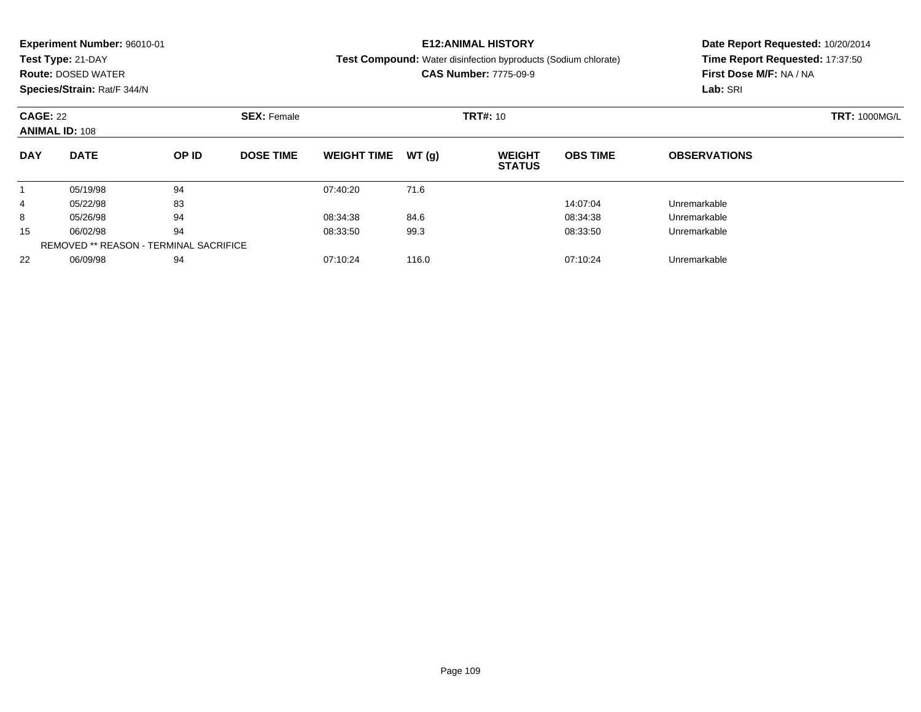|                      | <b>Experiment Number: 96010-01</b>     |       |                                              |                    |       | <b>E12:ANIMAL HISTORY</b>                                             | Date Report Requested: 10/20/2014 |                                 |  |  |
|----------------------|----------------------------------------|-------|----------------------------------------------|--------------------|-------|-----------------------------------------------------------------------|-----------------------------------|---------------------------------|--|--|
|                      | Test Type: 21-DAY                      |       |                                              |                    |       | <b>Test Compound:</b> Water disinfection byproducts (Sodium chlorate) |                                   | Time Report Requested: 17:37:50 |  |  |
|                      | <b>Route: DOSED WATER</b>              |       |                                              |                    |       | <b>CAS Number: 7775-09-9</b>                                          |                                   | First Dose M/F: NA / NA         |  |  |
|                      | Species/Strain: Rat/F 344/N            |       |                                              |                    |       |                                                                       |                                   | Lab: SRI                        |  |  |
| <b>CAGE: 22</b>      | <b>ANIMAL ID: 108</b>                  |       | <b>SEX: Female</b>                           |                    |       | <b>TRT#: 10</b>                                                       | <b>TRT: 1000MG/L</b>              |                                 |  |  |
| <b>DAY</b>           | <b>DATE</b>                            | OP ID | <b>DOSE TIME</b>                             | <b>WEIGHT TIME</b> | WT(q) | <b>WEIGHT</b><br><b>STATUS</b>                                        | <b>OBS TIME</b>                   | <b>OBSERVATIONS</b>             |  |  |
|                      | 05/19/98                               | 94    |                                              | 07:40:20           | 71.6  |                                                                       |                                   |                                 |  |  |
| 4                    | 05/22/98                               | 83    |                                              |                    |       |                                                                       | 14:07:04                          | Unremarkable                    |  |  |
| 8                    | 94<br>05/26/98                         |       | 08:34:38<br>84.6<br>08:34:38<br>Unremarkable |                    |       |                                                                       |                                   |                                 |  |  |
| 94<br>15<br>06/02/98 |                                        |       | 99.3<br>08:33:50<br>08:33:50                 |                    |       |                                                                       | Unremarkable                      |                                 |  |  |
|                      | REMOVED ** REASON - TERMINAL SACRIFICE |       |                                              |                    |       |                                                                       |                                   |                                 |  |  |

06/09/98 <sup>94</sup> 07:10:24 116.0 07:10:24 Unremarkable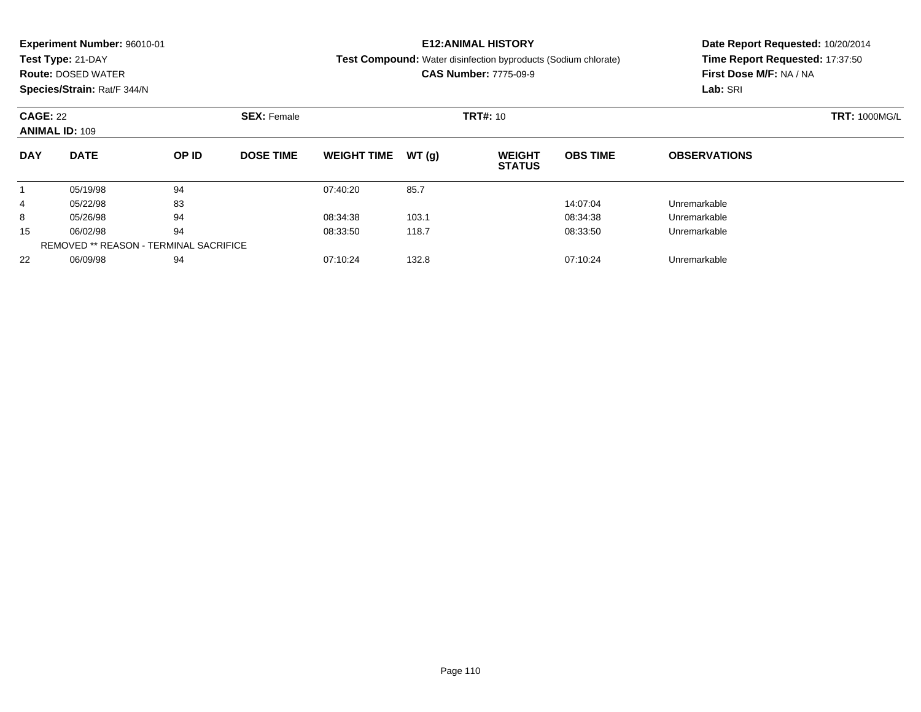|            | <b>Experiment Number: 96010-01</b>                             |       |                  |                    |       | <b>E12:ANIMAL HISTORY</b>                                             | Date Report Requested: 10/20/2014 |                                 |  |  |
|------------|----------------------------------------------------------------|-------|------------------|--------------------|-------|-----------------------------------------------------------------------|-----------------------------------|---------------------------------|--|--|
|            | Test Type: 21-DAY                                              |       |                  |                    |       | <b>Test Compound:</b> Water disinfection byproducts (Sodium chlorate) |                                   | Time Report Requested: 17:37:50 |  |  |
|            | <b>Route: DOSED WATER</b>                                      |       |                  |                    |       | <b>CAS Number: 7775-09-9</b>                                          |                                   | First Dose M/F: NA / NA         |  |  |
|            | Species/Strain: Rat/F 344/N                                    |       |                  |                    |       |                                                                       |                                   | Lab: SRI                        |  |  |
|            | <b>CAGE: 22</b><br><b>SEX: Female</b><br><b>ANIMAL ID: 109</b> |       |                  |                    |       | <b>TRT#: 10</b>                                                       |                                   | <b>TRT: 1000MG/L</b>            |  |  |
| <b>DAY</b> | <b>DATE</b>                                                    | OP ID | <b>DOSE TIME</b> | <b>WEIGHT TIME</b> | WT(q) | <b>WEIGHT</b><br><b>STATUS</b>                                        | <b>OBS TIME</b>                   | <b>OBSERVATIONS</b>             |  |  |
|            | 05/19/98                                                       | 94    |                  | 07:40:20           | 85.7  |                                                                       |                                   |                                 |  |  |
| 4          | 05/22/98                                                       | 83    |                  |                    |       |                                                                       | 14:07:04                          | Unremarkable                    |  |  |
| 8          | 05/26/98                                                       | 94    |                  | 08:34:38           | 103.1 |                                                                       | 08:34:38                          | Unremarkable                    |  |  |
| 15         | 06/02/98                                                       | 94    |                  | 08:33:50           | 118.7 |                                                                       | 08:33:50                          | Unremarkable                    |  |  |
|            | <b>REMOVED ** REASON - TERMINAL SACRIFICE</b>                  |       |                  |                    |       |                                                                       |                                   |                                 |  |  |

06/09/98 <sup>94</sup> 07:10:24 132.8 07:10:24 Unremarkable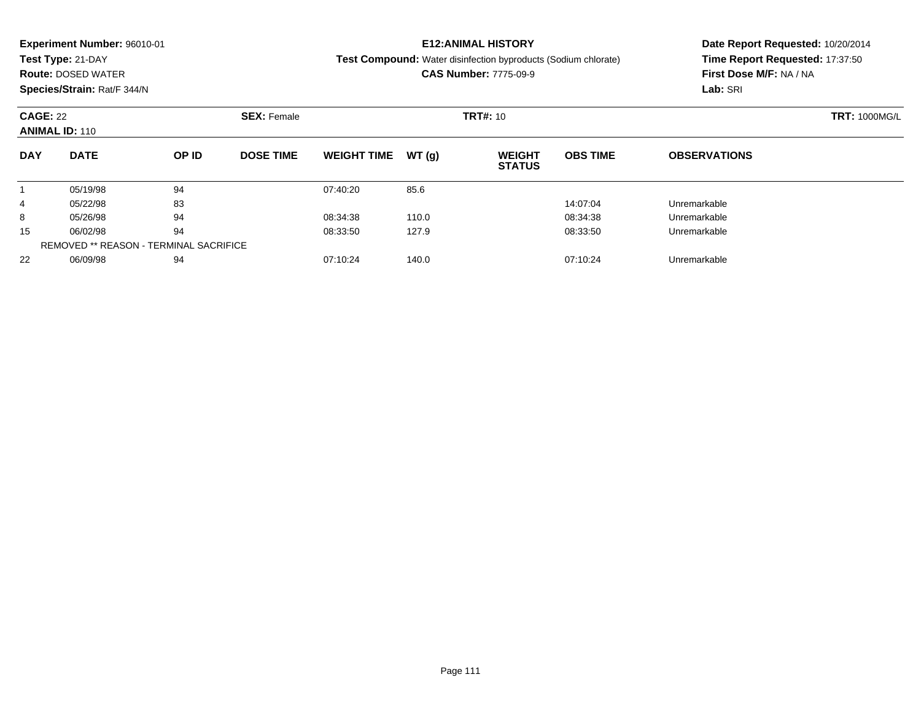|            | <b>Experiment Number: 96010-01</b>                             |       |                  |                    |       | <b>E12:ANIMAL HISTORY</b>                                             | Date Report Requested: 10/20/2014 |                                 |  |  |
|------------|----------------------------------------------------------------|-------|------------------|--------------------|-------|-----------------------------------------------------------------------|-----------------------------------|---------------------------------|--|--|
|            | Test Type: 21-DAY                                              |       |                  |                    |       | <b>Test Compound:</b> Water disinfection byproducts (Sodium chlorate) |                                   | Time Report Requested: 17:37:50 |  |  |
|            | <b>Route: DOSED WATER</b>                                      |       |                  |                    |       | <b>CAS Number: 7775-09-9</b>                                          |                                   | First Dose M/F: NA / NA         |  |  |
|            | Species/Strain: Rat/F 344/N                                    |       |                  |                    |       |                                                                       |                                   | Lab: SRI                        |  |  |
|            | <b>CAGE: 22</b><br><b>SEX: Female</b><br><b>ANIMAL ID: 110</b> |       |                  |                    |       | <b>TRT#: 10</b>                                                       |                                   | <b>TRT: 1000MG/L</b>            |  |  |
| <b>DAY</b> | <b>DATE</b>                                                    | OP ID | <b>DOSE TIME</b> | <b>WEIGHT TIME</b> | WT(q) | <b>WEIGHT</b><br><b>STATUS</b>                                        | <b>OBS TIME</b>                   | <b>OBSERVATIONS</b>             |  |  |
|            | 05/19/98                                                       | 94    |                  | 07:40:20           | 85.6  |                                                                       |                                   |                                 |  |  |
| 4          | 05/22/98                                                       | 83    |                  |                    |       |                                                                       | 14:07:04                          | Unremarkable                    |  |  |
| 8          | 05/26/98                                                       | 94    |                  | 08:34:38           | 110.0 |                                                                       | 08:34:38                          | Unremarkable                    |  |  |
| 15         | 06/02/98                                                       | 94    |                  | 08:33:50           | 127.9 |                                                                       | 08:33:50                          | Unremarkable                    |  |  |
|            | <b>REMOVED ** REASON - TERMINAL SACRIFICE</b>                  |       |                  |                    |       |                                                                       |                                   |                                 |  |  |

06/09/98 <sup>94</sup> 07:10:24 140.0 07:10:24 Unremarkable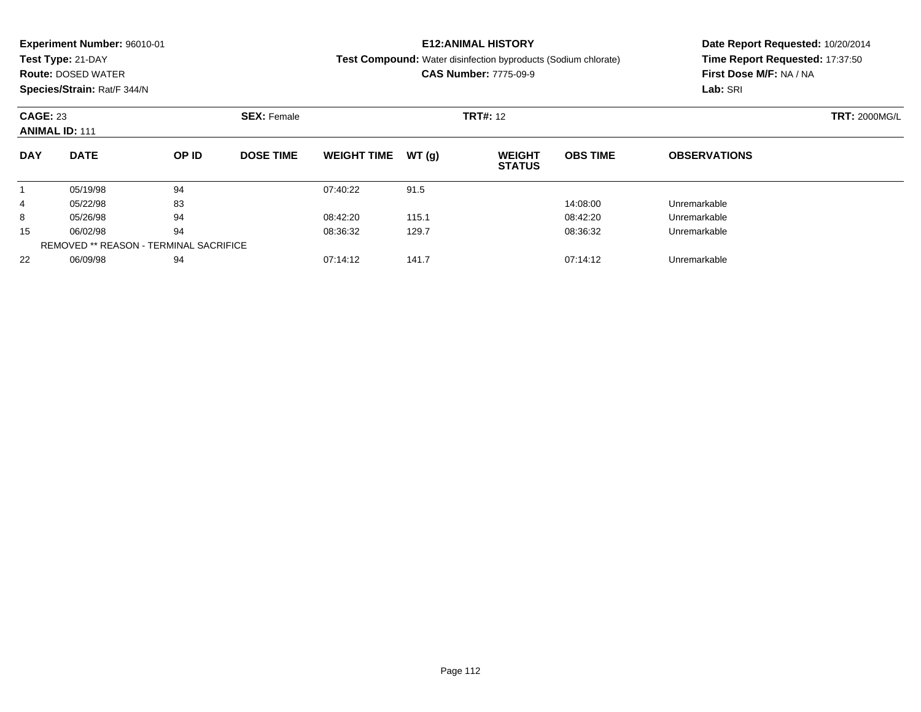|                      | <b>Experiment Number: 96010-01</b>                                  |                               |                  |                    |              | <b>E12:ANIMAL HISTORY</b>                                      | Date Report Requested: 10/20/2014 |                                 |                      |  |
|----------------------|---------------------------------------------------------------------|-------------------------------|------------------|--------------------|--------------|----------------------------------------------------------------|-----------------------------------|---------------------------------|----------------------|--|
|                      | Test Type: 21-DAY                                                   |                               |                  |                    |              | Test Compound: Water disinfection byproducts (Sodium chlorate) |                                   | Time Report Requested: 17:37:50 |                      |  |
|                      | <b>Route: DOSED WATER</b>                                           |                               |                  |                    |              | <b>CAS Number: 7775-09-9</b>                                   |                                   | First Dose M/F: NA / NA         |                      |  |
|                      | Species/Strain: Rat/F 344/N                                         |                               |                  |                    |              |                                                                |                                   | Lab: SRI                        |                      |  |
| <b>CAGE: 23</b>      | <b>SEX: Female</b><br><b>ANIMAL ID: 111</b><br><b>DATE</b><br>OP ID |                               |                  |                    |              | <b>TRT#: 12</b>                                                |                                   |                                 | <b>TRT: 2000MG/L</b> |  |
| <b>DAY</b>           |                                                                     |                               | <b>DOSE TIME</b> | <b>WEIGHT TIME</b> | WT(g)        | <b>WEIGHT</b><br><b>STATUS</b>                                 | <b>OBS TIME</b>                   | <b>OBSERVATIONS</b>             |                      |  |
|                      | 05/19/98                                                            | 94                            |                  | 07:40:22           | 91.5         |                                                                |                                   |                                 |                      |  |
| 4                    | 05/22/98                                                            | 83                            |                  |                    |              |                                                                | 14:08:00                          | Unremarkable                    |                      |  |
| 8                    | 05/26/98                                                            | 94                            |                  | 08:42:20           | 115.1        |                                                                | 08:42:20                          | Unremarkable                    |                      |  |
| 94<br>15<br>06/02/98 |                                                                     | 129.7<br>08:36:32<br>08:36:32 |                  |                    | Unremarkable |                                                                |                                   |                                 |                      |  |
|                      | <b>REMOVED ** REASON - TERMINAL SACRIFICE</b>                       |                               |                  |                    |              |                                                                |                                   |                                 |                      |  |

06/09/98 <sup>94</sup> 07:14:12 141.7 07:14:12 Unremarkable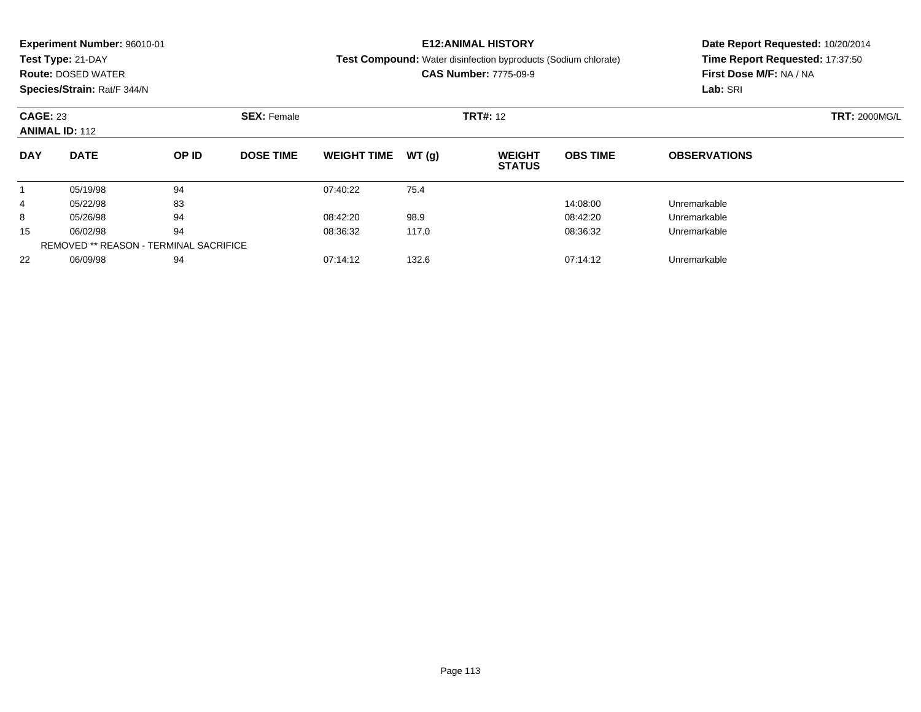|                                                                | <b>Experiment Number: 96010-01</b>            |                 |                  |                    |                      | <b>E12:ANIMAL HISTORY</b>                                      | Date Report Requested: 10/20/2014 |                                 |  |  |
|----------------------------------------------------------------|-----------------------------------------------|-----------------|------------------|--------------------|----------------------|----------------------------------------------------------------|-----------------------------------|---------------------------------|--|--|
|                                                                | Test Type: 21-DAY                             |                 |                  |                    |                      | Test Compound: Water disinfection byproducts (Sodium chlorate) |                                   | Time Report Requested: 17:37:50 |  |  |
|                                                                | <b>Route: DOSED WATER</b>                     |                 |                  |                    |                      | <b>CAS Number: 7775-09-9</b>                                   |                                   | First Dose M/F: NA / NA         |  |  |
|                                                                | Species/Strain: Rat/F 344/N                   |                 |                  |                    |                      |                                                                |                                   | Lab: SRI                        |  |  |
| <b>CAGE: 23</b><br><b>SEX: Female</b><br><b>ANIMAL ID: 112</b> |                                               | <b>TRT#: 12</b> |                  |                    | <b>TRT: 2000MG/L</b> |                                                                |                                   |                                 |  |  |
| <b>DAY</b>                                                     | <b>DATE</b>                                   | OP ID           | <b>DOSE TIME</b> | <b>WEIGHT TIME</b> | WT(g)                | <b>WEIGHT</b><br><b>STATUS</b>                                 | <b>OBS TIME</b>                   | <b>OBSERVATIONS</b>             |  |  |
|                                                                | 05/19/98                                      | 94              |                  | 07:40:22           | 75.4                 |                                                                |                                   |                                 |  |  |
| 4                                                              | 05/22/98                                      | 83              |                  |                    |                      |                                                                | 14:08:00                          | Unremarkable                    |  |  |
| 8                                                              | 05/26/98                                      | 94              |                  | 08:42:20           | 98.9                 |                                                                | 08:42:20                          | Unremarkable                    |  |  |
| 15                                                             | 06/02/98                                      | 94              |                  | 08:36:32           | 117.0                |                                                                | 08:36:32                          | Unremarkable                    |  |  |
|                                                                | <b>REMOVED ** REASON - TERMINAL SACRIFICE</b> |                 |                  |                    |                      |                                                                |                                   |                                 |  |  |
| 22                                                             | 06/09/98                                      | 94              |                  | 07:14:12           | 132.6                |                                                                | 07:14:12                          | Unremarkable                    |  |  |

06/09/98 <sup>94</sup> 07:14:12 132.6 07:14:12 Unremarkable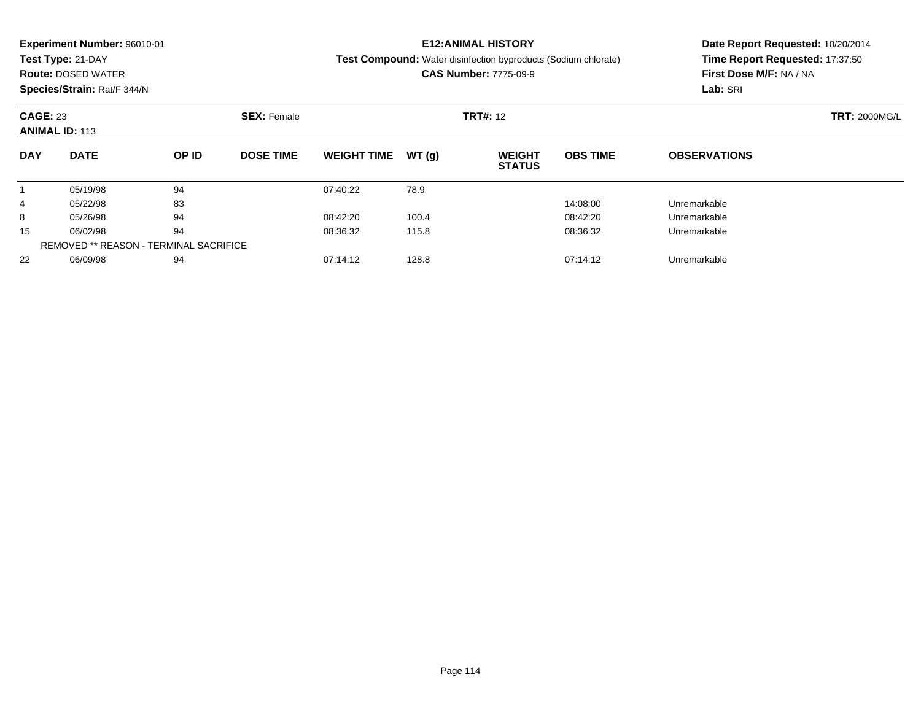|            | <b>Experiment Number: 96010-01</b>                             |       |                  |                    |       | <b>E12:ANIMAL HISTORY</b>                                             | Date Report Requested: 10/20/2014 |                                 |  |  |
|------------|----------------------------------------------------------------|-------|------------------|--------------------|-------|-----------------------------------------------------------------------|-----------------------------------|---------------------------------|--|--|
|            | Test Type: 21-DAY                                              |       |                  |                    |       | <b>Test Compound:</b> Water disinfection byproducts (Sodium chlorate) |                                   | Time Report Requested: 17:37:50 |  |  |
|            | <b>Route: DOSED WATER</b>                                      |       |                  |                    |       | <b>CAS Number: 7775-09-9</b>                                          |                                   | First Dose M/F: NA / NA         |  |  |
|            | Species/Strain: Rat/F 344/N                                    |       |                  |                    |       |                                                                       |                                   | Lab: SRI                        |  |  |
|            | <b>CAGE: 23</b><br><b>SEX: Female</b><br><b>ANIMAL ID: 113</b> |       |                  |                    |       | <b>TRT#: 12</b>                                                       |                                   | <b>TRT: 2000MG/L</b>            |  |  |
|            |                                                                |       |                  |                    |       |                                                                       |                                   |                                 |  |  |
| <b>DAY</b> | <b>DATE</b>                                                    | OP ID | <b>DOSE TIME</b> | <b>WEIGHT TIME</b> | WT(q) | <b>WEIGHT</b><br><b>STATUS</b>                                        | <b>OBS TIME</b>                   | <b>OBSERVATIONS</b>             |  |  |
|            | 05/19/98                                                       | 94    |                  | 07:40:22           | 78.9  |                                                                       |                                   |                                 |  |  |
| 4          | 05/22/98                                                       | 83    |                  |                    |       |                                                                       | 14:08:00                          | Unremarkable                    |  |  |
| 8          | 05/26/98                                                       | 94    |                  | 08:42:20           | 100.4 |                                                                       | 08:42:20                          | Unremarkable                    |  |  |
| 15         | 06/02/98                                                       | 94    |                  | 08:36:32           | 115.8 |                                                                       | 08:36:32                          | Unremarkable                    |  |  |
|            | <b>REMOVED ** REASON - TERMINAL SACRIFICE</b>                  |       |                  |                    |       |                                                                       |                                   |                                 |  |  |

06/09/98 <sup>94</sup> 07:14:12 128.8 07:14:12 Unremarkable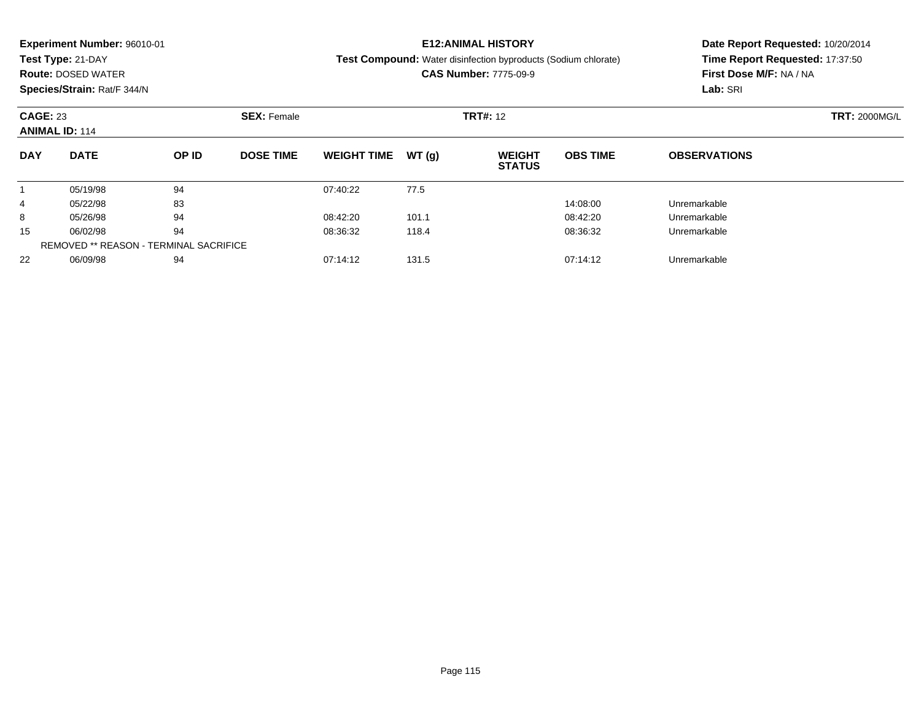|                 | <b>Experiment Number: 96010-01</b>            |    |                  |                    |                    | <b>E12:ANIMAL HISTORY</b>                                             | Date Report Requested: 10/20/2014 |                                 |  |  |                      |
|-----------------|-----------------------------------------------|----|------------------|--------------------|--------------------|-----------------------------------------------------------------------|-----------------------------------|---------------------------------|--|--|----------------------|
|                 | Test Type: 21-DAY                             |    |                  |                    |                    | <b>Test Compound:</b> Water disinfection byproducts (Sodium chlorate) |                                   | Time Report Requested: 17:37:50 |  |  |                      |
|                 | <b>Route: DOSED WATER</b>                     |    |                  |                    |                    | <b>CAS Number: 7775-09-9</b>                                          |                                   | First Dose M/F: NA / NA         |  |  |                      |
|                 | Species/Strain: Rat/F 344/N                   |    |                  |                    |                    |                                                                       |                                   | Lab: SRI                        |  |  |                      |
| <b>CAGE: 23</b> | <b>ANIMAL ID: 114</b><br><b>DATE</b><br>OP ID |    |                  |                    | <b>SEX: Female</b> |                                                                       |                                   | <b>TRT#: 12</b>                 |  |  | <b>TRT: 2000MG/L</b> |
| <b>DAY</b>      |                                               |    | <b>DOSE TIME</b> | <b>WEIGHT TIME</b> | WT(q)              | <b>WEIGHT</b><br><b>STATUS</b>                                        | <b>OBS TIME</b>                   | <b>OBSERVATIONS</b>             |  |  |                      |
|                 | 05/19/98                                      | 94 |                  | 07:40:22           | 77.5               |                                                                       |                                   |                                 |  |  |                      |
| 4               | 05/22/98                                      | 83 |                  |                    |                    |                                                                       | 14:08:00                          | Unremarkable                    |  |  |                      |
| 8               | 05/26/98                                      | 94 |                  | 08:42:20           | 101.1              |                                                                       | 08:42:20                          | Unremarkable                    |  |  |                      |
| 15              | 06/02/98                                      | 94 |                  | 08:36:32           | 118.4              |                                                                       | 08:36:32                          | Unremarkable                    |  |  |                      |
|                 | <b>REMOVED ** REASON - TERMINAL SACRIFICE</b> |    |                  |                    |                    |                                                                       |                                   |                                 |  |  |                      |

06/09/98 <sup>94</sup> 07:14:12 131.5 07:14:12 Unremarkable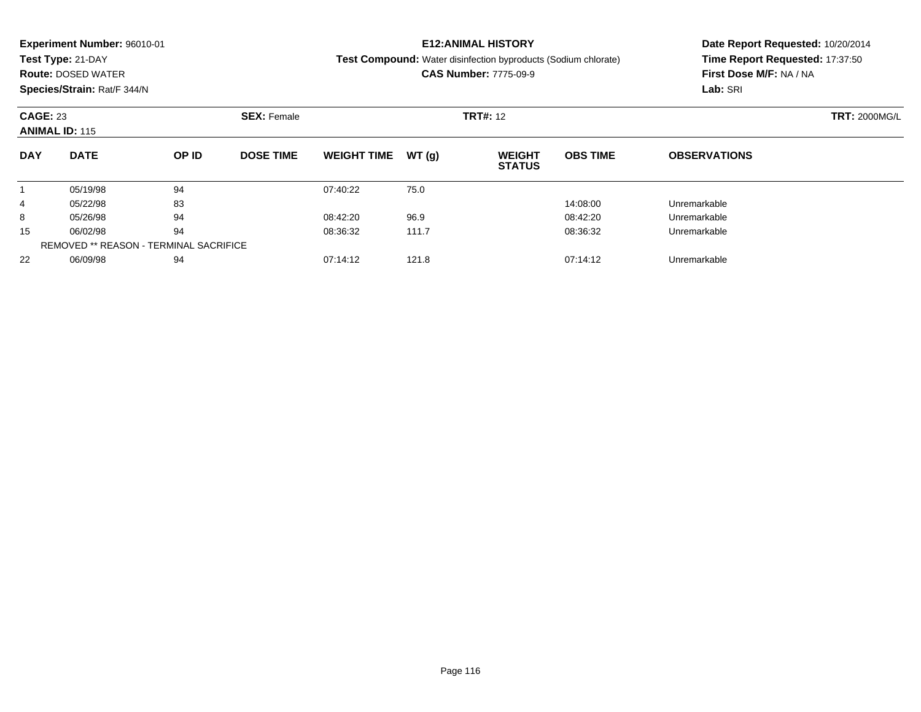|                 | <b>Experiment Number: 96010-01</b>                                  |    |                  |                    |       | <b>E12:ANIMAL HISTORY</b>                                             | Date Report Requested: 10/20/2014 |                                 |                      |  |
|-----------------|---------------------------------------------------------------------|----|------------------|--------------------|-------|-----------------------------------------------------------------------|-----------------------------------|---------------------------------|----------------------|--|
|                 | Test Type: 21-DAY                                                   |    |                  |                    |       | <b>Test Compound:</b> Water disinfection byproducts (Sodium chlorate) |                                   | Time Report Requested: 17:37:50 |                      |  |
|                 | <b>Route: DOSED WATER</b>                                           |    |                  |                    |       | <b>CAS Number: 7775-09-9</b>                                          |                                   | First Dose M/F: NA / NA         |                      |  |
|                 | Species/Strain: Rat/F 344/N                                         |    |                  |                    |       |                                                                       |                                   | Lab: SRI                        |                      |  |
| <b>CAGE: 23</b> | <b>SEX: Female</b><br><b>ANIMAL ID: 115</b><br><b>DATE</b><br>OP ID |    |                  |                    |       | <b>TRT#: 12</b>                                                       |                                   |                                 | <b>TRT: 2000MG/L</b> |  |
| <b>DAY</b>      |                                                                     |    | <b>DOSE TIME</b> | <b>WEIGHT TIME</b> | WT(q) | <b>WEIGHT</b><br><b>STATUS</b>                                        | <b>OBS TIME</b>                   | <b>OBSERVATIONS</b>             |                      |  |
|                 | 05/19/98                                                            | 94 |                  | 07:40:22           | 75.0  |                                                                       |                                   |                                 |                      |  |
| 4               | 05/22/98                                                            | 83 |                  |                    |       |                                                                       | 14:08:00                          | Unremarkable                    |                      |  |
| 8               | 05/26/98                                                            | 94 |                  | 08:42:20           | 96.9  |                                                                       | 08:42:20                          | Unremarkable                    |                      |  |
| 15              | 06/02/98                                                            | 94 |                  | 08:36:32           | 111.7 |                                                                       | 08:36:32                          | Unremarkable                    |                      |  |
|                 | <b>REMOVED ** REASON - TERMINAL SACRIFICE</b>                       |    |                  |                    |       |                                                                       |                                   |                                 |                      |  |

06/09/98 <sup>94</sup> 07:14:12 121.8 07:14:12 Unremarkable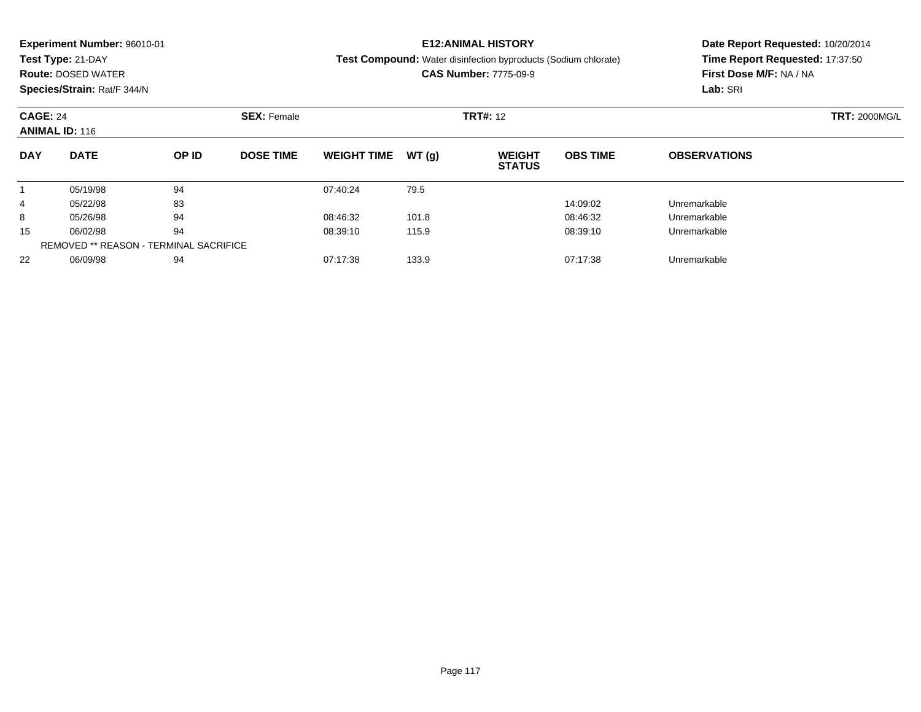|                 | Experiment Number: 96010-01<br>Test Type: 21-DAY<br><b>Route: DOSED WATER</b><br>Species/Strain: Rat/F 344/N |       |                  |                    |       | <b>E12: ANIMAL HISTORY</b><br><b>Test Compound:</b> Water disinfection byproducts (Sodium chlorate)<br><b>CAS Number: 7775-09-9</b> | Date Report Requested: 10/20/2014<br>Time Report Requested: 17:37:50<br>First Dose M/F: NA / NA<br>Lab: SRI |                      |  |
|-----------------|--------------------------------------------------------------------------------------------------------------|-------|------------------|--------------------|-------|-------------------------------------------------------------------------------------------------------------------------------------|-------------------------------------------------------------------------------------------------------------|----------------------|--|
| <b>CAGE: 24</b> | <b>SEX: Female</b><br><b>ANIMAL ID: 116</b>                                                                  |       |                  |                    |       | <b>TRT#: 12</b>                                                                                                                     |                                                                                                             | <b>TRT: 2000MG/L</b> |  |
| <b>DAY</b>      | <b>DATE</b>                                                                                                  | OP ID | <b>DOSE TIME</b> | <b>WEIGHT TIME</b> | WT(g) | <b>WEIGHT</b><br><b>STATUS</b>                                                                                                      | <b>OBS TIME</b>                                                                                             | <b>OBSERVATIONS</b>  |  |
|                 | 05/19/98                                                                                                     | 94    |                  | 07:40:24           | 79.5  |                                                                                                                                     |                                                                                                             |                      |  |
| 4               | 05/22/98                                                                                                     | 83    |                  |                    |       |                                                                                                                                     | 14:09:02                                                                                                    | Unremarkable         |  |
| 8               | 05/26/98                                                                                                     | 94    |                  | 08:46:32           | 101.8 |                                                                                                                                     | 08:46:32                                                                                                    | Unremarkable         |  |
| 15              | 06/02/98                                                                                                     | 94    |                  | 08:39:10           | 115.9 |                                                                                                                                     | 08:39:10                                                                                                    | Unremarkable         |  |
|                 | <b>REMOVED ** REASON - TERMINAL SACRIFICE</b>                                                                |       |                  |                    |       |                                                                                                                                     |                                                                                                             |                      |  |
| 22              | 06/09/98                                                                                                     | 94    |                  | 07:17:38           | 133.9 |                                                                                                                                     | 07:17:38                                                                                                    | Unremarkable         |  |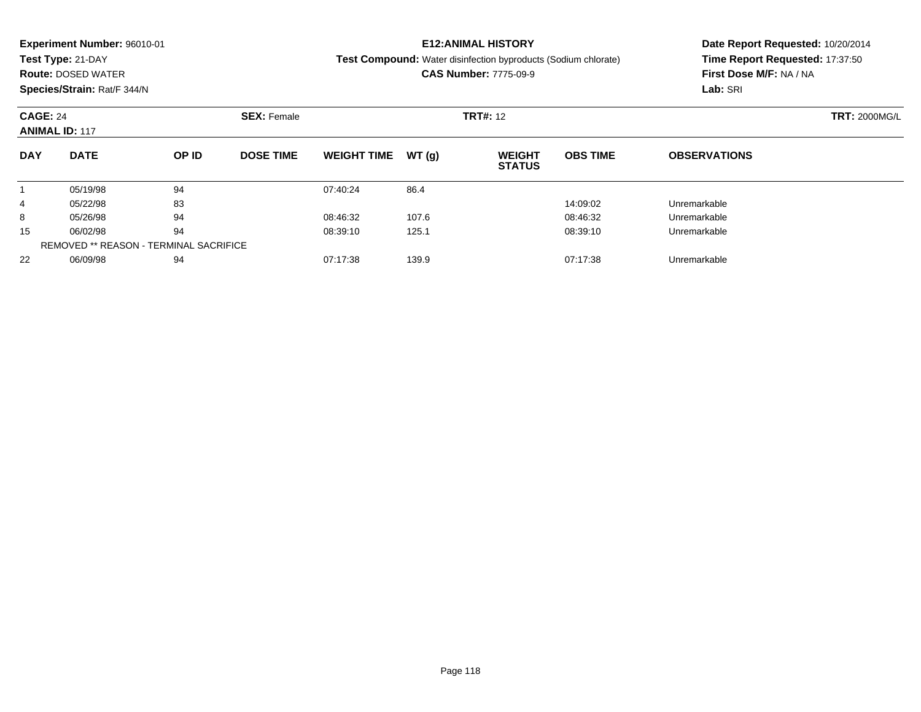|                 | Experiment Number: 96010-01<br>Test Type: 21-DAY<br><b>Route: DOSED WATER</b><br>Species/Strain: Rat/F 344/N |       |                  |                    |       | <b>E12: ANIMAL HISTORY</b><br><b>Test Compound:</b> Water disinfection byproducts (Sodium chlorate)<br><b>CAS Number: 7775-09-9</b> | Date Report Requested: 10/20/2014<br>Time Report Requested: 17:37:50<br>First Dose M/F: NA / NA<br>Lab: SRI |                      |  |
|-----------------|--------------------------------------------------------------------------------------------------------------|-------|------------------|--------------------|-------|-------------------------------------------------------------------------------------------------------------------------------------|-------------------------------------------------------------------------------------------------------------|----------------------|--|
| <b>CAGE: 24</b> | <b>SEX: Female</b><br><b>ANIMAL ID: 117</b>                                                                  |       |                  |                    |       | <b>TRT#: 12</b>                                                                                                                     |                                                                                                             | <b>TRT: 2000MG/L</b> |  |
| <b>DAY</b>      | <b>DATE</b>                                                                                                  | OP ID | <b>DOSE TIME</b> | <b>WEIGHT TIME</b> | WT(g) | <b>WEIGHT</b><br><b>STATUS</b>                                                                                                      | <b>OBS TIME</b>                                                                                             | <b>OBSERVATIONS</b>  |  |
|                 | 05/19/98                                                                                                     | 94    |                  | 07:40:24           | 86.4  |                                                                                                                                     |                                                                                                             |                      |  |
| 4               | 05/22/98                                                                                                     | 83    |                  |                    |       |                                                                                                                                     | 14:09:02                                                                                                    | Unremarkable         |  |
| 8               | 05/26/98                                                                                                     | 94    |                  | 08:46:32           | 107.6 |                                                                                                                                     | 08:46:32                                                                                                    | Unremarkable         |  |
| 15              | 06/02/98                                                                                                     | 94    |                  | 08:39:10           | 125.1 |                                                                                                                                     | 08:39:10                                                                                                    | Unremarkable         |  |
|                 | <b>REMOVED ** REASON - TERMINAL SACRIFICE</b>                                                                |       |                  |                    |       |                                                                                                                                     |                                                                                                             |                      |  |
| 22              | 06/09/98                                                                                                     | 94    |                  | 07:17:38           | 139.9 |                                                                                                                                     | 07:17:38                                                                                                    | Unremarkable         |  |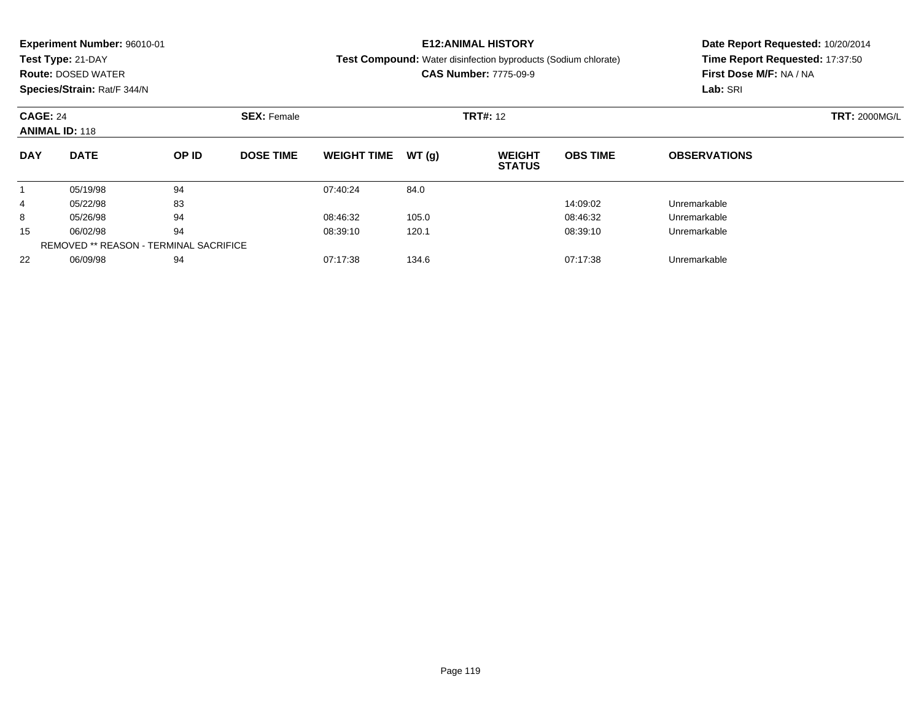|                 | Experiment Number: 96010-01<br>Test Type: 21-DAY<br><b>Route: DOSED WATER</b><br>Species/Strain: Rat/F 344/N |       |                  |                    |       | <b>E12: ANIMAL HISTORY</b><br><b>Test Compound:</b> Water disinfection byproducts (Sodium chlorate)<br><b>CAS Number: 7775-09-9</b> | Date Report Requested: 10/20/2014<br>Time Report Requested: 17:37:50<br>First Dose M/F: NA / NA<br>Lab: SRI |                      |  |
|-----------------|--------------------------------------------------------------------------------------------------------------|-------|------------------|--------------------|-------|-------------------------------------------------------------------------------------------------------------------------------------|-------------------------------------------------------------------------------------------------------------|----------------------|--|
| <b>CAGE: 24</b> | <b>SEX: Female</b><br><b>ANIMAL ID: 118</b>                                                                  |       |                  |                    |       | <b>TRT#: 12</b>                                                                                                                     |                                                                                                             | <b>TRT: 2000MG/L</b> |  |
| <b>DAY</b>      | <b>DATE</b>                                                                                                  | OP ID | <b>DOSE TIME</b> | <b>WEIGHT TIME</b> | WT(g) | <b>WEIGHT</b><br><b>STATUS</b>                                                                                                      | <b>OBS TIME</b>                                                                                             | <b>OBSERVATIONS</b>  |  |
|                 | 05/19/98                                                                                                     | 94    |                  | 07:40:24           | 84.0  |                                                                                                                                     |                                                                                                             |                      |  |
| 4               | 05/22/98                                                                                                     | 83    |                  |                    |       |                                                                                                                                     | 14:09:02                                                                                                    | Unremarkable         |  |
| 8               | 05/26/98                                                                                                     | 94    |                  | 08:46:32           | 105.0 |                                                                                                                                     | 08:46:32                                                                                                    | Unremarkable         |  |
| 15              | 06/02/98                                                                                                     | 94    |                  | 08:39:10           | 120.1 |                                                                                                                                     | 08:39:10                                                                                                    | Unremarkable         |  |
|                 | <b>REMOVED ** REASON - TERMINAL SACRIFICE</b>                                                                |       |                  |                    |       |                                                                                                                                     |                                                                                                             |                      |  |
| 22              | 06/09/98                                                                                                     | 94    |                  | 07:17:38           | 134.6 |                                                                                                                                     | 07:17:38                                                                                                    | Unremarkable         |  |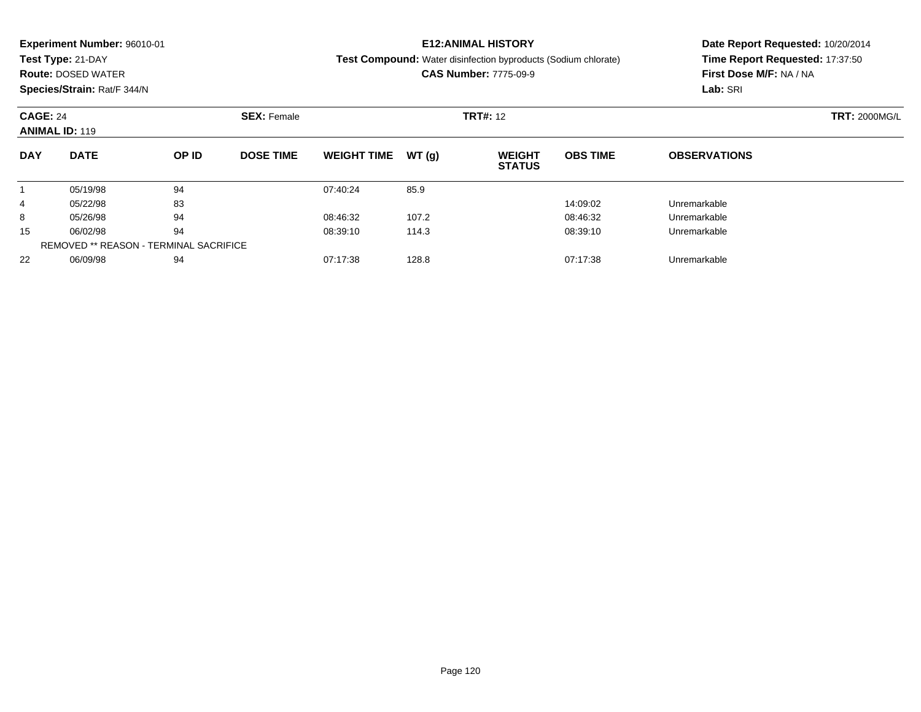|            | <b>Experiment Number: 96010-01</b>                               |    |                    |                               |       | <b>E12:ANIMAL HISTORY</b>                                             | Date Report Requested: 10/20/2014 |                                 |                      |  |
|------------|------------------------------------------------------------------|----|--------------------|-------------------------------|-------|-----------------------------------------------------------------------|-----------------------------------|---------------------------------|----------------------|--|
|            | Test Type: 21-DAY                                                |    |                    |                               |       | <b>Test Compound:</b> Water disinfection byproducts (Sodium chlorate) |                                   | Time Report Requested: 17:37:50 |                      |  |
|            | <b>Route: DOSED WATER</b>                                        |    |                    |                               |       | <b>CAS Number: 7775-09-9</b>                                          |                                   | First Dose M/F: NA / NA         |                      |  |
|            | Species/Strain: Rat/F 344/N                                      |    |                    |                               |       |                                                                       |                                   | Lab: SRI                        |                      |  |
|            | <b>CAGE: 24</b><br><b>ANIMAL ID: 119</b><br><b>DATE</b><br>OP ID |    | <b>SEX: Female</b> | <b>TRT#: 12</b>               |       |                                                                       |                                   |                                 | <b>TRT: 2000MG/L</b> |  |
| <b>DAY</b> |                                                                  |    | <b>DOSE TIME</b>   | <b>WEIGHT TIME</b>            | WT(g) | <b>WEIGHT</b><br><b>STATUS</b>                                        | <b>OBS TIME</b>                   | <b>OBSERVATIONS</b>             |                      |  |
|            | 05/19/98                                                         | 94 |                    | 07:40:24                      | 85.9  |                                                                       |                                   |                                 |                      |  |
| 4          | 05/22/98                                                         | 83 |                    |                               |       |                                                                       | 14:09:02                          | Unremarkable                    |                      |  |
| 8          | 05/26/98                                                         | 94 |                    | 08:46:32                      | 107.2 |                                                                       | 08:46:32                          | Unremarkable                    |                      |  |
| 15         | 06/02/98                                                         | 94 |                    | 08:39:10                      | 114.3 |                                                                       | 08:39:10                          | Unremarkable                    |                      |  |
|            | <b>REMOVED ** REASON - TERMINAL SACRIFICE</b>                    |    |                    |                               |       |                                                                       |                                   |                                 |                      |  |
| 22         | 94<br>06/09/98                                                   |    |                    | 128.8<br>07:17:38<br>07:17:38 |       |                                                                       |                                   | Unremarkable                    |                      |  |

06/09/98 <sup>94</sup> 07:17:38 128.8 07:17:38 Unremarkable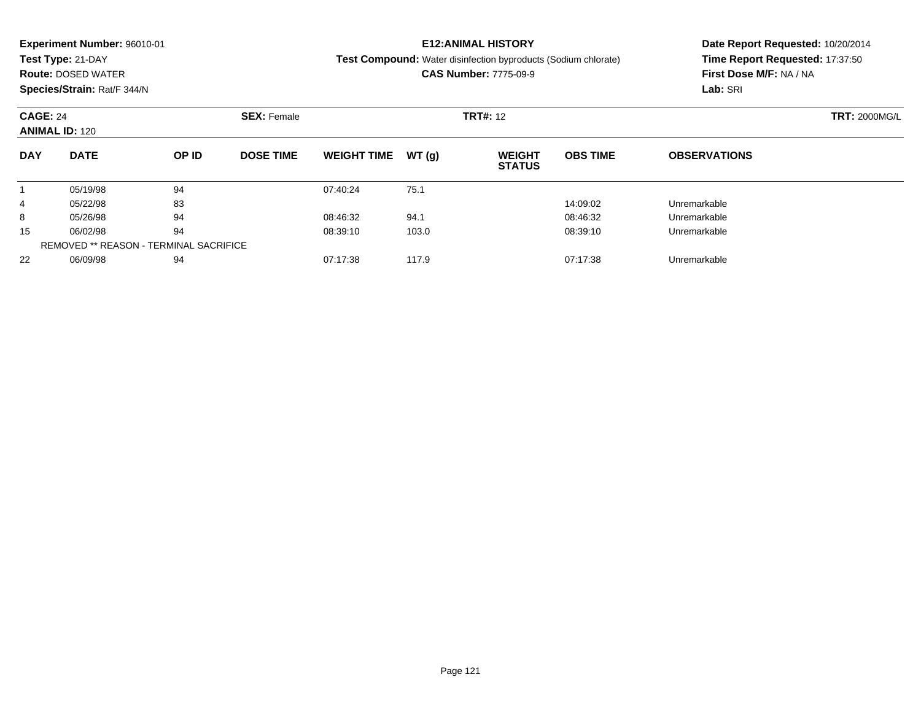| <b>Experiment Number: 96010-01</b><br>Test Type: 21-DAY<br><b>Route: DOSED WATER</b><br>Species/Strain: Rat/F 344/N<br><b>CAGE: 24</b><br><b>ANIMAL ID: 120</b> |             |                                               |                    | <b>E12: ANIMAL HISTORY</b><br><b>Test Compound:</b> Water disinfection byproducts (Sodium chlorate)<br><b>CAS Number: 7775-09-9</b> |       |                                |                 | Date Report Requested: 10/20/2014<br>Time Report Requested: 17:37:50<br>First Dose M/F: NA / NA<br>Lab: SRI |  |
|-----------------------------------------------------------------------------------------------------------------------------------------------------------------|-------------|-----------------------------------------------|--------------------|-------------------------------------------------------------------------------------------------------------------------------------|-------|--------------------------------|-----------------|-------------------------------------------------------------------------------------------------------------|--|
|                                                                                                                                                                 |             |                                               | <b>SEX: Female</b> |                                                                                                                                     |       | <b>TRT#: 12</b>                |                 | <b>TRT: 2000MG/L</b>                                                                                        |  |
| <b>DAY</b>                                                                                                                                                      | <b>DATE</b> | OP ID                                         | <b>DOSE TIME</b>   | <b>WEIGHT TIME</b>                                                                                                                  | WT(g) | <b>WEIGHT</b><br><b>STATUS</b> | <b>OBS TIME</b> | <b>OBSERVATIONS</b>                                                                                         |  |
|                                                                                                                                                                 | 05/19/98    | 94                                            |                    | 07:40:24                                                                                                                            | 75.1  |                                |                 |                                                                                                             |  |
| 4                                                                                                                                                               | 05/22/98    | 83                                            |                    |                                                                                                                                     |       |                                | 14:09:02        | Unremarkable                                                                                                |  |
| 8                                                                                                                                                               | 05/26/98    | 94                                            |                    | 08:46:32                                                                                                                            | 94.1  |                                | 08:46:32        | Unremarkable                                                                                                |  |
| 15                                                                                                                                                              | 06/02/98    | 94                                            |                    | 08:39:10                                                                                                                            | 103.0 |                                | 08:39:10        | Unremarkable                                                                                                |  |
|                                                                                                                                                                 |             | <b>REMOVED ** REASON - TERMINAL SACRIFICE</b> |                    |                                                                                                                                     |       |                                |                 |                                                                                                             |  |
| 22                                                                                                                                                              | 06/09/98    | 94                                            |                    | 07:17:38                                                                                                                            | 117.9 |                                | 07:17:38        | Unremarkable                                                                                                |  |